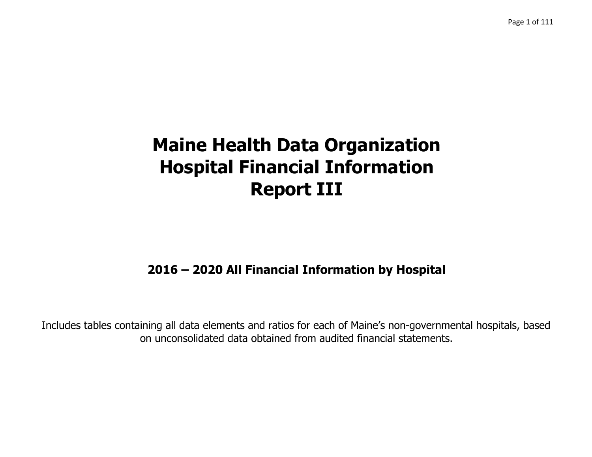# **2016 – 2020 All Financial Information by Hospital**

Includes tables containing all data elements and ratios for each of Maine's non-governmental hospitals, based on unconsolidated data obtained from audited financial statements.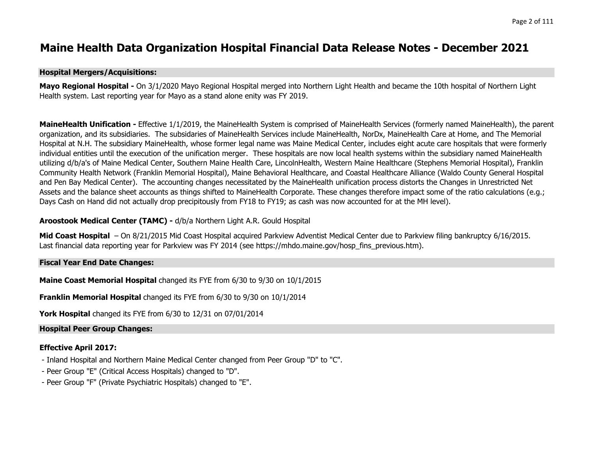#### **Maine Health Data Organization Hospital Financial Data Release Notes - December 2021**

#### **Hospital Mergers/Acquisitions:**

**Mayo Regional Hospital -** On 3/1/2020 Mayo Regional Hospital merged into Northern Light Health and became the 10th hospital of Northern Light Health system. Last reporting year for Mayo as a stand alone enity was FY 2019.

**MaineHealth Unification -** Effective 1/1/2019, the MaineHealth System is comprised of MaineHealth Services (formerly named MaineHealth), the parent organization, and its subsidiaries. The subsidaries of MaineHealth Services include MaineHealth, NorDx, MaineHealth Care at Home, and The Memorial Hospital at N.H. The subsidiary MaineHealth, whose former legal name was Maine Medical Center, includes eight acute care hospitals that were formerly individual entities until the execution of the unification merger. These hospitals are now local health systems within the subsidiary named MaineHealth utilizing d/b/a's of Maine Medical Center, Southern Maine Health Care, LincolnHealth, Western Maine Healthcare (Stephens Memorial Hospital), Franklin Community Health Network (Franklin Memorial Hospital), Maine Behavioral Healthcare, and Coastal Healthcare Alliance (Waldo County General Hospital and Pen Bay Medical Center). The accounting changes necessitated by the MaineHealth unification process distorts the Changes in Unrestricted Net Assets and the balance sheet accounts as things shifted to MaineHealth Corporate. These changes therefore impact some of the ratio calculations (e.g.; Days Cash on Hand did not actually drop precipitously from FY18 to FY19; as cash was now accounted for at the MH level).

#### **Aroostook Medical Center (TAMC) -** d/b/a Northern Light A.R. Gould Hospital

**Mid Coast Hospital** – On 8/21/2015 Mid Coast Hospital acquired Parkview Adventist Medical Center due to Parkview filing bankruptcy 6/16/2015. Last financial data reporting year for Parkview was FY 2014 (see https://mhdo.maine.gov/hosp\_fins\_previous.htm).

#### **Fiscal Year End Date Changes:**

**Maine Coast Memorial Hospital** changed its FYE from 6/30 to 9/30 on 10/1/2015

**Franklin Memorial Hospital** changed its FYE from 6/30 to 9/30 on 10/1/2014

**York Hospital** changed its FYE from 6/30 to 12/31 on 07/01/2014

#### **Hospital Peer Group Changes:**

#### **Effective April 2017:**

- Inland Hospital and Northern Maine Medical Center changed from Peer Group "D" to "C".
- Peer Group "E" (Critical Access Hospitals) changed to "D".
- Peer Group "F" (Private Psychiatric Hospitals) changed to "E".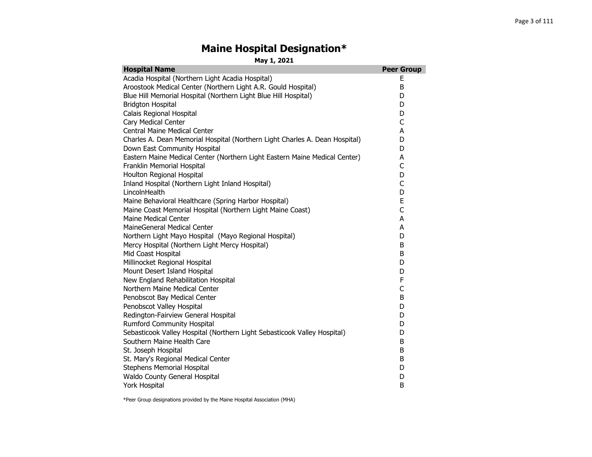#### **Maine Hospital Designation\***

**May 1, 2021**

| <b>Hospital Name</b>                                                        | <b>Peer Group</b> |
|-----------------------------------------------------------------------------|-------------------|
| Acadia Hospital (Northern Light Acadia Hospital)                            | Е                 |
| Aroostook Medical Center (Northern Light A.R. Gould Hospital)               | B                 |
| Blue Hill Memorial Hospital (Northern Light Blue Hill Hospital)             | D                 |
| <b>Bridgton Hospital</b>                                                    | D                 |
| Calais Regional Hospital                                                    | D                 |
| Cary Medical Center                                                         | C                 |
| <b>Central Maine Medical Center</b>                                         | A                 |
| Charles A. Dean Memorial Hospital (Northern Light Charles A. Dean Hospital) | D                 |
| Down East Community Hospital                                                | D                 |
| Eastern Maine Medical Center (Northern Light Eastern Maine Medical Center)  | A                 |
| Franklin Memorial Hospital                                                  | C                 |
| Houlton Regional Hospital                                                   | D                 |
| Inland Hospital (Northern Light Inland Hospital)                            | C                 |
| LincolnHealth                                                               | D                 |
| Maine Behavioral Healthcare (Spring Harbor Hospital)                        | E                 |
| Maine Coast Memorial Hospital (Northern Light Maine Coast)                  | $\mathsf{C}$      |
| Maine Medical Center                                                        | A                 |
| MaineGeneral Medical Center                                                 | A                 |
| Northern Light Mayo Hospital (Mayo Regional Hospital)                       | D                 |
| Mercy Hospital (Northern Light Mercy Hospital)                              | B                 |
| Mid Coast Hospital                                                          | B                 |
| Millinocket Regional Hospital                                               | D                 |
| Mount Desert Island Hospital                                                | D                 |
| New England Rehabilitation Hospital                                         | F                 |
| Northern Maine Medical Center                                               | C                 |
| Penobscot Bay Medical Center                                                | B                 |
| Penobscot Valley Hospital                                                   | D                 |
| Redington-Fairview General Hospital                                         | D                 |
| <b>Rumford Community Hospital</b>                                           | D                 |
| Sebasticook Valley Hospital (Northern Light Sebasticook Valley Hospital)    | D                 |
| Southern Maine Health Care                                                  | B                 |
| St. Joseph Hospital                                                         | B                 |
| St. Mary's Regional Medical Center                                          | B                 |
| <b>Stephens Memorial Hospital</b>                                           | D                 |
| Waldo County General Hospital                                               | D                 |
| York Hospital                                                               | B                 |

\*Peer Group designations provided by the Maine Hospital Association (MHA)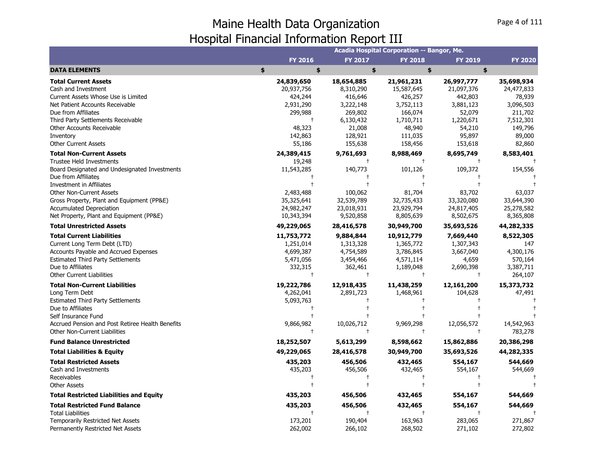|                                                                                                                                                                                                                                     |                                                                            |                                                                           | Acadia Hospital Corporation -- Bangor, Me.                                   |                                                                                   |                                                                  |
|-------------------------------------------------------------------------------------------------------------------------------------------------------------------------------------------------------------------------------------|----------------------------------------------------------------------------|---------------------------------------------------------------------------|------------------------------------------------------------------------------|-----------------------------------------------------------------------------------|------------------------------------------------------------------|
|                                                                                                                                                                                                                                     | <b>FY 2016</b>                                                             | <b>FY 2017</b>                                                            | <b>FY 2018</b>                                                               | <b>FY 2019</b>                                                                    | <b>FY 2020</b>                                                   |
| <b>DATA ELEMENTS</b>                                                                                                                                                                                                                | \$<br>\$                                                                   | \$                                                                        | \$                                                                           | \$                                                                                |                                                                  |
| <b>Total Current Assets</b><br>Cash and Investment<br>Current Assets Whose Use is Limited                                                                                                                                           | 24,839,650<br>20,937,756<br>424,244                                        | 18,654,885<br>8,310,290<br>416,646                                        | 21,961,231<br>15,587,645<br>426,257                                          | 26,997,777<br>21,097,376<br>442,803                                               | 35,698,934<br>24,477,833<br>78,939                               |
| Net Patient Accounts Receivable<br>Due from Affiliates<br>Third Party Settlements Receivable<br>Other Accounts Receivable<br>Inventory                                                                                              | 2,931,290<br>299,988<br>$^{+}$<br>48,323<br>142,863                        | 3,222,148<br>269,802<br>6,130,432<br>21,008<br>128,921                    | 3,752,113<br>166,074<br>1,710,711<br>48,940<br>111,035                       | 3,881,123<br>52,079<br>1,220,671<br>54,210<br>95,897                              | 3,096,503<br>211,702<br>7,512,301<br>149,796<br>89,000           |
| <b>Other Current Assets</b>                                                                                                                                                                                                         | 55,186                                                                     | 155,638                                                                   | 158,456                                                                      | 153,618                                                                           | 82,860                                                           |
| <b>Total Non-Current Assets</b><br>Trustee Held Investments<br>Board Designated and Undesignated Investments                                                                                                                        | 24,389,415<br>19,248<br>11,543,285                                         | 9,761,693<br>$\ddagger$<br>140,773                                        | 8,988,469<br>$\pm$<br>101,126                                                | 8,695,749<br>109,372                                                              | 8,583,401<br>154,556                                             |
| Due from Affiliates<br>Investment in Affiliates<br><b>Other Non-Current Assets</b><br>Gross Property, Plant and Equipment (PP&E)<br><b>Accumulated Depreciation</b><br>Net Property, Plant and Equipment (PP&E)                     | 2,483,488<br>35,325,641<br>24,982,247<br>10,343,394                        | 100,062<br>32,539,789<br>23,018,931<br>9,520,858                          | 81,704<br>32,735,433<br>23,929,794<br>8,805,639                              | 83,702<br>33,320,080<br>24,817,405<br>8,502,675                                   | 63,037<br>33,644,390<br>25,278,582<br>8,365,808                  |
| <b>Total Unrestricted Assets</b>                                                                                                                                                                                                    | 49,229,065                                                                 | 28,416,578                                                                | 30,949,700                                                                   | 35,693,526                                                                        | 44,282,335                                                       |
| <b>Total Current Liabilities</b><br>Current Long Term Debt (LTD)<br><b>Accounts Payable and Accrued Expenses</b><br><b>Estimated Third Party Settlements</b><br>Due to Affiliates<br><b>Other Current Liabilities</b>               | 11,753,772<br>1,251,014<br>4,699,387<br>5,471,056<br>332,315<br>$\ddagger$ | 9,884,844<br>1,313,328<br>4,754,589<br>3,454,466<br>362,461<br>$\ddagger$ | 10,912,779<br>1,365,772<br>3,786,845<br>4,571,114<br>1,189,048<br>$\ddagger$ | 7,669,440<br>1,307,343<br>3,667,040<br>4,659<br>2,690,398<br>$\ddot{\phantom{1}}$ | 8,522,305<br>147<br>4,300,176<br>570,164<br>3,387,711<br>264,107 |
| <b>Total Non-Current Liabilities</b><br>Long Term Debt<br><b>Estimated Third Party Settlements</b><br>Due to Affiliates<br>Self Insurance Fund<br>Accrued Pension and Post Retiree Health Benefits<br>Other Non-Current Liabilities | 19,222,786<br>4,262,041<br>5,093,763<br>$^{+}$<br>9,866,982<br>$\ddagger$  | 12,918,435<br>2,891,723<br>10,026,712<br>$\ddagger$                       | 11,438,259<br>1,468,961<br>9,969,298<br>$\ddagger$                           | 12,161,200<br>104,628<br>12,056,572<br>$\pm$                                      | 15,373,732<br>47,491<br>14,542,963<br>783,278                    |
| <b>Fund Balance Unrestricted</b>                                                                                                                                                                                                    | 18,252,507                                                                 | 5,613,299                                                                 | 8,598,662                                                                    | 15,862,886                                                                        | 20,386,298                                                       |
| <b>Total Liabilities &amp; Equity</b>                                                                                                                                                                                               | 49,229,065                                                                 | 28,416,578                                                                | 30,949,700                                                                   | 35,693,526                                                                        | 44,282,335                                                       |
| <b>Total Restricted Assets</b><br>Cash and Investments<br>Receivables<br><b>Other Assets</b>                                                                                                                                        | 435,203<br>435,203                                                         | 456,506<br>456,506                                                        | 432,465<br>432,465                                                           | 554,167<br>554,167                                                                | 544,669<br>544,669                                               |
| <b>Total Restricted Liabilities and Equity</b>                                                                                                                                                                                      | 435,203                                                                    | 456,506                                                                   | 432,465                                                                      | 554,167                                                                           | 544,669                                                          |
| <b>Total Restricted Fund Balance</b><br><b>Total Liabilities</b><br><b>Temporarily Restricted Net Assets</b><br>Permanently Restricted Net Assets                                                                                   | 435,203<br>173,201<br>262,002                                              | 456,506<br>$\ddagger$<br>190,404<br>266,102                               | 432,465<br>$\ddagger$<br>163,963<br>268,502                                  | 554,167<br>283,065<br>271,102                                                     | 544,669<br>271,867<br>272,802                                    |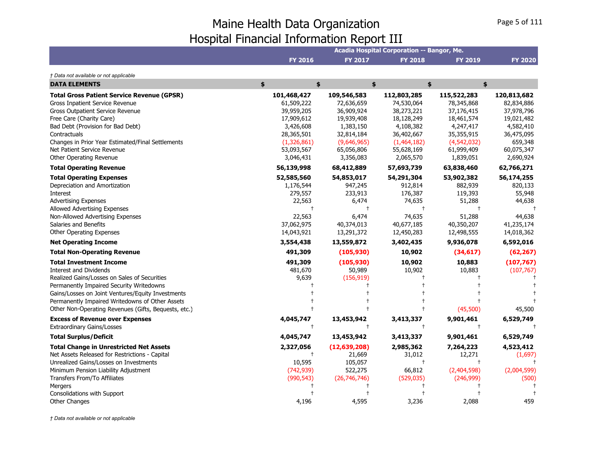|                                                                                                                                                                                                                                                                                                                                                                                                                                                                                                                                                                                                                    |                                                                                                                                                                       |                                                                                                                                                                               | Acadia Hospital Corporation -- Bangor, Me.                                                                                                              |                                                                                                                                                            |                                                                                                                                                     |
|--------------------------------------------------------------------------------------------------------------------------------------------------------------------------------------------------------------------------------------------------------------------------------------------------------------------------------------------------------------------------------------------------------------------------------------------------------------------------------------------------------------------------------------------------------------------------------------------------------------------|-----------------------------------------------------------------------------------------------------------------------------------------------------------------------|-------------------------------------------------------------------------------------------------------------------------------------------------------------------------------|---------------------------------------------------------------------------------------------------------------------------------------------------------|------------------------------------------------------------------------------------------------------------------------------------------------------------|-----------------------------------------------------------------------------------------------------------------------------------------------------|
|                                                                                                                                                                                                                                                                                                                                                                                                                                                                                                                                                                                                                    | <b>FY 2016</b>                                                                                                                                                        | <b>FY 2017</b>                                                                                                                                                                | <b>FY 2018</b>                                                                                                                                          | <b>FY 2019</b>                                                                                                                                             | <b>FY 2020</b>                                                                                                                                      |
| † Data not available or not applicable                                                                                                                                                                                                                                                                                                                                                                                                                                                                                                                                                                             |                                                                                                                                                                       |                                                                                                                                                                               |                                                                                                                                                         |                                                                                                                                                            |                                                                                                                                                     |
| <b>DATA ELEMENTS</b>                                                                                                                                                                                                                                                                                                                                                                                                                                                                                                                                                                                               | \$<br>\$                                                                                                                                                              | \$                                                                                                                                                                            |                                                                                                                                                         | \$                                                                                                                                                         | \$                                                                                                                                                  |
| <b>Total Gross Patient Service Revenue (GPSR)</b><br>Gross Inpatient Service Revenue<br><b>Gross Outpatient Service Revenue</b><br>Free Care (Charity Care)<br>Bad Debt (Provision for Bad Debt)<br>Contractuals<br>Changes in Prior Year Estimated/Final Settlements<br>Net Patient Service Revenue                                                                                                                                                                                                                                                                                                               | 101,468,427<br>61,509,222<br>39,959,205<br>17,909,612<br>3,426,608<br>28,365,501<br>(1,326,861)<br>53,093,567                                                         | 109,546,583<br>72,636,659<br>36,909,924<br>19,939,408<br>1,383,150<br>32,814,184<br>(9,646,965)<br>65,056,806                                                                 | 112,803,285<br>74,530,064<br>38,273,221<br>18,128,249<br>4,108,382<br>36,402,667<br>(1,464,182)<br>55,628,169                                           | 115,522,283<br>78,345,868<br>37,176,415<br>18,461,574<br>4,247,417<br>35,355,915<br>(4,542,032)<br>61,999,409                                              | 120,813,682<br>82,834,886<br>37,978,796<br>19,021,482<br>4,582,410<br>36,475,095<br>659,348<br>60,075,347                                           |
| Other Operating Revenue                                                                                                                                                                                                                                                                                                                                                                                                                                                                                                                                                                                            | 3,046,431                                                                                                                                                             | 3,356,083                                                                                                                                                                     | 2,065,570                                                                                                                                               | 1,839,051                                                                                                                                                  | 2,690,924                                                                                                                                           |
| <b>Total Operating Revenue</b><br><b>Total Operating Expenses</b><br>Depreciation and Amortization<br>Interest<br><b>Advertising Expenses</b><br>Allowed Advertising Expenses<br>Non-Allowed Advertising Expenses<br>Salaries and Benefits<br><b>Other Operating Expenses</b><br><b>Net Operating Income</b><br><b>Total Non-Operating Revenue</b><br><b>Total Investment Income</b><br>Interest and Dividends<br>Realized Gains/Losses on Sales of Securities<br>Permanently Impaired Security Writedowns<br>Gains/Losses on Joint Ventures/Equity Investments<br>Permanently Impaired Writedowns of Other Assets | 56,139,998<br>52,585,560<br>1,176,544<br>279,557<br>22,563<br>$\ddagger$<br>22,563<br>37,062,975<br>14,043,921<br>3,554,438<br>491,309<br>491,309<br>481,670<br>9,639 | 68,412,889<br>54,853,017<br>947,245<br>233,913<br>6,474<br>$\mathbf +$<br>6,474<br>40,374,013<br>13,291,372<br>13,559,872<br>(105, 930)<br>(105, 930)<br>50,989<br>(156, 919) | 57,693,739<br>54,291,304<br>912,814<br>176,387<br>74,635<br>$\ddagger$<br>74,635<br>40,677,185<br>12,450,283<br>3,402,435<br>10,902<br>10,902<br>10,902 | 63,838,460<br>53,902,382<br>882,939<br>119,393<br>51,288<br>$\ddagger$<br>51,288<br>40,350,207<br>12,498,555<br>9,936,078<br>(34, 617)<br>10,883<br>10,883 | 62,766,271<br>56,174,255<br>820,133<br>55,948<br>44,638<br>44,638<br>41,235,174<br>14,018,362<br>6,592,016<br>(62, 267)<br>(107, 767)<br>(107, 767) |
| Other Non-Operating Revenues (Gifts, Bequests, etc.)                                                                                                                                                                                                                                                                                                                                                                                                                                                                                                                                                               |                                                                                                                                                                       |                                                                                                                                                                               |                                                                                                                                                         | (45,500)                                                                                                                                                   | 45,500                                                                                                                                              |
| <b>Excess of Revenue over Expenses</b><br><b>Extraordinary Gains/Losses</b>                                                                                                                                                                                                                                                                                                                                                                                                                                                                                                                                        | 4,045,747<br>$\ddagger$                                                                                                                                               | 13,453,942<br>$\ddagger$                                                                                                                                                      | 3,413,337<br>$\ddagger$                                                                                                                                 | 9,901,461<br>$\ddagger$                                                                                                                                    | 6,529,749                                                                                                                                           |
| <b>Total Surplus/Deficit</b>                                                                                                                                                                                                                                                                                                                                                                                                                                                                                                                                                                                       | 4,045,747                                                                                                                                                             | 13,453,942                                                                                                                                                                    | 3,413,337                                                                                                                                               | 9,901,461                                                                                                                                                  | 6,529,749                                                                                                                                           |
| <b>Total Change in Unrestricted Net Assets</b><br>Net Assets Released for Restrictions - Capital<br>Unrealized Gains/Losses on Investments<br>Minimum Pension Liability Adjustment<br>Transfers From/To Affiliates                                                                                                                                                                                                                                                                                                                                                                                                 | 2,327,056<br>$\ddagger$<br>10,595<br>(742, 939)<br>(990, 543)                                                                                                         | (12, 639, 208)<br>21,669<br>105,057<br>522,275<br>(26, 746, 746)                                                                                                              | 2,985,362<br>31,012<br>$\ddagger$<br>66,812<br>(529, 035)                                                                                               | 7,264,223<br>12,271<br>$\mathbf +$<br>(2,404,598)<br>(246,999)                                                                                             | 4,523,412<br>(1,697)<br>(2,004,599)<br>(500)                                                                                                        |
| Mergers<br>Consolidations with Support<br>Other Changes                                                                                                                                                                                                                                                                                                                                                                                                                                                                                                                                                            | 4,196                                                                                                                                                                 | 4,595                                                                                                                                                                         | 3,236                                                                                                                                                   | 2,088                                                                                                                                                      | 459                                                                                                                                                 |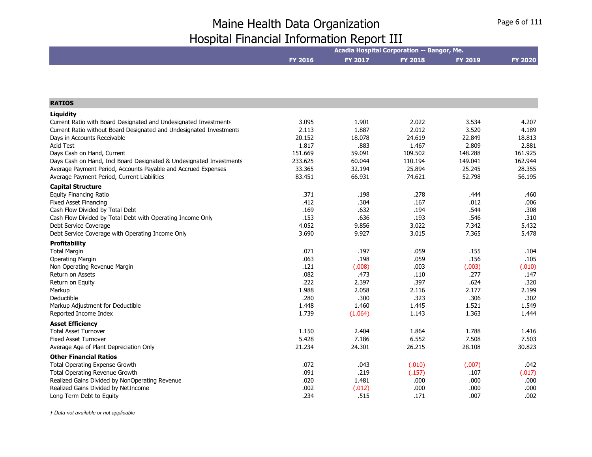|                                                                     | Acadia Hospital Corporation -- Bangor, Me. |         |                |                |                |
|---------------------------------------------------------------------|--------------------------------------------|---------|----------------|----------------|----------------|
|                                                                     | <b>FY 2016</b>                             | FY 2017 | <b>FY 2018</b> | <b>FY 2019</b> | <b>FY 2020</b> |
|                                                                     |                                            |         |                |                |                |
|                                                                     |                                            |         |                |                |                |
| <b>RATIOS</b>                                                       |                                            |         |                |                |                |
| Liquidity                                                           |                                            |         |                |                |                |
| Current Ratio with Board Designated and Undesignated Investments    | 3.095                                      | 1.901   | 2.022          | 3.534          | 4.207          |
| Current Ratio without Board Designated and Undesignated Investments | 2.113                                      | 1.887   | 2.012          | 3.520          | 4.189          |
| Days in Accounts Receivable                                         | 20.152                                     | 18.078  | 24.619         | 22.849         | 18.813         |
| <b>Acid Test</b>                                                    | 1.817                                      | .883    | 1.467          | 2.809          | 2.881          |
| Days Cash on Hand, Current                                          | 151.669                                    | 59.091  | 109.502        | 148.288        | 161.925        |
| Days Cash on Hand, Incl Board Designated & Undesignated Investments | 233.625                                    | 60.044  | 110.194        | 149.041        | 162.944        |
| Average Payment Period, Accounts Payable and Accrued Expenses       | 33.365                                     | 32.194  | 25.894         | 25.245         | 28.355         |
| Average Payment Period, Current Liabilities                         | 83.451                                     | 66.931  | 74.621         | 52.798         | 56.195         |
| <b>Capital Structure</b>                                            |                                            |         |                |                |                |
| <b>Equity Financing Ratio</b>                                       | .371                                       | .198    | .278           | .444           | .460           |
| <b>Fixed Asset Financing</b>                                        | .412                                       | .304    | .167           | .012           | .006           |
| Cash Flow Divided by Total Debt                                     | .169                                       | .632    | .194           | .544           | .308           |
| Cash Flow Divided by Total Debt with Operating Income Only          | .153                                       | .636    | .193           | .546           | .310           |
| Debt Service Coverage                                               | 4.052                                      | 9.856   | 3.022          | 7.342          | 5.432          |
| Debt Service Coverage with Operating Income Only                    | 3.690                                      | 9.927   | 3.015          | 7.365          | 5.478          |
| <b>Profitability</b>                                                |                                            |         |                |                |                |
| <b>Total Margin</b>                                                 | .071                                       | .197    | .059           | .155           | .104           |
| <b>Operating Margin</b>                                             | .063                                       | .198    | .059           | .156           | .105           |
| Non Operating Revenue Margin                                        | .121                                       | (.008)  | .003           | (.003)         | (.010)         |
| <b>Return on Assets</b>                                             | .082                                       | .473    | .110           | .277           | .147           |
| Return on Equity                                                    | .222                                       | 2.397   | .397           | .624           | .320           |
| Markup                                                              | 1.988                                      | 2.058   | 2.116          | 2.177          | 2.199          |
| Deductible                                                          | .280                                       | .300    | .323           | .306           | .302           |
| Markup Adjustment for Deductible                                    | 1.448                                      | 1.460   | 1.445          | 1.521          | 1.549          |
| Reported Income Index                                               | 1.739                                      | (1.064) | 1.143          | 1.363          | 1.444          |
| <b>Asset Efficiency</b>                                             |                                            |         |                |                |                |
| <b>Total Asset Turnover</b>                                         | 1.150                                      | 2.404   | 1.864          | 1.788          | 1.416          |
| <b>Fixed Asset Turnover</b>                                         | 5.428                                      | 7.186   | 6.552          | 7.508          | 7.503          |
| Average Age of Plant Depreciation Only                              | 21.234                                     | 24.301  | 26.215         | 28.108         | 30.823         |
| <b>Other Financial Ratios</b>                                       |                                            |         |                |                |                |
| Total Operating Expense Growth                                      | .072                                       | .043    | (.010)         | (.007)         | .042           |
| Total Operating Revenue Growth                                      | .091                                       | .219    | (.157)         | .107           | (.017)         |
| Realized Gains Divided by NonOperating Revenue                      | .020                                       | 1.481   | .000           | .000           | ,000           |
| Realized Gains Divided by NetIncome                                 | .002                                       | (.012)  | .000           | .000           | .000           |
| Long Term Debt to Equity                                            | .234                                       | .515    | .171           | .007           | .002           |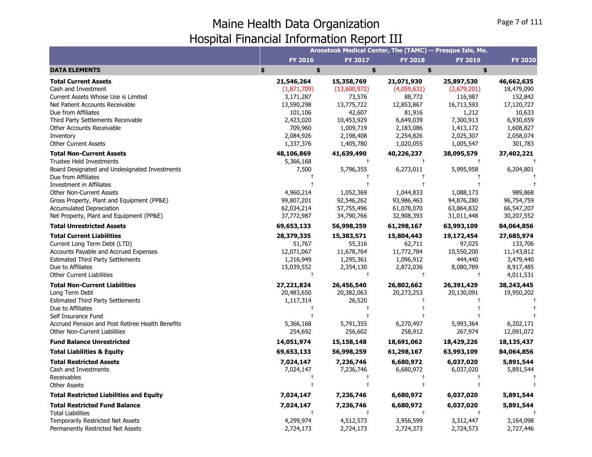|                                                  |             |              |                | Aroostook Medical Center, The (TAMC) -- Presque Isle, Me. |                |
|--------------------------------------------------|-------------|--------------|----------------|-----------------------------------------------------------|----------------|
|                                                  | FY 2016     | FY 2017      | <b>FY 2018</b> | FY 2019                                                   | <b>FY 2020</b> |
| <b>DATA ELEMENTS</b>                             | \$<br>\$    | \$           | \$             | \$                                                        |                |
| <b>Total Current Assets</b>                      | 21,546,264  | 15,358,769   | 21,071,930     | 25,897,530                                                | 46,662,635     |
| Cash and Investment                              | (1,871,709) | (13,600,972) | (4,059,631)    | (2,679,201)                                               | 18,479,090     |
| Current Assets Whose Use is Limited              | 3,171,287   | 73,576       | 88,772         | 116,987                                                   | 152,842        |
| Net Patient Accounts Receivable                  | 13,590,298  | 13,775,722   | 12,853,867     | 16,713,593                                                | 17,120,727     |
| Due from Affiliates                              | 101,106     | 42,607       | 81,916         | 1,212                                                     | 10,633         |
| Third Party Settlements Receivable               | 2,423,020   | 10,453,929   | 6,649,039      | 7,300,913                                                 | 6,930,659      |
| Other Accounts Receivable                        | 709,960     | 1,009,719    | 2,183,086      | 1,413,172                                                 | 1,608,827      |
| Inventory                                        | 2,084,926   | 2,198,408    | 2,254,826      | 2,025,307                                                 | 2,058,074      |
| <b>Other Current Assets</b>                      | 1,337,376   | 1,405,780    | 1,020,055      | 1,005,547                                                 | 301,783        |
| <b>Total Non-Current Assets</b>                  | 48,106,869  | 41,639,490   | 40,226,237     | 38,095,579                                                | 37,402,221     |
| <b>Trustee Held Investments</b>                  | 5,366,168   |              | $\ddagger$     |                                                           |                |
| Board Designated and Undesignated Investments    | 7,500       | 5,796,355    | 6,273,011      | 5,995,958                                                 | 6,204,801      |
| Due from Affiliates                              |             |              | $\overline{1}$ |                                                           |                |
| Investment in Affiliates                         |             |              | $\overline{1}$ |                                                           |                |
| <b>Other Non-Current Assets</b>                  | 4,960,214   | 1,052,369    | 1,044,833      | 1,088,173                                                 | 989,868        |
| Gross Property, Plant and Equipment (PP&E)       | 99,807,201  | 92,546,262   | 93,986,463     | 94,876,280                                                | 96,754,759     |
| <b>Accumulated Depreciation</b>                  | 62,034,214  | 57,755,496   | 61,078,070     | 63,864,832                                                | 66,547,207     |
| Net Property, Plant and Equipment (PP&E)         | 37,772,987  | 34,790,766   | 32,908,393     | 31,011,448                                                | 30,207,552     |
| <b>Total Unrestricted Assets</b>                 | 69,653,133  | 56,998,259   | 61,298,167     | 63,993,109                                                | 84,064,856     |
| <b>Total Current Liabilities</b>                 | 28,379,335  | 15,383,571   | 15,804,443     | 19,172,454                                                | 27,685,974     |
| Current Long Term Debt (LTD)                     | 51,767      | 55,316       | 62,711         | 97,025                                                    | 133,706        |
| Accounts Payable and Accrued Expenses            | 12,071,067  | 11,678,764   | 11,772,784     | 10,550,200                                                | 11,143,812     |
| <b>Estimated Third Party Settlements</b>         | 1,216,949   | 1,295,361    | 1,096,912      | 444,440                                                   | 3,479,440      |
| Due to Affiliates                                | 15,039,552  | 2,354,130    | 2,872,036      | 8,080,789                                                 | 8,917,485      |
| <b>Other Current Liabilities</b>                 |             | $\ddagger$   | $\ddagger$     | $\ddagger$                                                | 4,011,531      |
| <b>Total Non-Current Liabilities</b>             | 27,221,824  | 26,456,540   | 26,802,662     | 26,391,429                                                | 38,243,445     |
| Long Term Debt                                   | 20,483,650  | 20,382,063   | 20,273,253     | 20,130,091                                                | 19,950,202     |
| <b>Estimated Third Party Settlements</b>         | 1,117,314   | 26,520       |                |                                                           |                |
| Due to Affiliates                                |             |              |                |                                                           |                |
| Self Insurance Fund                              |             |              |                |                                                           |                |
| Accrued Pension and Post Retiree Health Benefits | 5,366,168   | 5,791,355    | 6,270,497      | 5,993,364                                                 | 6,202,171      |
| Other Non-Current Liabilities                    | 254,692     | 256,602      | 258,912        | 267,974                                                   | 12,091,072     |
| <b>Fund Balance Unrestricted</b>                 | 14,051,974  | 15,158,148   | 18,691,062     | 18,429,226                                                | 18,135,437     |
| <b>Total Liabilities &amp; Equity</b>            | 69,653,133  | 56,998,259   | 61,298,167     | 63,993,109                                                | 84,064,856     |
| <b>Total Restricted Assets</b>                   | 7,024,147   | 7,236,746    | 6,680,972      | 6,037,020                                                 | 5,891,544      |
| Cash and Investments                             | 7,024,147   | 7,236,746    | 6,680,972      | 6,037,020                                                 | 5,891,544      |
| Receivables                                      |             |              | $\overline{1}$ |                                                           |                |
| <b>Other Assets</b>                              |             |              |                |                                                           |                |
| <b>Total Restricted Liabilities and Equity</b>   | 7,024,147   | 7,236,746    | 6,680,972      | 6,037,020                                                 | 5,891,544      |
| <b>Total Restricted Fund Balance</b>             | 7,024,147   | 7,236,746    | 6,680,972      | 6,037,020                                                 | 5,891,544      |
| <b>Total Liabilities</b>                         |             | $\ddagger$   | $\pm$          |                                                           |                |
| Temporarily Restricted Net Assets                | 4,299,974   | 4,512,573    | 3,956,599      | 3,312,447                                                 | 3,164,098      |
| Permanently Restricted Net Assets                | 2,724,173   | 2,724,173    | 2,724,373      | 2,724,573                                                 | 2,727,446      |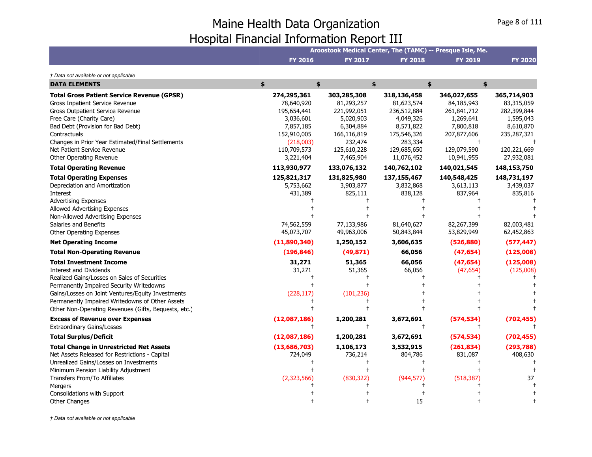|                                                                                                                                                                                                                                                                                                                                                                                                                                                                                                                                                                                                                                   |                                                                                                                                 |                                                                                                                             | Aroostook Medical Center, The (TAMC) -- Presque Isle, Me.                                                                 |                                                                                                                      |                                                                                                                      |
|-----------------------------------------------------------------------------------------------------------------------------------------------------------------------------------------------------------------------------------------------------------------------------------------------------------------------------------------------------------------------------------------------------------------------------------------------------------------------------------------------------------------------------------------------------------------------------------------------------------------------------------|---------------------------------------------------------------------------------------------------------------------------------|-----------------------------------------------------------------------------------------------------------------------------|---------------------------------------------------------------------------------------------------------------------------|----------------------------------------------------------------------------------------------------------------------|----------------------------------------------------------------------------------------------------------------------|
|                                                                                                                                                                                                                                                                                                                                                                                                                                                                                                                                                                                                                                   | <b>FY 2016</b>                                                                                                                  | <b>FY 2017</b>                                                                                                              | <b>FY 2018</b>                                                                                                            | <b>FY 2019</b>                                                                                                       | <b>FY 2020</b>                                                                                                       |
| † Data not available or not applicable                                                                                                                                                                                                                                                                                                                                                                                                                                                                                                                                                                                            |                                                                                                                                 |                                                                                                                             |                                                                                                                           |                                                                                                                      |                                                                                                                      |
| <b>DATA ELEMENTS</b>                                                                                                                                                                                                                                                                                                                                                                                                                                                                                                                                                                                                              | \$<br>\$                                                                                                                        |                                                                                                                             | \$                                                                                                                        | \$<br>\$                                                                                                             |                                                                                                                      |
| <b>Total Gross Patient Service Revenue (GPSR)</b><br>Gross Inpatient Service Revenue<br>Gross Outpatient Service Revenue<br>Free Care (Charity Care)<br>Bad Debt (Provision for Bad Debt)<br>Contractuals<br>Changes in Prior Year Estimated/Final Settlements<br>Net Patient Service Revenue<br>Other Operating Revenue                                                                                                                                                                                                                                                                                                          | 274,295,361<br>78,640,920<br>195,654,441<br>3,036,601<br>7,857,185<br>152,910,005<br>(218,003)<br>110,709,573<br>3,221,404      | 303,285,308<br>81,293,257<br>221,992,051<br>5,020,903<br>6,304,884<br>166,116,819<br>232,474<br>125,610,228<br>7,465,904    | 318,136,458<br>81,623,574<br>236,512,884<br>4,049,326<br>8,571,822<br>175,546,326<br>283,334<br>129,685,650<br>11,076,452 | 346,027,655<br>84,185,943<br>261,841,712<br>1,269,641<br>7,800,818<br>207,877,606<br>129,079,590<br>10,941,955       | 365,714,903<br>83,315,059<br>282,399,844<br>1,595,043<br>8,610,870<br>235,287,321<br>120,221,669<br>27,932,081       |
| <b>Total Operating Revenue</b>                                                                                                                                                                                                                                                                                                                                                                                                                                                                                                                                                                                                    | 113,930,977                                                                                                                     | 133,076,132                                                                                                                 | 140,762,102                                                                                                               | 140,021,545                                                                                                          | 148,153,750                                                                                                          |
| <b>Total Operating Expenses</b><br>Depreciation and Amortization<br>Interest<br><b>Advertising Expenses</b><br>Allowed Advertising Expenses<br>Non-Allowed Advertising Expenses<br>Salaries and Benefits<br>Other Operating Expenses<br><b>Net Operating Income</b><br><b>Total Non-Operating Revenue</b><br><b>Total Investment Income</b><br>Interest and Dividends<br>Realized Gains/Losses on Sales of Securities<br>Permanently Impaired Security Writedowns<br>Gains/Losses on Joint Ventures/Equity Investments<br>Permanently Impaired Writedowns of Other Assets<br>Other Non-Operating Revenues (Gifts, Bequests, etc.) | 125,821,317<br>5,753,662<br>431,389<br>74,562,559<br>45,073,707<br>(11,890,340)<br>(196, 846)<br>31,271<br>31,271<br>(228, 117) | 131,825,980<br>3,903,877<br>825,111<br>77,133,986<br>49,963,006<br>1,250,152<br>(49, 871)<br>51,365<br>51,365<br>(101, 236) | 137,155,467<br>3,832,868<br>838,128<br>81,640,627<br>50,843,844<br>3,606,635<br>66,056<br>66,056<br>66,056                | 140,548,425<br>3,613,113<br>837,964<br>82,267,399<br>53,829,949<br>(526, 880)<br>(47, 654)<br>(47, 654)<br>(47, 654) | 148,731,197<br>3,439,037<br>835,816<br>82,003,481<br>62,452,863<br>(577, 447)<br>(125,008)<br>(125,008)<br>(125,008) |
| <b>Excess of Revenue over Expenses</b>                                                                                                                                                                                                                                                                                                                                                                                                                                                                                                                                                                                            | (12,087,186)                                                                                                                    | 1,200,281                                                                                                                   | 3,672,691                                                                                                                 | (574, 534)                                                                                                           | (702, 455)                                                                                                           |
| <b>Extraordinary Gains/Losses</b>                                                                                                                                                                                                                                                                                                                                                                                                                                                                                                                                                                                                 |                                                                                                                                 | $\ddagger$                                                                                                                  | $\ddagger$                                                                                                                |                                                                                                                      |                                                                                                                      |
| <b>Total Surplus/Deficit</b>                                                                                                                                                                                                                                                                                                                                                                                                                                                                                                                                                                                                      | (12,087,186)                                                                                                                    | 1,200,281                                                                                                                   | 3,672,691                                                                                                                 | (574, 534)                                                                                                           | (702, 455)                                                                                                           |
| <b>Total Change in Unrestricted Net Assets</b><br>Net Assets Released for Restrictions - Capital<br>Unrealized Gains/Losses on Investments<br>Minimum Pension Liability Adjustment<br>Transfers From/To Affiliates<br>Mergers<br>Consolidations with Support                                                                                                                                                                                                                                                                                                                                                                      | (13,686,703)<br>724,049<br>(2,323,566)                                                                                          | 1,106,173<br>736,214<br>(830, 322)                                                                                          | 3,532,915<br>804,786<br>(944, 577)                                                                                        | (261, 834)<br>831,087<br>(518, 387)                                                                                  | (293,788)<br>408,630<br>37                                                                                           |
| Other Changes                                                                                                                                                                                                                                                                                                                                                                                                                                                                                                                                                                                                                     |                                                                                                                                 |                                                                                                                             | 15                                                                                                                        |                                                                                                                      |                                                                                                                      |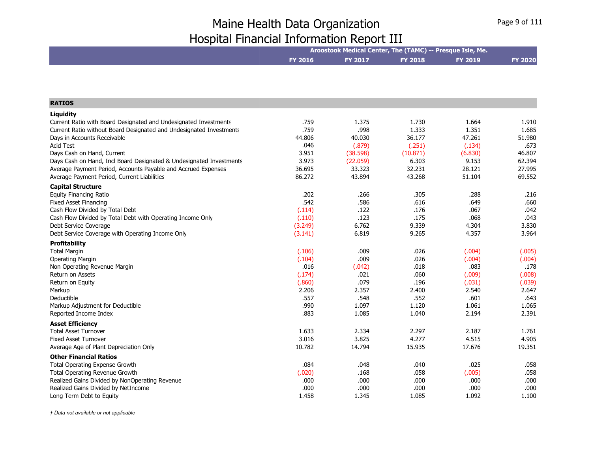|                                                                     | Aroostook Medical Center, The (TAMC) -- Presque Isle, Me. |          |                |                |                |
|---------------------------------------------------------------------|-----------------------------------------------------------|----------|----------------|----------------|----------------|
|                                                                     | <b>FY 2016</b>                                            | FY 2017  | <b>FY 2018</b> | <b>FY 2019</b> | <b>FY 2020</b> |
|                                                                     |                                                           |          |                |                |                |
| <b>RATIOS</b>                                                       |                                                           |          |                |                |                |
| Liquidity                                                           |                                                           |          |                |                |                |
| Current Ratio with Board Designated and Undesignated Investments    | .759                                                      | 1.375    | 1.730          | 1.664          | 1.910          |
| Current Ratio without Board Designated and Undesignated Investments | .759                                                      | .998     | 1.333          | 1.351          | 1.685          |
| Days in Accounts Receivable                                         | 44.806                                                    | 40.030   | 36.177         | 47.261         | 51.980         |
| <b>Acid Test</b>                                                    | .046                                                      | (.879)   | (.251)         | (.134)         | .673           |
| Days Cash on Hand, Current                                          | 3.951                                                     | (38.598) | (10.871)       | (6.830)        | 46.807         |
| Days Cash on Hand, Incl Board Designated & Undesignated Investments | 3.973                                                     | (22.059) | 6.303          | 9.153          | 62.394         |
| Average Payment Period, Accounts Payable and Accrued Expenses       | 36.695                                                    | 33.323   | 32.231         | 28.121         | 27.995         |
| Average Payment Period, Current Liabilities                         | 86.272                                                    | 43.894   | 43.268         | 51.104         | 69.552         |
| <b>Capital Structure</b>                                            |                                                           |          |                |                |                |
| <b>Equity Financing Ratio</b>                                       | .202                                                      | .266     | .305           | .288           | .216           |
| Fixed Asset Financing                                               | .542                                                      | .586     | .616           | .649           | .660           |
| Cash Flow Divided by Total Debt                                     | (.114)                                                    | .122     | .176           | .067           | .042           |
| Cash Flow Divided by Total Debt with Operating Income Only          | (.110)                                                    | .123     | .175           | .068           | .043           |
| Debt Service Coverage                                               | (3.249)                                                   | 6.762    | 9.339          | 4.304          | 3.830          |
| Debt Service Coverage with Operating Income Only                    | (3.141)                                                   | 6.819    | 9.265          | 4.357          | 3.964          |
| <b>Profitability</b>                                                |                                                           |          |                |                |                |
| <b>Total Margin</b>                                                 | (.106)                                                    | .009     | .026           | (.004)         | (.005)         |
| <b>Operating Margin</b>                                             | (.104)                                                    | .009     | .026           | (.004)         | (.004)         |
| Non Operating Revenue Margin                                        | .016                                                      | (.042)   | .018           | .083           | .178           |
| Return on Assets                                                    | (.174)                                                    | .021     | .060           | (.009)         | (.008)         |
| Return on Equity                                                    | (.860)                                                    | .079     | .196           | (.031)         | (.039)         |
| Markup                                                              | 2.206                                                     | 2.357    | 2.400          | 2.540          | 2.647          |
| Deductible                                                          | .557                                                      | .548     | .552           | .601           | .643           |
| Markup Adjustment for Deductible                                    | .990                                                      | 1.097    | 1.120          | 1.061          | 1.065          |
| Reported Income Index                                               | .883                                                      | 1.085    | 1.040          | 2.194          | 2.391          |
| <b>Asset Efficiency</b>                                             |                                                           |          |                |                |                |
| <b>Total Asset Turnover</b>                                         | 1.633                                                     | 2.334    | 2.297          | 2.187          | 1.761          |
| <b>Fixed Asset Turnover</b>                                         | 3.016                                                     | 3.825    | 4.277          | 4.515          | 4.905          |
| Average Age of Plant Depreciation Only                              | 10.782                                                    | 14.794   | 15.935         | 17.676         | 19.351         |
| <b>Other Financial Ratios</b>                                       |                                                           |          |                |                |                |
| Total Operating Expense Growth                                      | .084                                                      | .048     | .040           | .025           | .058           |
| Total Operating Revenue Growth                                      | (.020)                                                    | .168     | .058           | (.005)         | .058           |
| Realized Gains Divided by NonOperating Revenue                      | .000                                                      | .000     | .000           | .000           | .000           |
| Realized Gains Divided by NetIncome                                 | .000                                                      | .000     | .000           | .000           | .000           |
| Long Term Debt to Equity                                            | 1.458                                                     | 1.345    | 1.085          | 1.092          | 1.100          |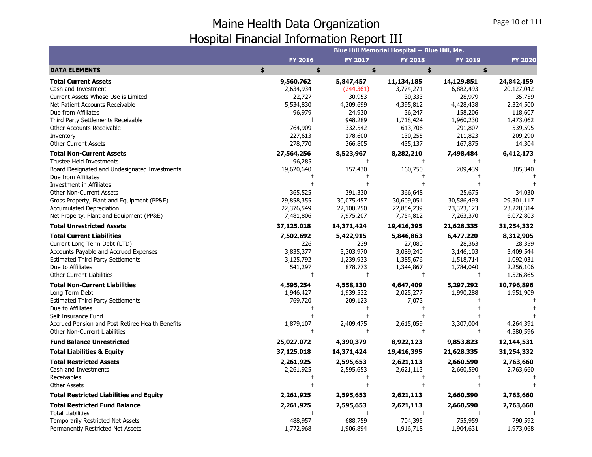|                                                                  |                  |                  | <b>Blue Hill Memorial Hospital -- Blue Hill, Me.</b> |                     |                     |
|------------------------------------------------------------------|------------------|------------------|------------------------------------------------------|---------------------|---------------------|
|                                                                  | <b>FY 2016</b>   | <b>FY 2017</b>   | <b>FY 2018</b>                                       | <b>FY 2019</b>      | <b>FY 2020</b>      |
| <b>DATA ELEMENTS</b>                                             | \$<br>\$         | \$               | \$                                                   | \$                  |                     |
| <b>Total Current Assets</b>                                      | 9,560,762        | 5,847,457        | 11,134,185                                           | 14,129,851          | 24,842,159          |
| Cash and Investment                                              | 2,634,934        | (244, 361)       | 3,774,271                                            | 6,882,493           | 20,127,042          |
| Current Assets Whose Use is Limited                              | 22,727           | 30,953           | 30,333                                               | 28,979              | 35,759              |
| Net Patient Accounts Receivable                                  | 5,534,830        | 4,209,699        | 4,395,812                                            | 4,428,438           | 2,324,500           |
| Due from Affiliates                                              | 96,979           | 24,930           | 36,247                                               | 158,206             | 118,607             |
| Third Party Settlements Receivable                               |                  | 948,289          | 1,718,424                                            | 1,960,230           | 1,473,062           |
| Other Accounts Receivable                                        | 764,909          | 332,542          | 613,706                                              | 291,807             | 539,595             |
| Inventory                                                        | 227,613          | 178,600          | 130,255                                              | 211,823             | 209,290             |
| <b>Other Current Assets</b>                                      | 278,770          | 366,805          | 435,137                                              | 167,875             | 14,304              |
| <b>Total Non-Current Assets</b>                                  | 27,564,256       | 8,523,967        | 8,282,210                                            | 7,498,484           | 6,412,173           |
| <b>Trustee Held Investments</b>                                  | 96,285           | $\ddagger$       | $\overline{1}$                                       |                     |                     |
| Board Designated and Undesignated Investments                    | 19,620,640       | 157,430          | 160,750                                              | 209,439             | 305,340             |
| Due from Affiliates                                              |                  |                  |                                                      |                     |                     |
| Investment in Affiliates<br><b>Other Non-Current Assets</b>      | 365,525          | 391,330          | 366,648                                              | 25,675              | 34,030              |
| Gross Property, Plant and Equipment (PP&E)                       | 29,858,355       | 30,075,457       | 30,609,051                                           | 30,586,493          | 29,301,117          |
| <b>Accumulated Depreciation</b>                                  | 22,376,549       | 22,100,250       |                                                      | 23,323,123          | 23,228,314          |
| Net Property, Plant and Equipment (PP&E)                         | 7,481,806        | 7,975,207        | 22,854,239<br>7,754,812                              | 7,263,370           | 6,072,803           |
| <b>Total Unrestricted Assets</b>                                 | 37,125,018       | 14,371,424       | 19,416,395                                           | 21,628,335          | 31,254,332          |
|                                                                  |                  |                  |                                                      |                     |                     |
| <b>Total Current Liabilities</b><br>Current Long Term Debt (LTD) | 7,502,692<br>226 | 5,422,915<br>239 | 5,846,863                                            | 6,477,220           | 8,312,905           |
| Accounts Payable and Accrued Expenses                            | 3,835,377        | 3,303,970        | 27,080                                               | 28,363<br>3,146,103 | 28,359<br>3,409,544 |
| <b>Estimated Third Party Settlements</b>                         | 3,125,792        | 1,239,933        | 3,089,240<br>1,385,676                               | 1,518,714           | 1,092,031           |
| Due to Affiliates                                                | 541,297          | 878,773          | 1,344,867                                            | 1,784,040           | 2,256,106           |
| <b>Other Current Liabilities</b>                                 | $\ddagger$       | $\ddagger$       | $\ddagger$                                           | $^{+}$              | 1,526,865           |
| <b>Total Non-Current Liabilities</b>                             | 4,595,254        | 4,558,130        | 4,647,409                                            | 5,297,292           | 10,796,896          |
| Long Term Debt                                                   | 1,946,427        | 1,939,532        | 2,025,277                                            | 1,990,288           | 1,951,909           |
| <b>Estimated Third Party Settlements</b>                         | 769,720          | 209,123          | 7,073                                                |                     |                     |
| Due to Affiliates                                                | t                | $\ddagger$       | $\overline{1}$                                       |                     |                     |
| Self Insurance Fund                                              |                  |                  |                                                      |                     |                     |
| Accrued Pension and Post Retiree Health Benefits                 | 1,879,107        | 2,409,475        | 2,615,059                                            | 3,307,004           | 4,264,391           |
| <b>Other Non-Current Liabilities</b>                             | $\ddagger$       | $^{+}$           | $\ddagger$                                           |                     | 4,580,596           |
| <b>Fund Balance Unrestricted</b>                                 | 25,027,072       | 4,390,379        | 8,922,123                                            | 9,853,823           | 12,144,531          |
| <b>Total Liabilities &amp; Equity</b>                            | 37,125,018       | 14,371,424       | 19,416,395                                           | 21,628,335          | 31,254,332          |
| <b>Total Restricted Assets</b>                                   | 2,261,925        | 2,595,653        | 2,621,113                                            | 2,660,590           | 2,763,660           |
| Cash and Investments                                             | 2,261,925        | 2,595,653        | 2,621,113                                            | 2,660,590           | 2,763,660           |
| Receivables                                                      |                  | $\ddagger$       |                                                      |                     |                     |
| <b>Other Assets</b>                                              |                  | $\ddagger$       | $\ddagger$                                           |                     |                     |
| <b>Total Restricted Liabilities and Equity</b>                   | 2,261,925        | 2,595,653        | 2,621,113                                            | 2,660,590           | 2,763,660           |
| <b>Total Restricted Fund Balance</b>                             | 2,261,925        | 2,595,653        | 2,621,113                                            | 2,660,590           | 2,763,660           |
| <b>Total Liabilities</b>                                         |                  | $\ddagger$       |                                                      |                     |                     |
| Temporarily Restricted Net Assets                                | 488,957          | 688,759          | 704,395                                              | 755,959             | 790,592             |
| Permanently Restricted Net Assets                                | 1,772,968        | 1,906,894        | 1,916,718                                            | 1,904,631           | 1,973,068           |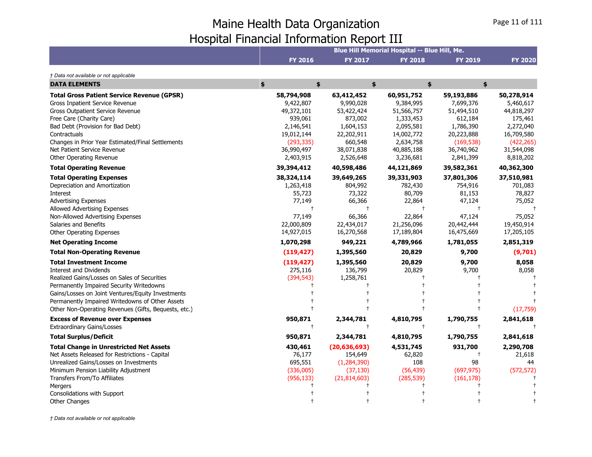|                                                                                                                                                                                                                                                                                                                                                                                                                                                                                                                                                                                                                                   |                                                                                                                                                     |                                                                                                                                              | Blue Hill Memorial Hospital -- Blue Hill, Me.                                                                              |                                                                                                                         |                                                                                                                                        |
|-----------------------------------------------------------------------------------------------------------------------------------------------------------------------------------------------------------------------------------------------------------------------------------------------------------------------------------------------------------------------------------------------------------------------------------------------------------------------------------------------------------------------------------------------------------------------------------------------------------------------------------|-----------------------------------------------------------------------------------------------------------------------------------------------------|----------------------------------------------------------------------------------------------------------------------------------------------|----------------------------------------------------------------------------------------------------------------------------|-------------------------------------------------------------------------------------------------------------------------|----------------------------------------------------------------------------------------------------------------------------------------|
|                                                                                                                                                                                                                                                                                                                                                                                                                                                                                                                                                                                                                                   | <b>FY 2016</b>                                                                                                                                      | <b>FY 2017</b>                                                                                                                               | <b>FY 2018</b>                                                                                                             | <b>FY 2019</b>                                                                                                          | <b>FY 2020</b>                                                                                                                         |
| † Data not available or not applicable                                                                                                                                                                                                                                                                                                                                                                                                                                                                                                                                                                                            |                                                                                                                                                     |                                                                                                                                              |                                                                                                                            |                                                                                                                         |                                                                                                                                        |
| <b>DATA ELEMENTS</b>                                                                                                                                                                                                                                                                                                                                                                                                                                                                                                                                                                                                              | \$<br>\$                                                                                                                                            |                                                                                                                                              | \$                                                                                                                         | \$<br>\$                                                                                                                |                                                                                                                                        |
| <b>Total Gross Patient Service Revenue (GPSR)</b><br>Gross Inpatient Service Revenue<br>Gross Outpatient Service Revenue<br>Free Care (Charity Care)<br>Bad Debt (Provision for Bad Debt)<br>Contractuals<br>Changes in Prior Year Estimated/Final Settlements<br>Net Patient Service Revenue                                                                                                                                                                                                                                                                                                                                     | 58,794,908<br>9,422,807<br>49,372,101<br>939,061<br>2,146,541<br>19,012,144<br>(293, 335)<br>36,990,497                                             | 63,412,452<br>9,990,028<br>53,422,424<br>873,002<br>1,604,153<br>22,202,911<br>660,548<br>38,071,838                                         | 60,951,752<br>9,384,995<br>51,566,757<br>1,333,453<br>2,095,581<br>14,002,772<br>2,634,758<br>40,885,188                   | 59,193,886<br>7,699,376<br>51,494,510<br>612,184<br>1,786,390<br>20,223,888<br>(169, 538)<br>36,740,962                 | 50,278,914<br>5,460,617<br>44,818,297<br>175,461<br>2,272,040<br>16,709,580<br>(422, 265)<br>31,544,098                                |
| Other Operating Revenue<br><b>Total Operating Revenue</b>                                                                                                                                                                                                                                                                                                                                                                                                                                                                                                                                                                         | 2,403,915<br>39,394,412                                                                                                                             | 2,526,648<br>40,598,486                                                                                                                      | 3,236,681<br>44,121,869                                                                                                    | 2,841,399<br>39,582,361                                                                                                 | 8,818,202<br>40,362,300                                                                                                                |
| <b>Total Operating Expenses</b><br>Depreciation and Amortization<br>Interest<br><b>Advertising Expenses</b><br>Allowed Advertising Expenses<br>Non-Allowed Advertising Expenses<br>Salaries and Benefits<br>Other Operating Expenses<br><b>Net Operating Income</b><br><b>Total Non-Operating Revenue</b><br><b>Total Investment Income</b><br>Interest and Dividends<br>Realized Gains/Losses on Sales of Securities<br>Permanently Impaired Security Writedowns<br>Gains/Losses on Joint Ventures/Equity Investments<br>Permanently Impaired Writedowns of Other Assets<br>Other Non-Operating Revenues (Gifts, Bequests, etc.) | 38,324,114<br>1,263,418<br>55,723<br>77,149<br>77,149<br>22,000,809<br>14,927,015<br>1,070,298<br>(119, 427)<br>(119, 427)<br>275,116<br>(394, 543) | 39,649,265<br>804,992<br>73,322<br>66,366<br>66,366<br>22,434,017<br>16,270,568<br>949,221<br>1,395,560<br>1,395,560<br>136,799<br>1,258,761 | 39,331,903<br>782,430<br>80,709<br>22,864<br>22,864<br>21,256,096<br>17,189,804<br>4,789,966<br>20,829<br>20,829<br>20,829 | 37,801,306<br>754,916<br>81,153<br>47,124<br>47,124<br>20,442,444<br>16,475,669<br>1,781,055<br>9,700<br>9,700<br>9,700 | 37,510,981<br>701,083<br>78,827<br>75,052<br>75,052<br>19,450,914<br>17,205,105<br>2,851,319<br>(9,701)<br>8,058<br>8,058<br>(17, 759) |
| <b>Excess of Revenue over Expenses</b><br><b>Extraordinary Gains/Losses</b>                                                                                                                                                                                                                                                                                                                                                                                                                                                                                                                                                       | 950,871<br>$\ddagger$                                                                                                                               | 2,344,781<br>$\ddagger$                                                                                                                      | 4,810,795<br>$\ddagger$                                                                                                    | 1,790,755                                                                                                               | 2,841,618                                                                                                                              |
| <b>Total Surplus/Deficit</b>                                                                                                                                                                                                                                                                                                                                                                                                                                                                                                                                                                                                      | 950,871                                                                                                                                             | 2,344,781                                                                                                                                    | 4,810,795                                                                                                                  | 1,790,755                                                                                                               | 2,841,618                                                                                                                              |
| <b>Total Change in Unrestricted Net Assets</b><br>Net Assets Released for Restrictions - Capital<br>Unrealized Gains/Losses on Investments<br>Minimum Pension Liability Adjustment                                                                                                                                                                                                                                                                                                                                                                                                                                                | 430,461<br>76,177<br>695,551<br>(336,005)                                                                                                           | (20, 636, 693)<br>154,649<br>(1, 284, 390)<br>(37, 130)                                                                                      | 4,531,745<br>62,820<br>108<br>(56, 439)                                                                                    | 931,700<br>98<br>(697, 975)                                                                                             | 2,290,708<br>21,618<br>44<br>(572, 572)                                                                                                |
| Transfers From/To Affiliates<br>Mergers<br>Consolidations with Support<br><b>Other Changes</b>                                                                                                                                                                                                                                                                                                                                                                                                                                                                                                                                    | (956, 133)                                                                                                                                          | (21, 814, 603)                                                                                                                               | (285, 539)                                                                                                                 | (161, 178)                                                                                                              |                                                                                                                                        |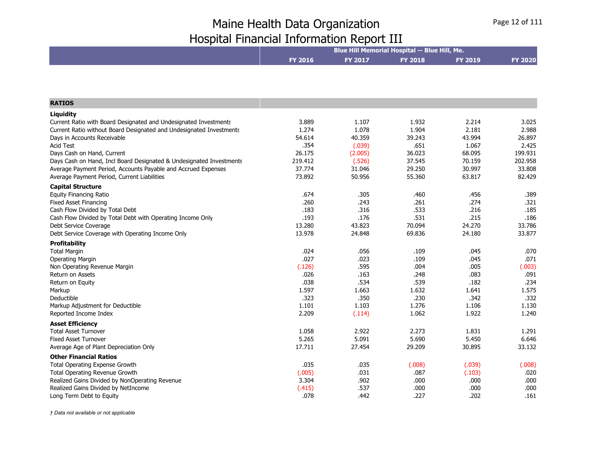|                                                                     | Blue Hill Memorial Hospital -- Blue Hill, Me. |         |                |                |                |
|---------------------------------------------------------------------|-----------------------------------------------|---------|----------------|----------------|----------------|
|                                                                     | FY 2016                                       | FY 2017 | <b>FY 2018</b> | <b>FY 2019</b> | <b>FY 2020</b> |
|                                                                     |                                               |         |                |                |                |
| <b>RATIOS</b>                                                       |                                               |         |                |                |                |
| Liquidity                                                           |                                               |         |                |                |                |
| Current Ratio with Board Designated and Undesignated Investments    | 3.889                                         | 1.107   | 1.932          | 2.214          | 3.025          |
| Current Ratio without Board Designated and Undesignated Investments | 1.274                                         | 1.078   | 1.904          | 2.181          | 2.988          |
| Days in Accounts Receivable                                         | 54.614                                        | 40.359  | 39.243         | 43.994         | 26.897         |
| <b>Acid Test</b>                                                    | .354                                          | (.039)  | .651           | 1.067          | 2.425          |
| Days Cash on Hand, Current                                          | 26.175                                        | (2.005) | 36.023         | 68.095         | 199.931        |
| Days Cash on Hand, Incl Board Designated & Undesignated Investments | 219.412                                       | (.526)  | 37.545         | 70.159         | 202.958        |
| Average Payment Period, Accounts Payable and Accrued Expenses       | 37.774                                        | 31.046  | 29.250         | 30.997         | 33.808         |
| Average Payment Period, Current Liabilities                         | 73.892                                        | 50.956  | 55.360         | 63.817         | 82.429         |
| <b>Capital Structure</b>                                            |                                               |         |                |                |                |
| <b>Equity Financing Ratio</b>                                       | .674                                          | .305    | .460           | .456           | .389           |
| <b>Fixed Asset Financing</b>                                        | .260                                          | .243    | .261           | .274           | .321           |
| Cash Flow Divided by Total Debt                                     | .183                                          | .316    | .533           | .216           | .185           |
| Cash Flow Divided by Total Debt with Operating Income Only          | .193                                          | .176    | .531           | .215           | .186           |
| Debt Service Coverage                                               | 13.280                                        | 43.823  | 70.094         | 24.270         | 33.786         |
| Debt Service Coverage with Operating Income Only                    | 13.978                                        | 24.848  | 69.836         | 24.180         | 33.877         |
| <b>Profitability</b>                                                |                                               |         |                |                |                |
| <b>Total Margin</b>                                                 | .024                                          | .056    | .109           | .045           | .070           |
| <b>Operating Margin</b>                                             | .027                                          | .023    | .109           | .045           | .071           |
| Non Operating Revenue Margin                                        | (.126)                                        | .595    | .004           | .005           | (.003)         |
| Return on Assets                                                    | .026                                          | .163    | .248           | .083           | .091           |
| Return on Equity                                                    | .038                                          | .534    | .539           | .182           | .234           |
| Markup                                                              | 1.597                                         | 1.663   | 1.632          | 1.641          | 1.575          |
| Deductible                                                          | .323                                          | .350    | .230           | .342           | .332           |
| Markup Adjustment for Deductible                                    | 1.101                                         | 1.103   | 1.276          | 1.106          | 1.130          |
| Reported Income Index                                               | 2.209                                         | (.114)  | 1.062          | 1.922          | 1.240          |
| <b>Asset Efficiency</b>                                             |                                               |         |                |                |                |
| <b>Total Asset Turnover</b>                                         | 1.058                                         | 2.922   | 2.273          | 1.831          | 1.291          |
| <b>Fixed Asset Turnover</b>                                         | 5.265                                         | 5.091   | 5.690          | 5.450          | 6.646          |
| Average Age of Plant Depreciation Only                              | 17.711                                        | 27.454  | 29.209         | 30.895         | 33.132         |
| <b>Other Financial Ratios</b>                                       |                                               |         |                |                |                |
| Total Operating Expense Growth                                      | .035                                          | .035    | (.008)         | (.039)         | (.008)         |
| Total Operating Revenue Growth                                      | (.005)                                        | .031    | .087           | (.103)         | .020           |
| Realized Gains Divided by NonOperating Revenue                      | 3.304                                         | .902    | .000           | .000           | .000           |
| Realized Gains Divided by NetIncome                                 | (.415)                                        | .537    | .000           | .000           | .000           |
| Long Term Debt to Equity                                            | .078                                          | .442    | .227           | .202           | .161           |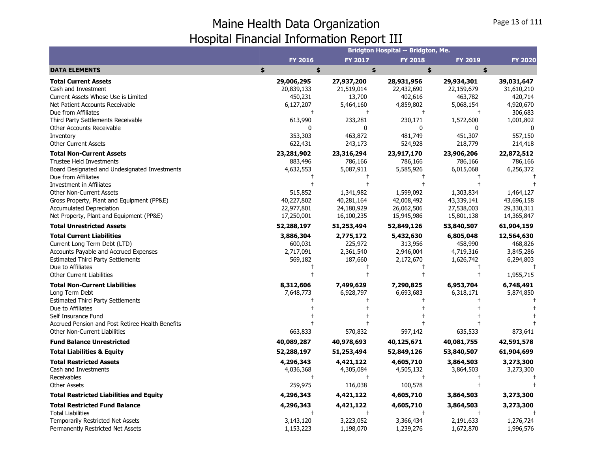|                                                                                                                                                                                                                                                                                                                                 |                                                                                                  |                                                                                           | Bridgton Hospital -- Bridgton, Me.                                                        |                                                                                           |                                                                                                   |
|---------------------------------------------------------------------------------------------------------------------------------------------------------------------------------------------------------------------------------------------------------------------------------------------------------------------------------|--------------------------------------------------------------------------------------------------|-------------------------------------------------------------------------------------------|-------------------------------------------------------------------------------------------|-------------------------------------------------------------------------------------------|---------------------------------------------------------------------------------------------------|
|                                                                                                                                                                                                                                                                                                                                 | <b>FY 2016</b>                                                                                   | FY 2017                                                                                   | <b>FY 2018</b>                                                                            | <b>FY 2019</b>                                                                            | <b>FY 2020</b>                                                                                    |
| <b>DATA ELEMENTS</b>                                                                                                                                                                                                                                                                                                            | \$<br>\$                                                                                         | \$                                                                                        | \$                                                                                        | \$                                                                                        |                                                                                                   |
| <b>Total Current Assets</b><br>Cash and Investment<br>Current Assets Whose Use is Limited<br>Net Patient Accounts Receivable<br>Due from Affiliates<br>Third Party Settlements Receivable<br>Other Accounts Receivable<br>Inventory                                                                                             | 29,006,295<br>20,839,133<br>450,231<br>6,127,207<br>$\ddagger$<br>613,990<br>$\Omega$<br>353,303 | 27,937,200<br>21,519,014<br>13,700<br>5,464,160<br>$^{+}$<br>233,281<br>0<br>463,872      | 28,931,956<br>22,432,690<br>402,616<br>4,859,802<br>$\ddagger$<br>230,171<br>0<br>481,749 | 29,934,301<br>22,159,679<br>463,782<br>5,068,154<br>$\ddagger$<br>1,572,600<br>451,307    | 39,031,647<br>31,610,210<br>420,714<br>4,920,670<br>306,683<br>1,001,802<br>$\sqrt{ }$<br>557,150 |
| <b>Other Current Assets</b>                                                                                                                                                                                                                                                                                                     | 622,431                                                                                          | 243,173                                                                                   | 524,928                                                                                   | 218,779                                                                                   | 214,418                                                                                           |
| <b>Total Non-Current Assets</b><br>Trustee Held Investments<br>Board Designated and Undesignated Investments<br>Due from Affiliates<br>Investment in Affiliates<br><b>Other Non-Current Assets</b><br>Gross Property, Plant and Equipment (PP&E)<br><b>Accumulated Depreciation</b><br>Net Property, Plant and Equipment (PP&E) | 23,281,902<br>883,496<br>4,632,553<br>515,852<br>40,227,802<br>22,977,801<br>17,250,001          | 23,316,294<br>786,166<br>5,087,911<br>1,341,982<br>40,281,164<br>24,180,929<br>16,100,235 | 23,917,170<br>786,166<br>5,585,926<br>1,599,092<br>42,008,492<br>26,062,506<br>15,945,986 | 23,906,206<br>786,166<br>6,015,068<br>1,303,834<br>43,339,141<br>27,538,003<br>15,801,138 | 22,872,512<br>786,166<br>6,256,372<br>1,464,127<br>43,696,158<br>29,330,311<br>14,365,847         |
| <b>Total Unrestricted Assets</b>                                                                                                                                                                                                                                                                                                | 52,288,197                                                                                       | 51,253,494                                                                                | 52,849,126                                                                                | 53,840,507                                                                                | 61,904,159                                                                                        |
| <b>Total Current Liabilities</b><br>Current Long Term Debt (LTD)<br><b>Accounts Payable and Accrued Expenses</b><br><b>Estimated Third Party Settlements</b><br>Due to Affiliates<br>Other Current Liabilities                                                                                                                  | 3,886,304<br>600,031<br>2,717,091<br>569,182                                                     | 2,775,172<br>225,972<br>2,361,540<br>187,660                                              | 5,432,630<br>313,956<br>2,946,004<br>2,172,670                                            | 6,805,048<br>458,990<br>4,719,316<br>1,626,742                                            | 12,564,630<br>468,826<br>3,845,286<br>6,294,803<br>1,955,715                                      |
| <b>Total Non-Current Liabilities</b><br>Long Term Debt<br><b>Estimated Third Party Settlements</b><br>Due to Affiliates<br>Self Insurance Fund<br>Accrued Pension and Post Retiree Health Benefits<br>Other Non-Current Liabilities                                                                                             | 8,312,606<br>7,648,773<br>663,833                                                                | 7,499,629<br>6,928,797<br>570,832                                                         | 7,290,825<br>6,693,683<br>597,142                                                         | 6,953,704<br>6,318,171<br>635,533                                                         | 6,748,491<br>5,874,850<br>873,641                                                                 |
| <b>Fund Balance Unrestricted</b>                                                                                                                                                                                                                                                                                                | 40,089,287                                                                                       | 40,978,693                                                                                | 40,125,671                                                                                | 40,081,755                                                                                | 42,591,578                                                                                        |
| <b>Total Liabilities &amp; Equity</b>                                                                                                                                                                                                                                                                                           | 52,288,197                                                                                       | 51,253,494                                                                                | 52,849,126                                                                                | 53,840,507                                                                                | 61,904,699                                                                                        |
| <b>Total Restricted Assets</b><br>Cash and Investments<br>Receivables<br>Other Assets                                                                                                                                                                                                                                           | 4,296,343<br>4,036,368<br>259,975                                                                | 4,421,122<br>4,305,084<br>116,038                                                         | 4,605,710<br>4,505,132<br>$\pm$<br>100,578                                                | 3,864,503<br>3,864,503                                                                    | 3,273,300<br>3,273,300                                                                            |
| <b>Total Restricted Liabilities and Equity</b>                                                                                                                                                                                                                                                                                  | 4,296,343                                                                                        | 4,421,122                                                                                 | 4,605,710                                                                                 | 3,864,503                                                                                 | 3,273,300                                                                                         |
| <b>Total Restricted Fund Balance</b><br><b>Total Liabilities</b><br>Temporarily Restricted Net Assets<br>Permanently Restricted Net Assets                                                                                                                                                                                      | 4,296,343<br>3,143,120<br>1,153,223                                                              | 4,421,122<br>3,223,052<br>1,198,070                                                       | 4,605,710<br>3,366,434<br>1,239,276                                                       | 3,864,503<br>2,191,633<br>1,672,870                                                       | 3,273,300<br>1,276,724<br>1,996,576                                                               |
|                                                                                                                                                                                                                                                                                                                                 |                                                                                                  |                                                                                           |                                                                                           |                                                                                           |                                                                                                   |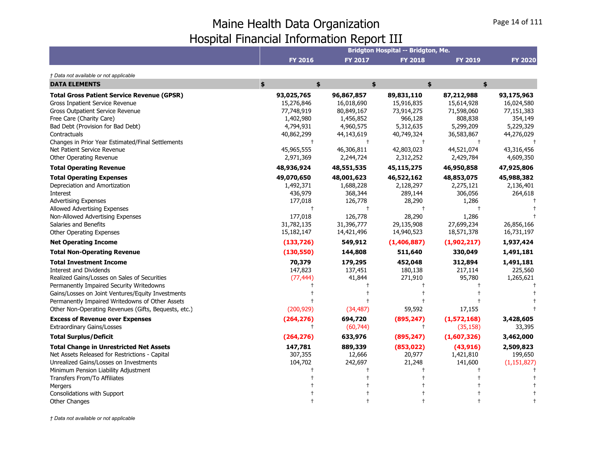|                                                      |                |                | Bridgton Hospital -- Bridgton, Me. |                |                |
|------------------------------------------------------|----------------|----------------|------------------------------------|----------------|----------------|
|                                                      | <b>FY 2016</b> | <b>FY 2017</b> | <b>FY 2018</b>                     | <b>FY 2019</b> | <b>FY 2020</b> |
| † Data not available or not applicable               |                |                |                                    |                |                |
| <b>DATA ELEMENTS</b>                                 | \$<br>\$       |                | \$                                 | \$<br>\$       |                |
| <b>Total Gross Patient Service Revenue (GPSR)</b>    | 93,025,765     | 96,867,857     | 89,831,110                         | 87,212,988     | 93,175,963     |
| <b>Gross Inpatient Service Revenue</b>               | 15,276,846     | 16,018,690     | 15,916,835                         | 15,614,928     | 16,024,580     |
| Gross Outpatient Service Revenue                     | 77,748,919     | 80,849,167     | 73,914,275                         | 71,598,060     | 77,151,383     |
| Free Care (Charity Care)                             | 1,402,980      | 1,456,852      | 966,128                            | 808,838        | 354,149        |
| Bad Debt (Provision for Bad Debt)                    | 4,794,931      | 4,960,575      | 5,312,635                          | 5,299,209      | 5,229,329      |
| Contractuals                                         | 40,862,299     | 44,143,619     | 40,749,324                         | 36,583,867     | 44,276,029     |
| Changes in Prior Year Estimated/Final Settlements    | $\ddagger$     | $\ddagger$     | $\ddagger$                         |                |                |
| Net Patient Service Revenue                          | 45,965,555     | 46,306,811     | 42,803,023                         | 44,521,074     | 43,316,456     |
| Other Operating Revenue                              | 2,971,369      | 2,244,724      | 2,312,252                          | 2,429,784      | 4,609,350      |
| <b>Total Operating Revenue</b>                       | 48,936,924     | 48,551,535     | 45,115,275                         | 46,950,858     | 47,925,806     |
| <b>Total Operating Expenses</b>                      | 49,070,650     | 48,001,623     | 46,522,162                         | 48,853,075     | 45,988,382     |
| Depreciation and Amortization                        | 1,492,371      | 1,688,228      | 2,128,297                          | 2,275,121      | 2,136,401      |
| Interest                                             | 436,979        | 368,344        | 289,144                            | 306,056        | 264,618        |
| <b>Advertising Expenses</b>                          | 177,018        | 126,778        | 28,290                             | 1,286          |                |
| Allowed Advertising Expenses                         | $\ddagger$     | $\ddagger$     |                                    |                |                |
| Non-Allowed Advertising Expenses                     | 177,018        | 126,778        | 28,290                             | 1,286          |                |
| Salaries and Benefits                                | 31,782,135     | 31,396,777     | 29,135,908                         | 27,699,234     | 26,856,166     |
| Other Operating Expenses                             | 15,182,147     | 14,421,496     | 14,940,523                         | 18,571,378     | 16,731,197     |
| <b>Net Operating Income</b>                          | (133, 726)     | 549,912        | (1,406,887)                        | (1,902,217)    | 1,937,424      |
| <b>Total Non-Operating Revenue</b>                   | (130, 550)     | 144,808        | 511,640                            | 330,049        | 1,491,181      |
| <b>Total Investment Income</b>                       | 70,379         | 179,295        | 452,048                            | 312,894        | 1,491,181      |
| <b>Interest and Dividends</b>                        | 147,823        | 137,451        | 180,138                            | 217,114        | 225,560        |
| Realized Gains/Losses on Sales of Securities         | (77, 444)      | 41,844         | 271,910                            | 95,780         | 1,265,621      |
| Permanently Impaired Security Writedowns             |                |                |                                    |                |                |
| Gains/Losses on Joint Ventures/Equity Investments    |                |                |                                    |                |                |
| Permanently Impaired Writedowns of Other Assets      |                |                |                                    |                |                |
| Other Non-Operating Revenues (Gifts, Bequests, etc.) | (200, 929)     | (34, 487)      | 59,592                             | 17,155         |                |
| <b>Excess of Revenue over Expenses</b>               | (264, 276)     | 694,720        | (895, 247)                         | (1,572,168)    | 3,428,605      |
| <b>Extraordinary Gains/Losses</b>                    | $\pm$          | (60, 744)      | $^+$                               | (35, 158)      | 33,395         |
| <b>Total Surplus/Deficit</b>                         | (264, 276)     | 633,976        | (895, 247)                         | (1,607,326)    | 3,462,000      |
| <b>Total Change in Unrestricted Net Assets</b>       | 147,781        | 889,339        | (853, 022)                         | (43, 916)      | 2,509,823      |
| Net Assets Released for Restrictions - Capital       | 307,355        | 12,666         | 20,977                             | 1,421,810      | 199,650        |
| Unrealized Gains/Losses on Investments               | 104,702        | 242,697        | 21,248                             | 141,600        | (1, 151, 827)  |
| Minimum Pension Liability Adjustment                 |                |                |                                    |                |                |
| Transfers From/To Affiliates                         |                |                |                                    |                |                |
| Mergers                                              |                |                |                                    |                |                |
| Consolidations with Support                          |                |                |                                    |                |                |
| <b>Other Changes</b>                                 |                |                |                                    |                |                |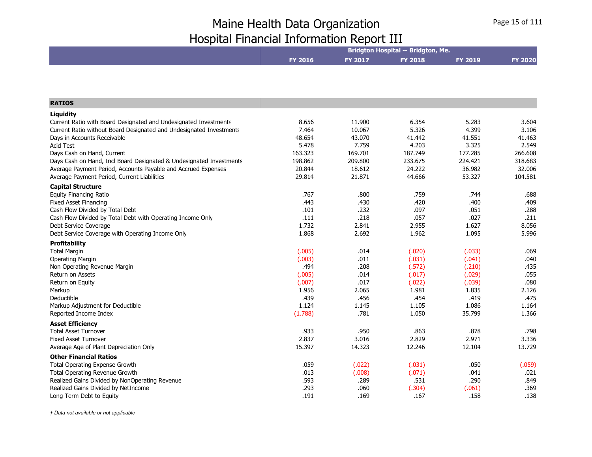|                                                                     |         |                | Bridgton Hospital -- Bridgton, Me. |                |                |
|---------------------------------------------------------------------|---------|----------------|------------------------------------|----------------|----------------|
|                                                                     | FY 2016 | <b>FY 2017</b> | <b>FY 2018</b>                     | <b>FY 2019</b> | <b>FY 2020</b> |
|                                                                     |         |                |                                    |                |                |
| <b>RATIOS</b>                                                       |         |                |                                    |                |                |
| Liquidity                                                           |         |                |                                    |                |                |
| Current Ratio with Board Designated and Undesignated Investments    | 8.656   | 11.900         | 6.354                              | 5.283          | 3.604          |
| Current Ratio without Board Designated and Undesignated Investments | 7.464   | 10.067         | 5.326                              | 4.399          | 3.106          |
| Days in Accounts Receivable                                         | 48.654  | 43.070         | 41.442                             | 41.551         | 41.463         |
| <b>Acid Test</b>                                                    | 5.478   | 7.759          | 4.203                              | 3.325          | 2.549          |
| Days Cash on Hand, Current                                          | 163.323 | 169.701        | 187.749                            | 177.285        | 266.608        |
| Days Cash on Hand, Incl Board Designated & Undesignated Investments | 198.862 | 209.800        | 233.675                            | 224.421        | 318.683        |
| Average Payment Period, Accounts Payable and Accrued Expenses       | 20.844  | 18.612         | 24.222                             | 36.982         | 32.006         |
| Average Payment Period, Current Liabilities                         | 29.814  | 21.871         | 44.666                             | 53.327         | 104.581        |
| <b>Capital Structure</b>                                            |         |                |                                    |                |                |
| <b>Equity Financing Ratio</b>                                       | .767    | .800           | .759                               | .744           | .688           |
| <b>Fixed Asset Financing</b>                                        | .443    | .430           | .420                               | .400           | .409           |
| Cash Flow Divided by Total Debt                                     | .101    | .232           | .097                               | .051           | .288           |
| Cash Flow Divided by Total Debt with Operating Income Only          | .111    | .218           | .057                               | .027           | .211           |
| Debt Service Coverage                                               | 1.732   | 2.841          | 2.955                              | 1.627          | 8.056          |
| Debt Service Coverage with Operating Income Only                    | 1.868   | 2.692          | 1.962                              | 1.095          | 5.996          |
| <b>Profitability</b>                                                |         |                |                                    |                |                |
| <b>Total Margin</b>                                                 | (.005)  | .014           | (.020)                             | (.033)         | .069           |
| <b>Operating Margin</b>                                             | (.003)  | .011           | (.031)                             | (.041)         | .040           |
| Non Operating Revenue Margin                                        | .494    | .208           | (.572)                             | (.210)         | .435           |
| <b>Return on Assets</b>                                             | (.005)  | .014           | (.017)                             | (.029)         | .055           |
| Return on Equity                                                    | (.007)  | .017           | (.022)                             | (.039)         | .080           |
| Markup                                                              | 1.956   | 2.065          | 1.981                              | 1.835          | 2.126          |
| Deductible                                                          | .439    | .456           | .454                               | .419           | .475           |
| Markup Adjustment for Deductible                                    | 1.124   | 1.145          | 1.105                              | 1.086          | 1.164          |
| Reported Income Index                                               | (1.788) | .781           | 1.050                              | 35.799         | 1.366          |
| <b>Asset Efficiency</b>                                             |         |                |                                    |                |                |
| <b>Total Asset Turnover</b>                                         | .933    | .950           | .863                               | .878           | .798           |
| <b>Fixed Asset Turnover</b>                                         | 2.837   | 3.016          | 2.829                              | 2.971          | 3.336          |
| Average Age of Plant Depreciation Only                              | 15.397  | 14.323         | 12.246                             | 12.104         | 13.729         |
| <b>Other Financial Ratios</b>                                       |         |                |                                    |                |                |
| Total Operating Expense Growth                                      | .059    | (.022)         | (.031)                             | .050           | (.059)         |
| Total Operating Revenue Growth                                      | .013    | (.008)         | (.071)                             | .041           | .021           |
| Realized Gains Divided by NonOperating Revenue                      | .593    | .289           | .531                               | .290           | .849           |
| Realized Gains Divided by NetIncome                                 | .293    | .060           | (.304)                             | (.061)         | .369           |
| Long Term Debt to Equity                                            | .191    | .169           | .167                               | .158           | .138           |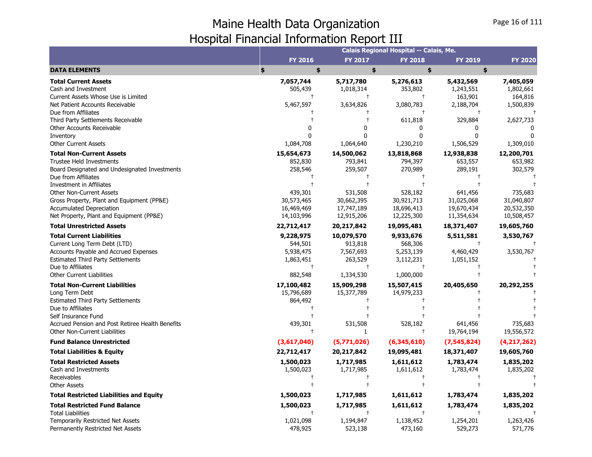|                                                                                                                                                                                                                                            |                                                                         |                                                                          | Calais Regional Hospital -- Calais, Me.                              |                                                   |                                     |
|--------------------------------------------------------------------------------------------------------------------------------------------------------------------------------------------------------------------------------------------|-------------------------------------------------------------------------|--------------------------------------------------------------------------|----------------------------------------------------------------------|---------------------------------------------------|-------------------------------------|
|                                                                                                                                                                                                                                            | <b>FY 2016</b>                                                          | <b>FY 2017</b>                                                           | <b>FY 2018</b>                                                       | <b>FY 2019</b>                                    | <b>FY 2020</b>                      |
| <b>DATA ELEMENTS</b>                                                                                                                                                                                                                       | \$<br>\$                                                                | \$                                                                       | \$                                                                   | \$                                                |                                     |
| <b>Total Current Assets</b><br>Cash and Investment                                                                                                                                                                                         | 7,057,744<br>505,439                                                    | 5,717,780<br>1,018,314                                                   | 5,276,613<br>353,802                                                 | 5,432,569<br>1,243,551                            | 7,405,059<br>1,802,661              |
| Current Assets Whose Use is Limited<br>Net Patient Accounts Receivable<br>Due from Affiliates                                                                                                                                              | $\mathsf{t}$<br>5,467,597                                               | $\ddagger$<br>3,634,826                                                  | $\pm$<br>3,080,783<br>$\ddagger$                                     | 163,901<br>2,188,704<br>$\ddagger$                | 164,816<br>1,500,839                |
| Third Party Settlements Receivable<br>Other Accounts Receivable                                                                                                                                                                            |                                                                         | n                                                                        | 611,818<br>0                                                         | 329,884<br><sup>0</sup>                           | 2,627,733                           |
| Inventory<br><b>Other Current Assets</b>                                                                                                                                                                                                   | 1,084,708                                                               | 1,064,640                                                                | 0<br>1,230,210                                                       | $\Omega$<br>1,506,529                             | $\Omega$<br>1,309,010               |
| <b>Total Non-Current Assets</b><br><b>Trustee Held Investments</b><br>Board Designated and Undesignated Investments<br>Due from Affiliates                                                                                                 | 15,654,673<br>852,830<br>258,546                                        | 14,500,062<br>793,841<br>259,507                                         | 13,818,868<br>794,397<br>270,989                                     | 12,938,838<br>653,557<br>289,191                  | 12,200,701<br>653,982<br>302,579    |
| Investment in Affiliates<br><b>Other Non-Current Assets</b><br>Gross Property, Plant and Equipment (PP&E)<br><b>Accumulated Depreciation</b><br>Net Property, Plant and Equipment (PP&E)                                                   | 439,301<br>30,573,465<br>16,469,469<br>14,103,996                       | 531,508<br>30,662,395<br>17,747,189<br>12,915,206                        | 528,182<br>30,921,713<br>18,696,413                                  | 641,456<br>31,025,068<br>19,670,434               | 735,683<br>31,040,807<br>20,532,350 |
| <b>Total Unrestricted Assets</b>                                                                                                                                                                                                           | 22,712,417                                                              | 20,217,842                                                               | 12,225,300<br>19,095,481                                             | 11,354,634<br>18,371,407                          | 10,508,457<br>19,605,760            |
| <b>Total Current Liabilities</b><br>Current Long Term Debt (LTD)<br>Accounts Payable and Accrued Expenses<br><b>Estimated Third Party Settlements</b><br>Due to Affiliates<br><b>Other Current Liabilities</b>                             | 9,228,975<br>544,501<br>5,938,475<br>1,863,451<br>$\ddagger$<br>882,548 | 10,079,570<br>913,818<br>7,567,693<br>263,529<br>$\ddagger$<br>1,334,530 | 9,933,676<br>568,306<br>5,253,139<br>3,112,231<br>$\pm$<br>1,000,000 | 5,511,581<br>$\ddagger$<br>4,460,429<br>1,051,152 | 3,530,767<br>3,530,767              |
| <b>Total Non-Current Liabilities</b><br>Long Term Debt<br><b>Estimated Third Party Settlements</b><br>Due to Affiliates<br>Self Insurance Fund<br>Accrued Pension and Post Retiree Health Benefits<br><b>Other Non-Current Liabilities</b> | 17,100,482<br>15,796,689<br>864,492<br>439,301<br>$\mathsf{t}$          | 15,909,298<br>15,377,789<br>531,508<br>1                                 | 15,507,415<br>14,979,233<br>528,182<br>$\ddagger$                    | 20,405,650<br>641,456<br>19,764,194               | 20,292,255<br>735,683<br>19,556,572 |
| <b>Fund Balance Unrestricted</b>                                                                                                                                                                                                           | (3,617,040)                                                             | (5,771,026)                                                              | (6,345,610)                                                          | (7, 545, 824)                                     | (4, 217, 262)                       |
| <b>Total Liabilities &amp; Equity</b>                                                                                                                                                                                                      | 22,712,417                                                              | 20,217,842                                                               | 19,095,481                                                           | 18,371,407                                        | 19,605,760                          |
| <b>Total Restricted Assets</b><br>Cash and Investments<br>Receivables<br><b>Other Assets</b>                                                                                                                                               | 1,500,023<br>1,500,023                                                  | 1,717,985<br>1,717,985                                                   | 1,611,612<br>1,611,612                                               | 1,783,474<br>1,783,474                            | 1,835,202<br>1,835,202              |
| <b>Total Restricted Liabilities and Equity</b>                                                                                                                                                                                             | 1,500,023                                                               | 1,717,985                                                                | 1,611,612                                                            | 1,783,474                                         | 1,835,202                           |
| <b>Total Restricted Fund Balance</b><br><b>Total Liabilities</b><br>Temporarily Restricted Net Assets                                                                                                                                      | 1,500,023<br>1,021,098                                                  | 1,717,985<br>$\ddot{\phantom{1}}$<br>1,194,847                           | 1,611,612<br>$\overline{1}$<br>1,138,452                             | 1,783,474<br>1,254,201                            | 1,835,202<br>1,263,426              |
| Permanently Restricted Net Assets                                                                                                                                                                                                          | 478,925                                                                 | 523,138                                                                  | 473,160                                                              | 529,273                                           | 571,776                             |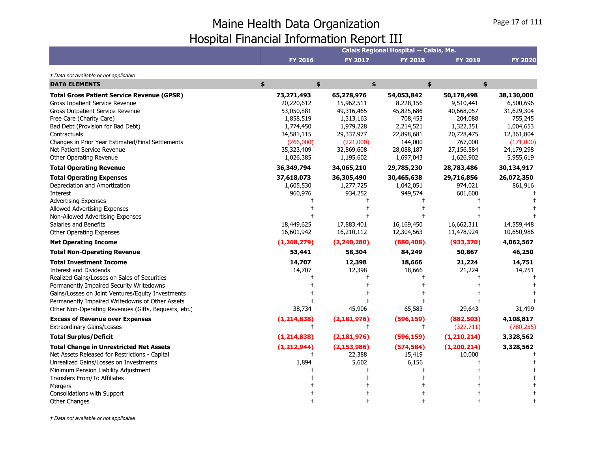|                                                                                                                                                                                                                                                                                                                                 |                                                                                                                        |                                                                                                                        | Calais Regional Hospital -- Calais, Me.                                                                           |                                                                                                                   |                                                                                                                     |
|---------------------------------------------------------------------------------------------------------------------------------------------------------------------------------------------------------------------------------------------------------------------------------------------------------------------------------|------------------------------------------------------------------------------------------------------------------------|------------------------------------------------------------------------------------------------------------------------|-------------------------------------------------------------------------------------------------------------------|-------------------------------------------------------------------------------------------------------------------|---------------------------------------------------------------------------------------------------------------------|
|                                                                                                                                                                                                                                                                                                                                 | <b>FY 2016</b>                                                                                                         | FY 2017                                                                                                                | <b>FY 2018</b>                                                                                                    | <b>FY 2019</b>                                                                                                    | <b>FY 2020</b>                                                                                                      |
| † Data not available or not applicable                                                                                                                                                                                                                                                                                          |                                                                                                                        |                                                                                                                        |                                                                                                                   |                                                                                                                   |                                                                                                                     |
| <b>DATA ELEMENTS</b>                                                                                                                                                                                                                                                                                                            | \$<br>\$                                                                                                               |                                                                                                                        | \$<br>\$                                                                                                          | \$                                                                                                                |                                                                                                                     |
| <b>Total Gross Patient Service Revenue (GPSR)</b><br>Gross Inpatient Service Revenue<br><b>Gross Outpatient Service Revenue</b><br>Free Care (Charity Care)<br>Bad Debt (Provision for Bad Debt)<br>Contractuals<br>Changes in Prior Year Estimated/Final Settlements<br>Net Patient Service Revenue<br>Other Operating Revenue | 73,271,493<br>20,220,612<br>53,050,881<br>1,858,519<br>1,774,450<br>34,581,115<br>(266,000)<br>35,323,409<br>1,026,385 | 65,278,976<br>15,962,511<br>49,316,465<br>1,313,163<br>1,979,228<br>29,337,977<br>(221,000)<br>32,869,608<br>1,195,602 | 54,053,842<br>8,228,156<br>45,825,686<br>708,453<br>2,214,521<br>22,898,681<br>144,000<br>28,088,187<br>1,697,043 | 50,178,498<br>9,510,441<br>40,668,057<br>204,088<br>1,322,351<br>20,728,475<br>767,000<br>27,156,584<br>1,626,902 | 38,130,000<br>6,500,696<br>31,629,304<br>755,245<br>1,004,653<br>12,361,804<br>(171,000)<br>24,179,298<br>5,955,619 |
| <b>Total Operating Revenue</b>                                                                                                                                                                                                                                                                                                  | 36,349,794                                                                                                             | 34,065,210                                                                                                             | 29,785,230                                                                                                        | 28,783,486                                                                                                        | 30,134,917                                                                                                          |
| <b>Total Operating Expenses</b><br>Depreciation and Amortization<br>Interest<br><b>Advertising Expenses</b><br>Allowed Advertising Expenses<br>Non-Allowed Advertising Expenses<br>Salaries and Benefits<br>Other Operating Expenses<br><b>Net Operating Income</b>                                                             | 37,618,073<br>1,605,530<br>960,976<br>18,449,625<br>16,601,942<br>(1, 268, 279)                                        | 36,305,490<br>1,277,725<br>934,252<br>17,883,401<br>16,210,112<br>(2, 240, 280)                                        | 30,465,638<br>1,042,051<br>949,574<br>16,169,450<br>12,304,563<br>(680, 408)                                      | 29,716,856<br>974,021<br>601,600<br>16,662,311<br>11,478,924<br>(933, 370)                                        | 26,072,350<br>861,916<br>14,559,448<br>10,650,986<br>4,062,567                                                      |
| <b>Total Non-Operating Revenue</b>                                                                                                                                                                                                                                                                                              | 53,441                                                                                                                 | 58,304                                                                                                                 | 84,249                                                                                                            | 50,867                                                                                                            | 46,250                                                                                                              |
| <b>Total Investment Income</b><br>Interest and Dividends<br>Realized Gains/Losses on Sales of Securities<br>Permanently Impaired Security Writedowns<br>Gains/Losses on Joint Ventures/Equity Investments<br>Permanently Impaired Writedowns of Other Assets<br>Other Non-Operating Revenues (Gifts, Bequests, etc.)            | 14,707<br>14,707<br>38,734                                                                                             | 12,398<br>12,398<br>45,906                                                                                             | 18,666<br>18,666<br>65,583                                                                                        | 21,224<br>21,224<br>29,643                                                                                        | 14,751<br>14,751<br>31,499                                                                                          |
| <b>Excess of Revenue over Expenses</b>                                                                                                                                                                                                                                                                                          | (1, 214, 838)                                                                                                          | (2, 181, 976)                                                                                                          | (596, 159)                                                                                                        | (882, 503)                                                                                                        | 4,108,817                                                                                                           |
| <b>Extraordinary Gains/Losses</b>                                                                                                                                                                                                                                                                                               | $\pm$                                                                                                                  |                                                                                                                        | $\ddagger$                                                                                                        | (327, 711)                                                                                                        | (780, 255)                                                                                                          |
| <b>Total Surplus/Deficit</b>                                                                                                                                                                                                                                                                                                    | (1, 214, 838)                                                                                                          | (2, 181, 976)                                                                                                          | (596, 159)                                                                                                        | (1, 210, 214)                                                                                                     | 3,328,562                                                                                                           |
| <b>Total Change in Unrestricted Net Assets</b><br>Net Assets Released for Restrictions - Capital<br>Unrealized Gains/Losses on Investments<br>Minimum Pension Liability Adjustment<br>Transfers From/To Affiliates<br>Mergers<br>Consolidations with Support                                                                    | (1, 212, 944)<br>1,894                                                                                                 | (2, 153, 986)<br>22,388<br>5,602                                                                                       | (574, 584)<br>15,419<br>6,156                                                                                     | (1, 200, 214)<br>10,000                                                                                           | 3,328,562                                                                                                           |
| Other Changes                                                                                                                                                                                                                                                                                                                   |                                                                                                                        |                                                                                                                        |                                                                                                                   |                                                                                                                   |                                                                                                                     |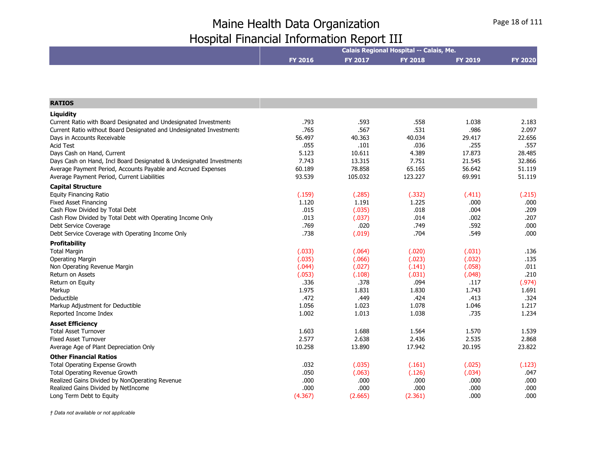|                                                                                                    |                |              | Calais Regional Hospital -- Calais, Me. |                |                |
|----------------------------------------------------------------------------------------------------|----------------|--------------|-----------------------------------------|----------------|----------------|
|                                                                                                    | <b>FY 2016</b> | FY 2017      | <b>FY 2018</b>                          | <b>FY 2019</b> | <b>FY 2020</b> |
|                                                                                                    |                |              |                                         |                |                |
|                                                                                                    |                |              |                                         |                |                |
| <b>RATIOS</b>                                                                                      |                |              |                                         |                |                |
|                                                                                                    |                |              |                                         |                |                |
| Liquidity                                                                                          |                |              |                                         |                |                |
| Current Ratio with Board Designated and Undesignated Investments                                   | .793<br>.765   | .593<br>.567 | .558<br>.531                            | 1.038<br>.986  | 2.183<br>2.097 |
| Current Ratio without Board Designated and Undesignated Investments<br>Days in Accounts Receivable | 56.497         | 40.363       | 40.034                                  | 29.417         | 22.656         |
| <b>Acid Test</b>                                                                                   | .055           | .101         | .036                                    | .255           | .557           |
| Days Cash on Hand, Current                                                                         | 5.123          | 10.611       | 4.389                                   | 17.873         | 28.485         |
| Days Cash on Hand, Incl Board Designated & Undesignated Investments                                | 7.743          | 13.315       | 7.751                                   | 21.545         | 32.866         |
| Average Payment Period, Accounts Payable and Accrued Expenses                                      | 60.189         | 78.858       | 65.165                                  | 56.642         | 51.119         |
| Average Payment Period, Current Liabilities                                                        | 93.539         | 105.032      | 123.227                                 | 69.991         | 51.119         |
| <b>Capital Structure</b>                                                                           |                |              |                                         |                |                |
| <b>Equity Financing Ratio</b>                                                                      | (.159)         | (.285)       | (.332)                                  | (.411)         | (.215)         |
| <b>Fixed Asset Financing</b>                                                                       | 1.120          | 1.191        | 1.225                                   | .000           | .000           |
| Cash Flow Divided by Total Debt                                                                    | .015           | (.035)       | .018                                    | .004           | .209           |
| Cash Flow Divided by Total Debt with Operating Income Only                                         | .013           | (.037)       | .014                                    | .002           | .207           |
| Debt Service Coverage                                                                              | .769           | .020         | .749                                    | .592           | .000           |
| Debt Service Coverage with Operating Income Only                                                   | .738           | (.019)       | .704                                    | .549           | .000           |
| <b>Profitability</b>                                                                               |                |              |                                         |                |                |
| <b>Total Margin</b>                                                                                | (.033)         | (.064)       | (.020)                                  | (.031)         | .136           |
| <b>Operating Margin</b>                                                                            | (.035)         | (.066)       | (.023)                                  | (.032)         | .135           |
| Non Operating Revenue Margin                                                                       | (.044)         | (.027)       | (.141)                                  | (.058)         | .011           |
| <b>Return on Assets</b>                                                                            | (.053)         | (.108)       | (.031)                                  | (.048)         | .210           |
| Return on Equity                                                                                   | .336           | .378         | .094                                    | .117           | (.974)         |
| Markup                                                                                             | 1.975          | 1.831        | 1.830                                   | 1.743          | 1.691          |
| Deductible                                                                                         | .472           | .449         | .424                                    | .413           | .324           |
| Markup Adjustment for Deductible                                                                   | 1.056          | 1.023        | 1.078                                   | 1.046          | 1.217          |
| Reported Income Index                                                                              | 1.002          | 1.013        | 1.038                                   | .735           | 1.234          |
| <b>Asset Efficiency</b>                                                                            |                |              |                                         |                |                |
| <b>Total Asset Turnover</b>                                                                        | 1.603          | 1.688        | 1.564                                   | 1.570          | 1.539          |
| <b>Fixed Asset Turnover</b>                                                                        | 2.577          | 2.638        | 2.436                                   | 2.535          | 2.868          |
| Average Age of Plant Depreciation Only                                                             | 10.258         | 13.890       | 17.942                                  | 20.195         | 23.822         |
| <b>Other Financial Ratios</b>                                                                      |                |              |                                         |                |                |
| Total Operating Expense Growth                                                                     | .032           | (.035)       | (.161)                                  | (.025)         | (.123)         |
| Total Operating Revenue Growth                                                                     | .050           | (.063)       | (.126)                                  | (.034)         | .047           |
| Realized Gains Divided by NonOperating Revenue                                                     | .000           | .000         | .000                                    | .000           | .000           |
| Realized Gains Divided by NetIncome                                                                | .000           | .000         | .000                                    | .000           | .000           |
| Long Term Debt to Equity                                                                           | (4.367)        | (2.665)      | (2.361)                                 | .000           | .000           |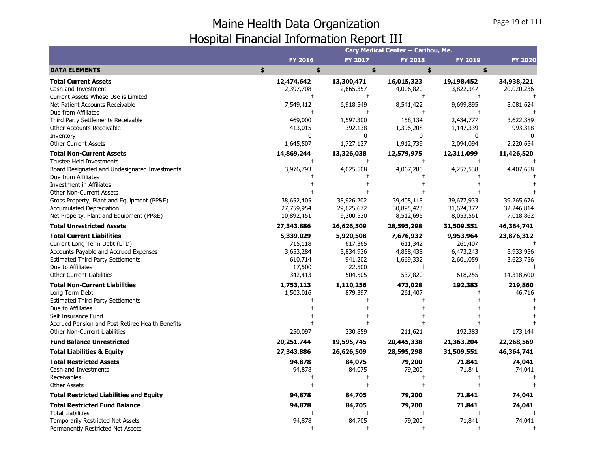|                                                                                                                                                                                                                                            |                                                                   |                                                                   | Cary Medical Center -- Caribou, Me.                                     |                                                                         |                                                    |
|--------------------------------------------------------------------------------------------------------------------------------------------------------------------------------------------------------------------------------------------|-------------------------------------------------------------------|-------------------------------------------------------------------|-------------------------------------------------------------------------|-------------------------------------------------------------------------|----------------------------------------------------|
|                                                                                                                                                                                                                                            | <b>FY 2016</b>                                                    | <b>FY 2017</b>                                                    | <b>FY 2018</b>                                                          | <b>FY 2019</b>                                                          | <b>FY 2020</b>                                     |
| <b>DATA ELEMENTS</b>                                                                                                                                                                                                                       | \$<br>\$                                                          | \$                                                                | \$                                                                      | \$                                                                      |                                                    |
| <b>Total Current Assets</b><br>Cash and Investment<br>Current Assets Whose Use is Limited                                                                                                                                                  | 12,474,642<br>2,397,708<br>$^{+}$                                 | 13,300,471<br>2,665,357<br>$\ddagger$                             | 16,015,323<br>4,006,820<br>$\ddagger$                                   | 19,198,452<br>3,822,347<br>$\ddagger$                                   | 34,938,221<br>20,020,236                           |
| Net Patient Accounts Receivable<br>Due from Affiliates                                                                                                                                                                                     | 7,549,412<br>$\ddagger$                                           | 6,918,549<br>$\ddagger$                                           | 8,541,422<br>$\ddagger$                                                 | 9,699,895<br>$\ddagger$                                                 | 8,081,624                                          |
| Third Party Settlements Receivable<br>Other Accounts Receivable<br>Inventory                                                                                                                                                               | 469,000<br>413,015<br>0                                           | 1,597,300<br>392,138<br>0                                         | 158,134<br>1,396,208<br>0                                               | 2,434,777<br>1,147,339<br>$\Omega$                                      | 3,622,389<br>993,318                               |
| <b>Other Current Assets</b>                                                                                                                                                                                                                | 1,645,507                                                         | 1,727,127                                                         | 1,912,739                                                               | 2,094,094                                                               | 2,220,654                                          |
| <b>Total Non-Current Assets</b><br><b>Trustee Held Investments</b><br>Board Designated and Undesignated Investments                                                                                                                        | 14,869,244<br>3,976,793                                           | 13,326,038<br>$\ddagger$<br>4,025,508                             | 12,579,975<br>4,067,280                                                 | 12,311,099<br>4,257,538                                                 | 11,426,520<br>4,407,658                            |
| Due from Affiliates<br>Investment in Affiliates<br><b>Other Non-Current Assets</b>                                                                                                                                                         |                                                                   |                                                                   |                                                                         |                                                                         |                                                    |
| Gross Property, Plant and Equipment (PP&E)<br><b>Accumulated Depreciation</b><br>Net Property, Plant and Equipment (PP&E)                                                                                                                  | 38,652,405<br>27,759,954<br>10,892,451                            | 38,926,202<br>29,625,672<br>9,300,530                             | 39,408,118<br>30,895,423<br>8,512,695                                   | 39,677,933<br>31,624,372<br>8,053,561                                   | 39,265,676<br>32,246,814<br>7,018,862              |
| <b>Total Unrestricted Assets</b>                                                                                                                                                                                                           | 27,343,886                                                        | 26,626,509                                                        | 28,595,298                                                              | 31,509,551                                                              | 46,364,741                                         |
| <b>Total Current Liabilities</b><br>Current Long Term Debt (LTD)<br>Accounts Payable and Accrued Expenses<br><b>Estimated Third Party Settlements</b><br>Due to Affiliates<br><b>Other Current Liabilities</b>                             | 5,339,029<br>715,118<br>3,653,284<br>610,714<br>17,500<br>342,413 | 5,920,508<br>617,365<br>3,834,936<br>941,202<br>22,500<br>504,505 | 7,676,932<br>611,342<br>4,858,438<br>1,669,332<br>$\ddagger$<br>537,820 | 9,953,964<br>261,407<br>6,473,243<br>2,601,059<br>$\ddagger$<br>618,255 | 23,876,312<br>5,933,956<br>3,623,756<br>14,318,600 |
| <b>Total Non-Current Liabilities</b><br>Long Term Debt<br><b>Estimated Third Party Settlements</b><br>Due to Affiliates<br>Self Insurance Fund<br>Accrued Pension and Post Retiree Health Benefits<br><b>Other Non-Current Liabilities</b> | 1,753,113<br>1,503,016<br>250,097                                 | 1,110,256<br>879,397<br>230,859                                   | 473,028<br>261,407<br>211,621                                           | 192,383<br>192,383                                                      | 219,860<br>46,716<br>173,144                       |
| <b>Fund Balance Unrestricted</b>                                                                                                                                                                                                           | 20,251,744                                                        | 19,595,745                                                        | 20,445,338                                                              | 21,363,204                                                              | 22,268,569                                         |
| <b>Total Liabilities &amp; Equity</b>                                                                                                                                                                                                      | 27,343,886                                                        | 26,626,509                                                        | 28,595,298                                                              | 31,509,551                                                              | 46,364,741                                         |
| <b>Total Restricted Assets</b><br>Cash and Investments<br>Receivables<br><b>Other Assets</b>                                                                                                                                               | 94,878<br>94,878                                                  | 84,075<br>84,075                                                  | 79,200<br>79,200                                                        | 71,841<br>71,841                                                        | 74,041<br>74,041                                   |
| <b>Total Restricted Liabilities and Equity</b>                                                                                                                                                                                             | 94,878                                                            | 84,705                                                            | 79,200                                                                  | 71,841                                                                  | 74,041                                             |
| <b>Total Restricted Fund Balance</b><br><b>Total Liabilities</b><br><b>Temporarily Restricted Net Assets</b><br>Permanently Restricted Net Assets                                                                                          | 94,878<br>94,878                                                  | 84,705<br>84,705<br>$\ddot{\phantom{1}}$                          | 79,200<br>79,200<br>$\ddagger$                                          | 71,841<br>71,841<br>$\ddagger$                                          | 74,041<br>74,041<br>ŧ                              |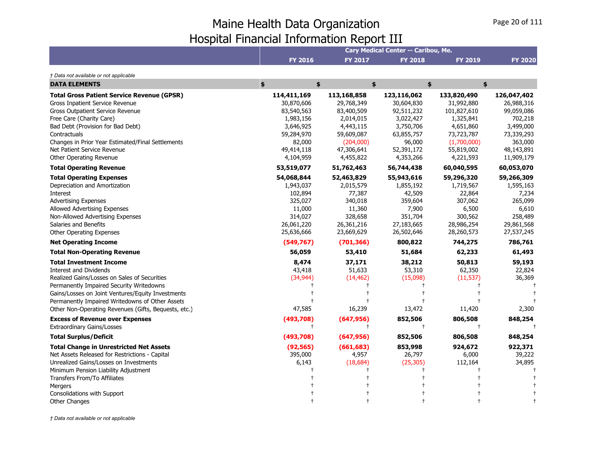|                                                      |                |                | Cary Medical Center -- Caribou, Me. |                |                |
|------------------------------------------------------|----------------|----------------|-------------------------------------|----------------|----------------|
|                                                      | <b>FY 2016</b> | <b>FY 2017</b> | <b>FY 2018</b>                      | <b>FY 2019</b> | <b>FY 2020</b> |
| † Data not available or not applicable               |                |                |                                     |                |                |
| <b>DATA ELEMENTS</b>                                 | \$<br>\$       |                | \$                                  | \$             | \$             |
| <b>Total Gross Patient Service Revenue (GPSR)</b>    | 114,411,169    | 113,168,858    | 123,116,062                         | 133,820,490    | 126,047,402    |
| Gross Inpatient Service Revenue                      | 30,870,606     | 29,768,349     | 30,604,830                          | 31,992,880     | 26,988,316     |
| <b>Gross Outpatient Service Revenue</b>              | 83,540,563     | 83,400,509     | 92,511,232                          | 101,827,610    | 99,059,086     |
| Free Care (Charity Care)                             | 1,983,156      | 2,014,015      | 3,022,427                           | 1,325,841      | 702,218        |
| Bad Debt (Provision for Bad Debt)                    | 3,646,925      | 4,443,115      | 3,750,706                           | 4,651,860      | 3,499,000      |
| Contractuals                                         | 59,284,970     | 59,609,087     | 63,855,757                          | 73,723,787     | 73,339,293     |
| Changes in Prior Year Estimated/Final Settlements    | 82,000         | (204,000)      | 96,000                              | (1,700,000)    | 363,000        |
| Net Patient Service Revenue                          | 49,414,118     | 47,306,641     | 52,391,172                          | 55,819,002     | 48,143,891     |
| Other Operating Revenue                              | 4,104,959      | 4,455,822      | 4,353,266                           | 4,221,593      | 11,909,179     |
| <b>Total Operating Revenue</b>                       | 53,519,077     | 51,762,463     | 56,744,438                          | 60,040,595     | 60,053,070     |
| <b>Total Operating Expenses</b>                      | 54,068,844     | 52,463,829     | 55,943,616                          | 59,296,320     | 59,266,309     |
| Depreciation and Amortization                        | 1,943,037      | 2,015,579      | 1,855,192                           | 1,719,567      | 1,595,163      |
| Interest                                             | 102,894        | 77,387         | 42,509                              | 22,864         | 7,234          |
| <b>Advertising Expenses</b>                          | 325,027        | 340,018        | 359,604                             | 307,062        | 265,099        |
| Allowed Advertising Expenses                         | 11,000         | 11,360         | 7,900                               | 6,500          | 6,610          |
| Non-Allowed Advertising Expenses                     | 314,027        | 328,658        | 351,704                             | 300,562        | 258,489        |
| Salaries and Benefits                                | 26,061,220     | 26,361,216     | 27,183,665                          | 28,986,254     | 29,861,568     |
| Other Operating Expenses                             | 25,636,666     | 23,669,629     | 26,502,646                          | 28,260,573     | 27,537,245     |
| <b>Net Operating Income</b>                          | (549, 767)     | (701, 366)     | 800,822                             | 744,275        | 786,761        |
| <b>Total Non-Operating Revenue</b>                   | 56,059         | 53,410         | 51,684                              | 62,233         | 61,493         |
| <b>Total Investment Income</b>                       | 8,474          | 37,171         | 38,212                              | 50,813         | 59,193         |
| <b>Interest and Dividends</b>                        | 43,418         | 51,633         | 53,310                              | 62,350         | 22,824         |
| Realized Gains/Losses on Sales of Securities         | (34, 944)      | (14, 462)      | (15,098)                            | (11, 537)      | 36,369         |
| Permanently Impaired Security Writedowns             |                |                |                                     |                |                |
| Gains/Losses on Joint Ventures/Equity Investments    |                |                |                                     |                |                |
| Permanently Impaired Writedowns of Other Assets      |                |                |                                     |                |                |
| Other Non-Operating Revenues (Gifts, Bequests, etc.) | 47,585         | 16,239         | 13,472                              | 11,420         | 2,300          |
| <b>Excess of Revenue over Expenses</b>               | (493,708)      | (647, 956)     | 852,506                             | 806,508        | 848,254        |
| <b>Extraordinary Gains/Losses</b>                    | $^{\dagger}$   | $^+$           | $\ddagger$                          | $\ddagger$     |                |
| <b>Total Surplus/Deficit</b>                         | (493,708)      | (647, 956)     | 852,506                             | 806,508        | 848,254        |
| <b>Total Change in Unrestricted Net Assets</b>       | (92, 565)      | (661, 683)     | 853,998                             | 924,672        | 922,371        |
| Net Assets Released for Restrictions - Capital       | 395,000        | 4,957          | 26,797                              | 6,000          | 39,222         |
| Unrealized Gains/Losses on Investments               | 6,143          | (18, 684)      | (25, 305)                           | 112,164        | 34,895         |
| Minimum Pension Liability Adjustment                 |                |                |                                     |                |                |
| Transfers From/To Affiliates                         |                |                |                                     |                |                |
| Mergers                                              |                |                |                                     |                |                |
| Consolidations with Support                          |                |                |                                     |                |                |
| <b>Other Changes</b>                                 |                |                |                                     |                |                |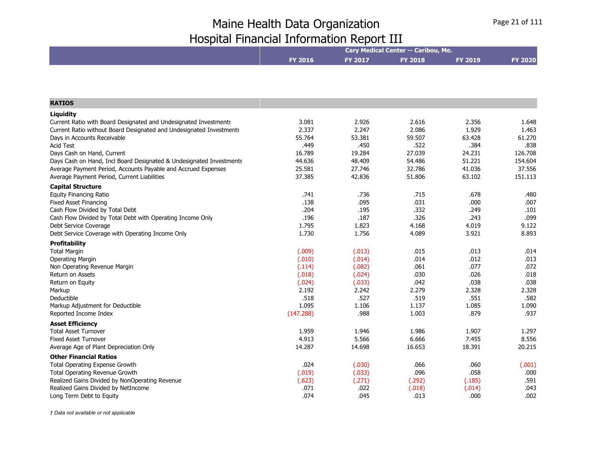|                                                                     |                |                | Cary Medical Center -- Caribou, Me. |                |                |
|---------------------------------------------------------------------|----------------|----------------|-------------------------------------|----------------|----------------|
|                                                                     | <b>FY 2016</b> | <b>FY 2017</b> | <b>FY 2018</b>                      | <b>FY 2019</b> | <b>FY 2020</b> |
|                                                                     |                |                |                                     |                |                |
|                                                                     |                |                |                                     |                |                |
| <b>RATIOS</b>                                                       |                |                |                                     |                |                |
| Liquidity                                                           |                |                |                                     |                |                |
| Current Ratio with Board Designated and Undesignated Investments    | 3.081          | 2.926          | 2.616                               | 2.356          | 1.648          |
| Current Ratio without Board Designated and Undesignated Investments | 2.337          | 2.247          | 2.086                               | 1.929          | 1.463          |
| Days in Accounts Receivable                                         | 55.764         | 53.381         | 59.507                              | 63.428         | 61.270         |
| <b>Acid Test</b>                                                    | .449           | .450           | .522                                | .384           | .838           |
| Days Cash on Hand, Current                                          | 16.789         | 19.284         | 27.039                              | 24.231         | 126.708        |
| Days Cash on Hand, Incl Board Designated & Undesignated Investments | 44.636         | 48.409         | 54.486                              | 51.221         | 154.604        |
| Average Payment Period, Accounts Payable and Accrued Expenses       | 25.581         | 27.746         | 32.786                              | 41.036         | 37.556         |
| Average Payment Period, Current Liabilities                         | 37.385         | 42.836         | 51.806                              | 63.102         | 151.113        |
| <b>Capital Structure</b>                                            |                |                |                                     |                |                |
| <b>Equity Financing Ratio</b>                                       | .741           | .736           | .715                                | .678           | .480           |
| <b>Fixed Asset Financing</b>                                        | .138           | .095           | .031                                | .000           | .007           |
| Cash Flow Divided by Total Debt                                     | .204           | .195           | .332                                | .249           | .101           |
| Cash Flow Divided by Total Debt with Operating Income Only          | .196           | .187           | .326                                | .243           | .099           |
| Debt Service Coverage                                               | 1.795          | 1.823          | 4.168                               | 4.019          | 9.122          |
| Debt Service Coverage with Operating Income Only                    | 1.730          | 1.756          | 4.089                               | 3.921          | 8.893          |
| <b>Profitability</b>                                                |                |                |                                     |                |                |
| <b>Total Margin</b>                                                 | (.009)         | (.013)         | .015                                | .013           | .014           |
| <b>Operating Margin</b>                                             | (.010)         | (.014)         | .014                                | .012           | .013           |
| Non Operating Revenue Margin                                        | (.114)         | (.082)         | .061                                | .077           | .072           |
| <b>Return on Assets</b>                                             | (.018)         | (.024)         | .030                                | .026           | .018           |
| Return on Equity                                                    | (.024)         | (.033)         | .042                                | .038           | .038           |
| Markup                                                              | 2.192          | 2.242          | 2.279                               | 2.328          | 2.328          |
| Deductible                                                          | .518           | .527           | .519                                | .551           | .582           |
| Markup Adjustment for Deductible                                    | 1.095          | 1.106          | 1.137                               | 1.085          | 1.090          |
| Reported Income Index                                               | (147.288)      | .988           | 1.003                               | .879           | .937           |
| <b>Asset Efficiency</b>                                             |                |                |                                     |                |                |
| <b>Total Asset Turnover</b>                                         | 1.959          | 1.946          | 1.986                               | 1.907          | 1.297          |
| <b>Fixed Asset Turnover</b>                                         | 4.913          | 5.566          | 6.666                               | 7.455          | 8.556          |
| Average Age of Plant Depreciation Only                              | 14.287         | 14.698         | 16.653                              | 18.391         | 20.215         |
| <b>Other Financial Ratios</b>                                       |                |                |                                     |                |                |
| Total Operating Expense Growth                                      | .024           | (.030)         | .066                                | .060           | (.001)         |
| Total Operating Revenue Growth                                      | (.019)         | (.033)         | .096                                | .058           | .000           |
| Realized Gains Divided by NonOperating Revenue                      | (.623)         | (.271)         | (.292)                              | (.185)         | .591           |
| Realized Gains Divided by NetIncome                                 | .071           | .022           | (.018)                              | (.014)         | .043           |
| Long Term Debt to Equity                                            | .074           | .045           | .013                                | .000           | .002           |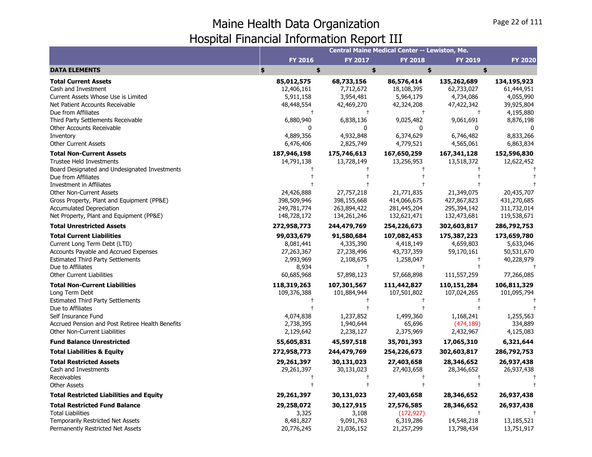|                                                                                                                                                                                                                |                                                                           |                                                                                   | <b>Central Maine Medical Center -- Lewiston, Me.</b>                            |                                                       |                                                                    |
|----------------------------------------------------------------------------------------------------------------------------------------------------------------------------------------------------------------|---------------------------------------------------------------------------|-----------------------------------------------------------------------------------|---------------------------------------------------------------------------------|-------------------------------------------------------|--------------------------------------------------------------------|
|                                                                                                                                                                                                                | FY 2016                                                                   | <b>FY 2017</b>                                                                    | <b>FY 2018</b>                                                                  | FY 2019                                               | <b>FY 2020</b>                                                     |
| <b>DATA ELEMENTS</b>                                                                                                                                                                                           | \$<br>\$                                                                  | \$                                                                                | \$                                                                              | \$                                                    |                                                                    |
| <b>Total Current Assets</b><br>Cash and Investment<br>Current Assets Whose Use is Limited                                                                                                                      | 85,012,575<br>12,406,161<br>5,911,158                                     | 68,733,156<br>7,712,672<br>3,954,481                                              | 86,576,414<br>18,108,395<br>5,964,179                                           | 135,262,689<br>62,733,027<br>4,734,086                | 134,195,923<br>61,444,951<br>4,055,990                             |
| Net Patient Accounts Receivable<br>Due from Affiliates                                                                                                                                                         | 48,448,554<br>$\ddagger$                                                  | 42,469,270<br>$\ddagger$                                                          | 42,324,208<br>$\ddagger$                                                        | 47,422,342<br>$\ddagger$                              | 39,925,804<br>4,195,880                                            |
| Third Party Settlements Receivable<br>Other Accounts Receivable<br>Inventory                                                                                                                                   | 6,880,940<br>ŋ<br>4,889,356                                               | 6,838,136<br>O<br>4,932,848                                                       | 9,025,482<br>$\Omega$<br>6,374,629                                              | 9,061,691<br>0<br>6,746,482                           | 8,876,198<br>$\Omega$<br>8,833,266                                 |
| <b>Other Current Assets</b>                                                                                                                                                                                    | 6,476,406                                                                 | 2,825,749                                                                         | 4,779,521                                                                       | 4,565,061                                             | 6,863,834                                                          |
| <b>Total Non-Current Assets</b><br><b>Trustee Held Investments</b><br>Board Designated and Undesignated Investments                                                                                            | 187,946,198<br>14,791,138                                                 | 175,746,613<br>13,728,149                                                         | 167,650,259<br>13,256,953                                                       | 167,341,128<br>13,518,372                             | 152,596,830<br>12,622,452                                          |
| Due from Affiliates<br>Investment in Affiliates<br><b>Other Non-Current Assets</b>                                                                                                                             | 24,426,888                                                                | 27,757,218                                                                        | 21,771,835                                                                      | 21,349,075                                            | 20,435,707                                                         |
| Gross Property, Plant and Equipment (PP&E)<br><b>Accumulated Depreciation</b><br>Net Property, Plant and Equipment (PP&E)                                                                                      | 398,509,946<br>249,781,774<br>148,728,172                                 | 398,155,668<br>263,894,422<br>134,261,246                                         | 414,066,675<br>281,445,204<br>132,621,471                                       | 427,867,823<br>295,394,142<br>132,473,681             | 431,270,685<br>311,732,014<br>119,538,671                          |
| <b>Total Unrestricted Assets</b>                                                                                                                                                                               | 272,958,773                                                               | 244,479,769                                                                       | 254,226,673                                                                     | 302,603,817                                           | 286,792,753                                                        |
| <b>Total Current Liabilities</b><br>Current Long Term Debt (LTD)<br>Accounts Payable and Accrued Expenses<br><b>Estimated Third Party Settlements</b><br>Due to Affiliates<br><b>Other Current Liabilities</b> | 99,033,679<br>8,081,441<br>27,263,367<br>2,993,969<br>8,934<br>60,685,968 | 91,580,684<br>4,335,390<br>27,238,496<br>2,108,675<br>$^\mathrm{+}$<br>57,898,123 | 107,082,453<br>4,418,149<br>43,737,359<br>1,258,047<br>$\ddagger$<br>57,668,898 | 175,387,223<br>4,659,803<br>59,170,161<br>111,557,259 | 173,659,780<br>5,633,046<br>50,531,670<br>40,228,979<br>77,266,085 |
| <b>Total Non-Current Liabilities</b><br>Long Term Debt<br><b>Estimated Third Party Settlements</b>                                                                                                             | 118,319,263<br>109,376,388                                                | 107,301,567<br>101,884,944                                                        | 111,442,827<br>107,501,802                                                      | 110,151,284<br>107,024,265                            | 106,811,329<br>101,095,794                                         |
| Due to Affiliates<br>Self Insurance Fund<br>Accrued Pension and Post Retiree Health Benefits<br>Other Non-Current Liabilities                                                                                  | 4,074,838<br>2,738,395<br>2,129,642                                       | 1,237,852<br>1,940,644<br>2,238,127                                               | $\ddagger$<br>1,499,360<br>65,696<br>2,375,969                                  | 1,168,241<br>(474, 189)<br>2,432,967                  | 1,255,563<br>334,889<br>4,125,083                                  |
| <b>Fund Balance Unrestricted</b>                                                                                                                                                                               | 55,605,831                                                                | 45,597,518                                                                        | 35,701,393                                                                      | 17,065,310                                            | 6,321,644                                                          |
| <b>Total Liabilities &amp; Equity</b>                                                                                                                                                                          | 272,958,773                                                               | 244,479,769                                                                       | 254,226,673                                                                     | 302,603,817                                           | 286,792,753                                                        |
| <b>Total Restricted Assets</b><br>Cash and Investments<br>Receivables<br><b>Other Assets</b>                                                                                                                   | 29,261,397<br>29,261,397                                                  | 30,131,023<br>30,131,023<br>$^{+}$                                                | 27,403,658<br>27,403,658                                                        | 28,346,652<br>28,346,652                              | 26,937,438<br>26,937,438                                           |
| <b>Total Restricted Liabilities and Equity</b>                                                                                                                                                                 | 29,261,397                                                                | 30,131,023                                                                        | 27,403,658                                                                      | 28,346,652                                            | 26,937,438                                                         |
| <b>Total Restricted Fund Balance</b><br><b>Total Liabilities</b><br><b>Temporarily Restricted Net Assets</b><br>Permanently Restricted Net Assets                                                              | 29,258,072<br>3,325<br>8,481,827<br>20,776,245                            | 30,127,915<br>3,108<br>9,091,763<br>21,036,152                                    | 27,576,585<br>(172, 927)<br>6,319,286<br>21,257,299                             | 28,346,652<br>14,548,218<br>13,798,434                | 26,937,438<br>13,185,521<br>13,751,917                             |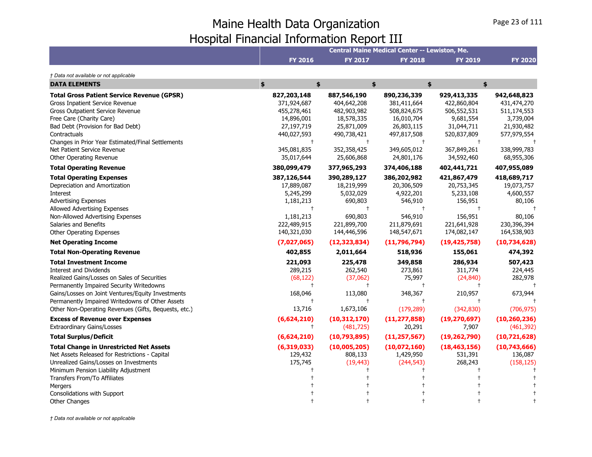|                                                                                                                                                                                                                                                                                                                                                                                                                                                                                                                                      |                                                                                                                                                                                                    |                                                                                                                                                                                          | Central Maine Medical Center -- Lewiston, Me.                                                                                                                                                |                                                                                                                                                                                      |                                                                                                                                                                 |
|--------------------------------------------------------------------------------------------------------------------------------------------------------------------------------------------------------------------------------------------------------------------------------------------------------------------------------------------------------------------------------------------------------------------------------------------------------------------------------------------------------------------------------------|----------------------------------------------------------------------------------------------------------------------------------------------------------------------------------------------------|------------------------------------------------------------------------------------------------------------------------------------------------------------------------------------------|----------------------------------------------------------------------------------------------------------------------------------------------------------------------------------------------|--------------------------------------------------------------------------------------------------------------------------------------------------------------------------------------|-----------------------------------------------------------------------------------------------------------------------------------------------------------------|
|                                                                                                                                                                                                                                                                                                                                                                                                                                                                                                                                      | <b>FY 2016</b>                                                                                                                                                                                     | <b>FY 2017</b>                                                                                                                                                                           | <b>FY 2018</b>                                                                                                                                                                               | <b>FY 2019</b>                                                                                                                                                                       | <b>FY 2020</b>                                                                                                                                                  |
| † Data not available or not applicable                                                                                                                                                                                                                                                                                                                                                                                                                                                                                               |                                                                                                                                                                                                    |                                                                                                                                                                                          |                                                                                                                                                                                              |                                                                                                                                                                                      |                                                                                                                                                                 |
| <b>DATA ELEMENTS</b>                                                                                                                                                                                                                                                                                                                                                                                                                                                                                                                 | \$<br>\$                                                                                                                                                                                           |                                                                                                                                                                                          | \$                                                                                                                                                                                           | \$<br>\$                                                                                                                                                                             |                                                                                                                                                                 |
| <b>Total Gross Patient Service Revenue (GPSR)</b><br><b>Gross Inpatient Service Revenue</b><br>Gross Outpatient Service Revenue<br>Free Care (Charity Care)<br>Bad Debt (Provision for Bad Debt)<br>Contractuals<br>Changes in Prior Year Estimated/Final Settlements<br>Net Patient Service Revenue<br>Other Operating Revenue                                                                                                                                                                                                      | 827,203,148<br>371,924,687<br>455,278,461<br>14,896,001<br>27,197,719<br>440,027,593<br>$\ddagger$<br>345,081,835<br>35,017,644                                                                    | 887,546,190<br>404,642,208<br>482,903,982<br>18,578,335<br>25,871,009<br>490,738,421<br>$^{+}$<br>352,358,425<br>25,606,868                                                              | 890,236,339<br>381,411,664<br>508,824,675<br>16,010,704<br>26,803,115<br>497,817,508<br>$\ddagger$<br>349,605,012<br>24,801,176                                                              | 929,413,335<br>422,860,804<br>506,552,531<br>9,681,554<br>31,044,711<br>520,837,809<br>367,849,261<br>34,592,460                                                                     | 942,648,823<br>431,474,270<br>511,174,553<br>3,739,004<br>21,930,482<br>577,979,554<br>338,999,783<br>68,955,306                                                |
| <b>Total Operating Revenue</b>                                                                                                                                                                                                                                                                                                                                                                                                                                                                                                       | 380,099,479                                                                                                                                                                                        | 377,965,293                                                                                                                                                                              | 374,406,188                                                                                                                                                                                  | 402,441,721                                                                                                                                                                          | 407,955,089                                                                                                                                                     |
| <b>Total Operating Expenses</b><br>Depreciation and Amortization<br><b>Interest</b><br><b>Advertising Expenses</b><br>Allowed Advertising Expenses<br>Non-Allowed Advertising Expenses<br>Salaries and Benefits<br>Other Operating Expenses<br><b>Net Operating Income</b><br><b>Total Non-Operating Revenue</b><br><b>Total Investment Income</b><br><b>Interest and Dividends</b><br>Realized Gains/Losses on Sales of Securities<br>Permanently Impaired Security Writedowns<br>Gains/Losses on Joint Ventures/Equity Investments | 387,126,544<br>17,889,087<br>5,245,299<br>1,181,213<br>$\ddagger$<br>1,181,213<br>222,489,915<br>140,321,030<br>(7,027,065)<br>402,855<br>221,093<br>289,215<br>(68, 122)<br>$\ddagger$<br>168,046 | 390,289,127<br>18,219,999<br>5,032,029<br>690,803<br>$\pm$<br>690,803<br>221,899,700<br>144,446,596<br>(12, 323, 834)<br>2,011,664<br>225,478<br>262,540<br>(37,062)<br>$\pm$<br>113,080 | 386,202,982<br>20,306,509<br>4,922,201<br>546,910<br>$\ddagger$<br>546,910<br>211,879,691<br>148,547,671<br>(11,796,794)<br>518,936<br>349,858<br>273,861<br>75,997<br>$\ddagger$<br>348,367 | 421,867,479<br>20,753,345<br>5,233,108<br>156,951<br>156,951<br>221,641,928<br>174,082,147<br>(19, 425, 758)<br>155,061<br>286,934<br>311,774<br>(24, 840)<br>$\mathbf +$<br>210,957 | 418,689,717<br>19,073,757<br>4,600,557<br>80,106<br>80,106<br>230,396,394<br>164,538,903<br>(10,734,628)<br>474,392<br>507,423<br>224,445<br>282,978<br>673,944 |
| Permanently Impaired Writedowns of Other Assets                                                                                                                                                                                                                                                                                                                                                                                                                                                                                      | $\mathbf +$                                                                                                                                                                                        | $\pm$                                                                                                                                                                                    | $\ddagger$                                                                                                                                                                                   |                                                                                                                                                                                      |                                                                                                                                                                 |
| Other Non-Operating Revenues (Gifts, Bequests, etc.)<br><b>Excess of Revenue over Expenses</b><br><b>Extraordinary Gains/Losses</b>                                                                                                                                                                                                                                                                                                                                                                                                  | 13,716<br>(6,624,210)<br>$\pm$                                                                                                                                                                     | 1,673,106<br>(10, 312, 170)<br>(481, 725)                                                                                                                                                | (179, 289)<br>(11, 277, 858)<br>20,291                                                                                                                                                       | (342, 830)<br>(19, 270, 697)<br>7,907                                                                                                                                                | (706, 975)<br>(10, 260, 236)<br>(461, 392)                                                                                                                      |
| <b>Total Surplus/Deficit</b>                                                                                                                                                                                                                                                                                                                                                                                                                                                                                                         | (6,624,210)                                                                                                                                                                                        | (10,793,895)                                                                                                                                                                             | (11, 257, 567)                                                                                                                                                                               | (19, 262, 790)                                                                                                                                                                       | (10,721,628)                                                                                                                                                    |
| <b>Total Change in Unrestricted Net Assets</b><br>Net Assets Released for Restrictions - Capital<br>Unrealized Gains/Losses on Investments<br>Minimum Pension Liability Adjustment<br>Transfers From/To Affiliates<br>Mergers                                                                                                                                                                                                                                                                                                        | (6,319,033)<br>129,432<br>175,745                                                                                                                                                                  | (10,005,205)<br>808,133<br>(19, 443)                                                                                                                                                     | (10,072,160)<br>1,429,950<br>(244, 543)                                                                                                                                                      | (18, 463, 156)<br>531,391<br>268,243                                                                                                                                                 | (10,743,666)<br>136,087<br>(158, 125)                                                                                                                           |
| Consolidations with Support<br><b>Other Changes</b>                                                                                                                                                                                                                                                                                                                                                                                                                                                                                  |                                                                                                                                                                                                    |                                                                                                                                                                                          |                                                                                                                                                                                              |                                                                                                                                                                                      |                                                                                                                                                                 |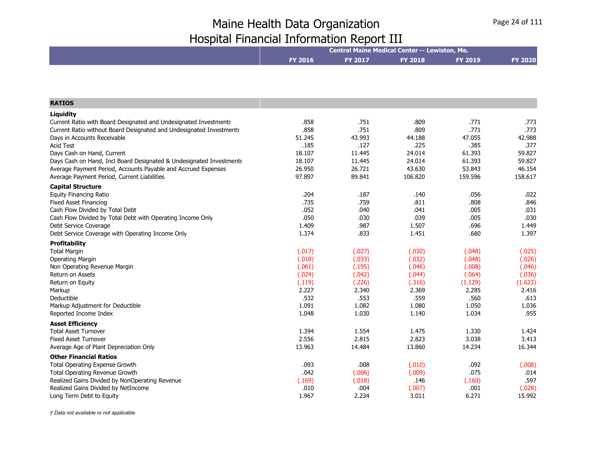|                                                                                     |                  |                  | Central Maine Medical Center -- Lewiston, Me. |                  |                  |
|-------------------------------------------------------------------------------------|------------------|------------------|-----------------------------------------------|------------------|------------------|
|                                                                                     |                  |                  |                                               |                  |                  |
|                                                                                     | <b>FY 2016</b>   | FY 2017          | <b>FY 2018</b>                                | <b>FY 2019</b>   | <b>FY 2020</b>   |
|                                                                                     |                  |                  |                                               |                  |                  |
|                                                                                     |                  |                  |                                               |                  |                  |
|                                                                                     |                  |                  |                                               |                  |                  |
| <b>RATIOS</b>                                                                       |                  |                  |                                               |                  |                  |
|                                                                                     |                  |                  |                                               |                  |                  |
| Liquidity                                                                           |                  |                  |                                               |                  |                  |
| Current Ratio with Board Designated and Undesignated Investments                    | .858<br>.858     | .751<br>.751     | .809                                          | .771<br>.771     | .773             |
| Current Ratio without Board Designated and Undesignated Investments                 |                  | 43.993           | .809                                          |                  | .773             |
| Days in Accounts Receivable<br><b>Acid Test</b>                                     | 51.245<br>.185   | .127             | 44.188<br>.225                                | 47.055<br>.385   | 42.988<br>.377   |
| Days Cash on Hand, Current                                                          | 18.107           | 11.445           | 24.014                                        | 61.393           | 59.827           |
| Days Cash on Hand, Incl Board Designated & Undesignated Investments                 | 18.107           | 11.445           | 24.014                                        | 61.393           | 59.827           |
| Average Payment Period, Accounts Payable and Accrued Expenses                       | 26.950           | 26.721           | 43.630                                        | 53.843           | 46.154           |
| Average Payment Period, Current Liabilities                                         | 97.897           | 89.841           | 106.820                                       | 159.596          | 158.617          |
|                                                                                     |                  |                  |                                               |                  |                  |
| <b>Capital Structure</b>                                                            |                  |                  |                                               |                  |                  |
| <b>Equity Financing Ratio</b>                                                       | .204             | .187<br>.759     | .140                                          | .056             | .022             |
| <b>Fixed Asset Financing</b>                                                        | .735<br>.052     |                  | .811                                          | .808             | .846             |
| Cash Flow Divided by Total Debt                                                     | .050             | .040<br>.030     | .041<br>.039                                  | .005<br>.005     | .031<br>.030     |
| Cash Flow Divided by Total Debt with Operating Income Only<br>Debt Service Coverage | 1.409            | .987             | 1.507                                         | .696             | 1.449            |
| Debt Service Coverage with Operating Income Only                                    | 1.374            | .833             | 1.451                                         | .680             | 1.397            |
|                                                                                     |                  |                  |                                               |                  |                  |
| <b>Profitability</b>                                                                |                  |                  |                                               |                  |                  |
| <b>Total Margin</b>                                                                 | (.017)           | (.027)           | (.030)                                        | (.048)           | (.025)           |
| <b>Operating Margin</b>                                                             | (.018)<br>(.061) | (.033)<br>(.195) | (.032)<br>(.046)                              | (.048)           | (.026)<br>(.046) |
| Non Operating Revenue Margin<br>Return on Assets                                    | (.024)           | (.042)           | (.044)                                        | (.008)<br>(.064) | (.036)           |
| Return on Equity                                                                    | (.119)           | (.226)           | (.316)                                        | (1.129)          | (1.623)          |
| Markup                                                                              | 2.227            | 2.340            | 2.369                                         | 2.285            | 2.416            |
| Deductible                                                                          | .532             | .553             | .559                                          | .560             | .613             |
| Markup Adjustment for Deductible                                                    | 1.091            | 1.082            | 1.080                                         | 1.050            | 1.036            |
| Reported Income Index                                                               | 1.048            | 1.030            | 1.140                                         | 1.034            | .955             |
| <b>Asset Efficiency</b>                                                             |                  |                  |                                               |                  |                  |
| <b>Total Asset Turnover</b>                                                         | 1.394            | 1.554            | 1.475                                         | 1.330            | 1.424            |
| <b>Fixed Asset Turnover</b>                                                         | 2.556            | 2.815            | 2.823                                         | 3.038            | 3.413            |
| Average Age of Plant Depreciation Only                                              | 13.963           | 14.484           | 13.860                                        | 14.234           | 16.344           |
|                                                                                     |                  |                  |                                               |                  |                  |
| <b>Other Financial Ratios</b>                                                       |                  |                  |                                               |                  |                  |
| Total Operating Expense Growth<br><b>Total Operating Revenue Growth</b>             | .093<br>.042     | .008             | (.010)<br>(.009)                              | .092<br>.075     | (.008)           |
| Realized Gains Divided by NonOperating Revenue                                      | (.169)           | (.006)<br>(.018) | .146                                          | (.160)           | .014<br>.597     |
| Realized Gains Divided by NetIncome                                                 | .010             | .004             | (.007)                                        | .001             | (.028)           |
| Long Term Debt to Equity                                                            | 1.967            | 2.234            | 3.011                                         | 6.271            | 15.992           |
|                                                                                     |                  |                  |                                               |                  |                  |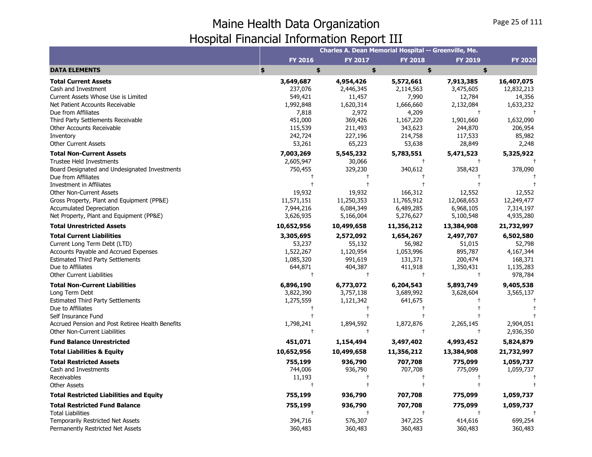|                                                  |                | <b>Charles A. Dean Memorial Hospital -- Greenville, Me.</b> |                |                |                |
|--------------------------------------------------|----------------|-------------------------------------------------------------|----------------|----------------|----------------|
|                                                  | <b>FY 2016</b> | <b>FY 2017</b>                                              | <b>FY 2018</b> | <b>FY 2019</b> | <b>FY 2020</b> |
| <b>DATA ELEMENTS</b>                             | \$<br>\$       | \$                                                          | \$             | \$             |                |
| <b>Total Current Assets</b>                      | 3,649,687      | 4,954,426                                                   | 5,572,661      | 7,913,385      | 16,407,075     |
| Cash and Investment                              | 237,076        | 2,446,345                                                   | 2,114,563      | 3,475,605      | 12,832,213     |
| Current Assets Whose Use is Limited              | 549,421        | 11,457                                                      | 7,990          | 12,784         | 14,356         |
| Net Patient Accounts Receivable                  | 1,992,848      | 1,620,314                                                   | 1,666,660      | 2,132,084      | 1,633,232      |
| Due from Affiliates                              | 7,818          | 2,972                                                       | 4,209          | $\ddagger$     |                |
| Third Party Settlements Receivable               | 451,000        | 369,426                                                     | 1,167,220      | 1,901,660      | 1,632,090      |
| Other Accounts Receivable                        | 115,539        | 211,493                                                     | 343,623        | 244,870        | 206,954        |
| Inventory                                        | 242,724        | 227,196                                                     | 214,758        | 117,533        | 85,982         |
| <b>Other Current Assets</b>                      | 53,261         | 65,223                                                      | 53,638         | 28,849         | 2,248          |
| <b>Total Non-Current Assets</b>                  | 7,003,269      | 5,545,232                                                   | 5,783,551      | 5,471,523      | 5,325,922      |
| <b>Trustee Held Investments</b>                  | 2,605,947      | 30,066                                                      | $\ddagger$     | $\ddagger$     |                |
| Board Designated and Undesignated Investments    | 750,455        | 329,230                                                     | 340,612        | 358,423        | 378,090        |
| Due from Affiliates                              |                |                                                             |                |                |                |
| Investment in Affiliates                         |                | $\ddagger$                                                  | $\ddagger$     |                |                |
| <b>Other Non-Current Assets</b>                  | 19,932         | 19,932                                                      | 166,312        | 12,552         | 12,552         |
| Gross Property, Plant and Equipment (PP&E)       | 11,571,151     | 11,250,353                                                  | 11,765,912     | 12,068,653     | 12,249,477     |
| <b>Accumulated Depreciation</b>                  | 7,944,216      | 6,084,349                                                   | 6,489,285      | 6,968,105      | 7,314,197      |
| Net Property, Plant and Equipment (PP&E)         | 3,626,935      | 5,166,004                                                   | 5,276,627      | 5,100,548      | 4,935,280      |
| <b>Total Unrestricted Assets</b>                 | 10,652,956     | 10,499,658                                                  | 11,356,212     | 13,384,908     | 21,732,997     |
| <b>Total Current Liabilities</b>                 | 3,305,695      | 2,572,092                                                   | 1,654,267      | 2,497,707      | 6,502,580      |
| Current Long Term Debt (LTD)                     | 53,237         | 55,132                                                      | 56,982         | 51,015         | 52,798         |
| Accounts Payable and Accrued Expenses            | 1,522,267      | 1,120,954                                                   | 1,053,996      | 895,787        | 4,167,344      |
| <b>Estimated Third Party Settlements</b>         | 1,085,320      | 991,619                                                     | 131,371        | 200,474        | 168,371        |
| Due to Affiliates                                | 644,871        | 404,387                                                     | 411,918        | 1,350,431      | 1,135,283      |
| <b>Other Current Liabilities</b>                 | $\pm$          | $\ddagger$                                                  | $\ddagger$     | $\ddagger$     | 978,784        |
| <b>Total Non-Current Liabilities</b>             | 6,896,190      | 6,773,072                                                   | 6,204,543      | 5,893,749      | 9,405,538      |
| Long Term Debt                                   | 3,822,390      | 3,757,138                                                   | 3,689,992      | 3,628,604      | 3,565,137      |
| <b>Estimated Third Party Settlements</b>         | 1,275,559      | 1,121,342                                                   | 641,675        |                |                |
| Due to Affiliates                                | $\ddagger$     | $^{+}$                                                      | $\ddagger$     |                |                |
| Self Insurance Fund                              |                |                                                             |                |                |                |
| Accrued Pension and Post Retiree Health Benefits | 1,798,241      | 1,894,592                                                   | 1,872,876      | 2,265,145      | 2,904,051      |
| <b>Other Non-Current Liabilities</b>             | $\pm$          | $^{+}$                                                      | $\ddagger$     | $^\mathrm{+}$  | 2,936,350      |
| <b>Fund Balance Unrestricted</b>                 | 451,071        | 1,154,494                                                   | 3,497,402      | 4,993,452      | 5,824,879      |
| <b>Total Liabilities &amp; Equity</b>            | 10,652,956     | 10,499,658                                                  | 11,356,212     | 13,384,908     | 21,732,997     |
| <b>Total Restricted Assets</b>                   | 755,199        | 936,790                                                     | 707,708        | 775,099        | 1,059,737      |
| Cash and Investments                             | 744,006        | 936,790                                                     | 707,708        | 775,099        | 1,059,737      |
| Receivables                                      | 11,193         | $\ddagger$                                                  | $\overline{1}$ |                |                |
| <b>Other Assets</b>                              | $\ddagger$     | $\ddagger$                                                  | $\ddagger$     |                |                |
| <b>Total Restricted Liabilities and Equity</b>   | 755,199        | 936,790                                                     | 707,708        | 775,099        | 1,059,737      |
| <b>Total Restricted Fund Balance</b>             | 755,199        | 936,790                                                     | 707,708        | 775,099        | 1,059,737      |
| <b>Total Liabilities</b>                         | $\ddagger$     | $\ddagger$                                                  | $\overline{1}$ |                |                |
| Temporarily Restricted Net Assets                | 394,716        | 576,307                                                     | 347,225        | 414,616        | 699,254        |
| Permanently Restricted Net Assets                | 360,483        | 360,483                                                     | 360,483        | 360,483        | 360,483        |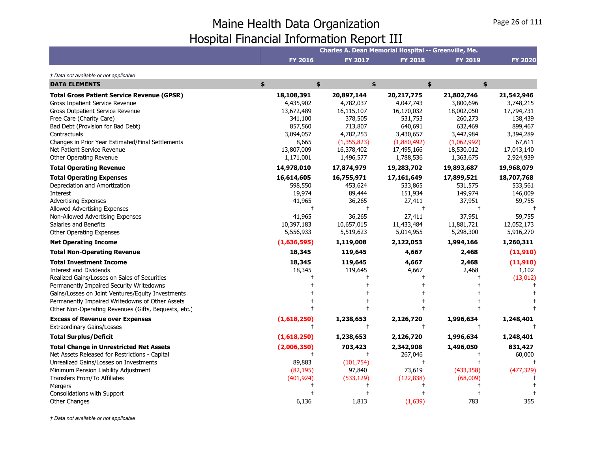|                                                                                                                                                                                                                                                                                                                                 | Charles A. Dean Memorial Hospital -- Greenville, Me.                                                         |                                                                                                                    |                                                                                                                      |                                                                                                                    |                                                                                                               |  |
|---------------------------------------------------------------------------------------------------------------------------------------------------------------------------------------------------------------------------------------------------------------------------------------------------------------------------------|--------------------------------------------------------------------------------------------------------------|--------------------------------------------------------------------------------------------------------------------|----------------------------------------------------------------------------------------------------------------------|--------------------------------------------------------------------------------------------------------------------|---------------------------------------------------------------------------------------------------------------|--|
|                                                                                                                                                                                                                                                                                                                                 | <b>FY 2016</b>                                                                                               | <b>FY 2017</b>                                                                                                     | <b>FY 2018</b>                                                                                                       | <b>FY 2019</b>                                                                                                     | <b>FY 2020</b>                                                                                                |  |
| † Data not available or not applicable                                                                                                                                                                                                                                                                                          |                                                                                                              |                                                                                                                    |                                                                                                                      |                                                                                                                    |                                                                                                               |  |
| <b>DATA ELEMENTS</b>                                                                                                                                                                                                                                                                                                            | \$<br>\$                                                                                                     |                                                                                                                    | \$                                                                                                                   | \$<br>\$                                                                                                           |                                                                                                               |  |
| <b>Total Gross Patient Service Revenue (GPSR)</b><br>Gross Inpatient Service Revenue<br><b>Gross Outpatient Service Revenue</b><br>Free Care (Charity Care)<br>Bad Debt (Provision for Bad Debt)<br>Contractuals<br>Changes in Prior Year Estimated/Final Settlements<br>Net Patient Service Revenue<br>Other Operating Revenue | 18,108,391<br>4,435,902<br>13,672,489<br>341,100<br>857,560<br>3,094,057<br>8,665<br>13,807,009<br>1,171,001 | 20,897,144<br>4,782,037<br>16,115,107<br>378,505<br>713,807<br>4,782,253<br>(1,355,823)<br>16,378,402<br>1,496,577 | 20, 217, 775<br>4,047,743<br>16,170,032<br>531,753<br>640,691<br>3,430,657<br>(1,880,492)<br>17,495,166<br>1,788,536 | 21,802,746<br>3,800,696<br>18,002,050<br>260,273<br>632,469<br>3,442,984<br>(1,062,992)<br>18,530,012<br>1,363,675 | 21,542,946<br>3,748,215<br>17,794,731<br>138,439<br>899,467<br>3,394,289<br>67,611<br>17,043,140<br>2,924,939 |  |
| <b>Total Operating Revenue</b>                                                                                                                                                                                                                                                                                                  | 14,978,010                                                                                                   | 17,874,979                                                                                                         | 19,283,702                                                                                                           | 19,893,687                                                                                                         | 19,968,079                                                                                                    |  |
| <b>Total Operating Expenses</b><br>Depreciation and Amortization<br>Interest<br><b>Advertising Expenses</b><br><b>Allowed Advertising Expenses</b><br>Non-Allowed Advertising Expenses<br>Salaries and Benefits<br>Other Operating Expenses                                                                                     | 16,614,605<br>598,550<br>19,974<br>41,965<br>$\ddagger$<br>41,965<br>10,397,183<br>5,556,933                 | 16,755,971<br>453,624<br>89,444<br>36,265<br>$\ddagger$<br>36,265<br>10,657,015<br>5,519,623                       | 17,161,649<br>533,865<br>151,934<br>27,411<br>$\ddagger$<br>27,411<br>11,433,484<br>5,014,955                        | 17,899,521<br>531,575<br>149,974<br>37,951<br>$^{+}$<br>37,951<br>11,881,721<br>5,298,300                          | 18,707,768<br>533,561<br>146,009<br>59,755<br>59,755<br>12,052,173<br>5,916,270                               |  |
| <b>Net Operating Income</b>                                                                                                                                                                                                                                                                                                     | (1,636,595)                                                                                                  | 1,119,008                                                                                                          | 2,122,053                                                                                                            | 1,994,166                                                                                                          | 1,260,311                                                                                                     |  |
| <b>Total Non-Operating Revenue</b>                                                                                                                                                                                                                                                                                              | 18,345                                                                                                       | 119,645                                                                                                            | 4,667                                                                                                                | 2,468                                                                                                              | (11, 910)                                                                                                     |  |
| <b>Total Investment Income</b><br><b>Interest and Dividends</b><br>Realized Gains/Losses on Sales of Securities<br>Permanently Impaired Security Writedowns<br>Gains/Losses on Joint Ventures/Equity Investments<br>Permanently Impaired Writedowns of Other Assets<br>Other Non-Operating Revenues (Gifts, Bequests, etc.)     | 18,345<br>18,345                                                                                             | 119,645<br>119,645                                                                                                 | 4,667<br>4,667                                                                                                       | 2,468<br>2,468                                                                                                     | (11,910)<br>1,102<br>(13, 012)                                                                                |  |
| <b>Excess of Revenue over Expenses</b><br><b>Extraordinary Gains/Losses</b>                                                                                                                                                                                                                                                     | (1,618,250)<br>$\ddagger$                                                                                    | 1,238,653<br>$\ddagger$                                                                                            | 2,126,720<br>$\ddagger$                                                                                              | 1,996,634                                                                                                          | 1,248,401                                                                                                     |  |
| <b>Total Surplus/Deficit</b>                                                                                                                                                                                                                                                                                                    | (1,618,250)                                                                                                  | 1,238,653                                                                                                          | 2,126,720                                                                                                            | 1,996,634                                                                                                          | 1,248,401                                                                                                     |  |
| <b>Total Change in Unrestricted Net Assets</b><br>Net Assets Released for Restrictions - Capital<br>Unrealized Gains/Losses on Investments<br>Minimum Pension Liability Adjustment<br>Transfers From/To Affiliates                                                                                                              | (2,006,350)<br>$\pm$<br>89,883<br>(82, 195)<br>(401, 924)                                                    | 703,423<br>$\pm$<br>(101, 754)<br>97,840<br>(533, 129)                                                             | 2,342,908<br>267,046<br>$\ddagger$<br>73,619<br>(122, 838)                                                           | 1,496,050<br>(433, 358)<br>(68,009)                                                                                | 831,427<br>60,000<br>(477, 329)                                                                               |  |
| Mergers                                                                                                                                                                                                                                                                                                                         |                                                                                                              |                                                                                                                    |                                                                                                                      |                                                                                                                    |                                                                                                               |  |
| Consolidations with Support<br>Other Changes                                                                                                                                                                                                                                                                                    | 6,136                                                                                                        | 1,813                                                                                                              | (1,639)                                                                                                              | 783                                                                                                                | 355                                                                                                           |  |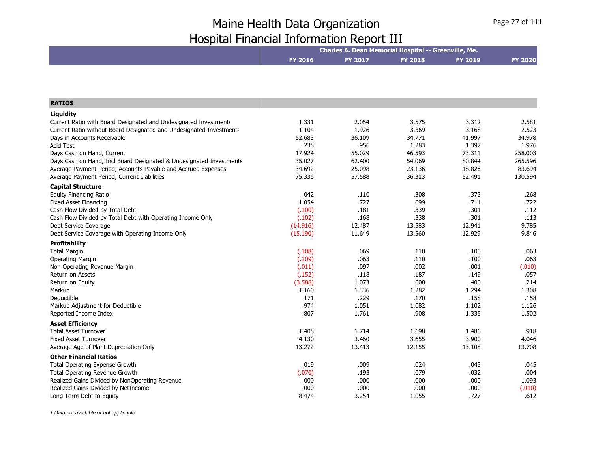|                                                                     | Charles A. Dean Memorial Hospital -- Greenville, Me. |                |                |                |                |  |
|---------------------------------------------------------------------|------------------------------------------------------|----------------|----------------|----------------|----------------|--|
|                                                                     | FY 2016                                              | <b>FY 2017</b> | <b>FY 2018</b> | <b>FY 2019</b> | <b>FY 2020</b> |  |
|                                                                     |                                                      |                |                |                |                |  |
|                                                                     |                                                      |                |                |                |                |  |
|                                                                     |                                                      |                |                |                |                |  |
| <b>RATIOS</b>                                                       |                                                      |                |                |                |                |  |
| Liquidity                                                           |                                                      |                |                |                |                |  |
| Current Ratio with Board Designated and Undesignated Investments    | 1.331                                                | 2.054          | 3.575          | 3.312          | 2.581          |  |
| Current Ratio without Board Designated and Undesignated Investments | 1.104                                                | 1.926          | 3.369          | 3.168          | 2.523          |  |
| Days in Accounts Receivable                                         | 52.683                                               | 36.109         | 34.771         | 41.997         | 34.978         |  |
| <b>Acid Test</b>                                                    | .238                                                 | .956           | 1.283          | 1.397          | 1.976          |  |
| Days Cash on Hand, Current                                          | 17.924                                               | 55.029         | 46.593         | 73.311         | 258,003        |  |
| Days Cash on Hand, Incl Board Designated & Undesignated Investments | 35.027                                               | 62.400         | 54.069         | 80.844         | 265.596        |  |
| Average Payment Period, Accounts Payable and Accrued Expenses       | 34.692                                               | 25.098         | 23.136         | 18.826         | 83.694         |  |
| Average Payment Period, Current Liabilities                         | 75.336                                               | 57.588         | 36.313         | 52.491         | 130.594        |  |
| <b>Capital Structure</b>                                            |                                                      |                |                |                |                |  |
| <b>Equity Financing Ratio</b>                                       | .042                                                 | .110           | .308           | .373           | .268           |  |
| <b>Fixed Asset Financing</b>                                        | 1.054                                                | .727           | .699           | .711           | .722           |  |
| Cash Flow Divided by Total Debt                                     | (.100)                                               | .181           | .339           | .301           | .112           |  |
| Cash Flow Divided by Total Debt with Operating Income Only          | (.102)                                               | .168           | .338           | .301           | .113           |  |
| Debt Service Coverage                                               | (14.916)                                             | 12.487         | 13.583         | 12.941         | 9.785          |  |
| Debt Service Coverage with Operating Income Only                    | (15.190)                                             | 11.649         | 13.560         | 12.929         | 9.846          |  |
| Profitability                                                       |                                                      |                |                |                |                |  |
| <b>Total Margin</b>                                                 | (.108)                                               | .069           | .110           | .100           | .063           |  |
| <b>Operating Margin</b>                                             | (.109)                                               | .063           | .110           | .100           | .063           |  |
| Non Operating Revenue Margin                                        | (.011)                                               | .097           | .002           | .001           | (.010)         |  |
| Return on Assets                                                    | (.152)                                               | .118           | .187           | .149           | .057           |  |
| Return on Equity                                                    | (3.588)                                              | 1.073          | .608           | .400           | .214           |  |
| Markup                                                              | 1.160                                                | 1.336          | 1.282          | 1.294          | 1.308          |  |
| Deductible                                                          | .171                                                 | .229           | .170           | .158           | .158           |  |
| Markup Adjustment for Deductible                                    | .974                                                 | 1.051          | 1.082          | 1.102          | 1.126          |  |
| Reported Income Index                                               | .807                                                 | 1.761          | .908           | 1.335          | 1.502          |  |
| <b>Asset Efficiency</b>                                             |                                                      |                |                |                |                |  |
| <b>Total Asset Turnover</b>                                         | 1.408                                                | 1.714          | 1.698          | 1.486          | .918           |  |
| <b>Fixed Asset Turnover</b>                                         | 4.130                                                | 3.460          | 3.655          | 3.900          | 4.046          |  |
| Average Age of Plant Depreciation Only                              | 13.272                                               | 13.413         | 12.155         | 13.108         | 13.708         |  |
| <b>Other Financial Ratios</b>                                       |                                                      |                |                |                |                |  |
| Total Operating Expense Growth                                      | .019                                                 | .009           | .024           | .043           | .045           |  |
| Total Operating Revenue Growth                                      | (.070)                                               | .193           | .079           | .032           | .004           |  |
| Realized Gains Divided by NonOperating Revenue                      | .000                                                 | .000           | .000           | .000           | 1.093          |  |
| Realized Gains Divided by NetIncome                                 | .000                                                 | .000           | .000           | .000           | (.010)         |  |
| Long Term Debt to Equity                                            | 8.474                                                | 3.254          | 1.055          | .727           | .612           |  |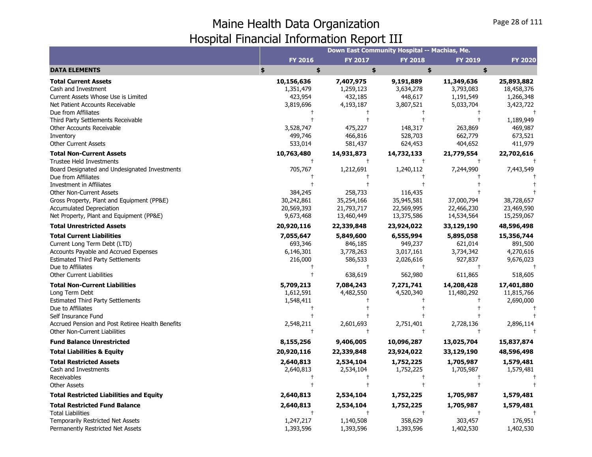|                                                                                                                                                                                                                                            |                                                                                   |                                                                       | Down East Community Hospital -- Machias, Me.                            |                                                                |                                                            |
|--------------------------------------------------------------------------------------------------------------------------------------------------------------------------------------------------------------------------------------------|-----------------------------------------------------------------------------------|-----------------------------------------------------------------------|-------------------------------------------------------------------------|----------------------------------------------------------------|------------------------------------------------------------|
|                                                                                                                                                                                                                                            | <b>FY 2016</b>                                                                    | <b>FY 2017</b>                                                        | <b>FY 2018</b>                                                          | <b>FY 2019</b>                                                 | <b>FY 2020</b>                                             |
| <b>DATA ELEMENTS</b>                                                                                                                                                                                                                       | \$<br>\$                                                                          | \$                                                                    | \$                                                                      | \$                                                             |                                                            |
| <b>Total Current Assets</b><br>Cash and Investment<br>Current Assets Whose Use is Limited                                                                                                                                                  | 10,156,636<br>1,351,479<br>423,954                                                | 7,407,975<br>1,259,123<br>432,185                                     | 9,191,889<br>3,634,278<br>448,617                                       | 11,349,636<br>3,793,083<br>1,191,549                           | 25,893,882<br>18,458,376<br>1,266,348                      |
| Net Patient Accounts Receivable<br>Due from Affiliates<br>Third Party Settlements Receivable                                                                                                                                               | 3,819,696                                                                         | 4,193,187                                                             | 3,807,521                                                               | 5,033,704                                                      | 3,423,722<br>1,189,949                                     |
| Other Accounts Receivable<br>Inventory<br><b>Other Current Assets</b>                                                                                                                                                                      | 3,528,747<br>499,746<br>533,014                                                   | 475,227<br>466,816<br>581,437                                         | 148,317<br>528,703<br>624,453                                           | 263,869<br>662,779<br>404,652                                  | 469,987<br>673,521<br>411,979                              |
| <b>Total Non-Current Assets</b><br><b>Trustee Held Investments</b>                                                                                                                                                                         | 10,763,480                                                                        | 14,931,873<br>$\ddagger$                                              | 14,732,133<br>$\ddagger$                                                | 21,779,554                                                     | 22,702,616                                                 |
| Board Designated and Undesignated Investments<br>Due from Affiliates<br>Investment in Affiliates                                                                                                                                           | 705,767                                                                           | 1,212,691                                                             | 1,240,112                                                               | 7,244,990                                                      | 7,443,549                                                  |
| <b>Other Non-Current Assets</b><br>Gross Property, Plant and Equipment (PP&E)<br><b>Accumulated Depreciation</b><br>Net Property, Plant and Equipment (PP&E)                                                                               | 384,245<br>30,242,861<br>20,569,393<br>9,673,468                                  | 258,733<br>35,254,166<br>21,793,717<br>13,460,449                     | 116,435<br>35,945,581<br>22,569,995<br>13,375,586                       | 37,000,794<br>22,466,230<br>14,534,564                         | 38,728,657<br>23,469,590<br>15,259,067                     |
| <b>Total Unrestricted Assets</b>                                                                                                                                                                                                           | 20,920,116                                                                        | 22,339,848                                                            | 23,924,022                                                              | 33,129,190                                                     | 48,596,498                                                 |
| <b>Total Current Liabilities</b><br>Current Long Term Debt (LTD)<br>Accounts Payable and Accrued Expenses<br><b>Estimated Third Party Settlements</b><br>Due to Affiliates<br><b>Other Current Liabilities</b>                             | 7,055,647<br>693,346<br>6,146,301<br>216,000<br>$^{\mathrm{+}}$                   | 5,849,600<br>846,185<br>3,778,263<br>586,533<br>$\ddagger$<br>638,619 | 6,555,994<br>949,237<br>3,017,161<br>2,026,616<br>$\ddagger$<br>562,980 | 5,895,058<br>621,014<br>3,734,342<br>927,837<br>$+$<br>611,865 | 15,356,744<br>891,500<br>4,270,616<br>9,676,023<br>518,605 |
| <b>Total Non-Current Liabilities</b><br>Long Term Debt<br><b>Estimated Third Party Settlements</b><br>Due to Affiliates<br>Self Insurance Fund<br>Accrued Pension and Post Retiree Health Benefits<br><b>Other Non-Current Liabilities</b> | 5,709,213<br>1,612,591<br>1,548,411<br>$^{\mathrm{+}}$<br>2,548,211<br>$\ddagger$ | 7,084,243<br>4,482,550<br>2,601,693<br>$\ddagger$                     | 7,271,741<br>4,520,340<br>2,751,401<br>$\ddagger$                       | 14,208,428<br>11,480,292<br>2,728,136                          | 17,401,880<br>11,815,766<br>2,690,000<br>2,896,114         |
| <b>Fund Balance Unrestricted</b>                                                                                                                                                                                                           | 8,155,256                                                                         | 9,406,005                                                             | 10,096,287                                                              | 13,025,704                                                     | 15,837,874                                                 |
| <b>Total Liabilities &amp; Equity</b>                                                                                                                                                                                                      | 20,920,116                                                                        | 22,339,848                                                            | 23,924,022                                                              | 33,129,190                                                     | 48,596,498                                                 |
| <b>Total Restricted Assets</b><br>Cash and Investments<br>Receivables<br><b>Other Assets</b>                                                                                                                                               | 2,640,813<br>2,640,813                                                            | 2,534,104<br>2,534,104                                                | 1,752,225<br>1,752,225                                                  | 1,705,987<br>1,705,987                                         | 1,579,481<br>1,579,481                                     |
| <b>Total Restricted Liabilities and Equity</b>                                                                                                                                                                                             | 2,640,813                                                                         | 2,534,104                                                             | 1,752,225                                                               | 1,705,987                                                      | 1,579,481                                                  |
| <b>Total Restricted Fund Balance</b><br><b>Total Liabilities</b><br>Temporarily Restricted Net Assets<br>Permanently Restricted Net Assets                                                                                                 | 2,640,813<br>1,247,217<br>1,393,596                                               | 2,534,104<br>1,140,508<br>1,393,596                                   | 1,752,225<br>358,629<br>1,393,596                                       | 1,705,987<br>303,457<br>1,402,530                              | 1,579,481<br>176,951<br>1,402,530                          |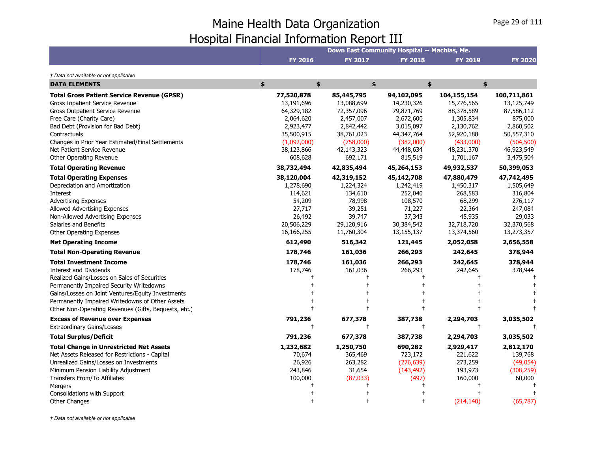|                                                                     | Down East Community Hospital -- Machias, Me. |                          |                          |                          |                           |  |
|---------------------------------------------------------------------|----------------------------------------------|--------------------------|--------------------------|--------------------------|---------------------------|--|
|                                                                     | <b>FY 2016</b>                               | <b>FY 2017</b>           | <b>FY 2018</b>           | <b>FY 2019</b>           | <b>FY 2020</b>            |  |
| † Data not available or not applicable                              |                                              |                          |                          |                          |                           |  |
| <b>DATA ELEMENTS</b>                                                | \$<br>$\frac{1}{2}$                          | \$                       |                          | $\frac{1}{2}$<br>\$      |                           |  |
| <b>Total Gross Patient Service Revenue (GPSR)</b>                   | 77,520,878                                   | 85,445,795               | 94,102,095               | 104,155,154              | 100,711,861<br>13,125,749 |  |
| Gross Inpatient Service Revenue<br>Gross Outpatient Service Revenue | 13,191,696<br>64,329,182                     | 13,088,699<br>72,357,096 | 14,230,326<br>79,871,769 | 15,776,565<br>88,378,589 | 87,586,112                |  |
| Free Care (Charity Care)                                            | 2,064,620                                    | 2,457,007                | 2,672,600                | 1,305,834                | 875,000                   |  |
| Bad Debt (Provision for Bad Debt)                                   | 2,923,477                                    | 2,842,442                | 3,015,097                | 2,130,762                | 2,860,502                 |  |
| Contractuals                                                        | 35,500,915                                   | 38,761,023               | 44,347,764               | 52,920,188               | 50,557,310                |  |
| Changes in Prior Year Estimated/Final Settlements                   | (1,092,000)                                  | (758,000)                | (382,000)                | (433,000)                | (504, 500)                |  |
| Net Patient Service Revenue                                         | 38,123,866                                   | 42,143,323               | 44,448,634               | 48,231,370               | 46,923,549                |  |
| Other Operating Revenue                                             | 608,628                                      | 692,171                  | 815,519                  | 1,701,167                | 3,475,504                 |  |
| <b>Total Operating Revenue</b>                                      | 38,732,494                                   | 42,835,494               | 45,264,153               | 49,932,537               | 50,399,053                |  |
| <b>Total Operating Expenses</b>                                     | 38,120,004                                   | 42,319,152               | 45,142,708               | 47,880,479               | 47,742,495                |  |
| Depreciation and Amortization                                       | 1,278,690                                    | 1,224,324                | 1,242,419                | 1,450,317                | 1,505,649                 |  |
| Interest                                                            | 114,621                                      | 134,610                  | 252,040                  | 268,583                  | 316,804                   |  |
| <b>Advertising Expenses</b>                                         | 54,209                                       | 78,998                   | 108,570                  | 68,299                   | 276,117                   |  |
| Allowed Advertising Expenses                                        | 27,717                                       | 39,251                   | 71,227                   | 22,364                   | 247,084                   |  |
| Non-Allowed Advertising Expenses                                    | 26,492                                       | 39,747                   | 37,343                   | 45,935                   | 29,033                    |  |
| Salaries and Benefits                                               | 20,506,229                                   | 29,120,916               | 30,384,542               | 32,718,720               | 32,370,568                |  |
| Other Operating Expenses                                            | 16,166,255                                   | 11,760,304               | 13,155,137               | 13,374,560               | 13,273,357                |  |
| <b>Net Operating Income</b>                                         | 612,490                                      | 516,342                  | 121,445                  | 2,052,058                | 2,656,558                 |  |
| <b>Total Non-Operating Revenue</b>                                  | 178,746                                      | 161,036                  | 266,293                  | 242,645                  | 378,944                   |  |
| <b>Total Investment Income</b>                                      | 178,746                                      | 161,036                  | 266,293                  | 242,645                  | 378,944                   |  |
| <b>Interest and Dividends</b>                                       | 178,746                                      | 161,036                  | 266,293                  | 242,645                  | 378,944                   |  |
| Realized Gains/Losses on Sales of Securities                        |                                              |                          |                          |                          |                           |  |
| Permanently Impaired Security Writedowns                            |                                              |                          |                          |                          |                           |  |
| Gains/Losses on Joint Ventures/Equity Investments                   |                                              |                          |                          |                          |                           |  |
| Permanently Impaired Writedowns of Other Assets                     |                                              |                          |                          |                          |                           |  |
| Other Non-Operating Revenues (Gifts, Bequests, etc.)                |                                              |                          |                          |                          |                           |  |
| <b>Excess of Revenue over Expenses</b>                              | 791,236                                      | 677,378                  | 387,738                  | 2,294,703                | 3,035,502                 |  |
| <b>Extraordinary Gains/Losses</b>                                   | $\ddagger$                                   | $\ddagger$               | $\ddagger$               | $\ddagger$               |                           |  |
| <b>Total Surplus/Deficit</b>                                        | 791,236                                      | 677,378                  | 387,738                  | 2,294,703                | 3,035,502                 |  |
| <b>Total Change in Unrestricted Net Assets</b>                      | 1,232,682                                    | 1,250,750                | 690,282                  | 2,929,417                | 2,812,170                 |  |
| Net Assets Released for Restrictions - Capital                      | 70,674                                       | 365,469                  | 723,172                  | 221,622                  | 139,768                   |  |
| Unrealized Gains/Losses on Investments                              | 26,926                                       | 263,282                  | (276, 639)               | 273,259                  | (49, 054)                 |  |
| Minimum Pension Liability Adjustment                                | 243,846                                      | 31,654                   | (143, 492)               | 193,973                  | (308, 259)                |  |
| Transfers From/To Affiliates                                        | 100,000                                      | (87,033)                 | (497)                    | 160,000                  | 60,000                    |  |
| Mergers                                                             |                                              |                          |                          |                          |                           |  |
| Consolidations with Support                                         |                                              |                          |                          |                          |                           |  |
| <b>Other Changes</b>                                                |                                              |                          |                          | (214, 140)               | (65, 787)                 |  |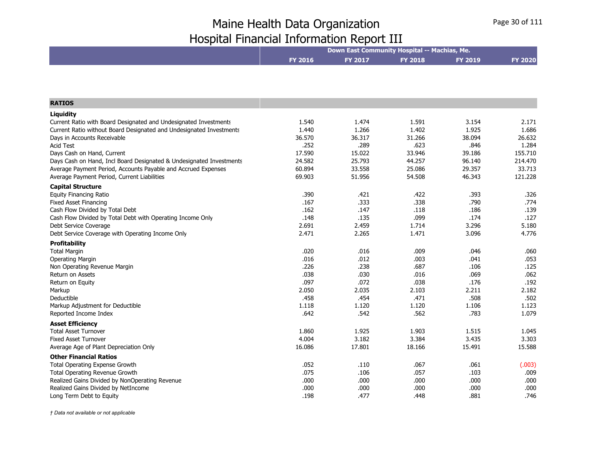|                                                                     |         |         | Down East Community Hospital -- Machias, Me. |         |                |
|---------------------------------------------------------------------|---------|---------|----------------------------------------------|---------|----------------|
|                                                                     | FY 2016 | FY 2017 | <b>FY 2018</b>                               | FY 2019 | <b>FY 2020</b> |
|                                                                     |         |         |                                              |         |                |
|                                                                     |         |         |                                              |         |                |
| <b>RATIOS</b>                                                       |         |         |                                              |         |                |
| Liquidity                                                           |         |         |                                              |         |                |
| Current Ratio with Board Designated and Undesignated Investments    | 1.540   | 1.474   | 1.591                                        | 3.154   | 2.171          |
| Current Ratio without Board Designated and Undesignated Investments | 1.440   | 1.266   | 1.402                                        | 1.925   | 1.686          |
| Days in Accounts Receivable                                         | 36.570  | 36.317  | 31.266                                       | 38.094  | 26.632         |
| <b>Acid Test</b>                                                    | .252    | .289    | .623                                         | .846    | 1.284          |
| Days Cash on Hand, Current                                          | 17.590  | 15.022  | 33.946                                       | 39.186  | 155.710        |
| Days Cash on Hand, Incl Board Designated & Undesignated Investments | 24.582  | 25.793  | 44.257                                       | 96.140  | 214.470        |
| Average Payment Period, Accounts Payable and Accrued Expenses       | 60.894  | 33.558  | 25.086                                       | 29.357  | 33.713         |
| Average Payment Period, Current Liabilities                         | 69.903  | 51.956  | 54.508                                       | 46.343  | 121.228        |
| <b>Capital Structure</b>                                            |         |         |                                              |         |                |
| <b>Equity Financing Ratio</b>                                       | .390    | .421    | .422                                         | .393    | .326           |
| <b>Fixed Asset Financing</b>                                        | .167    | .333    | .338                                         | .790    | .774           |
| Cash Flow Divided by Total Debt                                     | .162    | .147    | .118                                         | .186    | .139           |
| Cash Flow Divided by Total Debt with Operating Income Only          | .148    | .135    | .099                                         | .174    | .127           |
| Debt Service Coverage                                               | 2.691   | 2.459   | 1.714                                        | 3.296   | 5.180          |
| Debt Service Coverage with Operating Income Only                    | 2.471   | 2.265   | 1.471                                        | 3.096   | 4.776          |
| <b>Profitability</b>                                                |         |         |                                              |         |                |
| <b>Total Margin</b>                                                 | .020    | .016    | .009                                         | .046    | .060           |
| <b>Operating Margin</b>                                             | .016    | .012    | .003                                         | .041    | .053           |
| Non Operating Revenue Margin                                        | .226    | .238    | .687                                         | .106    | .125           |
| Return on Assets                                                    | .038    | .030    | .016                                         | .069    | .062           |
| Return on Equity                                                    | .097    | .072    | .038                                         | .176    | .192           |
| Markup                                                              | 2.050   | 2.035   | 2.103                                        | 2.211   | 2.182          |
| Deductible                                                          | .458    | .454    | .471                                         | .508    | .502           |
| Markup Adjustment for Deductible                                    | 1.118   | 1.120   | 1.120                                        | 1.106   | 1.123          |
| Reported Income Index                                               | .642    | .542    | .562                                         | .783    | 1.079          |
| <b>Asset Efficiency</b>                                             |         |         |                                              |         |                |
| <b>Total Asset Turnover</b>                                         | 1.860   | 1.925   | 1.903                                        | 1.515   | 1.045          |
| <b>Fixed Asset Turnover</b>                                         | 4.004   | 3.182   | 3.384                                        | 3.435   | 3.303          |
| Average Age of Plant Depreciation Only                              | 16.086  | 17.801  | 18.166                                       | 15.491  | 15.588         |
| <b>Other Financial Ratios</b>                                       |         |         |                                              |         |                |
| Total Operating Expense Growth                                      | .052    | .110    | .067                                         | .061    | (.003)         |
| <b>Total Operating Revenue Growth</b>                               | .075    | .106    | .057                                         | .103    | .009           |
| Realized Gains Divided by NonOperating Revenue                      | .000    | .000    | .000                                         | .000    | .000           |
| Realized Gains Divided by NetIncome                                 | .000    | .000    | .000                                         | .000    | .000           |
| Long Term Debt to Equity                                            | .198    | .477    | .448                                         | .881    | .746           |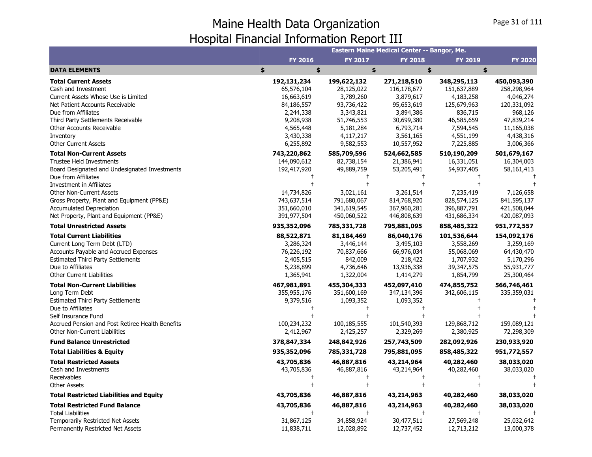|                                                  |             |                | Eastern Maine Medical Center -- Bangor, Me. |                |                |
|--------------------------------------------------|-------------|----------------|---------------------------------------------|----------------|----------------|
|                                                  | FY 2016     | <b>FY 2017</b> | <b>FY 2018</b>                              | <b>FY 2019</b> | <b>FY 2020</b> |
| <b>DATA ELEMENTS</b>                             | \$<br>\$    | \$             |                                             | \$<br>\$       |                |
| <b>Total Current Assets</b>                      | 192,131,234 | 199,622,132    | 271,218,510                                 | 348,295,113    | 450,093,390    |
| Cash and Investment                              | 65,576,104  | 28,125,022     | 116,178,677                                 | 151,637,889    | 258,298,964    |
| Current Assets Whose Use is Limited              | 16,663,619  | 3,789,260      | 3,879,617                                   | 4,183,258      | 4,046,274      |
| Net Patient Accounts Receivable                  | 84,186,557  | 93,736,422     | 95,653,619                                  | 125,679,963    | 120,331,092    |
| Due from Affiliates                              | 2,244,338   | 3,343,821      | 3,894,386                                   | 836,715        | 968,126        |
| Third Party Settlements Receivable               | 9,208,938   | 51,746,553     | 30,699,380                                  | 46,585,659     | 47,839,214     |
| Other Accounts Receivable                        | 4,565,448   | 5,181,284      | 6,793,714                                   | 7,594,545      | 11,165,038     |
| Inventory                                        | 3,430,338   | 4,117,217      | 3,561,165                                   | 4,551,199      | 4,438,316      |
| <b>Other Current Assets</b>                      | 6,255,892   | 9,582,553      | 10,557,952                                  | 7,225,885      | 3,006,366      |
| <b>Total Non-Current Assets</b>                  | 743,220,862 | 585,709,596    | 524,662,585                                 | 510,190,209    | 501,679,167    |
| <b>Trustee Held Investments</b>                  | 144,090,612 | 82,738,154     | 21,386,941                                  | 16,331,051     | 16,304,003     |
| Board Designated and Undesignated Investments    | 192,417,920 | 49,889,759     | 53,205,491                                  | 54,937,405     | 58,161,413     |
| Due from Affiliates                              |             |                |                                             |                |                |
| Investment in Affiliates                         |             |                | $\overline{1}$                              |                |                |
| <b>Other Non-Current Assets</b>                  | 14,734,826  | 3,021,161      | 3,261,514                                   | 7,235,419      | 7,126,658      |
| Gross Property, Plant and Equipment (PP&E)       | 743,637,514 | 791,680,067    | 814,768,920                                 | 828,574,125    | 841,595,137    |
| <b>Accumulated Depreciation</b>                  | 351,660,010 | 341,619,545    | 367,960,281                                 | 396,887,791    | 421,508,044    |
| Net Property, Plant and Equipment (PP&E)         | 391,977,504 | 450,060,522    | 446,808,639                                 | 431,686,334    | 420,087,093    |
| <b>Total Unrestricted Assets</b>                 | 935,352,096 | 785,331,728    | 795,881,095                                 | 858,485,322    | 951,772,557    |
| <b>Total Current Liabilities</b>                 | 88,522,871  | 81,184,469     | 86,040,176                                  | 101,536,644    | 154,092,176    |
| Current Long Term Debt (LTD)                     | 3,286,324   | 3,446,144      | 3,495,103                                   | 3,558,269      | 3,259,169      |
| Accounts Payable and Accrued Expenses            | 76,226,192  | 70,837,666     | 66,976,034                                  | 55,068,069     | 64,430,470     |
| <b>Estimated Third Party Settlements</b>         | 2,405,515   | 842,009        | 218,422                                     | 1,707,932      | 5,170,296      |
| Due to Affiliates                                | 5,238,899   | 4,736,646      | 13,936,338                                  | 39,347,575     | 55,931,777     |
| <b>Other Current Liabilities</b>                 | 1,365,941   | 1,322,004      | 1,414,279                                   | 1,854,799      | 25,300,464     |
| <b>Total Non-Current Liabilities</b>             | 467,981,891 | 455,304,333    | 452,097,410                                 | 474,855,752    | 566,746,461    |
| Long Term Debt                                   | 355,955,176 | 351,600,169    | 347,134,396                                 | 342,606,115    | 335,359,031    |
| <b>Estimated Third Party Settlements</b>         | 9,379,516   | 1,093,352      | 1,093,352                                   |                |                |
| Due to Affiliates                                |             |                | $\ddagger$                                  |                |                |
| Self Insurance Fund                              |             |                |                                             |                |                |
| Accrued Pension and Post Retiree Health Benefits | 100,234,232 | 100,185,555    | 101,540,393                                 | 129,868,712    | 159,089,121    |
| Other Non-Current Liabilities                    | 2,412,967   | 2,425,257      | 2,329,269                                   | 2,380,925      | 72,298,309     |
| <b>Fund Balance Unrestricted</b>                 | 378,847,334 | 248,842,926    | 257,743,509                                 | 282,092,926    | 230,933,920    |
| <b>Total Liabilities &amp; Equity</b>            | 935,352,096 | 785,331,728    | 795,881,095                                 | 858,485,322    | 951,772,557    |
| <b>Total Restricted Assets</b>                   | 43,705,836  | 46,887,816     | 43,214,964                                  | 40,282,460     | 38,033,020     |
| Cash and Investments                             | 43,705,836  | 46,887,816     | 43,214,964                                  | 40,282,460     | 38,033,020     |
| Receivables                                      |             |                |                                             |                |                |
| <b>Other Assets</b>                              |             |                |                                             |                |                |
| <b>Total Restricted Liabilities and Equity</b>   | 43,705,836  | 46,887,816     | 43,214,963                                  | 40,282,460     | 38,033,020     |
| <b>Total Restricted Fund Balance</b>             | 43,705,836  | 46,887,816     | 43,214,963                                  | 40,282,460     | 38,033,020     |
| <b>Total Liabilities</b>                         |             | $\ddagger$     | $\ddagger$                                  |                |                |
| Temporarily Restricted Net Assets                | 31,867,125  | 34,858,924     | 30,477,511                                  | 27,569,248     | 25,032,642     |
| Permanently Restricted Net Assets                | 11,838,711  | 12,028,892     | 12,737,452                                  | 12,713,212     | 13,000,378     |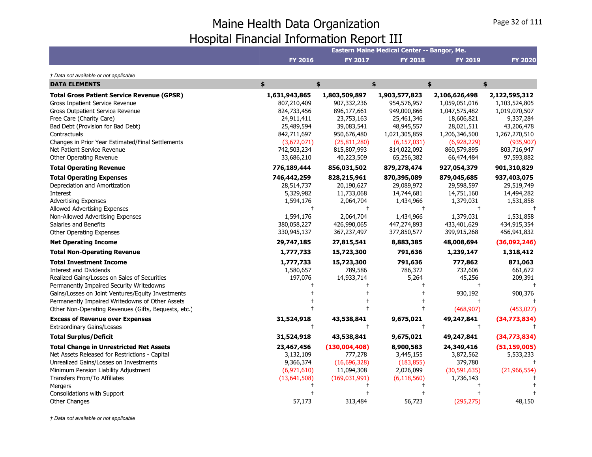|                                                                                                                                                                                                                                                                                                                             |                                                                                        |                                                                                        | Eastern Maine Medical Center -- Bangor, Me.                                              |                                                                                              |                                                                                             |
|-----------------------------------------------------------------------------------------------------------------------------------------------------------------------------------------------------------------------------------------------------------------------------------------------------------------------------|----------------------------------------------------------------------------------------|----------------------------------------------------------------------------------------|------------------------------------------------------------------------------------------|----------------------------------------------------------------------------------------------|---------------------------------------------------------------------------------------------|
|                                                                                                                                                                                                                                                                                                                             | <b>FY 2016</b>                                                                         | <b>FY 2017</b>                                                                         | <b>FY 2018</b>                                                                           | <b>FY 2019</b>                                                                               | <b>FY 2020</b>                                                                              |
| † Data not available or not applicable                                                                                                                                                                                                                                                                                      |                                                                                        |                                                                                        |                                                                                          |                                                                                              |                                                                                             |
| <b>DATA ELEMENTS</b>                                                                                                                                                                                                                                                                                                        | \$                                                                                     | \$                                                                                     | \$                                                                                       | \$                                                                                           | \$                                                                                          |
| <b>Total Gross Patient Service Revenue (GPSR)</b><br>Gross Inpatient Service Revenue<br><b>Gross Outpatient Service Revenue</b><br>Free Care (Charity Care)<br>Bad Debt (Provision for Bad Debt)<br>Contractuals                                                                                                            | 1,631,943,865<br>807,210,409<br>824,733,456<br>24,911,411<br>25,489,594<br>842,711,697 | 1,803,509,897<br>907,332,236<br>896,177,661<br>23,753,163<br>39,083,541<br>950,676,480 | 1,903,577,823<br>954,576,957<br>949,000,866<br>25,461,346<br>48,945,557<br>1,021,305,859 | 2,106,626,498<br>1,059,051,016<br>1,047,575,482<br>18,606,821<br>28,021,511<br>1,206,346,500 | 2,122,595,312<br>1,103,524,805<br>1,019,070,507<br>9,337,284<br>43,206,478<br>1,267,270,510 |
| Changes in Prior Year Estimated/Final Settlements<br>Net Patient Service Revenue<br>Other Operating Revenue<br><b>Total Operating Revenue</b>                                                                                                                                                                               | (3,672,071)<br>742,503,234<br>33,686,210<br>776,189,444                                | (25, 811, 280)<br>815,807,993<br>40,223,509<br>856,031,502                             | (6, 157, 031)<br>814,022,092<br>65,256,382<br>879,278,474                                | (6,928,229)<br>860,579,895<br>66,474,484<br>927,054,379                                      | (935, 907)<br>803,716,947<br>97,593,882<br>901,310,829                                      |
| <b>Total Operating Expenses</b><br>Depreciation and Amortization<br>Interest<br><b>Advertising Expenses</b>                                                                                                                                                                                                                 | 746,442,259<br>28,514,737<br>5,329,982<br>1,594,176                                    | 828,215,961<br>20,190,627<br>11,733,068<br>2,064,704                                   | 870,395,089<br>29,089,972<br>14,744,681<br>1,434,966                                     | 879,045,685<br>29,598,597<br>14,751,160<br>1,379,031                                         | 937,403,075<br>29,519,749<br>14,494,282<br>1,531,858                                        |
| Allowed Advertising Expenses<br>Non-Allowed Advertising Expenses<br>Salaries and Benefits<br>Other Operating Expenses                                                                                                                                                                                                       | $^{\dagger}$<br>1,594,176<br>380,058,227<br>330,945,137                                | $\ddagger$<br>2,064,704<br>426,990,065<br>367,237,497                                  | $\pm$<br>1,434,966<br>447,274,893<br>377,850,577                                         | $\ddagger$<br>1,379,031<br>433,401,629<br>399,915,268                                        | 1,531,858<br>434,915,354<br>456,941,832                                                     |
| <b>Net Operating Income</b>                                                                                                                                                                                                                                                                                                 | 29,747,185                                                                             | 27,815,541                                                                             | 8,883,385                                                                                | 48,008,694                                                                                   | (36,092,246)                                                                                |
| <b>Total Non-Operating Revenue</b>                                                                                                                                                                                                                                                                                          | 1,777,733                                                                              | 15,723,300                                                                             | 791,636                                                                                  | 1,239,147                                                                                    | 1,318,412                                                                                   |
| <b>Total Investment Income</b><br><b>Interest and Dividends</b><br>Realized Gains/Losses on Sales of Securities<br>Permanently Impaired Security Writedowns<br>Gains/Losses on Joint Ventures/Equity Investments<br>Permanently Impaired Writedowns of Other Assets<br>Other Non-Operating Revenues (Gifts, Bequests, etc.) | 1,777,733<br>1,580,657<br>197,076                                                      | 15,723,300<br>789,586<br>14,933,714                                                    | 791,636<br>786,372<br>5,264                                                              | 777,862<br>732,606<br>45,256<br>930,192<br>(468, 907)                                        | 871,063<br>661,672<br>209,391<br>900,376<br>(453, 027)                                      |
| <b>Excess of Revenue over Expenses</b>                                                                                                                                                                                                                                                                                      | 31,524,918<br>$^{+}$                                                                   | 43,538,841<br>$\ddagger$                                                               | 9,675,021<br>$\ddagger$                                                                  | 49,247,841<br>$\ddagger$                                                                     | (34,773,834)                                                                                |
| <b>Extraordinary Gains/Losses</b><br><b>Total Surplus/Deficit</b>                                                                                                                                                                                                                                                           | 31,524,918                                                                             | 43,538,841                                                                             | 9,675,021                                                                                | 49,247,841                                                                                   | (34,773,834)                                                                                |
| <b>Total Change in Unrestricted Net Assets</b><br>Net Assets Released for Restrictions - Capital<br>Unrealized Gains/Losses on Investments<br>Minimum Pension Liability Adjustment<br>Transfers From/To Affiliates<br>Mergers                                                                                               | 23,467,456<br>3,132,109<br>9,366,374<br>(6,971,610)<br>(13,641,508)                    | (130,004,408)<br>777,278<br>(16,696,328)<br>11,094,308<br>(169, 031, 991)              | 8,900,583<br>3,445,155<br>(183, 855)<br>2,026,099<br>(6, 118, 560)                       | 24,349,416<br>3,872,562<br>379,780<br>(30,591,635)<br>1,736,143                              | (51, 159, 005)<br>5,533,233<br>(21, 966, 554)                                               |
| Consolidations with Support<br>Other Changes                                                                                                                                                                                                                                                                                | 57,173                                                                                 | 313,484                                                                                | 56,723                                                                                   | (295, 275)                                                                                   | 48,150                                                                                      |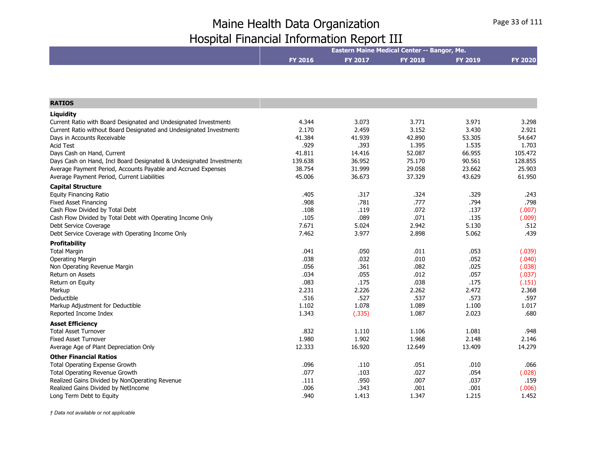|                                                                     | Eastern Maine Medical Center -- Bangor, Me. |                |                |         |                |
|---------------------------------------------------------------------|---------------------------------------------|----------------|----------------|---------|----------------|
|                                                                     | <b>FY 2016</b>                              | <b>FY 2017</b> | <b>FY 2018</b> | FY 2019 | <b>FY 2020</b> |
|                                                                     |                                             |                |                |         |                |
|                                                                     |                                             |                |                |         |                |
| <b>RATIOS</b>                                                       |                                             |                |                |         |                |
| Liquidity                                                           |                                             |                |                |         |                |
| Current Ratio with Board Designated and Undesignated Investments    | 4.344                                       | 3.073          | 3.771          | 3.971   | 3.298          |
| Current Ratio without Board Designated and Undesignated Investments | 2.170                                       | 2.459          | 3.152          | 3.430   | 2.921          |
| Days in Accounts Receivable                                         | 41.384                                      | 41.939         | 42.890         | 53.305  | 54.647         |
| <b>Acid Test</b>                                                    | .929                                        | .393           | 1.395          | 1.535   | 1.703          |
| Days Cash on Hand, Current                                          | 41.811                                      | 14.416         | 52.087         | 66.955  | 105.472        |
| Days Cash on Hand, Incl Board Designated & Undesignated Investments | 139.638                                     | 36.952         | 75.170         | 90.561  | 128.855        |
| Average Payment Period, Accounts Payable and Accrued Expenses       | 38.754                                      | 31.999         | 29.058         | 23.662  | 25.903         |
| Average Payment Period, Current Liabilities                         | 45.006                                      | 36.673         | 37.329         | 43.629  | 61.950         |
| <b>Capital Structure</b>                                            |                                             |                |                |         |                |
| <b>Equity Financing Ratio</b>                                       | .405                                        | .317           | .324           | .329    | .243           |
| <b>Fixed Asset Financing</b>                                        | .908                                        | .781           | .777           | .794    | .798           |
| Cash Flow Divided by Total Debt                                     | .108                                        | .119           | .072           | .137    | (.007)         |
| Cash Flow Divided by Total Debt with Operating Income Only          | .105                                        | .089           | .071           | .135    | (.009)         |
| Debt Service Coverage                                               | 7.671                                       | 5.024          | 2.942          | 5.130   | .512           |
| Debt Service Coverage with Operating Income Only                    | 7.462                                       | 3.977          | 2.898          | 5.062   | .439           |
| <b>Profitability</b>                                                |                                             |                |                |         |                |
| <b>Total Margin</b>                                                 | .041                                        | .050           | .011           | .053    | (.039)         |
| <b>Operating Margin</b>                                             | .038                                        | .032           | .010           | .052    | (.040)         |
| Non Operating Revenue Margin                                        | .056                                        | .361           | .082           | .025    | (.038)         |
| Return on Assets                                                    | .034                                        | .055           | .012           | .057    | (.037)         |
| Return on Equity                                                    | .083                                        | .175           | .038           | .175    | (.151)         |
| Markup                                                              | 2.231                                       | 2.226          | 2.262          | 2.472   | 2.368          |
| Deductible                                                          | .516                                        | .527           | .537           | .573    | .597           |
| Markup Adjustment for Deductible                                    | 1.102                                       | 1.078          | 1.089          | 1.100   | 1.017          |
| Reported Income Index                                               | 1.343                                       | (.335)         | 1.087          | 2.023   | .680           |
| <b>Asset Efficiency</b>                                             |                                             |                |                |         |                |
| <b>Total Asset Turnover</b>                                         | .832                                        | 1.110          | 1.106          | 1.081   | .948           |
| <b>Fixed Asset Turnover</b>                                         | 1.980                                       | 1.902          | 1.968          | 2.148   | 2.146          |
| Average Age of Plant Depreciation Only                              | 12.333                                      | 16.920         | 12.649         | 13.409  | 14.279         |
| <b>Other Financial Ratios</b>                                       |                                             |                |                |         |                |
| <b>Total Operating Expense Growth</b>                               | .096                                        | .110           | .051           | .010    | .066           |
| <b>Total Operating Revenue Growth</b>                               | .077                                        | .103           | .027           | .054    | (.028)         |
| Realized Gains Divided by NonOperating Revenue                      | .111                                        | .950           | .007           | .037    | .159           |
| Realized Gains Divided by NetIncome                                 | .006                                        | .343           | .001           | .001    | (.006)         |
| Long Term Debt to Equity                                            | .940                                        | 1.413          | 1.347          | 1.215   | 1.452          |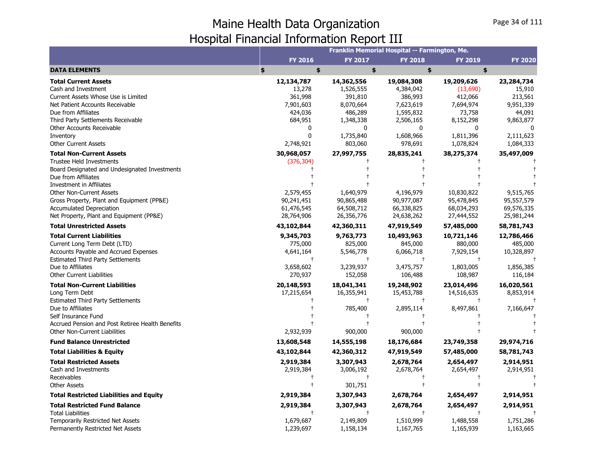|                                                                                                                                                                                                                                                                                                       |                                                                                                         |                                                                                                                    | Franklin Memorial Hospital -- Farmington, Me.                                                                                   |                                                                                                             |                                                                                                                           |
|-------------------------------------------------------------------------------------------------------------------------------------------------------------------------------------------------------------------------------------------------------------------------------------------------------|---------------------------------------------------------------------------------------------------------|--------------------------------------------------------------------------------------------------------------------|---------------------------------------------------------------------------------------------------------------------------------|-------------------------------------------------------------------------------------------------------------|---------------------------------------------------------------------------------------------------------------------------|
|                                                                                                                                                                                                                                                                                                       | <b>FY 2016</b>                                                                                          | <b>FY 2017</b>                                                                                                     | <b>FY 2018</b>                                                                                                                  | <b>FY 2019</b>                                                                                              | <b>FY 2020</b>                                                                                                            |
| <b>DATA ELEMENTS</b>                                                                                                                                                                                                                                                                                  | \$<br>\$                                                                                                | \$                                                                                                                 | \$                                                                                                                              | \$                                                                                                          |                                                                                                                           |
| <b>Total Current Assets</b><br>Cash and Investment<br>Current Assets Whose Use is Limited<br>Net Patient Accounts Receivable<br>Due from Affiliates<br>Third Party Settlements Receivable<br>Other Accounts Receivable<br>Inventory<br><b>Other Current Assets</b><br><b>Total Non-Current Assets</b> | 12,134,787<br>13,278<br>361,998<br>7,901,603<br>424,036<br>684,951<br>0<br>0<br>2,748,921<br>30,968,057 | 14,362,556<br>1,526,555<br>391,810<br>8,070,664<br>486,289<br>1,348,338<br>0<br>1,735,840<br>803,060<br>27,997,755 | 19,084,308<br>4,384,042<br>386,993<br>7,623,619<br>1,595,832<br>2,506,165<br>$\mathbf{0}$<br>1,608,966<br>978,691<br>28,835,241 | 19,209,626<br>(13,690)<br>412,066<br>7,694,974<br>73,758<br>8,152,298<br>$\Omega$<br>1,811,396<br>1,078,824 | 23, 284, 734<br>15,910<br>213,561<br>9,951,339<br>44,091<br>9,863,877<br>$\Omega$<br>2,111,623<br>1,084,333<br>35,497,009 |
| <b>Trustee Held Investments</b><br>Board Designated and Undesignated Investments<br>Due from Affiliates<br>Investment in Affiliates<br><b>Other Non-Current Assets</b><br>Gross Property, Plant and Equipment (PP&E)<br><b>Accumulated Depreciation</b><br>Net Property, Plant and Equipment (PP&E)   | (376, 304)<br>2,579,455<br>90,241,451<br>61,476,545<br>28,764,906                                       | 1,640,979<br>90,865,488<br>64,508,712<br>26,356,776                                                                | 4,196,979<br>90,977,087<br>66,338,825<br>24,638,262                                                                             | 38,275,374<br>10,830,822<br>95,478,845<br>68,034,293<br>27,444,552                                          | 9,515,765<br>95,557,579<br>69,576,335<br>25,981,244                                                                       |
| <b>Total Unrestricted Assets</b>                                                                                                                                                                                                                                                                      | 43,102,844                                                                                              | 42,360,311                                                                                                         | 47,919,549                                                                                                                      | 57,485,000                                                                                                  | 58,781,743                                                                                                                |
| <b>Total Current Liabilities</b><br>Current Long Term Debt (LTD)<br><b>Accounts Payable and Accrued Expenses</b><br><b>Estimated Third Party Settlements</b><br>Due to Affiliates<br><b>Other Current Liabilities</b>                                                                                 | 9,345,703<br>775,000<br>4,641,164<br>3,658,602<br>270,937                                               | 9,763,773<br>825,000<br>5,546,778<br>$\pm$<br>3,239,937<br>152,058                                                 | 10,493,963<br>845,000<br>6,066,718<br>$\pm$<br>3,475,757<br>106,488                                                             | 10,721,146<br>880,000<br>7,929,154<br>1,803,005<br>108,987                                                  | 12,786,466<br>485,000<br>10,328,897<br>1,856,385<br>116,184                                                               |
| <b>Total Non-Current Liabilities</b><br>Long Term Debt<br><b>Estimated Third Party Settlements</b><br>Due to Affiliates<br>Self Insurance Fund<br>Accrued Pension and Post Retiree Health Benefits<br>Other Non-Current Liabilities                                                                   | 20,148,593<br>17,215,654<br>2,932,939                                                                   | 18,041,341<br>16,355,941<br>$^{+}$<br>785,400<br>900,000                                                           | 19,248,902<br>15,453,788<br>$\ddagger$<br>2,895,114<br>900,000                                                                  | 23,014,496<br>14,516,635<br>8,497,861                                                                       | 16,020,561<br>8,853,914<br>7,166,647                                                                                      |
| <b>Fund Balance Unrestricted</b>                                                                                                                                                                                                                                                                      | 13,608,548                                                                                              | 14,555,198                                                                                                         | 18,176,684                                                                                                                      | 23,749,358                                                                                                  | 29,974,716                                                                                                                |
| <b>Total Liabilities &amp; Equity</b>                                                                                                                                                                                                                                                                 | 43,102,844                                                                                              | 42,360,312                                                                                                         | 47,919,549                                                                                                                      | 57,485,000                                                                                                  | 58,781,743                                                                                                                |
| <b>Total Restricted Assets</b><br>Cash and Investments<br>Receivables<br><b>Other Assets</b>                                                                                                                                                                                                          | 2,919,384<br>2,919,384                                                                                  | 3,307,943<br>3,006,192<br>$\ddagger$<br>301,751                                                                    | 2,678,764<br>2,678,764                                                                                                          | 2,654,497<br>2,654,497                                                                                      | 2,914,951<br>2,914,951                                                                                                    |
| <b>Total Restricted Liabilities and Equity</b>                                                                                                                                                                                                                                                        | 2,919,384                                                                                               | 3,307,943                                                                                                          | 2,678,764                                                                                                                       | 2,654,497                                                                                                   | 2,914,951                                                                                                                 |
| <b>Total Restricted Fund Balance</b><br><b>Total Liabilities</b><br><b>Temporarily Restricted Net Assets</b><br>Permanently Restricted Net Assets                                                                                                                                                     | 2,919,384<br>1,679,687<br>1,239,697                                                                     | 3,307,943<br>$\ddagger$<br>2,149,809<br>1,158,134                                                                  | 2,678,764<br>1,510,999<br>1,167,765                                                                                             | 2,654,497<br>1,488,558<br>1,165,939                                                                         | 2,914,951<br>1,751,286<br>1,163,665                                                                                       |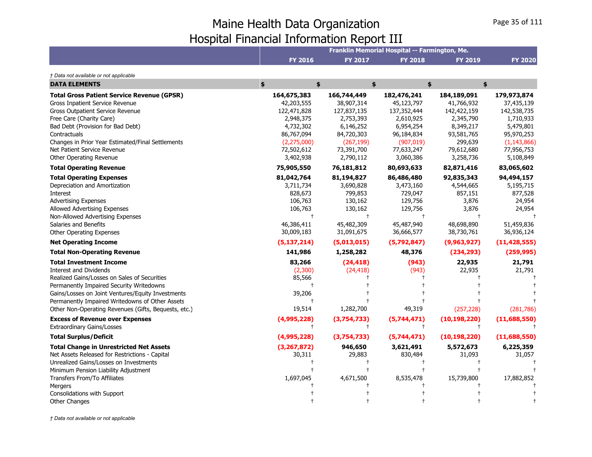|                                                      |                |                | Franklin Memorial Hospital -- Farmington, Me. |                |                |
|------------------------------------------------------|----------------|----------------|-----------------------------------------------|----------------|----------------|
|                                                      | <b>FY 2016</b> | <b>FY 2017</b> | <b>FY 2018</b>                                | <b>FY 2019</b> | <b>FY 2020</b> |
| † Data not available or not applicable               |                |                |                                               |                |                |
| <b>DATA ELEMENTS</b>                                 | \$<br>\$       | \$             |                                               | \$             | \$             |
| <b>Total Gross Patient Service Revenue (GPSR)</b>    | 164,675,383    | 166,744,449    | 182,476,241                                   | 184,189,091    | 179,973,874    |
| Gross Inpatient Service Revenue                      | 42,203,555     | 38,907,314     | 45,123,797                                    | 41,766,932     | 37,435,139     |
| <b>Gross Outpatient Service Revenue</b>              | 122,471,828    | 127,837,135    | 137, 352, 444                                 | 142,422,159    | 142,538,735    |
| Free Care (Charity Care)                             | 2,948,375      | 2,753,393      | 2,610,925                                     | 2,345,790      | 1,710,933      |
| Bad Debt (Provision for Bad Debt)                    | 4,732,302      | 6,146,252      | 6,954,254                                     | 8,349,217      | 5,479,801      |
| Contractuals                                         | 86,767,094     | 84,720,303     | 96,184,834                                    | 93,581,765     | 95,970,253     |
| Changes in Prior Year Estimated/Final Settlements    | (2, 275, 000)  | (267, 199)     | (907, 019)                                    | 299,639        | (1, 143, 866)  |
| Net Patient Service Revenue                          | 72,502,612     | 73,391,700     | 77,633,247                                    | 79,612,680     | 77,956,753     |
| Other Operating Revenue                              | 3,402,938      | 2,790,112      | 3,060,386                                     | 3,258,736      | 5,108,849      |
| <b>Total Operating Revenue</b>                       | 75,905,550     | 76,181,812     | 80,693,633                                    | 82,871,416     | 83,065,602     |
| <b>Total Operating Expenses</b>                      | 81,042,764     | 81,194,827     | 86,486,480                                    | 92,835,343     | 94,494,157     |
| Depreciation and Amortization                        | 3,711,734      | 3,690,828      | 3,473,160                                     | 4,544,665      | 5,195,715      |
| Interest                                             | 828,673        | 799,853        | 729,047                                       | 857,151        | 877,528        |
| <b>Advertising Expenses</b>                          | 106,763        | 130,162        | 129,756                                       | 3,876          | 24,954         |
| Allowed Advertising Expenses                         | 106,763        | 130,162        | 129,756                                       | 3,876          | 24,954         |
| Non-Allowed Advertising Expenses                     | $\ddagger$     | $\ddagger$     | $^{+}$                                        |                |                |
| Salaries and Benefits                                | 46,386,411     | 45,482,309     | 45,487,940                                    | 48,698,890     | 51,459,836     |
| Other Operating Expenses                             | 30,009,183     | 31,091,675     | 36,666,577                                    | 38,730,761     | 36,936,124     |
| <b>Net Operating Income</b>                          | (5, 137, 214)  | (5,013,015)    | (5,792,847)                                   | (9,963,927)    | (11, 428, 555) |
| <b>Total Non-Operating Revenue</b>                   | 141,986        | 1,258,282      | 48,376                                        | (234, 293)     | (259, 995)     |
| <b>Total Investment Income</b>                       | 83,266         | (24, 418)      | (943)                                         | 22,935         | 21,791         |
| <b>Interest and Dividends</b>                        | (2,300)        | (24, 418)      | (943)                                         | 22,935         | 21,791         |
| Realized Gains/Losses on Sales of Securities         | 85,566         |                |                                               |                |                |
| Permanently Impaired Security Writedowns             | $\ddagger$     |                |                                               |                |                |
| Gains/Losses on Joint Ventures/Equity Investments    | 39,206         |                |                                               |                |                |
| Permanently Impaired Writedowns of Other Assets      |                |                |                                               |                |                |
| Other Non-Operating Revenues (Gifts, Bequests, etc.) | 19,514         | 1,282,700      | 49,319                                        | (257, 228)     | (281, 786)     |
| <b>Excess of Revenue over Expenses</b>               | (4,995,228)    | (3,754,733)    | (5,744,471)                                   | (10, 198, 220) | (11,688,550)   |
| <b>Extraordinary Gains/Losses</b>                    | $^{+}$         | $^{+}$         | $^{+}$                                        | $\ddagger$     |                |
| <b>Total Surplus/Deficit</b>                         | (4,995,228)    | (3,754,733)    | (5,744,471)                                   | (10, 198, 220) | (11,688,550)   |
| <b>Total Change in Unrestricted Net Assets</b>       | (3, 267, 872)  | 946,650        | 3,621,491                                     | 5,572,673      | 6,225,359      |
| Net Assets Released for Restrictions - Capital       | 30,311         | 29,883         | 830,484                                       | 31,093         | 31,057         |
| Unrealized Gains/Losses on Investments               |                |                |                                               |                |                |
| Minimum Pension Liability Adjustment                 |                |                |                                               |                |                |
| Transfers From/To Affiliates                         | 1,697,045      | 4,671,500      | 8,535,478                                     | 15,739,800     | 17,882,852     |
| Mergers                                              |                |                |                                               |                |                |
| Consolidations with Support                          |                |                |                                               |                |                |
| <b>Other Changes</b>                                 |                |                |                                               |                |                |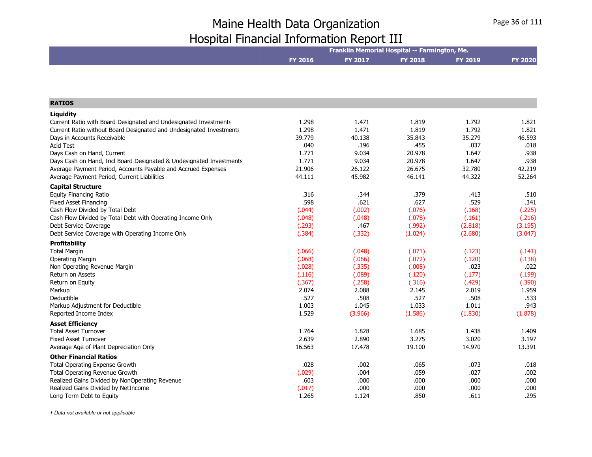|                                                                     | Franklin Memorial Hospital -- Farmington, Me. |                  |                |                  |                 |  |
|---------------------------------------------------------------------|-----------------------------------------------|------------------|----------------|------------------|-----------------|--|
|                                                                     | <b>FY 2016</b>                                | <b>FY 2017</b>   | <b>FY 2018</b> | <b>FY 2019</b>   | <b>FY 2020</b>  |  |
|                                                                     |                                               |                  |                |                  |                 |  |
|                                                                     |                                               |                  |                |                  |                 |  |
|                                                                     |                                               |                  |                |                  |                 |  |
| <b>RATIOS</b>                                                       |                                               |                  |                |                  |                 |  |
| Liquidity                                                           |                                               |                  |                |                  |                 |  |
| Current Ratio with Board Designated and Undesignated Investments    | 1.298                                         | 1.471            | 1.819          | 1.792            | 1.821           |  |
| Current Ratio without Board Designated and Undesignated Investments | 1.298                                         | 1.471            | 1.819          | 1.792            | 1.821           |  |
| Days in Accounts Receivable                                         | 39.779                                        | 40.138           | 35.843         | 35.279           | 46.593          |  |
| <b>Acid Test</b>                                                    | .040                                          | .196             | .455           | .037             | .018            |  |
| Days Cash on Hand, Current                                          | 1.771                                         | 9.034            | 20.978         | 1.647            | .938            |  |
| Days Cash on Hand, Incl Board Designated & Undesignated Investments | 1.771                                         | 9.034            | 20.978         | 1.647            | .938            |  |
| Average Payment Period, Accounts Payable and Accrued Expenses       | 21.906                                        | 26.122           | 26.675         | 32.780           | 42.219          |  |
| Average Payment Period, Current Liabilities                         | 44.111                                        | 45.982           | 46.141         | 44.322           | 52.264          |  |
| <b>Capital Structure</b>                                            |                                               |                  |                |                  |                 |  |
| <b>Equity Financing Ratio</b>                                       | .316                                          | .344             | .379           | .413             | .510            |  |
| <b>Fixed Asset Financing</b>                                        | .598                                          | .621             | .627           | .529             | .341            |  |
| Cash Flow Divided by Total Debt                                     | (.044)                                        | (.002)           | (.076)         | (.168)           | (.225)          |  |
| Cash Flow Divided by Total Debt with Operating Income Only          | (.048)                                        | (.048)           | (.078)         | (.161)           | (.216)          |  |
| Debt Service Coverage                                               | (.293)                                        | .467             | (.992)         | (2.818)          | (3.195)         |  |
| Debt Service Coverage with Operating Income Only                    | (.384)                                        | (.332)           | (1.024)        | (2.680)          | (3.047)         |  |
| <b>Profitability</b>                                                |                                               |                  |                |                  |                 |  |
| <b>Total Margin</b>                                                 | (.066)                                        | (.048)           | (.071)         | (.123)           | (.141)          |  |
| <b>Operating Margin</b>                                             | (.068)                                        | (.066)           | (.072)         | (.120)           | (.138)          |  |
| Non Operating Revenue Margin                                        | (.028)                                        | (.335)           | (.008)         | .023             | .022            |  |
| Return on Assets                                                    | (.116)                                        | (.089)           | (.120)         | (.177)           | (.199)          |  |
| Return on Equity                                                    | (.367)                                        | (.258)           | (.316)         | (.429)           | (.390)          |  |
| Markup                                                              | 2.074                                         | 2.088            | 2.145          | 2.019            | 1.959           |  |
| Deductible                                                          | .527                                          | .508             | .527           | .508             | .533            |  |
| Markup Adjustment for Deductible                                    | 1.003                                         | 1.045<br>(3.966) | 1.033          | 1.011<br>(1.830) | .943<br>(1.878) |  |
| Reported Income Index                                               | 1.529                                         |                  | (1.586)        |                  |                 |  |
| <b>Asset Efficiency</b>                                             |                                               |                  |                |                  |                 |  |
| <b>Total Asset Turnover</b>                                         | 1.764                                         | 1.828            | 1.685          | 1.438            | 1.409           |  |
| <b>Fixed Asset Turnover</b>                                         | 2.639                                         | 2.890            | 3.275          | 3.020            | 3.197           |  |
| Average Age of Plant Depreciation Only                              | 16.563                                        | 17.478           | 19.100         | 14.970           | 13.391          |  |
| <b>Other Financial Ratios</b>                                       |                                               |                  |                |                  |                 |  |
| <b>Total Operating Expense Growth</b>                               | .028                                          | .002             | .065           | .073             | .018            |  |
| Total Operating Revenue Growth                                      | (.029)                                        | .004             | .059           | .027             | .002            |  |
| Realized Gains Divided by NonOperating Revenue                      | .603                                          | .000             | .000           | .000             | .000            |  |
| Realized Gains Divided by NetIncome                                 | (.017)                                        | .000             | .000           | .000             | .000            |  |
| Long Term Debt to Equity                                            | 1.265                                         | 1.124            | .850           | .611             | .295            |  |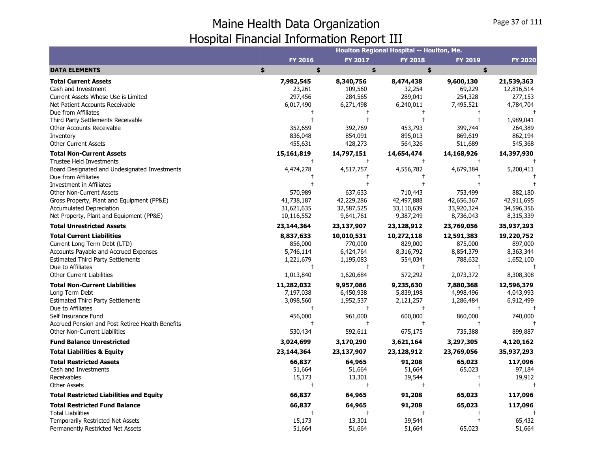|                                                  |               |                | Houlton Regional Hospital -- Houlton, Me. |                |                |
|--------------------------------------------------|---------------|----------------|-------------------------------------------|----------------|----------------|
|                                                  | FY 2016       | <b>FY 2017</b> | <b>FY 2018</b>                            | <b>FY 2019</b> | <b>FY 2020</b> |
| <b>DATA ELEMENTS</b>                             | \$<br>\$      | \$             | \$                                        | \$             |                |
| <b>Total Current Assets</b>                      | 7,982,545     | 8,340,756      | 8,474,438                                 | 9,600,130      | 21,539,363     |
| Cash and Investment                              | 23,261        | 109,560        | 32,254                                    | 69,229         | 12,816,514     |
| Current Assets Whose Use is Limited              | 297,456       | 284,565        | 289,041                                   | 254,328        | 277,153        |
| Net Patient Accounts Receivable                  | 6,017,490     | 6,271,498      | 6,240,011                                 | 7,495,521      | 4,784,704      |
| Due from Affiliates                              | $\ddagger$    | $^{+}$         | $\ddagger$                                | $\ddagger$     |                |
| Third Party Settlements Receivable               |               | $\ddagger$     | $\ddagger$                                | $\ddagger$     | 1,989,041      |
| Other Accounts Receivable                        | 352,659       | 392,769        | 453,793                                   | 399,744        | 264,389        |
| Inventory                                        | 836,048       | 854,091        | 895,013                                   | 869,619        | 862,194        |
| Other Current Assets                             | 455,631       | 428,273        | 564,326                                   | 511,689        | 545,368        |
| <b>Total Non-Current Assets</b>                  | 15,161,819    | 14,797,151     | 14,654,474                                | 14,168,926     | 14,397,930     |
| <b>Trustee Held Investments</b>                  |               | $\ddagger$     | $\ddagger$                                | $^{+}$         |                |
| Board Designated and Undesignated Investments    | 4,474,278     | 4,517,757      | 4,556,782                                 | 4,679,384      | 5,200,411      |
| Due from Affiliates                              |               |                |                                           |                |                |
| Investment in Affiliates                         |               |                |                                           |                |                |
| <b>Other Non-Current Assets</b>                  | 570,989       | 637,633        | 710,443                                   | 753,499        | 882,180        |
| Gross Property, Plant and Equipment (PP&E)       | 41,738,187    | 42,229,286     | 42,497,888                                | 42,656,367     | 42,911,695     |
| <b>Accumulated Depreciation</b>                  | 31,621,635    | 32,587,525     | 33,110,639                                | 33,920,324     | 34,596,356     |
| Net Property, Plant and Equipment (PP&E)         | 10,116,552    | 9,641,761      | 9,387,249                                 | 8,736,043      | 8,315,339      |
| <b>Total Unrestricted Assets</b>                 | 23,144,364    | 23,137,907     | 23,128,912                                | 23,769,056     | 35,937,293     |
| <b>Total Current Liabilities</b>                 | 8,837,633     | 10,010,531     | 10,272,118                                | 12,591,383     | 19,220,752     |
| Current Long Term Debt (LTD)                     | 856,000       | 770,000        | 829,000                                   | 875,000        | 897,000        |
| Accounts Payable and Accrued Expenses            | 5,746,114     | 6,424,764      | 8,316,792                                 | 8,854,379      | 8,363,344      |
| <b>Estimated Third Party Settlements</b>         | 1,221,679     | 1,195,083      | 554,034                                   | 788,632        | 1,652,100      |
| Due to Affiliates                                | $\ddagger$    | $\ddagger$     | $\ddagger$                                | $\ddagger$     | $^{+}$         |
| <b>Other Current Liabilities</b>                 | 1,013,840     | 1,620,684      | 572,292                                   | 2,073,372      | 8,308,308      |
| <b>Total Non-Current Liabilities</b>             | 11,282,032    | 9,957,086      | 9,235,630                                 | 7,880,368      | 12,596,379     |
| Long Term Debt                                   | 7,197,038     | 6,450,938      | 5,839,198                                 | 4,998,496      | 4,043,993      |
| <b>Estimated Third Party Settlements</b>         | 3,098,560     | 1,952,537      | 2,121,257                                 | 1,286,484      | 6,912,499      |
| Due to Affiliates                                | $\ddagger$    | $\ddagger$     | $\ddagger$                                | $\ddagger$     |                |
| Self Insurance Fund                              | 456,000       | 961,000        | 600,000                                   | 860,000        | 740,000        |
| Accrued Pension and Post Retiree Health Benefits | $^\mathrm{+}$ | $^{\dagger}$   | $\ddagger$                                | $\ddagger$     |                |
| <b>Other Non-Current Liabilities</b>             | 530,434       | 592,611        | 675,175                                   | 735,388        | 899,887        |
| <b>Fund Balance Unrestricted</b>                 | 3,024,699     | 3,170,290      | 3,621,164                                 | 3,297,305      | 4,120,162      |
| <b>Total Liabilities &amp; Equity</b>            | 23,144,364    | 23,137,907     | 23,128,912                                | 23,769,056     | 35,937,293     |
| <b>Total Restricted Assets</b>                   | 66,837        | 64,965         | 91,208                                    | 65,023         | 117,096        |
| Cash and Investments                             | 51,664        | 51,664         | 51,664                                    | 65,023         | 97,184         |
| Receivables                                      | 15,173        | 13,301         | 39,544                                    |                | 19,912         |
| <b>Other Assets</b>                              | $\ddagger$    | $^\mathrm{+}$  | $\ddagger$                                |                |                |
| <b>Total Restricted Liabilities and Equity</b>   | 66,837        | 64,965         | 91,208                                    | 65,023         | 117,096        |
| <b>Total Restricted Fund Balance</b>             | 66,837        | 64,965         | 91,208                                    | 65,023         | 117,096        |
| <b>Total Liabilities</b>                         |               | $\ddagger$     |                                           |                |                |
| Temporarily Restricted Net Assets                | 15,173        | 13,301         | 39,544                                    |                | 65,432         |
| Permanently Restricted Net Assets                | 51,664        | 51,664         | 51,664                                    | 65,023         | 51,664         |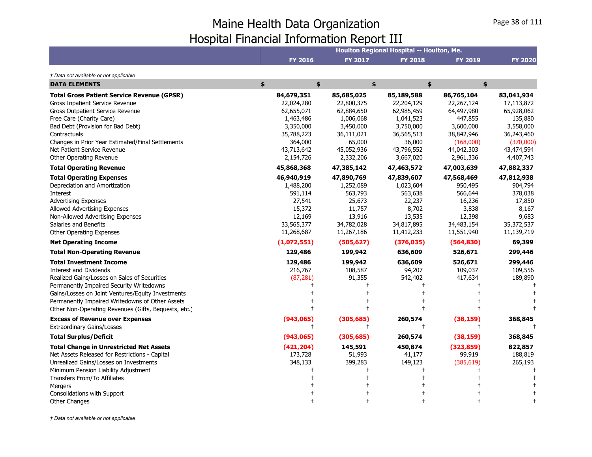|                                                                                             |                          |                          | Houlton Regional Hospital -- Houlton, Me. |                            |                          |
|---------------------------------------------------------------------------------------------|--------------------------|--------------------------|-------------------------------------------|----------------------------|--------------------------|
|                                                                                             | <b>FY 2016</b>           | <b>FY 2017</b>           | <b>FY 2018</b>                            | <b>FY 2019</b>             | <b>FY 2020</b>           |
| † Data not available or not applicable                                                      |                          |                          |                                           |                            |                          |
| <b>DATA ELEMENTS</b>                                                                        | \$<br>\$                 |                          | \$                                        | \$<br>\$                   |                          |
| <b>Total Gross Patient Service Revenue (GPSR)</b><br><b>Gross Inpatient Service Revenue</b> | 84,679,351<br>22,024,280 | 85,685,025<br>22,800,375 | 85,189,588<br>22,204,129                  | 86,765,104<br>22, 267, 124 | 83,041,934<br>17,113,872 |
| <b>Gross Outpatient Service Revenue</b>                                                     | 62,655,071               | 62,884,650               | 62,985,459                                | 64,497,980                 | 65,928,062               |
| Free Care (Charity Care)                                                                    | 1,463,486                | 1,006,068                | 1,041,523                                 | 447,855                    | 135,880                  |
| Bad Debt (Provision for Bad Debt)                                                           | 3,350,000                | 3,450,000                | 3,750,000                                 | 3,600,000                  | 3,558,000                |
| Contractuals                                                                                | 35,788,223               | 36,111,021               | 36,565,513                                | 38,842,946                 | 36,243,460               |
| Changes in Prior Year Estimated/Final Settlements                                           | 364,000                  | 65,000                   | 36,000                                    | (168,000)                  | (370,000)                |
| Net Patient Service Revenue                                                                 | 43,713,642               | 45,052,936               | 43,796,552                                | 44,042,303                 | 43,474,594               |
| Other Operating Revenue                                                                     | 2,154,726                | 2,332,206                | 3,667,020                                 | 2,961,336                  | 4,407,743                |
| <b>Total Operating Revenue</b>                                                              | 45,868,368               | 47,385,142               | 47,463,572                                | 47,003,639                 | 47,882,337               |
| <b>Total Operating Expenses</b>                                                             | 46,940,919               | 47,890,769               | 47,839,607                                | 47,568,469                 | 47,812,938               |
| Depreciation and Amortization                                                               | 1,488,200                | 1,252,089                | 1,023,604                                 | 950,495                    | 904,794                  |
| Interest                                                                                    | 591,114                  | 563,793                  | 563,638                                   | 566,644                    | 378,038                  |
| <b>Advertising Expenses</b>                                                                 | 27,541                   | 25,673                   | 22,237                                    | 16,236                     | 17,850                   |
| Allowed Advertising Expenses                                                                | 15,372                   | 11,757                   | 8,702                                     | 3,838                      | 8,167                    |
| Non-Allowed Advertising Expenses                                                            | 12,169                   | 13,916                   | 13,535                                    | 12,398                     | 9,683                    |
| Salaries and Benefits                                                                       | 33,565,377               | 34,782,028               | 34,817,895                                | 34,483,154                 | 35,372,537               |
| Other Operating Expenses                                                                    | 11,268,687               | 11,267,186               | 11,412,233                                | 11,551,940                 | 11,139,719               |
| <b>Net Operating Income</b>                                                                 | (1,072,551)              | (505, 627)               | (376, 035)                                | (564, 830)                 | 69,399                   |
| <b>Total Non-Operating Revenue</b>                                                          | 129,486                  | 199,942                  | 636,609                                   | 526,671                    | 299,446                  |
| <b>Total Investment Income</b>                                                              | 129,486                  | 199,942                  | 636,609                                   | 526,671                    | 299,446                  |
| <b>Interest and Dividends</b>                                                               | 216,767                  | 108,587                  | 94,207                                    | 109,037                    | 109,556                  |
| Realized Gains/Losses on Sales of Securities                                                | (87, 281)                | 91,355                   | 542,402                                   | 417,634                    | 189,890                  |
| Permanently Impaired Security Writedowns                                                    |                          |                          |                                           |                            |                          |
| Gains/Losses on Joint Ventures/Equity Investments                                           |                          |                          |                                           |                            |                          |
| Permanently Impaired Writedowns of Other Assets                                             |                          |                          |                                           |                            |                          |
| Other Non-Operating Revenues (Gifts, Bequests, etc.)                                        |                          |                          |                                           |                            |                          |
| <b>Excess of Revenue over Expenses</b>                                                      | (943,065)                | (305, 685)               | 260,574                                   | (38, 159)                  | 368,845                  |
| <b>Extraordinary Gains/Losses</b>                                                           | $^{+}$                   | $\pm$                    | $\mathsf{t}$                              |                            |                          |
| <b>Total Surplus/Deficit</b>                                                                | (943,065)                | (305, 685)               | 260,574                                   | (38, 159)                  | 368,845                  |
| <b>Total Change in Unrestricted Net Assets</b>                                              | (421, 204)               | 145,591                  | 450,874                                   | (323, 859)                 | 822,857                  |
| Net Assets Released for Restrictions - Capital                                              | 173,728                  | 51,993                   | 41,177                                    | 99,919                     | 188,819                  |
| Unrealized Gains/Losses on Investments                                                      | 348,133                  | 399,283                  | 149,123                                   | (385, 619)                 | 265,193                  |
| Minimum Pension Liability Adjustment                                                        |                          |                          |                                           |                            |                          |
| Transfers From/To Affiliates                                                                |                          |                          |                                           |                            |                          |
| Mergers                                                                                     |                          |                          |                                           |                            |                          |
| Consolidations with Support                                                                 |                          |                          |                                           |                            |                          |
| <b>Other Changes</b>                                                                        |                          |                          |                                           |                            |                          |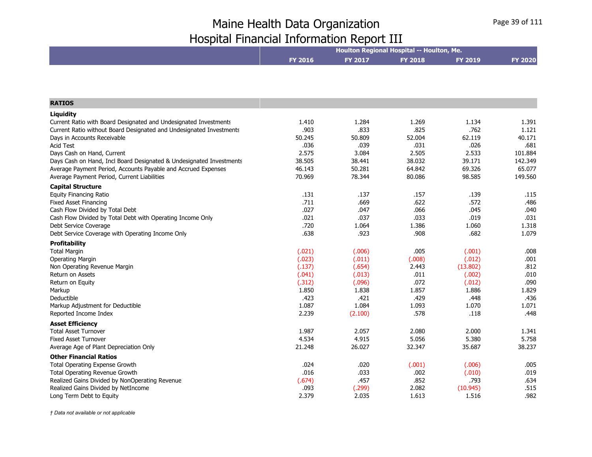|                                                                     | Houlton Regional Hospital -- Houlton, Me. |         |                |                |                |  |
|---------------------------------------------------------------------|-------------------------------------------|---------|----------------|----------------|----------------|--|
|                                                                     | <b>FY 2016</b>                            | FY 2017 | <b>FY 2018</b> | <b>FY 2019</b> | <b>FY 2020</b> |  |
|                                                                     |                                           |         |                |                |                |  |
|                                                                     |                                           |         |                |                |                |  |
| <b>RATIOS</b>                                                       |                                           |         |                |                |                |  |
| Liquidity                                                           |                                           |         |                |                |                |  |
| Current Ratio with Board Designated and Undesignated Investments    | 1.410                                     | 1.284   | 1.269          | 1.134          | 1.391          |  |
| Current Ratio without Board Designated and Undesignated Investments | .903                                      | .833    | .825           | .762           | 1.121          |  |
| Days in Accounts Receivable                                         | 50.245                                    | 50.809  | 52.004         | 62.119         | 40.171         |  |
| <b>Acid Test</b>                                                    | .036                                      | .039    | .031           | .026           | .681           |  |
| Days Cash on Hand, Current                                          | 2.575                                     | 3.084   | 2.505          | 2.533          | 101.884        |  |
| Days Cash on Hand, Incl Board Designated & Undesignated Investments | 38.505                                    | 38.441  | 38.032         | 39.171         | 142.349        |  |
| Average Payment Period, Accounts Payable and Accrued Expenses       | 46.143                                    | 50.281  | 64.842         | 69.326         | 65.077         |  |
| Average Payment Period, Current Liabilities                         | 70.969                                    | 78.344  | 80.086         | 98.585         | 149.560        |  |
| <b>Capital Structure</b>                                            |                                           |         |                |                |                |  |
| <b>Equity Financing Ratio</b>                                       | .131                                      | .137    | .157           | .139           | .115           |  |
| <b>Fixed Asset Financing</b>                                        | .711                                      | .669    | .622           | .572           | .486           |  |
| Cash Flow Divided by Total Debt                                     | .027                                      | .047    | .066           | .045           | .040           |  |
| Cash Flow Divided by Total Debt with Operating Income Only          | .021                                      | .037    | .033           | .019           | .031           |  |
| Debt Service Coverage                                               | .720                                      | 1.064   | 1.386          | 1.060          | 1.318          |  |
| Debt Service Coverage with Operating Income Only                    | .638                                      | .923    | .908           | .682           | 1.079          |  |
| <b>Profitability</b>                                                |                                           |         |                |                |                |  |
| <b>Total Margin</b>                                                 | (.021)                                    | (.006)  | .005           | (.001)         | .008           |  |
| <b>Operating Margin</b>                                             | (.023)                                    | (.011)  | (.008)         | (.012)         | .001           |  |
| Non Operating Revenue Margin                                        | (.137)                                    | (.654)  | 2.443          | (13.802)       | .812           |  |
| <b>Return on Assets</b>                                             | (.041)                                    | (.013)  | .011           | (.002)         | .010           |  |
| Return on Equity                                                    | (.312)                                    | (.096)  | .072           | (.012)         | .090           |  |
| Markup                                                              | 1.850                                     | 1.838   | 1.857          | 1.886          | 1.829          |  |
| Deductible                                                          | .423                                      | .421    | .429           | .448           | .436           |  |
| Markup Adjustment for Deductible                                    | 1.087                                     | 1.084   | 1.093          | 1.070          | 1.071          |  |
| Reported Income Index                                               | 2.239                                     | (2.100) | .578           | .118           | .448           |  |
| <b>Asset Efficiency</b>                                             |                                           |         |                |                |                |  |
| <b>Total Asset Turnover</b>                                         | 1.987                                     | 2.057   | 2.080          | 2.000          | 1.341          |  |
| <b>Fixed Asset Turnover</b>                                         | 4.534                                     | 4.915   | 5.056          | 5.380          | 5.758          |  |
| Average Age of Plant Depreciation Only                              | 21.248                                    | 26.027  | 32.347         | 35.687         | 38.237         |  |
| <b>Other Financial Ratios</b>                                       |                                           |         |                |                |                |  |
| Total Operating Expense Growth                                      | .024                                      | .020    | (.001)         | (.006)         | .005           |  |
| Total Operating Revenue Growth                                      | .016                                      | .033    | .002           | (.010)         | .019           |  |
| Realized Gains Divided by NonOperating Revenue                      | (.674)                                    | .457    | .852           | .793           | .634           |  |
| Realized Gains Divided by NetIncome                                 | .093                                      | (.299)  | 2.082          | (10.945)       | .515           |  |
| Long Term Debt to Equity                                            | 2.379                                     | 2.035   | 1.613          | 1.516          | .982           |  |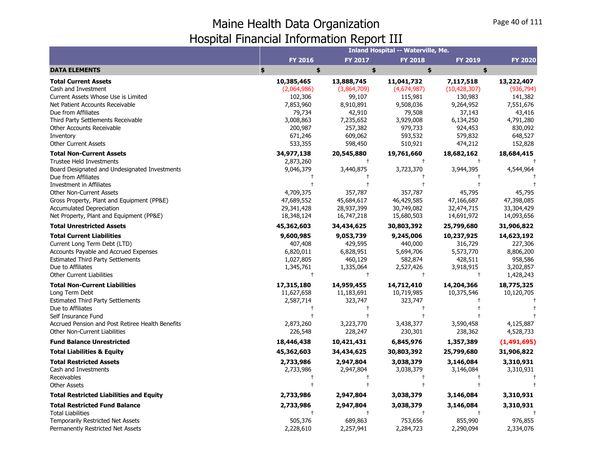|                                                                              |                         |                          | Inland Hospital -- Waterville, Me. |                         |                |
|------------------------------------------------------------------------------|-------------------------|--------------------------|------------------------------------|-------------------------|----------------|
|                                                                              | FY 2016                 | <b>FY 2017</b>           | <b>FY 2018</b>                     | FY 2019                 | <b>FY 2020</b> |
| <b>DATA ELEMENTS</b>                                                         | \$<br>\$                | \$                       | \$                                 | \$                      |                |
| <b>Total Current Assets</b>                                                  | 10,385,465              | 13,888,745               | 11,041,732                         | 7,117,518               | 13,222,407     |
| Cash and Investment                                                          | (2,064,986)             | (3,864,709)              | (4,674,987)                        | (10, 428, 307)          | (936, 794)     |
| Current Assets Whose Use is Limited                                          | 102,306                 | 99,107                   | 115,981                            | 130,983                 | 141,382        |
| Net Patient Accounts Receivable                                              | 7,853,960               | 8,910,891                | 9,508,036                          | 9,264,952               | 7,551,676      |
| Due from Affiliates                                                          | 79,734                  | 42,910                   | 79,508                             | 37,143                  | 43,416         |
| Third Party Settlements Receivable                                           | 3,008,863               | 7,235,652                | 3,929,008                          | 6,134,250               | 4,791,280      |
| Other Accounts Receivable                                                    | 200,987                 | 257,382                  | 979,733                            | 924,453                 | 830,092        |
| Inventory                                                                    | 671,246                 | 609,062                  | 593,532                            | 579,832                 | 648,527        |
| <b>Other Current Assets</b>                                                  | 533,355                 | 598,450                  | 510,921                            | 474,212                 | 152,828        |
| <b>Total Non-Current Assets</b>                                              | 34,977,138              | 20,545,880               | 19,761,660                         | 18,682,162              | 18,684,415     |
| <b>Trustee Held Investments</b>                                              | 2,873,260               | $^{+}$                   | $^{+}$                             | $^{+}$                  |                |
| Board Designated and Undesignated Investments                                | 9,046,379               | 3,440,875                | 3,723,370                          | 3,944,395               | 4,544,964      |
| Due from Affiliates                                                          |                         |                          |                                    |                         |                |
| Investment in Affiliates                                                     |                         |                          |                                    |                         |                |
| <b>Other Non-Current Assets</b>                                              | 4,709,375               | 357,787                  | 357,787                            | 45,795                  | 45,795         |
| Gross Property, Plant and Equipment (PP&E)                                   | 47,689,552              | 45,684,617               | 46,429,585                         | 47,166,687              | 47,398,085     |
| <b>Accumulated Depreciation</b>                                              | 29,341,428              | 28,937,399               | 30,749,082                         | 32,474,715              | 33,304,429     |
| Net Property, Plant and Equipment (PP&E)<br><b>Total Unrestricted Assets</b> | 18,348,124              | 16,747,218<br>34,434,625 | 15,680,503                         | 14,691,972              | 14,093,656     |
|                                                                              | 45,362,603              |                          | 30,803,392                         | 25,799,680              | 31,906,822     |
| <b>Total Current Liabilities</b>                                             | 9,600,985               | 9,053,739                | 9,245,006                          | 10,237,925              | 14,623,192     |
| Current Long Term Debt (LTD)                                                 | 407,408                 | 429,595                  | 440,000                            | 316,729                 | 227,306        |
| Accounts Payable and Accrued Expenses                                        | 6,820,011               | 6,828,951                | 5,694,706                          | 5,573,770               | 8,806,200      |
| <b>Estimated Third Party Settlements</b>                                     | 1,027,805               | 460,129                  | 582,874                            | 428,511                 | 958,586        |
| Due to Affiliates                                                            | 1,345,761<br>$\ddagger$ | 1,335,064<br>$\ddagger$  | 2,527,426<br>$\ddagger$            | 3,918,915<br>$\ddagger$ | 3,202,857      |
| <b>Other Current Liabilities</b>                                             |                         |                          |                                    |                         | 1,428,243      |
| <b>Total Non-Current Liabilities</b>                                         | 17,315,180              | 14,959,455               | 14,712,410                         | 14,204,366              | 18,775,325     |
| Long Term Debt                                                               | 11,627,658              | 11,183,691               | 10,719,985                         | 10,375,546              | 10,120,705     |
| <b>Estimated Third Party Settlements</b>                                     | 2,587,714<br>$\pm$      | 323,747                  | 323,747<br>$\mathbf +$             |                         |                |
| Due to Affiliates<br>Self Insurance Fund                                     |                         |                          |                                    |                         |                |
| Accrued Pension and Post Retiree Health Benefits                             | 2,873,260               | 3,223,770                | 3,438,377                          | 3,590,458               | 4,125,887      |
| Other Non-Current Liabilities                                                | 226,548                 | 228,247                  | 230,301                            | 238,362                 | 4,528,733      |
| <b>Fund Balance Unrestricted</b>                                             | 18,446,438              | 10,421,431               | 6,845,976                          | 1,357,389               | (1,491,695)    |
| <b>Total Liabilities &amp; Equity</b>                                        | 45,362,603              | 34,434,625               | 30,803,392                         | 25,799,680              | 31,906,822     |
| <b>Total Restricted Assets</b>                                               | 2,733,986               | 2,947,804                | 3,038,379                          | 3,146,084               | 3,310,931      |
| Cash and Investments                                                         | 2,733,986               | 2,947,804                | 3,038,379                          | 3,146,084               | 3,310,931      |
| Receivables                                                                  |                         |                          |                                    |                         |                |
| <b>Other Assets</b>                                                          |                         |                          |                                    |                         |                |
| <b>Total Restricted Liabilities and Equity</b>                               | 2,733,986               | 2,947,804                | 3,038,379                          | 3,146,084               | 3,310,931      |
| <b>Total Restricted Fund Balance</b>                                         | 2,733,986               | 2,947,804                | 3,038,379                          | 3,146,084               | 3,310,931      |
| <b>Total Liabilities</b>                                                     |                         |                          |                                    |                         |                |
| Temporarily Restricted Net Assets                                            | 505,376                 | 689,863                  | 753,656                            | 855,990                 | 976,855        |
| Permanently Restricted Net Assets                                            | 2,228,610               | 2,257,941                | 2,284,723                          | 2,290,094               | 2,334,076      |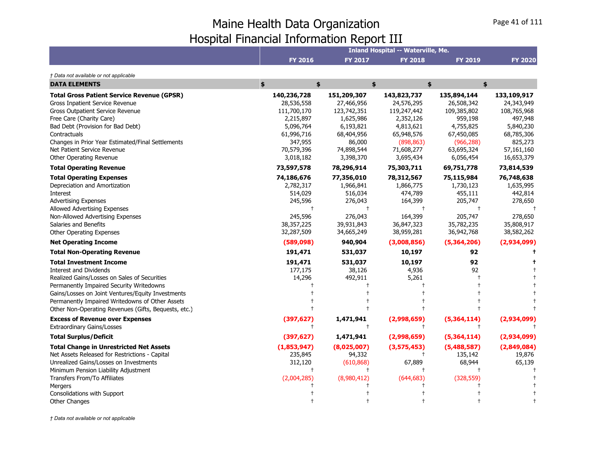|                                                      |                |                | <b>Inland Hospital -- Waterville, Me.</b> |                |                |
|------------------------------------------------------|----------------|----------------|-------------------------------------------|----------------|----------------|
|                                                      | <b>FY 2016</b> | <b>FY 2017</b> | <b>FY 2018</b>                            | <b>FY 2019</b> | <b>FY 2020</b> |
| † Data not available or not applicable               |                |                |                                           |                |                |
| <b>DATA ELEMENTS</b>                                 | \$<br>\$       |                | \$                                        | \$             | \$             |
| <b>Total Gross Patient Service Revenue (GPSR)</b>    | 140,236,728    | 151,209,307    | 143,823,737                               | 135,894,144    | 133,109,917    |
| Gross Inpatient Service Revenue                      | 28,536,558     | 27,466,956     | 24,576,295                                | 26,508,342     | 24,343,949     |
| Gross Outpatient Service Revenue                     | 111,700,170    | 123,742,351    | 119,247,442                               | 109,385,802    | 108,765,968    |
| Free Care (Charity Care)                             | 2,215,897      | 1,625,986      | 2,352,126                                 | 959,198        | 497,948        |
| Bad Debt (Provision for Bad Debt)                    | 5,096,764      | 6,193,821      | 4,813,621                                 | 4,755,825      | 5,840,230      |
| Contractuals                                         | 61,996,716     | 68,404,956     | 65,948,576                                | 67,450,085     | 68,785,306     |
| Changes in Prior Year Estimated/Final Settlements    | 347,955        | 86,000         | (898, 863)                                | (966, 288)     | 825,273        |
| Net Patient Service Revenue                          | 70,579,396     | 74,898,544     | 71,608,277                                | 63,695,324     | 57,161,160     |
| Other Operating Revenue                              | 3,018,182      | 3,398,370      | 3,695,434                                 | 6,056,454      | 16,653,379     |
| <b>Total Operating Revenue</b>                       | 73,597,578     | 78,296,914     | 75,303,711                                | 69,751,778     | 73,814,539     |
| <b>Total Operating Expenses</b>                      | 74,186,676     | 77,356,010     | 78,312,567                                | 75,115,984     | 76,748,638     |
| Depreciation and Amortization                        | 2,782,317      | 1,966,841      | 1,866,775                                 | 1,730,123      | 1,635,995      |
| Interest                                             | 514,029        | 516,034        | 474,789                                   | 455,111        | 442,814        |
| <b>Advertising Expenses</b>                          | 245,596        | 276,043        | 164,399                                   | 205,747        | 278,650        |
| Allowed Advertising Expenses                         | $\overline{1}$ | $^{+}$         | $\ddagger$                                | $^{+}$         |                |
| Non-Allowed Advertising Expenses                     | 245,596        | 276,043        | 164,399                                   | 205,747        | 278,650        |
| Salaries and Benefits                                | 38,357,225     | 39,931,843     | 36,847,323                                | 35,782,235     | 35,808,917     |
| <b>Other Operating Expenses</b>                      | 32,287,509     | 34,665,249     | 38,959,281                                | 36,942,768     | 38,582,262     |
| <b>Net Operating Income</b>                          | (589, 098)     | 940,904        | (3,008,856)                               | (5,364,206)    | (2,934,099)    |
| <b>Total Non-Operating Revenue</b>                   | 191,471        | 531,037        | 10,197                                    | 92             |                |
| <b>Total Investment Income</b>                       | 191,471        | 531,037        | 10,197                                    | 92             |                |
| <b>Interest and Dividends</b>                        | 177,175        | 38,126         | 4,936                                     | 92             |                |
| Realized Gains/Losses on Sales of Securities         | 14,296         | 492,911        | 5,261                                     |                |                |
| Permanently Impaired Security Writedowns             |                |                |                                           |                |                |
| Gains/Losses on Joint Ventures/Equity Investments    |                |                |                                           |                |                |
| Permanently Impaired Writedowns of Other Assets      |                |                |                                           |                |                |
| Other Non-Operating Revenues (Gifts, Bequests, etc.) |                |                |                                           |                |                |
| <b>Excess of Revenue over Expenses</b>               | (397, 627)     | 1,471,941      | (2,998,659)                               | (5,364,114)    | (2,934,099)    |
| <b>Extraordinary Gains/Losses</b>                    | ŧ              | $\ddagger$     | $\pm$                                     | $^{+}$         |                |
| <b>Total Surplus/Deficit</b>                         | (397, 627)     | 1,471,941      | (2,998,659)                               | (5,364,114)    | (2,934,099)    |
| <b>Total Change in Unrestricted Net Assets</b>       | (1,853,947)    | (8,025,007)    | (3,575,453)                               | (5,488,587)    | (2,849,084)    |
| Net Assets Released for Restrictions - Capital       | 235,845        | 94,332         | $\pm$                                     | 135,142        | 19,876         |
| Unrealized Gains/Losses on Investments               | 312,120        | (610, 868)     | 67,889                                    | 68,944         | 65,139         |
| Minimum Pension Liability Adjustment                 | $\ddagger$     | $^{+}$         | $\ddagger$                                |                |                |
| Transfers From/To Affiliates                         | (2,004,285)    | (8,980,412)    | (644, 683)                                | (328, 559)     |                |
| Mergers                                              |                |                |                                           |                |                |
| Consolidations with Support                          |                |                |                                           |                |                |
| <b>Other Changes</b>                                 |                |                |                                           |                |                |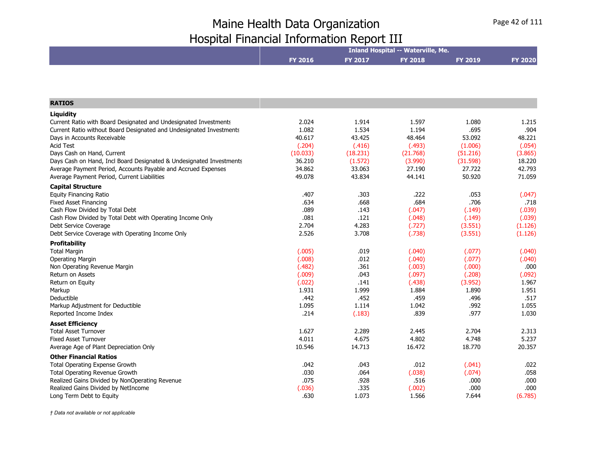| FY 2017<br><b>FY 2018</b><br><b>FY 2016</b><br><b>FY 2019</b><br><b>FY 2020</b><br>2.024<br>1.914<br>1.597<br>1.080<br>1.215<br>.695<br>.904<br>1.082<br>1.534<br>1.194<br>40.617<br>43.425<br>53.092<br>48.464<br>48.221<br>(.204)<br>(.416)<br>(.493)<br>(1.006)<br>(.054)<br>Days Cash on Hand, Current<br>(10.033)<br>(18.231)<br>(21.768)<br>(51.216)<br>(3.865)<br>Days Cash on Hand, Incl Board Designated & Undesignated Investments<br>36.210<br>(1.572)<br>(3.990)<br>(31.598)<br>18.220<br>Average Payment Period, Accounts Payable and Accrued Expenses<br>34.862<br>33.063<br>27.190<br>27.722<br>42.793<br>49.078<br>43.834<br>44.141<br>50.920<br>71.059<br>Average Payment Period, Current Liabilities<br>.303<br>.222<br>.407<br>.053<br>(.047)<br>.668<br>.684<br>.706<br>.634<br>.718<br>.089<br>.143<br>(.149)<br>(.039)<br>(.047)<br>.081<br>.121<br>(.048)<br>(.149)<br>(.039)<br>2.704<br>4.283<br>(.727)<br>(3.551)<br>(1.126)<br>3.708<br>2.526<br>(.738)<br>(3.551)<br>(1.126)<br>(.005)<br>.019<br>(.040)<br>(.077)<br>(.040)<br>.012<br>(.008)<br>(.040)<br>(.040)<br>(.077)<br>Non Operating Revenue Margin<br>(.482)<br>.361<br>.000<br>(.003)<br>(.000)<br>.043<br>(.009)<br>(.097)<br>(.208)<br>(.092)<br>(.022)<br>.141<br>(.438)<br>(3.952)<br>1.967<br>1.931<br>1.999<br>1.884<br>1.890<br>1.951<br>.452<br>.442<br>.459<br>.496<br>.517<br>.992<br>1.095<br>1.114<br>1.042<br>1.055<br>.977<br>.214<br>(.183)<br>.839<br>1.030<br><b>Asset Efficiency</b><br>1.627<br>2.289<br>2.704<br>2.445<br>2.313<br>4.011<br>4.675<br>4.802<br>4.748<br>5.237<br>10.546<br>14.713<br>16.472<br>18.770<br>20.357<br><b>Other Financial Ratios</b><br><b>Total Operating Expense Growth</b><br>.042<br>.043<br>.012<br>.022<br>(.041)<br>.030<br>.064<br>(.038)<br>(.074)<br>.058<br>Total Operating Revenue Growth |                                                                     |      | <b>Inland Hospital -- Waterville, Me.</b> |      |      |
|---------------------------------------------------------------------------------------------------------------------------------------------------------------------------------------------------------------------------------------------------------------------------------------------------------------------------------------------------------------------------------------------------------------------------------------------------------------------------------------------------------------------------------------------------------------------------------------------------------------------------------------------------------------------------------------------------------------------------------------------------------------------------------------------------------------------------------------------------------------------------------------------------------------------------------------------------------------------------------------------------------------------------------------------------------------------------------------------------------------------------------------------------------------------------------------------------------------------------------------------------------------------------------------------------------------------------------------------------------------------------------------------------------------------------------------------------------------------------------------------------------------------------------------------------------------------------------------------------------------------------------------------------------------------------------------------------------------------------------------------------------------------------------------------------------------------------------------------|---------------------------------------------------------------------|------|-------------------------------------------|------|------|
|                                                                                                                                                                                                                                                                                                                                                                                                                                                                                                                                                                                                                                                                                                                                                                                                                                                                                                                                                                                                                                                                                                                                                                                                                                                                                                                                                                                                                                                                                                                                                                                                                                                                                                                                                                                                                                             |                                                                     |      |                                           |      |      |
|                                                                                                                                                                                                                                                                                                                                                                                                                                                                                                                                                                                                                                                                                                                                                                                                                                                                                                                                                                                                                                                                                                                                                                                                                                                                                                                                                                                                                                                                                                                                                                                                                                                                                                                                                                                                                                             |                                                                     |      |                                           |      |      |
|                                                                                                                                                                                                                                                                                                                                                                                                                                                                                                                                                                                                                                                                                                                                                                                                                                                                                                                                                                                                                                                                                                                                                                                                                                                                                                                                                                                                                                                                                                                                                                                                                                                                                                                                                                                                                                             |                                                                     |      |                                           |      |      |
|                                                                                                                                                                                                                                                                                                                                                                                                                                                                                                                                                                                                                                                                                                                                                                                                                                                                                                                                                                                                                                                                                                                                                                                                                                                                                                                                                                                                                                                                                                                                                                                                                                                                                                                                                                                                                                             | <b>RATIOS</b>                                                       |      |                                           |      |      |
|                                                                                                                                                                                                                                                                                                                                                                                                                                                                                                                                                                                                                                                                                                                                                                                                                                                                                                                                                                                                                                                                                                                                                                                                                                                                                                                                                                                                                                                                                                                                                                                                                                                                                                                                                                                                                                             | Liguidity                                                           |      |                                           |      |      |
|                                                                                                                                                                                                                                                                                                                                                                                                                                                                                                                                                                                                                                                                                                                                                                                                                                                                                                                                                                                                                                                                                                                                                                                                                                                                                                                                                                                                                                                                                                                                                                                                                                                                                                                                                                                                                                             | Current Ratio with Board Designated and Undesignated Investments    |      |                                           |      |      |
|                                                                                                                                                                                                                                                                                                                                                                                                                                                                                                                                                                                                                                                                                                                                                                                                                                                                                                                                                                                                                                                                                                                                                                                                                                                                                                                                                                                                                                                                                                                                                                                                                                                                                                                                                                                                                                             | Current Ratio without Board Designated and Undesignated Investments |      |                                           |      |      |
|                                                                                                                                                                                                                                                                                                                                                                                                                                                                                                                                                                                                                                                                                                                                                                                                                                                                                                                                                                                                                                                                                                                                                                                                                                                                                                                                                                                                                                                                                                                                                                                                                                                                                                                                                                                                                                             | Days in Accounts Receivable                                         |      |                                           |      |      |
|                                                                                                                                                                                                                                                                                                                                                                                                                                                                                                                                                                                                                                                                                                                                                                                                                                                                                                                                                                                                                                                                                                                                                                                                                                                                                                                                                                                                                                                                                                                                                                                                                                                                                                                                                                                                                                             | <b>Acid Test</b>                                                    |      |                                           |      |      |
|                                                                                                                                                                                                                                                                                                                                                                                                                                                                                                                                                                                                                                                                                                                                                                                                                                                                                                                                                                                                                                                                                                                                                                                                                                                                                                                                                                                                                                                                                                                                                                                                                                                                                                                                                                                                                                             |                                                                     |      |                                           |      |      |
|                                                                                                                                                                                                                                                                                                                                                                                                                                                                                                                                                                                                                                                                                                                                                                                                                                                                                                                                                                                                                                                                                                                                                                                                                                                                                                                                                                                                                                                                                                                                                                                                                                                                                                                                                                                                                                             |                                                                     |      |                                           |      |      |
|                                                                                                                                                                                                                                                                                                                                                                                                                                                                                                                                                                                                                                                                                                                                                                                                                                                                                                                                                                                                                                                                                                                                                                                                                                                                                                                                                                                                                                                                                                                                                                                                                                                                                                                                                                                                                                             |                                                                     |      |                                           |      |      |
|                                                                                                                                                                                                                                                                                                                                                                                                                                                                                                                                                                                                                                                                                                                                                                                                                                                                                                                                                                                                                                                                                                                                                                                                                                                                                                                                                                                                                                                                                                                                                                                                                                                                                                                                                                                                                                             |                                                                     |      |                                           |      |      |
|                                                                                                                                                                                                                                                                                                                                                                                                                                                                                                                                                                                                                                                                                                                                                                                                                                                                                                                                                                                                                                                                                                                                                                                                                                                                                                                                                                                                                                                                                                                                                                                                                                                                                                                                                                                                                                             | <b>Capital Structure</b>                                            |      |                                           |      |      |
|                                                                                                                                                                                                                                                                                                                                                                                                                                                                                                                                                                                                                                                                                                                                                                                                                                                                                                                                                                                                                                                                                                                                                                                                                                                                                                                                                                                                                                                                                                                                                                                                                                                                                                                                                                                                                                             | <b>Equity Financing Ratio</b>                                       |      |                                           |      |      |
|                                                                                                                                                                                                                                                                                                                                                                                                                                                                                                                                                                                                                                                                                                                                                                                                                                                                                                                                                                                                                                                                                                                                                                                                                                                                                                                                                                                                                                                                                                                                                                                                                                                                                                                                                                                                                                             | <b>Fixed Asset Financing</b>                                        |      |                                           |      |      |
|                                                                                                                                                                                                                                                                                                                                                                                                                                                                                                                                                                                                                                                                                                                                                                                                                                                                                                                                                                                                                                                                                                                                                                                                                                                                                                                                                                                                                                                                                                                                                                                                                                                                                                                                                                                                                                             | Cash Flow Divided by Total Debt                                     |      |                                           |      |      |
|                                                                                                                                                                                                                                                                                                                                                                                                                                                                                                                                                                                                                                                                                                                                                                                                                                                                                                                                                                                                                                                                                                                                                                                                                                                                                                                                                                                                                                                                                                                                                                                                                                                                                                                                                                                                                                             | Cash Flow Divided by Total Debt with Operating Income Only          |      |                                           |      |      |
|                                                                                                                                                                                                                                                                                                                                                                                                                                                                                                                                                                                                                                                                                                                                                                                                                                                                                                                                                                                                                                                                                                                                                                                                                                                                                                                                                                                                                                                                                                                                                                                                                                                                                                                                                                                                                                             | Debt Service Coverage                                               |      |                                           |      |      |
|                                                                                                                                                                                                                                                                                                                                                                                                                                                                                                                                                                                                                                                                                                                                                                                                                                                                                                                                                                                                                                                                                                                                                                                                                                                                                                                                                                                                                                                                                                                                                                                                                                                                                                                                                                                                                                             | Debt Service Coverage with Operating Income Only                    |      |                                           |      |      |
|                                                                                                                                                                                                                                                                                                                                                                                                                                                                                                                                                                                                                                                                                                                                                                                                                                                                                                                                                                                                                                                                                                                                                                                                                                                                                                                                                                                                                                                                                                                                                                                                                                                                                                                                                                                                                                             | <b>Profitability</b>                                                |      |                                           |      |      |
|                                                                                                                                                                                                                                                                                                                                                                                                                                                                                                                                                                                                                                                                                                                                                                                                                                                                                                                                                                                                                                                                                                                                                                                                                                                                                                                                                                                                                                                                                                                                                                                                                                                                                                                                                                                                                                             | <b>Total Margin</b>                                                 |      |                                           |      |      |
|                                                                                                                                                                                                                                                                                                                                                                                                                                                                                                                                                                                                                                                                                                                                                                                                                                                                                                                                                                                                                                                                                                                                                                                                                                                                                                                                                                                                                                                                                                                                                                                                                                                                                                                                                                                                                                             | <b>Operating Margin</b>                                             |      |                                           |      |      |
|                                                                                                                                                                                                                                                                                                                                                                                                                                                                                                                                                                                                                                                                                                                                                                                                                                                                                                                                                                                                                                                                                                                                                                                                                                                                                                                                                                                                                                                                                                                                                                                                                                                                                                                                                                                                                                             |                                                                     |      |                                           |      |      |
|                                                                                                                                                                                                                                                                                                                                                                                                                                                                                                                                                                                                                                                                                                                                                                                                                                                                                                                                                                                                                                                                                                                                                                                                                                                                                                                                                                                                                                                                                                                                                                                                                                                                                                                                                                                                                                             | Return on Assets                                                    |      |                                           |      |      |
|                                                                                                                                                                                                                                                                                                                                                                                                                                                                                                                                                                                                                                                                                                                                                                                                                                                                                                                                                                                                                                                                                                                                                                                                                                                                                                                                                                                                                                                                                                                                                                                                                                                                                                                                                                                                                                             | Return on Equity                                                    |      |                                           |      |      |
|                                                                                                                                                                                                                                                                                                                                                                                                                                                                                                                                                                                                                                                                                                                                                                                                                                                                                                                                                                                                                                                                                                                                                                                                                                                                                                                                                                                                                                                                                                                                                                                                                                                                                                                                                                                                                                             | Markup                                                              |      |                                           |      |      |
|                                                                                                                                                                                                                                                                                                                                                                                                                                                                                                                                                                                                                                                                                                                                                                                                                                                                                                                                                                                                                                                                                                                                                                                                                                                                                                                                                                                                                                                                                                                                                                                                                                                                                                                                                                                                                                             | Deductible                                                          |      |                                           |      |      |
|                                                                                                                                                                                                                                                                                                                                                                                                                                                                                                                                                                                                                                                                                                                                                                                                                                                                                                                                                                                                                                                                                                                                                                                                                                                                                                                                                                                                                                                                                                                                                                                                                                                                                                                                                                                                                                             | Markup Adjustment for Deductible                                    |      |                                           |      |      |
|                                                                                                                                                                                                                                                                                                                                                                                                                                                                                                                                                                                                                                                                                                                                                                                                                                                                                                                                                                                                                                                                                                                                                                                                                                                                                                                                                                                                                                                                                                                                                                                                                                                                                                                                                                                                                                             | Reported Income Index                                               |      |                                           |      |      |
|                                                                                                                                                                                                                                                                                                                                                                                                                                                                                                                                                                                                                                                                                                                                                                                                                                                                                                                                                                                                                                                                                                                                                                                                                                                                                                                                                                                                                                                                                                                                                                                                                                                                                                                                                                                                                                             |                                                                     |      |                                           |      |      |
|                                                                                                                                                                                                                                                                                                                                                                                                                                                                                                                                                                                                                                                                                                                                                                                                                                                                                                                                                                                                                                                                                                                                                                                                                                                                                                                                                                                                                                                                                                                                                                                                                                                                                                                                                                                                                                             | <b>Total Asset Turnover</b>                                         |      |                                           |      |      |
|                                                                                                                                                                                                                                                                                                                                                                                                                                                                                                                                                                                                                                                                                                                                                                                                                                                                                                                                                                                                                                                                                                                                                                                                                                                                                                                                                                                                                                                                                                                                                                                                                                                                                                                                                                                                                                             | <b>Fixed Asset Turnover</b>                                         |      |                                           |      |      |
|                                                                                                                                                                                                                                                                                                                                                                                                                                                                                                                                                                                                                                                                                                                                                                                                                                                                                                                                                                                                                                                                                                                                                                                                                                                                                                                                                                                                                                                                                                                                                                                                                                                                                                                                                                                                                                             | Average Age of Plant Depreciation Only                              |      |                                           |      |      |
|                                                                                                                                                                                                                                                                                                                                                                                                                                                                                                                                                                                                                                                                                                                                                                                                                                                                                                                                                                                                                                                                                                                                                                                                                                                                                                                                                                                                                                                                                                                                                                                                                                                                                                                                                                                                                                             |                                                                     |      |                                           |      |      |
|                                                                                                                                                                                                                                                                                                                                                                                                                                                                                                                                                                                                                                                                                                                                                                                                                                                                                                                                                                                                                                                                                                                                                                                                                                                                                                                                                                                                                                                                                                                                                                                                                                                                                                                                                                                                                                             |                                                                     |      |                                           |      |      |
|                                                                                                                                                                                                                                                                                                                                                                                                                                                                                                                                                                                                                                                                                                                                                                                                                                                                                                                                                                                                                                                                                                                                                                                                                                                                                                                                                                                                                                                                                                                                                                                                                                                                                                                                                                                                                                             |                                                                     |      |                                           |      |      |
| .075<br>.516                                                                                                                                                                                                                                                                                                                                                                                                                                                                                                                                                                                                                                                                                                                                                                                                                                                                                                                                                                                                                                                                                                                                                                                                                                                                                                                                                                                                                                                                                                                                                                                                                                                                                                                                                                                                                                | Realized Gains Divided by NonOperating Revenue                      | .928 |                                           | .000 | .000 |
| .335<br>(.036)<br>(.002)<br>.000<br>.000                                                                                                                                                                                                                                                                                                                                                                                                                                                                                                                                                                                                                                                                                                                                                                                                                                                                                                                                                                                                                                                                                                                                                                                                                                                                                                                                                                                                                                                                                                                                                                                                                                                                                                                                                                                                    | Realized Gains Divided by NetIncome                                 |      |                                           |      |      |
| .630<br>1.073<br>1.566<br>7.644<br>(6.785)                                                                                                                                                                                                                                                                                                                                                                                                                                                                                                                                                                                                                                                                                                                                                                                                                                                                                                                                                                                                                                                                                                                                                                                                                                                                                                                                                                                                                                                                                                                                                                                                                                                                                                                                                                                                  | Long Term Debt to Equity                                            |      |                                           |      |      |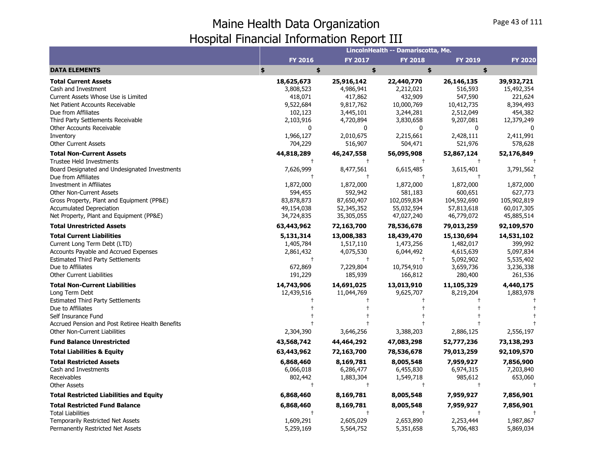|                                                  |                |                         | LincolnHealth -- Damariscotta, Me. |                |                |
|--------------------------------------------------|----------------|-------------------------|------------------------------------|----------------|----------------|
|                                                  | <b>FY 2016</b> | <b>FY 2017</b>          | <b>FY 2018</b>                     | <b>FY 2019</b> | <b>FY 2020</b> |
| <b>DATA ELEMENTS</b>                             | \$<br>\$       | \$                      | \$                                 | \$             |                |
| <b>Total Current Assets</b>                      | 18,625,673     | 25,916,142              | 22,440,770                         | 26,146,135     | 39,932,721     |
| Cash and Investment                              | 3,808,523      | 4,986,941               | 2,212,021                          | 516,593        | 15,492,354     |
| Current Assets Whose Use is Limited              | 418,071        | 417,862                 | 432,909                            | 547,590        | 221,624        |
| Net Patient Accounts Receivable                  | 9,522,684      | 9,817,762               | 10,000,769                         | 10,412,735     | 8,394,493      |
| Due from Affiliates                              | 102,123        | 3,445,101               | 3,244,281                          | 2,512,049      | 454,382        |
| Third Party Settlements Receivable               | 2,103,916      | 4,720,894               | 3,830,658                          | 9,207,081      | 12,379,249     |
| <b>Other Accounts Receivable</b>                 | 0              | $\mathbf 0$             | 0                                  | 0              | 0              |
| Inventory                                        | 1,966,127      | 2,010,675               | 2,215,661                          | 2,428,111      | 2,411,991      |
| Other Current Assets                             | 704,229        | 516,907                 | 504,471                            | 521,976        | 578,628        |
| <b>Total Non-Current Assets</b>                  | 44,818,289     | 46,247,558              | 56,095,908                         | 52,867,124     | 52,176,849     |
| <b>Trustee Held Investments</b>                  | $\ddagger$     | $\ddagger$              | $\ddagger$                         | $\ddagger$     |                |
| Board Designated and Undesignated Investments    | 7,626,999      | 8,477,561<br>$\ddagger$ | 6,615,485                          | 3,615,401      | 3,791,562      |
| Due from Affiliates<br>Investment in Affiliates  | 1,872,000      | 1,872,000               | 1,872,000                          | 1,872,000      | 1,872,000      |
| <b>Other Non-Current Assets</b>                  | 594,455        | 592,942                 | 581,183                            | 600,651        | 627,773        |
| Gross Property, Plant and Equipment (PP&E)       | 83,878,873     | 87,650,407              | 102,059,834                        | 104,592,690    | 105,902,819    |
| <b>Accumulated Depreciation</b>                  | 49,154,038     | 52,345,352              | 55,032,594                         | 57,813,618     | 60,017,305     |
| Net Property, Plant and Equipment (PP&E)         | 34,724,835     | 35,305,055              | 47,027,240                         | 46,779,072     | 45,885,514     |
| <b>Total Unrestricted Assets</b>                 | 63,443,962     | 72,163,700              | 78,536,678                         | 79,013,259     | 92,109,570     |
| <b>Total Current Liabilities</b>                 | 5,131,314      | 13,008,383              | 18,439,470                         | 15,130,694     | 14,531,102     |
| Current Long Term Debt (LTD)                     | 1,405,784      | 1,517,110               | 1,473,256                          | 1,482,017      | 399,992        |
| Accounts Payable and Accrued Expenses            | 2,861,432      | 4,075,530               | 6,044,492                          | 4,615,639      | 5,097,834      |
| <b>Estimated Third Party Settlements</b>         | $\ddagger$     | $\ddagger$              | $\pm$                              | 5,092,902      | 5,535,402      |
| Due to Affiliates                                | 672,869        | 7,229,804               | 10,754,910                         | 3,659,736      | 3,236,338      |
| <b>Other Current Liabilities</b>                 | 191,229        | 185,939                 | 166,812                            | 280,400        | 261,536        |
| <b>Total Non-Current Liabilities</b>             | 14,743,906     | 14,691,025              | 13,013,910                         | 11,105,329     | 4,440,175      |
| Long Term Debt                                   | 12,439,516     | 11,044,769              | 9,625,707                          | 8,219,204      | 1,883,978      |
| Estimated Third Party Settlements                |                |                         |                                    |                |                |
| Due to Affiliates                                |                |                         |                                    |                |                |
| Self Insurance Fund                              |                |                         |                                    |                |                |
| Accrued Pension and Post Retiree Health Benefits |                |                         | $\ddagger$                         |                |                |
| <b>Other Non-Current Liabilities</b>             | 2,304,390      | 3,646,256               | 3,388,203                          | 2,886,125      | 2,556,197      |
| <b>Fund Balance Unrestricted</b>                 | 43,568,742     | 44,464,292              | 47,083,298                         | 52,777,236     | 73,138,293     |
| <b>Total Liabilities &amp; Equity</b>            | 63,443,962     | 72,163,700              | 78,536,678                         | 79,013,259     | 92,109,570     |
| <b>Total Restricted Assets</b>                   | 6,868,460      | 8,169,781               | 8,005,548                          | 7,959,927      | 7,856,900      |
| Cash and Investments                             | 6,066,018      | 6,286,477               | 6,455,830                          | 6,974,315      | 7,203,840      |
| Receivables                                      | 802,442        | 1,883,304               | 1,549,718                          | 985,612        | 653,060        |
| <b>Other Assets</b>                              | $^{+}$         | $\ddagger$              | $\ddagger$                         | $\ddagger$     |                |
| <b>Total Restricted Liabilities and Equity</b>   | 6,868,460      | 8,169,781               | 8,005,548                          | 7,959,927      | 7,856,901      |
| <b>Total Restricted Fund Balance</b>             | 6,868,460      | 8,169,781               | 8,005,548                          | 7,959,927      | 7,856,901      |
| <b>Total Liabilities</b>                         |                | $\ddagger$              |                                    |                |                |
| Temporarily Restricted Net Assets                | 1,609,291      | 2,605,029               | 2,653,890                          | 2,253,444      | 1,987,867      |
| Permanently Restricted Net Assets                | 5,259,169      | 5,564,752               | 5,351,658                          | 5,706,483      | 5,869,034      |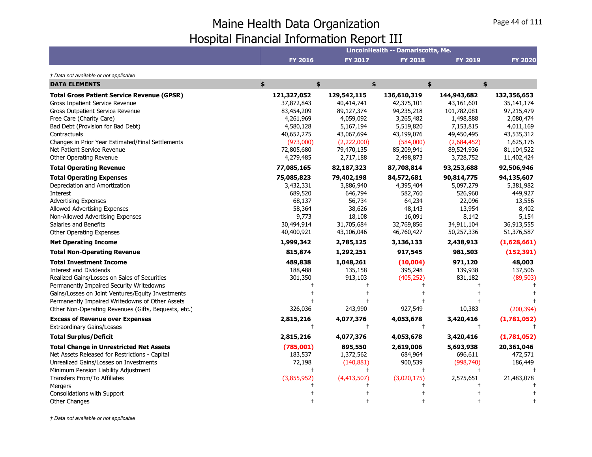|                                                      |                |             | LincolnHealth -- Damariscotta, Me. |                |                |
|------------------------------------------------------|----------------|-------------|------------------------------------|----------------|----------------|
|                                                      | <b>FY 2016</b> | FY 2017     | <b>FY 2018</b>                     | <b>FY 2019</b> | <b>FY 2020</b> |
| † Data not available or not applicable               |                |             |                                    |                |                |
| <b>DATA ELEMENTS</b>                                 | \$<br>\$       |             | \$                                 | \$             | \$             |
| <b>Total Gross Patient Service Revenue (GPSR)</b>    | 121,327,052    | 129,542,115 | 136,610,319                        | 144,943,682    | 132,356,653    |
| Gross Inpatient Service Revenue                      | 37,872,843     | 40,414,741  | 42,375,101                         | 43,161,601     | 35, 141, 174   |
| Gross Outpatient Service Revenue                     | 83,454,209     | 89,127,374  | 94,235,218                         | 101,782,081    | 97,215,479     |
| Free Care (Charity Care)                             | 4,261,969      | 4,059,092   | 3,265,482                          | 1,498,888      | 2,080,474      |
| Bad Debt (Provision for Bad Debt)                    | 4,580,128      | 5,167,194   | 5,519,820                          | 7,153,815      | 4,011,169      |
| Contractuals                                         | 40,652,275     | 43,067,694  | 43,199,076                         | 49,450,495     | 43,535,312     |
| Changes in Prior Year Estimated/Final Settlements    | (973,000)      | (2,222,000) | (584,000)                          | (2,684,452)    | 1,625,176      |
| Net Patient Service Revenue                          | 72,805,680     | 79,470,135  | 85,209,941                         | 89,524,936     | 81,104,522     |
| Other Operating Revenue                              | 4,279,485      | 2,717,188   | 2,498,873                          | 3,728,752      | 11,402,424     |
| <b>Total Operating Revenue</b>                       | 77,085,165     | 82,187,323  | 87,708,814                         | 93,253,688     | 92,506,946     |
| <b>Total Operating Expenses</b>                      | 75,085,823     | 79,402,198  | 84,572,681                         | 90,814,775     | 94,135,607     |
| Depreciation and Amortization                        | 3,432,331      | 3,886,940   | 4,395,404                          | 5,097,279      | 5,381,982      |
| Interest                                             | 689,520        | 646,794     | 582,760                            | 526,960        | 449,927        |
| <b>Advertising Expenses</b>                          | 68,137         | 56,734      | 64,234                             | 22,096         | 13,556         |
| Allowed Advertising Expenses                         | 58,364         | 38,626      | 48,143                             | 13,954         | 8,402          |
| Non-Allowed Advertising Expenses                     | 9,773          | 18,108      | 16,091                             | 8,142          | 5,154          |
| Salaries and Benefits                                | 30,494,914     | 31,705,684  | 32,769,856                         | 34,911,104     | 36,913,555     |
| Other Operating Expenses                             | 40,400,921     | 43,106,046  | 46,760,427                         | 50,257,336     | 51,376,587     |
| <b>Net Operating Income</b>                          | 1,999,342      | 2,785,125   | 3,136,133                          | 2,438,913      | (1,628,661)    |
| <b>Total Non-Operating Revenue</b>                   | 815,874        | 1,292,251   | 917,545                            | 981,503        | (152, 391)     |
| <b>Total Investment Income</b>                       | 489,838        | 1,048,261   | (10,004)                           | 971,120        | 48,003         |
| <b>Interest and Dividends</b>                        | 188,488        | 135,158     | 395,248                            | 139,938        | 137,506        |
| Realized Gains/Losses on Sales of Securities         | 301,350        | 913,103     | (405, 252)                         | 831,182        | (89, 503)      |
| Permanently Impaired Security Writedowns             |                |             |                                    |                |                |
| Gains/Losses on Joint Ventures/Equity Investments    |                |             |                                    |                |                |
| Permanently Impaired Writedowns of Other Assets      |                |             |                                    |                |                |
| Other Non-Operating Revenues (Gifts, Bequests, etc.) | 326,036        | 243,990     | 927,549                            | 10,383         | (200, 394)     |
| <b>Excess of Revenue over Expenses</b>               | 2,815,216      | 4,077,376   | 4,053,678                          | 3,420,416      | (1,781,052)    |
| <b>Extraordinary Gains/Losses</b>                    | $\ddagger$     | $\ddagger$  | $\ddagger$                         | $\ddagger$     |                |
| <b>Total Surplus/Deficit</b>                         | 2,815,216      | 4,077,376   | 4,053,678                          | 3,420,416      | (1,781,052)    |
| <b>Total Change in Unrestricted Net Assets</b>       | (785,001)      | 895,550     | 2,619,006                          | 5,693,938      | 20,361,046     |
| Net Assets Released for Restrictions - Capital       | 183,537        | 1,372,562   | 684,964                            | 696,611        | 472,571        |
| Unrealized Gains/Losses on Investments               | 72,198         | (140, 881)  | 900,539                            | (998, 740)     | 186,449        |
| Minimum Pension Liability Adjustment                 | $\ddagger$     | $^{+}$      | $\ddagger$                         | $\ddagger$     |                |
| Transfers From/To Affiliates                         | (3,855,952)    | (4,413,507) | (3,020,175)                        | 2,575,651      | 21,483,078     |
| Mergers                                              |                |             |                                    |                |                |
| Consolidations with Support                          |                |             |                                    |                |                |
| <b>Other Changes</b>                                 |                |             |                                    |                |                |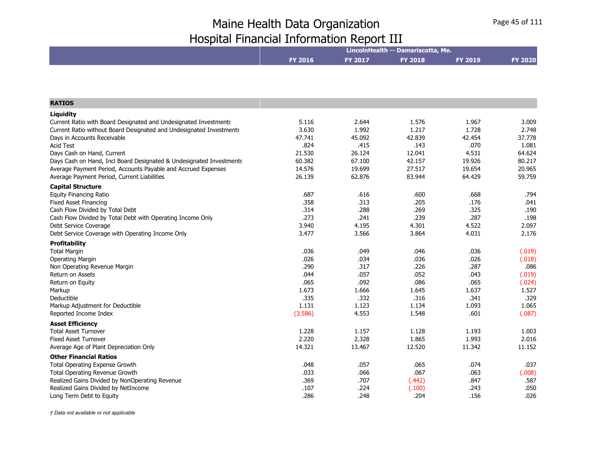|                                                                     | LincolnHealth -- Damariscotta, Me. |                |                |                |                |
|---------------------------------------------------------------------|------------------------------------|----------------|----------------|----------------|----------------|
|                                                                     | FY 2016                            | <b>FY 2017</b> | <b>FY 2018</b> | <b>FY 2019</b> | <b>FY 2020</b> |
|                                                                     |                                    |                |                |                |                |
|                                                                     |                                    |                |                |                |                |
|                                                                     |                                    |                |                |                |                |
| <b>RATIOS</b>                                                       |                                    |                |                |                |                |
| Liquidity                                                           |                                    |                |                |                |                |
| Current Ratio with Board Designated and Undesignated Investments    | 5.116                              | 2.644          | 1.576          | 1.967          | 3.009          |
| Current Ratio without Board Designated and Undesignated Investments | 3.630                              | 1.992          | 1.217          | 1.728          | 2.748          |
| Days in Accounts Receivable                                         | 47.741                             | 45.092         | 42.839         | 42.454         | 37.778         |
| <b>Acid Test</b>                                                    | .824                               | .415           | .143           | .070           | 1.081          |
| Days Cash on Hand, Current                                          | 21.530                             | 26.124         | 12.041         | 4.531          | 64.624         |
| Days Cash on Hand, Incl Board Designated & Undesignated Investments | 60.382                             | 67.100         | 42.157         | 19.926         | 80.217         |
| Average Payment Period, Accounts Payable and Accrued Expenses       | 14.576                             | 19.699         | 27.517         | 19.654         | 20.965         |
| Average Payment Period, Current Liabilities                         | 26.139                             | 62.876         | 83.944         | 64.429         | 59.759         |
| <b>Capital Structure</b>                                            |                                    |                |                |                |                |
| <b>Equity Financing Ratio</b>                                       | .687                               | .616           | .600           | .668           | .794           |
| <b>Fixed Asset Financing</b>                                        | .358                               | .313           | .205           | .176           | .041           |
| Cash Flow Divided by Total Debt                                     | .314                               | .288           | .269           | .325           | .190           |
| Cash Flow Divided by Total Debt with Operating Income Only          | .273                               | .241           | .239           | .287           | .198           |
| Debt Service Coverage                                               | 3.940                              | 4.195          | 4.301          | 4.522          | 2.097          |
| Debt Service Coverage with Operating Income Only                    | 3.477                              | 3.566          | 3.864          | 4.031          | 2.176          |
| <b>Profitability</b>                                                |                                    |                |                |                |                |
| <b>Total Margin</b>                                                 | .036                               | .049           | .046           | .036           | (.019)         |
| <b>Operating Margin</b>                                             | .026                               | .034           | .036           | .026           | (.018)         |
| Non Operating Revenue Margin                                        | .290                               | .317           | .226           | .287           | .086           |
| Return on Assets                                                    | .044                               | .057           | .052           | .043           | (.019)         |
| Return on Equity                                                    | .065                               | .092           | .086           | .065           | (.024)         |
| Markup                                                              | 1.673                              | 1.666          | 1.645          | 1.637          | 1.527          |
| Deductible                                                          | .335                               | .332           | .316           | .341           | .329           |
| Markup Adjustment for Deductible                                    | 1.131                              | 1.123          | 1.134          | 1.093          | 1.065          |
| Reported Income Index                                               | (3.586)                            | 4.553          | 1.548          | .601           | (.087)         |
| <b>Asset Efficiency</b>                                             |                                    |                |                |                |                |
| <b>Total Asset Turnover</b>                                         | 1.228                              | 1.157          | 1.128          | 1.193          | 1.003          |
| <b>Fixed Asset Turnover</b>                                         | 2.220                              | 2.328          | 1.865          | 1.993          | 2.016          |
| Average Age of Plant Depreciation Only                              | 14.321                             | 13.467         | 12.520         | 11.342         | 11.152         |
| <b>Other Financial Ratios</b>                                       |                                    |                |                |                |                |
| <b>Total Operating Expense Growth</b>                               | .048                               | .057           | .065           | .074           | .037           |
| Total Operating Revenue Growth                                      | .033                               | .066           | .067           | .063           | (.008)         |
| Realized Gains Divided by NonOperating Revenue                      | .369                               | .707           | (.442)         | .847           | .587           |
| Realized Gains Divided by NetIncome                                 | .107                               | .224           | (.100)         | .243           | .050           |
| Long Term Debt to Equity                                            | .286                               | .248           | .204           | .156           | .026           |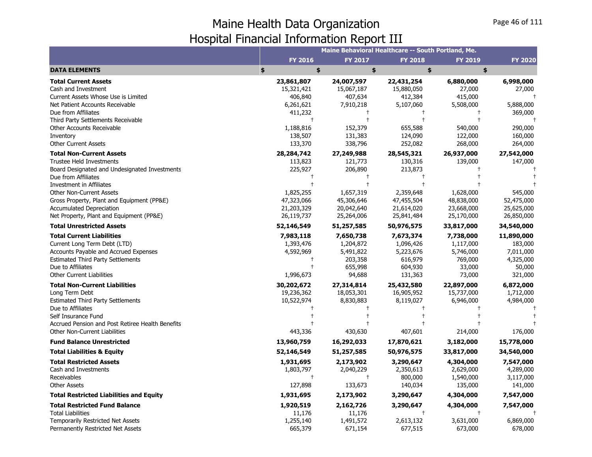|                                                  |                | Maine Behavioral Healthcare -- South Portland, Me. |                |                |                |
|--------------------------------------------------|----------------|----------------------------------------------------|----------------|----------------|----------------|
|                                                  | <b>FY 2016</b> | <b>FY 2017</b>                                     | <b>FY 2018</b> | <b>FY 2019</b> | <b>FY 2020</b> |
| <b>DATA ELEMENTS</b>                             | \$<br>\$       | \$                                                 | \$             | \$             |                |
| <b>Total Current Assets</b>                      | 23,861,807     | 24,007,597                                         | 22,431,254     | 6,880,000      | 6,998,000      |
| Cash and Investment                              | 15,321,421     | 15,067,187                                         | 15,880,050     | 27,000         | 27,000         |
| Current Assets Whose Use is Limited              | 406,840        | 407,634                                            | 412,384        | 415,000        |                |
| Net Patient Accounts Receivable                  | 6,261,621      | 7,910,218                                          | 5,107,060      | 5,508,000      | 5,888,000      |
| Due from Affiliates                              | 411,232        | $^{+}$                                             | $\ddagger$     | $\ddagger$     | 369,000        |
| Third Party Settlements Receivable               | $\ddagger$     | $\ddagger$                                         |                | $\ddot{+}$     |                |
| Other Accounts Receivable                        | 1,188,816      | 152,379                                            | 655,588        | 540,000        | 290,000        |
| Inventory                                        | 138,507        | 131,383                                            | 124,090        | 122,000        | 160,000        |
| <b>Other Current Assets</b>                      | 133,370        | 338,796                                            | 252,082        | 268,000        | 264,000        |
| <b>Total Non-Current Assets</b>                  | 28, 284, 742   | 27,249,988                                         | 28,545,321     | 26,937,000     | 27,542,000     |
| <b>Trustee Held Investments</b>                  | 113,823        | 121,773                                            | 130,316        | 139,000        | 147,000        |
| Board Designated and Undesignated Investments    | 225,927        | 206,890                                            | 213,873        |                |                |
| Due from Affiliates                              |                |                                                    |                |                |                |
| Investment in Affiliates                         |                |                                                    | $\ddagger$     |                |                |
| <b>Other Non-Current Assets</b>                  | 1,825,255      | 1,657,319                                          | 2,359,648      | 1,628,000      | 545,000        |
| Gross Property, Plant and Equipment (PP&E)       | 47,323,066     | 45,306,646                                         | 47,455,504     | 48,838,000     | 52,475,000     |
| <b>Accumulated Depreciation</b>                  | 21,203,329     | 20,042,640                                         | 21,614,020     | 23,668,000     | 25,625,000     |
| Net Property, Plant and Equipment (PP&E)         | 26,119,737     | 25,264,006                                         | 25,841,484     | 25,170,000     | 26,850,000     |
| <b>Total Unrestricted Assets</b>                 | 52,146,549     | 51,257,585                                         | 50,976,575     | 33,817,000     | 34,540,000     |
| <b>Total Current Liabilities</b>                 | 7,983,118      | 7,650,738                                          | 7,673,374      | 7,738,000      | 11,890,000     |
| Current Long Term Debt (LTD)                     | 1,393,476      | 1,204,872                                          | 1,096,426      | 1,117,000      | 183,000        |
| <b>Accounts Payable and Accrued Expenses</b>     | 4,592,969      | 5,491,822                                          | 5,223,676      | 5,746,000      | 7,011,000      |
| <b>Estimated Third Party Settlements</b>         |                | 203,358                                            | 616,979        | 769,000        | 4,325,000      |
| Due to Affiliates                                | $\ddagger$     | 655,998                                            | 604,930        | 33,000         | 50,000         |
| <b>Other Current Liabilities</b>                 | 1,996,673      | 94,688                                             | 131,363        | 73,000         | 321,000        |
| <b>Total Non-Current Liabilities</b>             | 30,202,672     | 27,314,814                                         | 25,432,580     | 22,897,000     | 6,872,000      |
| Long Term Debt                                   | 19,236,362     | 18,053,301                                         | 16,905,952     | 15,737,000     | 1,712,000      |
| <b>Estimated Third Party Settlements</b>         | 10,522,974     | 8,830,883                                          | 8,119,027      | 6,946,000      | 4,984,000      |
| Due to Affiliates                                |                |                                                    | $^\mathrm{+}$  |                |                |
| Self Insurance Fund                              |                |                                                    |                |                |                |
| Accrued Pension and Post Retiree Health Benefits |                |                                                    |                |                |                |
| Other Non-Current Liabilities                    | 443,336        | 430,630                                            | 407,601        | 214,000        | 176,000        |
| <b>Fund Balance Unrestricted</b>                 | 13,960,759     | 16,292,033                                         | 17,870,621     | 3,182,000      | 15,778,000     |
| <b>Total Liabilities &amp; Equity</b>            | 52,146,549     | 51,257,585                                         | 50,976,575     | 33,817,000     | 34,540,000     |
| <b>Total Restricted Assets</b>                   | 1,931,695      | 2,173,902                                          | 3,290,647      | 4,304,000      | 7,547,000      |
| Cash and Investments                             | 1,803,797      | 2,040,229                                          | 2,350,613      | 2,629,000      | 4,289,000      |
| Receivables                                      | $\ddagger$     | $^{\dagger}$                                       | 800,000        | 1,540,000      | 3,117,000      |
| <b>Other Assets</b>                              | 127,898        | 133,673                                            | 140,034        | 135,000        | 141,000        |
| <b>Total Restricted Liabilities and Equity</b>   | 1,931,695      | 2,173,902                                          | 3,290,647      | 4,304,000      | 7,547,000      |
| <b>Total Restricted Fund Balance</b>             | 1,920,519      | 2,162,726                                          | 3,290,647      | 4,304,000      | 7,547,000      |
| <b>Total Liabilities</b>                         | 11,176         | 11,176                                             | $\ddagger$     |                |                |
| <b>Temporarily Restricted Net Assets</b>         | 1,255,140      | 1,491,572                                          | 2,613,132      | 3,631,000      | 6,869,000      |
| Permanently Restricted Net Assets                | 665,379        | 671,154                                            | 677,515        | 673,000        | 678,000        |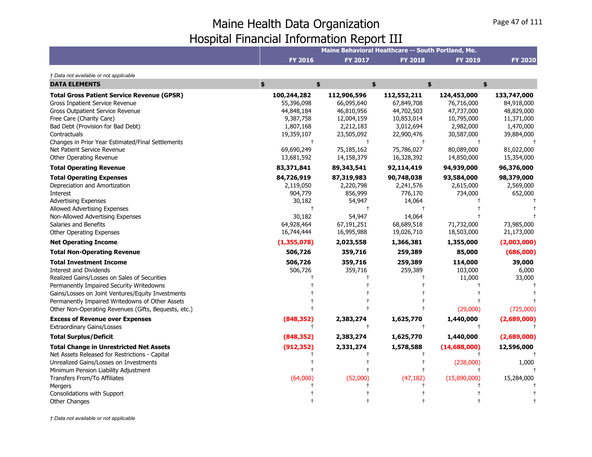|                                                                                                                                                                                                                                                                                                                          |                                                                                                                                |                                                                                                                            | Maine Behavioral Healthcare -- South Portland, Me.                                                           |                                                                                                              |                                                                                                              |
|--------------------------------------------------------------------------------------------------------------------------------------------------------------------------------------------------------------------------------------------------------------------------------------------------------------------------|--------------------------------------------------------------------------------------------------------------------------------|----------------------------------------------------------------------------------------------------------------------------|--------------------------------------------------------------------------------------------------------------|--------------------------------------------------------------------------------------------------------------|--------------------------------------------------------------------------------------------------------------|
|                                                                                                                                                                                                                                                                                                                          | <b>FY 2016</b>                                                                                                                 | <b>FY 2017</b>                                                                                                             | <b>FY 2018</b>                                                                                               | <b>FY 2019</b>                                                                                               | <b>FY 2020</b>                                                                                               |
| † Data not available or not applicable                                                                                                                                                                                                                                                                                   |                                                                                                                                |                                                                                                                            |                                                                                                              |                                                                                                              |                                                                                                              |
| <b>DATA ELEMENTS</b>                                                                                                                                                                                                                                                                                                     | \$<br>\$                                                                                                                       |                                                                                                                            | \$                                                                                                           | \$<br>\$                                                                                                     |                                                                                                              |
| <b>Total Gross Patient Service Revenue (GPSR)</b><br>Gross Inpatient Service Revenue<br>Gross Outpatient Service Revenue<br>Free Care (Charity Care)<br>Bad Debt (Provision for Bad Debt)<br>Contractuals<br>Changes in Prior Year Estimated/Final Settlements<br>Net Patient Service Revenue<br>Other Operating Revenue | 100,244,282<br>55,396,098<br>44,848,184<br>9,387,758<br>1,807,168<br>19,359,107<br>$\ddagger$<br>69,690,249<br>13,681,592      | 112,906,596<br>66,095,640<br>46,810,956<br>12,004,159<br>2,212,183<br>23,505,092<br>$\ddagger$<br>75,185,162<br>14,158,379 | 112,552,211<br>67,849,708<br>44,702,503<br>10,853,014<br>3,012,694<br>22,900,476<br>75,786,027<br>16,328,392 | 124,453,000<br>76,716,000<br>47,737,000<br>10,795,000<br>2,982,000<br>30,587,000<br>80,089,000<br>14,850,000 | 133,747,000<br>84,918,000<br>48,829,000<br>11,371,000<br>1,470,000<br>39,884,000<br>81,022,000<br>15,354,000 |
| <b>Total Operating Revenue</b>                                                                                                                                                                                                                                                                                           | 83,371,841                                                                                                                     | 89,343,541                                                                                                                 | 92,114,419                                                                                                   | 94,939,000                                                                                                   | 96,376,000                                                                                                   |
| <b>Total Operating Expenses</b><br>Depreciation and Amortization<br>Interest<br><b>Advertising Expenses</b><br>Allowed Advertising Expenses<br>Non-Allowed Advertising Expenses<br>Salaries and Benefits<br>Other Operating Expenses<br><b>Net Operating Income</b><br><b>Total Non-Operating Revenue</b>                | 84,726,919<br>2,119,050<br>904,779<br>30,182<br>$\overline{1}$<br>30,182<br>64,928,464<br>16,744,444<br>(1,355,078)<br>506,726 | 87,319,983<br>2,220,798<br>856,999<br>54,947<br>54,947<br>67,191,251<br>16,995,988<br>2,023,558<br>359,716                 | 90,748,038<br>2,241,576<br>776,170<br>14,064<br>14,064<br>68,689,518<br>19,026,710<br>1,366,381<br>259,389   | 93,584,000<br>2,615,000<br>734,000<br>71,732,000<br>18,503,000<br>1,355,000<br>85,000                        | 98,379,000<br>2,569,000<br>652,000<br>73,985,000<br>21,173,000<br>(2,003,000)<br>(686,000)                   |
| <b>Total Investment Income</b><br>Interest and Dividends<br>Realized Gains/Losses on Sales of Securities<br>Permanently Impaired Security Writedowns<br>Gains/Losses on Joint Ventures/Equity Investments<br>Permanently Impaired Writedowns of Other Assets<br>Other Non-Operating Revenues (Gifts, Bequests, etc.)     | 506,726<br>506,726                                                                                                             | 359,716<br>359,716                                                                                                         | 259,389<br>259,389                                                                                           | 114,000<br>103,000<br>11,000<br>(29,000)                                                                     | 39,000<br>6,000<br>33,000<br>(725,000)                                                                       |
| <b>Excess of Revenue over Expenses</b>                                                                                                                                                                                                                                                                                   | (848, 352)<br>$^{\mathrm{+}}$                                                                                                  | 2,383,274<br>$^{+}$                                                                                                        | 1,625,770                                                                                                    | 1,440,000                                                                                                    | (2,689,000)                                                                                                  |
| <b>Extraordinary Gains/Losses</b><br><b>Total Surplus/Deficit</b>                                                                                                                                                                                                                                                        | (848, 352)                                                                                                                     | 2,383,274                                                                                                                  | 1,625,770                                                                                                    | 1,440,000                                                                                                    | (2,689,000)                                                                                                  |
| <b>Total Change in Unrestricted Net Assets</b><br>Net Assets Released for Restrictions - Capital<br>Unrealized Gains/Losses on Investments<br>Minimum Pension Liability Adjustment<br>Transfers From/To Affiliates<br>Mergers<br>Consolidations with Support<br><b>Other Changes</b>                                     | (912, 352)<br>(64,000)                                                                                                         | 2,331,274<br>(52,000)                                                                                                      | 1,578,588<br>(47, 182)                                                                                       | (14,688,000)<br>(238,000)<br>(15,890,000)                                                                    | 12,596,000<br>1,000<br>15,284,000                                                                            |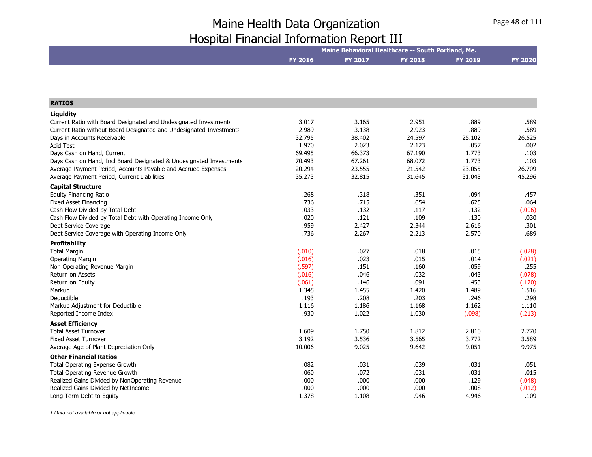|                                                                               | Maine Behavioral Healthcare -- South Portland, Me. |                |                |                |                |  |
|-------------------------------------------------------------------------------|----------------------------------------------------|----------------|----------------|----------------|----------------|--|
|                                                                               | <b>FY 2016</b>                                     | <b>FY 2017</b> | <b>FY 2018</b> | <b>FY 2019</b> | <b>FY 2020</b> |  |
|                                                                               |                                                    |                |                |                |                |  |
| <b>RATIOS</b>                                                                 |                                                    |                |                |                |                |  |
|                                                                               |                                                    |                |                |                |                |  |
| Liquidity<br>Current Ratio with Board Designated and Undesignated Investments | 3.017                                              | 3.165          | 2.951          | .889           | .589           |  |
| Current Ratio without Board Designated and Undesignated Investments           | 2.989                                              | 3.138          | 2.923          | .889           | .589           |  |
| Days in Accounts Receivable                                                   | 32.795                                             | 38.402         | 24.597         | 25.102         | 26.525         |  |
| <b>Acid Test</b>                                                              | 1.970                                              | 2.023          | 2.123          | .057           | .002           |  |
| Days Cash on Hand, Current                                                    | 69.495                                             | 66.373         | 67.190         | 1.773          | .103           |  |
| Days Cash on Hand, Incl Board Designated & Undesignated Investments           | 70.493                                             | 67.261         | 68.072         | 1.773          | .103           |  |
| Average Payment Period, Accounts Payable and Accrued Expenses                 | 20.294                                             | 23.555         | 21.542         | 23.055         | 26.709         |  |
| Average Payment Period, Current Liabilities                                   | 35.273                                             | 32.815         | 31.645         | 31.048         | 45.296         |  |
| <b>Capital Structure</b>                                                      |                                                    |                |                |                |                |  |
| <b>Equity Financing Ratio</b>                                                 | .268                                               | .318           | .351           | .094           | .457           |  |
| <b>Fixed Asset Financing</b>                                                  | .736                                               | .715           | .654           | .625           | .064           |  |
| Cash Flow Divided by Total Debt                                               | .033                                               | .132           | .117           | .132           | (.006)         |  |
| Cash Flow Divided by Total Debt with Operating Income Only                    | .020                                               | .121           | .109           | .130           | .030           |  |
| Debt Service Coverage                                                         | .959                                               | 2.427          | 2.344          | 2.616          | .301           |  |
| Debt Service Coverage with Operating Income Only                              | .736                                               | 2.267          | 2.213          | 2.570          | .689           |  |
| <b>Profitability</b>                                                          |                                                    |                |                |                |                |  |
| <b>Total Margin</b>                                                           | (.010)                                             | .027           | .018           | .015           | (.028)         |  |
| <b>Operating Margin</b>                                                       | (.016)                                             | .023           | .015           | .014           | (.021)         |  |
| Non Operating Revenue Margin                                                  | (.597)                                             | .151           | .160           | .059           | .255           |  |
| <b>Return on Assets</b>                                                       | (.016)                                             | .046           | .032           | .043           | (.078)         |  |
| Return on Equity                                                              | (.061)                                             | .146           | .091           | .453           | (.170)         |  |
| Markup                                                                        | 1.345                                              | 1.455          | 1.420          | 1.489          | 1.516          |  |
| Deductible                                                                    | .193                                               | .208           | .203           | .246           | .298           |  |
| Markup Adjustment for Deductible                                              | 1.116                                              | 1.186          | 1.168          | 1.162          | 1.110          |  |
| Reported Income Index                                                         | .930                                               | 1.022          | 1.030          | (.098)         | (.213)         |  |
| <b>Asset Efficiency</b>                                                       |                                                    |                |                |                |                |  |
| <b>Total Asset Turnover</b>                                                   | 1.609                                              | 1.750          | 1.812          | 2.810          | 2.770          |  |
| <b>Fixed Asset Turnover</b>                                                   | 3.192                                              | 3.536          | 3.565          | 3.772          | 3.589          |  |
| Average Age of Plant Depreciation Only                                        | 10.006                                             | 9.025          | 9.642          | 9.051          | 9.975          |  |
| <b>Other Financial Ratios</b>                                                 |                                                    |                |                |                |                |  |
| Total Operating Expense Growth                                                | .082                                               | .031           | .039           | .031           | .051           |  |
| Total Operating Revenue Growth                                                | .060                                               | .072           | .031           | .031           | .015           |  |
| Realized Gains Divided by NonOperating Revenue                                | .000                                               | .000           | .000           | .129           | (.048)         |  |
| Realized Gains Divided by NetIncome                                           | .000                                               | .000           | .000           | .008           | (.012)         |  |
| Long Term Debt to Equity                                                      | 1.378                                              | 1.108          | .946           | 4.946          | .109           |  |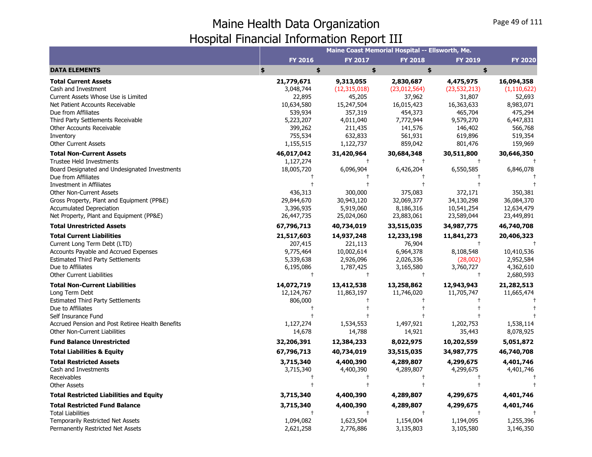|                                                                                                                                                                                                                                                                                                                                               |                                                                                               | Maine Coast Memorial Hospital -- Ellsworth, Me.                                                   |                                                                                                 |                                                                                                   |                                                                                                  |  |
|-----------------------------------------------------------------------------------------------------------------------------------------------------------------------------------------------------------------------------------------------------------------------------------------------------------------------------------------------|-----------------------------------------------------------------------------------------------|---------------------------------------------------------------------------------------------------|-------------------------------------------------------------------------------------------------|---------------------------------------------------------------------------------------------------|--------------------------------------------------------------------------------------------------|--|
|                                                                                                                                                                                                                                                                                                                                               | <b>FY 2016</b>                                                                                | <b>FY 2017</b>                                                                                    | <b>FY 2018</b>                                                                                  | <b>FY 2019</b>                                                                                    | <b>FY 2020</b>                                                                                   |  |
| <b>DATA ELEMENTS</b>                                                                                                                                                                                                                                                                                                                          | \$<br>\$                                                                                      | \$                                                                                                | \$                                                                                              | \$                                                                                                |                                                                                                  |  |
| <b>Total Current Assets</b><br>Cash and Investment<br>Current Assets Whose Use is Limited<br>Net Patient Accounts Receivable<br>Due from Affiliates<br>Third Party Settlements Receivable<br>Other Accounts Receivable<br>Inventory                                                                                                           | 21,779,671<br>3,048,744<br>22,895<br>10,634,580<br>539,934<br>5,223,207<br>399,262<br>755,534 | 9,313,055<br>(12, 315, 018)<br>45,205<br>15,247,504<br>357,319<br>4,011,040<br>211,435<br>632,833 | 2,830,687<br>(23,012,564)<br>37,962<br>16,015,423<br>454,373<br>7,772,944<br>141,576<br>561,931 | 4,475,975<br>(23, 532, 213)<br>31,807<br>16,363,633<br>465,704<br>9,579,270<br>146,402<br>619,896 | 16,094,358<br>(1, 110, 622)<br>52,693<br>8,983,071<br>475,294<br>6,447,831<br>566,768<br>519,354 |  |
| <b>Other Current Assets</b>                                                                                                                                                                                                                                                                                                                   | 1,155,515                                                                                     | 1,122,737                                                                                         | 859,042                                                                                         | 801,476                                                                                           | 159,969                                                                                          |  |
| <b>Total Non-Current Assets</b><br><b>Trustee Held Investments</b><br>Board Designated and Undesignated Investments<br>Due from Affiliates<br><b>Investment in Affiliates</b><br><b>Other Non-Current Assets</b><br>Gross Property, Plant and Equipment (PP&E)<br><b>Accumulated Depreciation</b><br>Net Property, Plant and Equipment (PP&E) | 46,017,042<br>1,127,274<br>18,005,720<br>436,313<br>29,844,670<br>3,396,935<br>26,447,735     | 31,420,964<br>$\pm$<br>6,096,904<br>300,000<br>30,943,120<br>5,919,060<br>25,024,060              | 30,684,348<br>$^{+}$<br>6,426,204<br>375,083<br>32,069,377<br>8,186,316<br>23,883,061           | 30,511,800<br>6,550,585<br>372,171<br>34,130,298<br>10,541,254<br>23,589,044                      | 30,646,350<br>6,846,078<br>350,381<br>36,084,370<br>12,634,479<br>23,449,891                     |  |
| <b>Total Unrestricted Assets</b>                                                                                                                                                                                                                                                                                                              | 67,796,713                                                                                    | 40,734,019                                                                                        | 33,515,035                                                                                      | 34,987,775                                                                                        | 46,740,708                                                                                       |  |
| <b>Total Current Liabilities</b><br>Current Long Term Debt (LTD)<br>Accounts Payable and Accrued Expenses<br><b>Estimated Third Party Settlements</b><br>Due to Affiliates<br><b>Other Current Liabilities</b>                                                                                                                                | 21,517,603<br>207,415<br>9,775,464<br>5,339,638<br>6,195,086                                  | 14,937,248<br>221,113<br>10,002,614<br>2,926,096<br>1,787,425<br>$^{+}$                           | 12,233,198<br>76,904<br>6,964,378<br>2,026,336<br>3,165,580<br>$\ddagger$                       | 11,841,273<br>8,108,548<br>(28,002)<br>3,760,727<br>$\ddagger$                                    | 20,406,323<br>10,410,536<br>2,952,584<br>4,362,610<br>2,680,593                                  |  |
| <b>Total Non-Current Liabilities</b><br>Long Term Debt<br><b>Estimated Third Party Settlements</b><br>Due to Affiliates<br>Self Insurance Fund<br>Accrued Pension and Post Retiree Health Benefits<br><b>Other Non-Current Liabilities</b>                                                                                                    | 14,072,719<br>12,124,767<br>806,000<br>1,127,274<br>14,678                                    | 13,412,538<br>11,863,197<br>1,534,553<br>14,788                                                   | 13,258,862<br>11,746,020<br>1,497,921<br>14,921                                                 | 12,943,943<br>11,705,747<br>1,202,753<br>35,443                                                   | 21,282,513<br>11,665,474<br>1,538,114<br>8,078,925                                               |  |
| <b>Fund Balance Unrestricted</b>                                                                                                                                                                                                                                                                                                              | 32,206,391                                                                                    | 12,384,233                                                                                        | 8,022,975                                                                                       | 10,202,559                                                                                        | 5,051,872                                                                                        |  |
| <b>Total Liabilities &amp; Equity</b>                                                                                                                                                                                                                                                                                                         | 67,796,713                                                                                    | 40,734,019                                                                                        | 33,515,035                                                                                      | 34,987,775                                                                                        | 46,740,708                                                                                       |  |
| <b>Total Restricted Assets</b><br>Cash and Investments<br>Receivables<br><b>Other Assets</b>                                                                                                                                                                                                                                                  | 3,715,340<br>3,715,340                                                                        | 4,400,390<br>4,400,390                                                                            | 4,289,807<br>4,289,807                                                                          | 4,299,675<br>4,299,675                                                                            | 4,401,746<br>4,401,746                                                                           |  |
| <b>Total Restricted Liabilities and Equity</b>                                                                                                                                                                                                                                                                                                | 3,715,340                                                                                     | 4,400,390                                                                                         | 4,289,807                                                                                       | 4,299,675                                                                                         | 4,401,746                                                                                        |  |
| <b>Total Restricted Fund Balance</b><br><b>Total Liabilities</b><br><b>Temporarily Restricted Net Assets</b><br>Permanently Restricted Net Assets                                                                                                                                                                                             | 3,715,340<br>1,094,082<br>2,621,258                                                           | 4,400,390<br>$\overline{1}$<br>1,623,504<br>2,776,886                                             | 4,289,807<br>$^{+}$<br>1,154,004<br>3,135,803                                                   | 4,299,675<br>1,194,095<br>3,105,580                                                               | 4,401,746<br>1,255,396<br>3,146,350                                                              |  |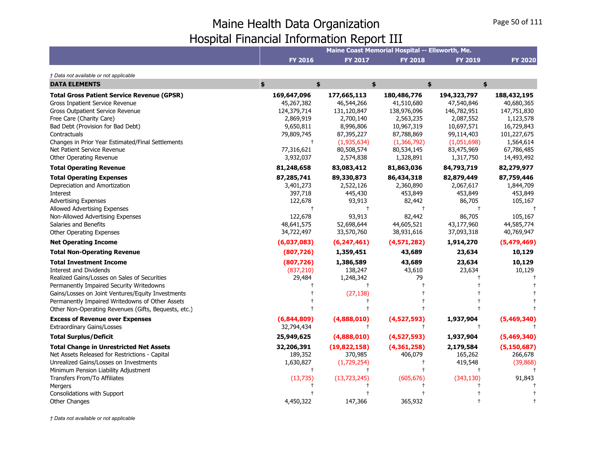|                                                      |                |                | Maine Coast Memorial Hospital -- Ellsworth, Me. |                |                |
|------------------------------------------------------|----------------|----------------|-------------------------------------------------|----------------|----------------|
|                                                      | <b>FY 2016</b> | <b>FY 2017</b> | <b>FY 2018</b>                                  | <b>FY 2019</b> | <b>FY 2020</b> |
| † Data not available or not applicable               |                |                |                                                 |                |                |
| <b>DATA ELEMENTS</b>                                 | \$<br>\$       |                | \$                                              | \$             | \$             |
| <b>Total Gross Patient Service Revenue (GPSR)</b>    | 169,647,096    | 177,665,113    | 180,486,776                                     | 194,323,797    | 188,432,195    |
| Gross Inpatient Service Revenue                      | 45,267,382     | 46,544,266     | 41,510,680                                      | 47,540,846     | 40,680,365     |
| Gross Outpatient Service Revenue                     | 124,379,714    | 131,120,847    | 138,976,096                                     | 146,782,951    | 147,751,830    |
| Free Care (Charity Care)                             | 2,869,919      | 2,700,140      | 2,563,235                                       | 2,087,552      | 1,123,578      |
| Bad Debt (Provision for Bad Debt)                    | 9,650,811      | 8,996,806      | 10,967,319                                      | 10,697,571     | 16,729,843     |
| Contractuals                                         | 79,809,745     | 87,395,227     | 87,788,869                                      | 99,114,403     | 101,227,675    |
| Changes in Prior Year Estimated/Final Settlements    | $\ddagger$     | (1,935,634)    | (1,366,792)                                     | (1,051,698)    | 1,564,614      |
| Net Patient Service Revenue                          | 77,316,621     | 80,508,574     | 80,534,145                                      | 83,475,969     | 67,786,485     |
| Other Operating Revenue                              | 3,932,037      | 2,574,838      | 1,328,891                                       | 1,317,750      | 14,493,492     |
| <b>Total Operating Revenue</b>                       | 81,248,658     | 83,083,412     | 81,863,036                                      | 84,793,719     | 82,279,977     |
| <b>Total Operating Expenses</b>                      | 87,285,741     | 89,330,873     | 86,434,318                                      | 82,879,449     | 87,759,446     |
| Depreciation and Amortization                        | 3,401,273      | 2,522,126      | 2,360,890                                       | 2,067,617      | 1,844,709      |
| Interest                                             | 397,718        | 445,430        | 453,849                                         | 453,849        | 453,849        |
| <b>Advertising Expenses</b>                          | 122,678        | 93,913         | 82,442                                          | 86,705         | 105,167        |
| Allowed Advertising Expenses                         | $\ddagger$     | $\ddagger$     | $\ddagger$                                      | $\ddagger$     |                |
| Non-Allowed Advertising Expenses                     | 122,678        | 93,913         | 82,442                                          | 86,705         | 105,167        |
| Salaries and Benefits                                | 48,641,575     | 52,698,644     | 44,605,521                                      | 43,177,960     | 44,585,774     |
| <b>Other Operating Expenses</b>                      | 34,722,497     | 33,570,760     | 38,931,616                                      | 37,093,318     | 40,769,947     |
| <b>Net Operating Income</b>                          | (6,037,083)    | (6, 247, 461)  | (4, 571, 282)                                   | 1,914,270      | (5,479,469)    |
| <b>Total Non-Operating Revenue</b>                   | (807, 726)     | 1,359,451      | 43,689                                          | 23,634         | 10,129         |
| <b>Total Investment Income</b>                       | (807, 726)     | 1,386,589      | 43,689                                          | 23,634         | 10,129         |
| <b>Interest and Dividends</b>                        | (837, 210)     | 138,247        | 43,610                                          | 23,634         | 10,129         |
| Realized Gains/Losses on Sales of Securities         | 29,484         | 1,248,342      | 79                                              |                |                |
| Permanently Impaired Security Writedowns             |                |                |                                                 |                |                |
| Gains/Losses on Joint Ventures/Equity Investments    |                | (27, 138)      |                                                 |                |                |
| Permanently Impaired Writedowns of Other Assets      |                |                |                                                 |                |                |
| Other Non-Operating Revenues (Gifts, Bequests, etc.) |                |                |                                                 |                |                |
| <b>Excess of Revenue over Expenses</b>               | (6,844,809)    | (4,888,010)    | (4,527,593)                                     | 1,937,904      | (5,469,340)    |
| <b>Extraordinary Gains/Losses</b>                    | 32,794,434     | $\pm$          | $^{\mathrm{+}}$                                 | $\ddagger$     |                |
| <b>Total Surplus/Deficit</b>                         | 25,949,625     | (4,888,010)    | (4,527,593)                                     | 1,937,904      | (5,469,340)    |
| <b>Total Change in Unrestricted Net Assets</b>       | 32,206,391     | (19,822,158)   | (4,361,258)                                     | 2,179,584      | (5, 150, 687)  |
| Net Assets Released for Restrictions - Capital       | 189,352        | 370,985        | 406,079                                         | 165,262        | 266,678        |
| Unrealized Gains/Losses on Investments               | 1,630,827      | (1,729,254)    |                                                 | 419,548        | (39, 868)      |
| Minimum Pension Liability Adjustment                 | $^{\dagger}$   |                |                                                 |                |                |
| Transfers From/To Affiliates                         | (13, 735)      | (13, 723, 245) | (605, 676)                                      | (343, 130)     | 91,843         |
| Mergers                                              |                |                |                                                 |                |                |
| Consolidations with Support                          |                |                |                                                 |                |                |
| <b>Other Changes</b>                                 | 4,450,322      | 147,366        | 365,932                                         |                |                |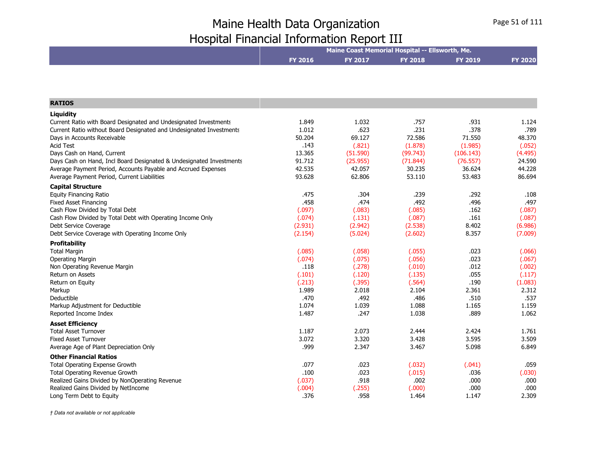|                                                                     | Maine Coast Memorial Hospital -- Ellsworth, Me. |                |                 |                |                |  |
|---------------------------------------------------------------------|-------------------------------------------------|----------------|-----------------|----------------|----------------|--|
|                                                                     | FY 2016                                         | FY 2017        | <b>FY 2018</b>  | <b>FY 2019</b> | <b>FY 2020</b> |  |
|                                                                     |                                                 |                |                 |                |                |  |
| <b>RATIOS</b>                                                       |                                                 |                |                 |                |                |  |
| Liquidity                                                           |                                                 |                |                 |                |                |  |
| Current Ratio with Board Designated and Undesignated Investments    | 1.849                                           | 1.032          | .757            | .931           | 1.124          |  |
| Current Ratio without Board Designated and Undesignated Investments | 1.012                                           | .623           | .231            | .378           | .789           |  |
| Days in Accounts Receivable                                         | 50.204                                          | 69.127         | 72.586          | 71.550         | 48.370         |  |
| <b>Acid Test</b>                                                    | .143                                            | (.821)         | (1.878)         | (1.985)        | (.052)         |  |
| Days Cash on Hand, Current                                          | 13.365                                          | (51.590)       | (99.743)        | (106.143)      | (4.495)        |  |
| Days Cash on Hand, Incl Board Designated & Undesignated Investments | 91.712                                          | (25.955)       | (71.844)        | (76.557)       | 24.590         |  |
| Average Payment Period, Accounts Payable and Accrued Expenses       | 42.535                                          | 42.057         | 30.235          | 36.624         | 44.228         |  |
| Average Payment Period, Current Liabilities                         | 93.628                                          | 62.806         | 53.110          | 53.483         | 86.694         |  |
| <b>Capital Structure</b>                                            |                                                 |                |                 |                |                |  |
| <b>Equity Financing Ratio</b>                                       | .475                                            | .304           | .239            | .292           | .108           |  |
| <b>Fixed Asset Financing</b>                                        | .458                                            | .474           | .492            | .496           | .497           |  |
| Cash Flow Divided by Total Debt                                     | (.097)                                          | (.083)         | (.085)          | .162           | (.087)         |  |
| Cash Flow Divided by Total Debt with Operating Income Only          | (.074)                                          | (.131)         | (.087)          | .161           | (.087)         |  |
| Debt Service Coverage                                               | (2.931)                                         | (2.942)        | (2.538)         | 8.402          | (6.986)        |  |
| Debt Service Coverage with Operating Income Only                    | (2.154)                                         | (5.024)        | (2.602)         | 8.357          | (7.009)        |  |
| <b>Profitability</b>                                                |                                                 |                |                 |                |                |  |
| <b>Total Margin</b>                                                 | (.085)                                          | (.058)         | (.055)          | .023           | (.066)         |  |
| <b>Operating Margin</b>                                             | (.074)                                          | (.075)         | (.056)          | .023           | (.067)         |  |
| Non Operating Revenue Margin                                        | .118                                            | (.278)         | (.010)          | .012           | (.002)         |  |
| Return on Assets                                                    | (.101)                                          | (.120)         | (.135)          | .055           | (.117)         |  |
| Return on Equity                                                    | (.213)                                          | (.395)         | (.564)          | .190           | (1.083)        |  |
| Markup<br>Deductible                                                | 1.989<br>.470                                   | 2.018<br>.492  | 2.104<br>.486   | 2.361<br>.510  | 2.312<br>.537  |  |
| Markup Adjustment for Deductible                                    | 1.074                                           | 1.039          | 1.088           | 1.165          | 1.159          |  |
| Reported Income Index                                               | 1.487                                           | .247           | 1.038           | .889           | 1.062          |  |
|                                                                     |                                                 |                |                 |                |                |  |
| <b>Asset Efficiency</b>                                             |                                                 |                |                 |                |                |  |
| <b>Total Asset Turnover</b><br><b>Fixed Asset Turnover</b>          | 1.187<br>3.072                                  | 2.073<br>3.320 | 2.444<br>3.428  | 2.424<br>3.595 | 1.761<br>3.509 |  |
| Average Age of Plant Depreciation Only                              | .999                                            | 2.347          | 3.467           | 5.098          | 6.849          |  |
|                                                                     |                                                 |                |                 |                |                |  |
| <b>Other Financial Ratios</b>                                       |                                                 |                |                 |                |                |  |
| Total Operating Expense Growth                                      | .077                                            | .023           | (.032)          | (.041)         | .059           |  |
| Total Operating Revenue Growth                                      | .100                                            | .023<br>.918   | (.015)          | .036           | (.030)         |  |
| Realized Gains Divided by NonOperating Revenue                      | (.037)                                          |                | .002            | .000<br>.000   | .000<br>.000   |  |
| Realized Gains Divided by NetIncome<br>Long Term Debt to Equity     | (.004)<br>.376                                  | (.255)<br>.958 | (.000)<br>1.464 | 1.147          | 2.309          |  |
|                                                                     |                                                 |                |                 |                |                |  |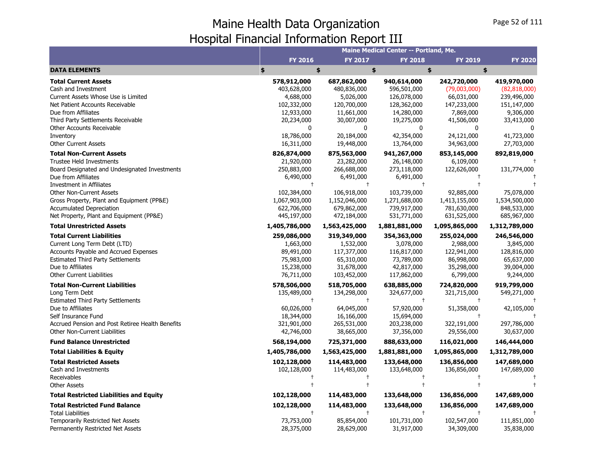|                                                  |                |                | Maine Medical Center -- Portland, Me. |                |                |
|--------------------------------------------------|----------------|----------------|---------------------------------------|----------------|----------------|
|                                                  | <b>FY 2016</b> | <b>FY 2017</b> | <b>FY 2018</b>                        | <b>FY 2019</b> | <b>FY 2020</b> |
| <b>DATA ELEMENTS</b>                             | \$             | \$             | \$                                    | \$             | \$             |
| <b>Total Current Assets</b>                      | 578,912,000    | 687,862,000    | 940,614,000                           | 242,720,000    | 419,970,000    |
| Cash and Investment                              | 403,628,000    | 480,836,000    | 596,501,000                           | (79,003,000)   | (82, 818, 000) |
| Current Assets Whose Use is Limited              | 4,688,000      | 5,026,000      | 126,078,000                           | 66,031,000     | 239,496,000    |
| Net Patient Accounts Receivable                  | 102,332,000    | 120,700,000    | 128,362,000                           | 147,233,000    | 151,147,000    |
| Due from Affiliates                              | 12,933,000     | 11,661,000     | 14,280,000                            | 7,869,000      | 9,306,000      |
| Third Party Settlements Receivable               | 20,234,000     | 30,007,000     | 19,275,000                            | 41,506,000     | 33,413,000     |
| Other Accounts Receivable                        | $\Omega$       | $\Omega$       | 0                                     | $\Omega$       |                |
| Inventory                                        | 18,786,000     | 20,184,000     | 42,354,000                            | 24,121,000     | 41,723,000     |
| <b>Other Current Assets</b>                      | 16,311,000     | 19,448,000     | 13,764,000                            | 34,963,000     | 27,703,000     |
| <b>Total Non-Current Assets</b>                  | 826,874,000    | 875,563,000    | 941,267,000                           | 853,145,000    | 892,819,000    |
| <b>Trustee Held Investments</b>                  | 21,920,000     | 23,282,000     | 26,148,000                            | 6,109,000      |                |
| Board Designated and Undesignated Investments    | 250,883,000    | 266,688,000    | 273,118,000                           | 122,626,000    | 131,774,000    |
| Due from Affiliates                              | 6,490,000      | 6,491,000      | 6,491,000                             |                |                |
| Investment in Affiliates                         | $\pm$          | $\ddagger$     | $\ddagger$                            |                |                |
| <b>Other Non-Current Assets</b>                  | 102,384,000    | 106,918,000    | 103,739,000                           | 92,885,000     | 75,078,000     |
| Gross Property, Plant and Equipment (PP&E)       | 1,067,903,000  | 1,152,046,000  | 1,271,688,000                         | 1,413,155,000  | 1,534,500,000  |
| <b>Accumulated Depreciation</b>                  | 622,706,000    | 679,862,000    | 739,917,000                           | 781,630,000    | 848,533,000    |
| Net Property, Plant and Equipment (PP&E)         | 445,197,000    | 472,184,000    | 531,771,000                           | 631,525,000    | 685,967,000    |
| <b>Total Unrestricted Assets</b>                 | 1,405,786,000  | 1,563,425,000  | 1,881,881,000                         | 1,095,865,000  | 1,312,789,000  |
| <b>Total Current Liabilities</b>                 | 259,086,000    | 319,349,000    | 354,363,000                           | 255,024,000    | 246,546,000    |
| Current Long Term Debt (LTD)                     | 1,663,000      | 1,532,000      | 3,078,000                             | 2,988,000      | 3,845,000      |
| <b>Accounts Payable and Accrued Expenses</b>     | 89,491,000     | 117,377,000    | 116,817,000                           | 122,941,000    | 128,816,000    |
| <b>Estimated Third Party Settlements</b>         | 75,983,000     | 65,310,000     | 73,789,000                            | 86,998,000     | 65,637,000     |
| Due to Affiliates                                | 15,238,000     | 31,678,000     | 42,817,000                            | 35,298,000     | 39,004,000     |
| <b>Other Current Liabilities</b>                 | 76,711,000     | 103,452,000    | 117,862,000                           | 6,799,000      | 9,244,000      |
| <b>Total Non-Current Liabilities</b>             | 578,506,000    | 518,705,000    | 638,885,000                           | 724,820,000    | 919,799,000    |
| Long Term Debt                                   | 135,489,000    | 134,298,000    | 324,677,000                           | 321,715,000    | 549,271,000    |
| <b>Estimated Third Party Settlements</b>         |                | $\ddagger$     |                                       |                |                |
| Due to Affiliates                                | 60,026,000     | 64,045,000     | 57,920,000                            | 51,358,000     | 42,105,000     |
| Self Insurance Fund                              | 18,344,000     | 16,166,000     | 15,694,000                            |                |                |
| Accrued Pension and Post Retiree Health Benefits | 321,901,000    | 265,531,000    | 203,238,000                           | 322,191,000    | 297,786,000    |
| Other Non-Current Liabilities                    | 42,746,000     | 38,665,000     | 37,356,000                            | 29,556,000     | 30,637,000     |
| <b>Fund Balance Unrestricted</b>                 | 568,194,000    | 725,371,000    | 888,633,000                           | 116,021,000    | 146,444,000    |
| <b>Total Liabilities &amp; Equity</b>            | 1,405,786,000  | 1,563,425,000  | 1,881,881,000                         | 1,095,865,000  | 1,312,789,000  |
| <b>Total Restricted Assets</b>                   | 102,128,000    | 114,483,000    | 133,648,000                           | 136,856,000    | 147,689,000    |
| Cash and Investments                             | 102,128,000    | 114,483,000    | 133,648,000                           | 136,856,000    | 147,689,000    |
| Receivables                                      |                | $\ddagger$     |                                       |                |                |
| Other Assets                                     |                |                |                                       |                |                |
| <b>Total Restricted Liabilities and Equity</b>   | 102,128,000    | 114,483,000    | 133,648,000                           | 136,856,000    | 147,689,000    |
| <b>Total Restricted Fund Balance</b>             | 102,128,000    | 114,483,000    | 133,648,000                           | 136,856,000    | 147,689,000    |
| <b>Total Liabilities</b>                         |                |                |                                       |                |                |
| Temporarily Restricted Net Assets                | 73,753,000     | 85,854,000     | 101,731,000                           | 102,547,000    | 111,851,000    |
| Permanently Restricted Net Assets                | 28,375,000     | 28,629,000     | 31,917,000                            | 34,309,000     | 35,838,000     |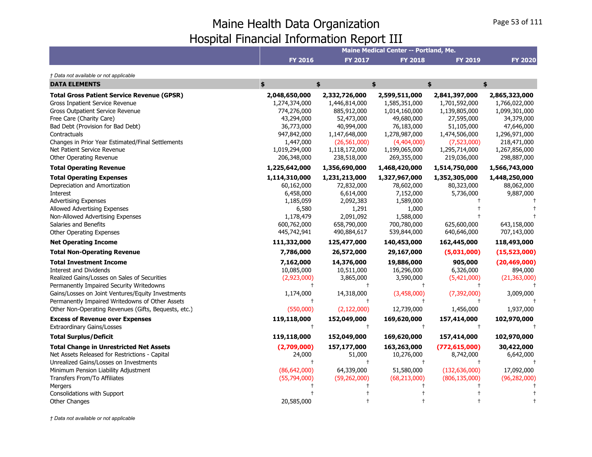|                                                                                                                                                                                                                                                                                                                          |                                                                                                                                       |                                                                                                                                              | Maine Medical Center -- Portland, Me.                                                                                                       |                                                                                                                                             |                                                                                                                                             |
|--------------------------------------------------------------------------------------------------------------------------------------------------------------------------------------------------------------------------------------------------------------------------------------------------------------------------|---------------------------------------------------------------------------------------------------------------------------------------|----------------------------------------------------------------------------------------------------------------------------------------------|---------------------------------------------------------------------------------------------------------------------------------------------|---------------------------------------------------------------------------------------------------------------------------------------------|---------------------------------------------------------------------------------------------------------------------------------------------|
|                                                                                                                                                                                                                                                                                                                          | <b>FY 2016</b>                                                                                                                        | <b>FY 2017</b>                                                                                                                               | <b>FY 2018</b>                                                                                                                              | <b>FY 2019</b>                                                                                                                              | <b>FY 2020</b>                                                                                                                              |
| † Data not available or not applicable                                                                                                                                                                                                                                                                                   |                                                                                                                                       |                                                                                                                                              |                                                                                                                                             |                                                                                                                                             |                                                                                                                                             |
| <b>DATA ELEMENTS</b>                                                                                                                                                                                                                                                                                                     | \$                                                                                                                                    | \$                                                                                                                                           | \$                                                                                                                                          | \$                                                                                                                                          | \$                                                                                                                                          |
| <b>Total Gross Patient Service Revenue (GPSR)</b><br>Gross Inpatient Service Revenue<br>Gross Outpatient Service Revenue<br>Free Care (Charity Care)<br>Bad Debt (Provision for Bad Debt)<br>Contractuals<br>Changes in Prior Year Estimated/Final Settlements<br>Net Patient Service Revenue<br>Other Operating Revenue | 2,048,650,000<br>1,274,374,000<br>774,276,000<br>43,294,000<br>36,773,000<br>947,842,000<br>1,447,000<br>1,019,294,000<br>206,348,000 | 2,332,726,000<br>1,446,814,000<br>885,912,000<br>52,473,000<br>40,994,000<br>1,147,648,000<br>(26, 561, 000)<br>1,118,172,000<br>238,518,000 | 2,599,511,000<br>1,585,351,000<br>1,014,160,000<br>49,680,000<br>76,183,000<br>1,278,987,000<br>(4,404,000)<br>1,199,065,000<br>269,355,000 | 2,841,397,000<br>1,701,592,000<br>1,139,805,000<br>27,595,000<br>51,105,000<br>1,474,506,000<br>(7,523,000)<br>1,295,714,000<br>219,036,000 | 2,865,323,000<br>1,766,022,000<br>1,099,301,000<br>34,379,000<br>47,646,000<br>1,296,971,000<br>218,471,000<br>1,267,856,000<br>298,887,000 |
| <b>Total Operating Revenue</b>                                                                                                                                                                                                                                                                                           | 1,225,642,000                                                                                                                         | 1,356,690,000                                                                                                                                | 1,468,420,000                                                                                                                               | 1,514,750,000                                                                                                                               | 1,566,743,000                                                                                                                               |
| <b>Total Operating Expenses</b><br>Depreciation and Amortization<br><b>Interest</b><br><b>Advertising Expenses</b><br>Allowed Advertising Expenses<br>Non-Allowed Advertising Expenses<br>Salaries and Benefits<br>Other Operating Expenses<br><b>Net Operating Income</b><br><b>Total Non-Operating Revenue</b>         | 1,114,310,000<br>60,162,000<br>6,458,000<br>1,185,059<br>6,580<br>1,178,479<br>600,762,000<br>445,742,941<br>111,332,000<br>7,786,000 | 1,231,213,000<br>72,832,000<br>6,614,000<br>2,092,383<br>1,291<br>2,091,092<br>658,790,000<br>490,884,617<br>125,477,000<br>26,572,000       | 1,327,967,000<br>78,602,000<br>7,152,000<br>1,589,000<br>1,000<br>1,588,000<br>700,780,000<br>539,844,000<br>140,453,000<br>29,167,000      | 1,352,305,000<br>80,323,000<br>5,736,000<br>625,600,000<br>640,646,000<br>162,445,000<br>(5,031,000)                                        | 1,448,250,000<br>88,062,000<br>9,887,000<br>643,158,000<br>707,143,000<br>118,493,000<br>(15,523,000)                                       |
| <b>Total Investment Income</b>                                                                                                                                                                                                                                                                                           |                                                                                                                                       |                                                                                                                                              |                                                                                                                                             |                                                                                                                                             |                                                                                                                                             |
| Interest and Dividends<br>Realized Gains/Losses on Sales of Securities<br>Permanently Impaired Security Writedowns<br>Gains/Losses on Joint Ventures/Equity Investments<br>Permanently Impaired Writedowns of Other Assets                                                                                               | 7,162,000<br>10,085,000<br>(2,923,000)<br>1,174,000                                                                                   | 14,376,000<br>10,511,000<br>3,865,000<br>14,318,000                                                                                          | 19,886,000<br>16,296,000<br>3,590,000<br>(3,458,000)                                                                                        | 905,000<br>6,326,000<br>(5,421,000)<br>(7, 392, 000)                                                                                        | (20, 469, 000)<br>894,000<br>(21, 363, 000)<br>3,009,000                                                                                    |
| Other Non-Operating Revenues (Gifts, Bequests, etc.)                                                                                                                                                                                                                                                                     | (550,000)                                                                                                                             | (2, 122, 000)                                                                                                                                | 12,739,000                                                                                                                                  | 1,456,000                                                                                                                                   | 1,937,000                                                                                                                                   |
| <b>Excess of Revenue over Expenses</b><br><b>Extraordinary Gains/Losses</b>                                                                                                                                                                                                                                              | 119,118,000<br>$\ddagger$                                                                                                             | 152,049,000<br>$+$                                                                                                                           | 169,620,000<br>$\ddagger$                                                                                                                   | 157,414,000<br>$\ddagger$                                                                                                                   | 102,970,000                                                                                                                                 |
| <b>Total Surplus/Deficit</b>                                                                                                                                                                                                                                                                                             | 119,118,000                                                                                                                           | 152,049,000                                                                                                                                  | 169,620,000                                                                                                                                 | 157,414,000                                                                                                                                 | 102,970,000                                                                                                                                 |
| <b>Total Change in Unrestricted Net Assets</b><br>Net Assets Released for Restrictions - Capital<br>Unrealized Gains/Losses on Investments<br>Minimum Pension Liability Adjustment<br>Transfers From/To Affiliates                                                                                                       | (2,709,000)<br>24,000<br>$\ddagger$<br>(86, 642, 000)<br>(55,794,000)                                                                 | 157,177,000<br>51,000<br>$\ddagger$<br>64,339,000<br>(59, 262, 000)                                                                          | 163,263,000<br>10,276,000<br>$\ddagger$<br>51,580,000<br>(68, 213, 000)                                                                     | (772, 615, 000)<br>8,742,000<br>(132, 636, 000)<br>(806, 135, 000)                                                                          | 30,422,000<br>6,642,000<br>17,092,000<br>(96, 282, 000)                                                                                     |
| Mergers                                                                                                                                                                                                                                                                                                                  |                                                                                                                                       |                                                                                                                                              |                                                                                                                                             |                                                                                                                                             |                                                                                                                                             |
| Consolidations with Support<br><b>Other Changes</b>                                                                                                                                                                                                                                                                      | 20,585,000                                                                                                                            |                                                                                                                                              |                                                                                                                                             |                                                                                                                                             |                                                                                                                                             |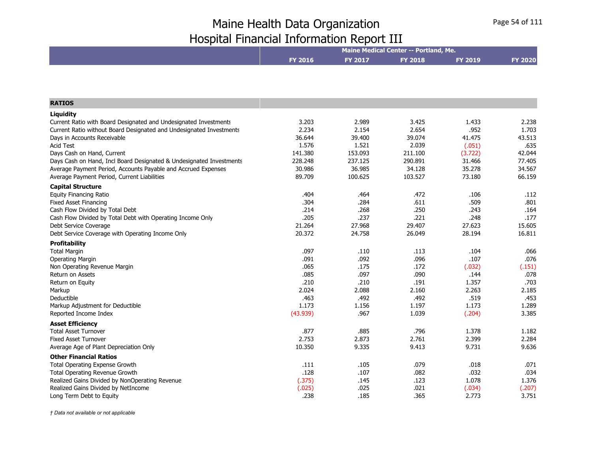|                                                                     | Maine Medical Center -- Portland, Me. |                |                |         |                |  |
|---------------------------------------------------------------------|---------------------------------------|----------------|----------------|---------|----------------|--|
|                                                                     | <b>FY 2016</b>                        | <b>FY 2017</b> | <b>FY 2018</b> | FY 2019 | <b>FY 2020</b> |  |
|                                                                     |                                       |                |                |         |                |  |
|                                                                     |                                       |                |                |         |                |  |
| <b>RATIOS</b>                                                       |                                       |                |                |         |                |  |
| Liquidity                                                           |                                       |                |                |         |                |  |
| Current Ratio with Board Designated and Undesignated Investments    | 3.203                                 | 2.989          | 3.425          | 1.433   | 2.238          |  |
| Current Ratio without Board Designated and Undesignated Investments | 2.234                                 | 2.154          | 2.654          | .952    | 1.703          |  |
| Days in Accounts Receivable                                         | 36.644                                | 39.400         | 39.074         | 41.475  | 43.513         |  |
| <b>Acid Test</b>                                                    | 1.576                                 | 1.521          | 2.039          | (.051)  | .635           |  |
| Days Cash on Hand, Current                                          | 141.380                               | 153.093        | 211.100        | (3.722) | 42.044         |  |
| Days Cash on Hand, Incl Board Designated & Undesignated Investments | 228.248                               | 237.125        | 290.891        | 31.466  | 77.405         |  |
| Average Payment Period, Accounts Payable and Accrued Expenses       | 30.986                                | 36.985         | 34.128         | 35.278  | 34.567         |  |
| Average Payment Period, Current Liabilities                         | 89.709                                | 100.625        | 103.527        | 73.180  | 66.159         |  |
| <b>Capital Structure</b>                                            |                                       |                |                |         |                |  |
| <b>Equity Financing Ratio</b>                                       | .404                                  | .464           | .472           | .106    | .112           |  |
| <b>Fixed Asset Financing</b>                                        | .304                                  | .284           | .611           | .509    | .801           |  |
| Cash Flow Divided by Total Debt                                     | .214                                  | .268           | .250           | .243    | .164           |  |
| Cash Flow Divided by Total Debt with Operating Income Only          | .205                                  | .237           | .221           | .248    | .177           |  |
| Debt Service Coverage                                               | 21.264                                | 27.968         | 29.407         | 27.623  | 15.605         |  |
| Debt Service Coverage with Operating Income Only                    | 20.372                                | 24.758         | 26.049         | 28.194  | 16.811         |  |
| <b>Profitability</b>                                                |                                       |                |                |         |                |  |
| <b>Total Margin</b>                                                 | .097                                  | .110           | .113           | .104    | .066           |  |
| <b>Operating Margin</b>                                             | .091                                  | .092           | .096           | .107    | .076           |  |
| Non Operating Revenue Margin                                        | .065                                  | .175           | .172           | (.032)  | (.151)         |  |
| <b>Return on Assets</b>                                             | .085                                  | .097           | .090           | .144    | .078           |  |
| Return on Equity                                                    | .210                                  | .210           | .191           | 1.357   | .703           |  |
| Markup                                                              | 2.024                                 | 2.088          | 2.160          | 2.263   | 2.185          |  |
| Deductible                                                          | .463                                  | .492           | .492           | .519    | .453           |  |
| Markup Adjustment for Deductible                                    | 1.173                                 | 1.156          | 1.197          | 1.173   | 1.289          |  |
| Reported Income Index                                               | (43.939)                              | .967           | 1.039          | (.204)  | 3.385          |  |
| <b>Asset Efficiency</b>                                             |                                       |                |                |         |                |  |
| <b>Total Asset Turnover</b>                                         | .877                                  | .885           | .796           | 1.378   | 1.182          |  |
| <b>Fixed Asset Turnover</b>                                         | 2.753                                 | 2.873          | 2.761          | 2.399   | 2.284          |  |
| Average Age of Plant Depreciation Only                              | 10.350                                | 9.335          | 9.413          | 9.731   | 9.636          |  |
| <b>Other Financial Ratios</b>                                       |                                       |                |                |         |                |  |
| Total Operating Expense Growth                                      | .111                                  | .105           | .079           | .018    | .071           |  |
| Total Operating Revenue Growth                                      | .128                                  | .107           | .082           | .032    | .034           |  |
| Realized Gains Divided by NonOperating Revenue                      | (.375)                                | .145           | .123           | 1.078   | 1.376          |  |
| Realized Gains Divided by NetIncome                                 | (.025)                                | .025           | .021           | (.034)  | (.207)         |  |
| Long Term Debt to Equity                                            | .238                                  | .185           | .365           | 2.773   | 3.751          |  |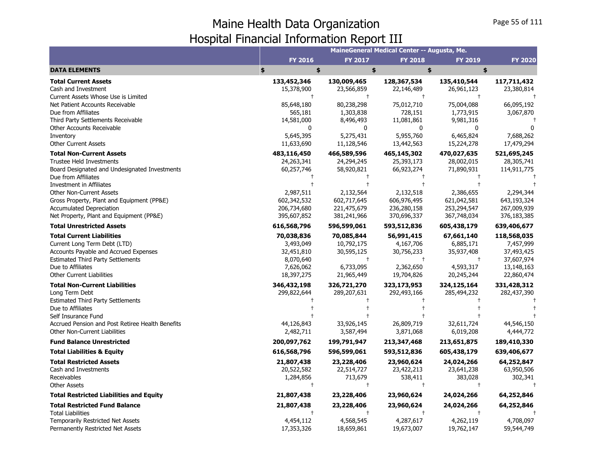|                                                               |                |                          | MaineGeneral Medical Center -- Augusta, Me. |                          |                |
|---------------------------------------------------------------|----------------|--------------------------|---------------------------------------------|--------------------------|----------------|
|                                                               | <b>FY 2016</b> | <b>FY 2017</b>           | <b>FY 2018</b>                              | <b>FY 2019</b>           | <b>FY 2020</b> |
| <b>DATA ELEMENTS</b>                                          | \$<br>\$       | \$                       | \$                                          | \$                       |                |
| <b>Total Current Assets</b>                                   | 133,452,346    | 130,009,465              | 128,367,534                                 | 135,410,544              | 117,711,432    |
| Cash and Investment                                           | 15,378,900     | 23,566,859               | 22,146,489                                  | 26,961,123               | 23,380,814     |
| Current Assets Whose Use is Limited                           | $^{+}$         | $\ddagger$               | $\ddagger$                                  |                          |                |
| Net Patient Accounts Receivable                               | 85,648,180     | 80,238,298               | 75,012,710                                  | 75,004,088               | 66,095,192     |
| Due from Affiliates                                           | 565,181        | 1,303,838                | 728,151                                     | 1,773,915                | 3,067,870      |
| Third Party Settlements Receivable                            | 14,581,000     | 8,496,493                | 11,081,861                                  | 9,981,316                |                |
| Other Accounts Receivable                                     | 0              | 0                        | 0                                           | <sup>0</sup>             |                |
| Inventory                                                     | 5,645,395      | 5,275,431                | 5,955,760                                   | 6,465,824                | 7,688,262      |
| <b>Other Current Assets</b>                                   | 11,633,690     | 11,128,546               | 13,442,563                                  | 15,224,278               | 17,479,294     |
| <b>Total Non-Current Assets</b>                               | 483,116,450    | 466,589,596              | 465,145,302                                 | 470,027,635              | 521,695,245    |
| <b>Trustee Held Investments</b>                               | 24,263,341     | 24,294,245               | 25,393,173                                  | 28,002,015               | 28,305,741     |
| Board Designated and Undesignated Investments                 | 60,257,746     | 58,920,821               | 66,923,274                                  | 71,890,931               | 114,911,775    |
| Due from Affiliates                                           |                |                          | $\pm$                                       |                          |                |
| Investment in Affiliates<br><b>Other Non-Current Assets</b>   | 2,987,511      |                          | 2,132,518                                   |                          | 2,294,344      |
| Gross Property, Plant and Equipment (PP&E)                    | 602,342,532    | 2,132,564<br>602,717,645 | 606,976,495                                 | 2,386,655<br>621,042,581 | 643,193,324    |
| <b>Accumulated Depreciation</b>                               | 206,734,680    | 221,475,679              | 236,280,158                                 | 253,294,547              | 267,009,939    |
| Net Property, Plant and Equipment (PP&E)                      | 395,607,852    | 381,241,966              | 370,696,337                                 | 367,748,034              | 376,183,385    |
| <b>Total Unrestricted Assets</b>                              | 616,568,796    | 596,599,061              |                                             |                          | 639,406,677    |
|                                                               |                |                          | 593,512,836                                 | 605,438,179              |                |
| <b>Total Current Liabilities</b>                              | 70,038,836     | 70,085,844               | 56,991,415                                  | 67,661,140               | 118,568,035    |
| Current Long Term Debt (LTD)                                  | 3,493,049      | 10,792,175               | 4,167,706                                   | 6,885,171                | 7,457,999      |
| Accounts Payable and Accrued Expenses                         | 32,451,810     | 30,595,125<br>$\ddagger$ | 30,756,233<br>$\ddagger$                    | 35,937,408               | 37,493,425     |
| <b>Estimated Third Party Settlements</b><br>Due to Affiliates | 8,070,640      |                          |                                             | $^{\dagger}$             | 37,607,974     |
| <b>Other Current Liabilities</b>                              | 7,626,062      | 6,733,095                | 2,362,650                                   | 4,593,317                | 13,148,163     |
|                                                               | 18,397,275     | 21,965,449               | 19,704,826                                  | 20,245,244               | 22,860,474     |
| <b>Total Non-Current Liabilities</b><br>Long Term Debt        | 346,432,198    | 326,721,270              | 323,173,953                                 | 324,125,164              | 331,428,312    |
| <b>Estimated Third Party Settlements</b>                      | 299,822,644    | 289,207,631              | 292,493,166                                 | 285,494,232              | 282,437,390    |
| Due to Affiliates                                             |                |                          |                                             |                          |                |
| Self Insurance Fund                                           |                |                          |                                             |                          |                |
| Accrued Pension and Post Retiree Health Benefits              | 44,126,843     | 33,926,145               | 26,809,719                                  | 32,611,724               | 44,546,150     |
| Other Non-Current Liabilities                                 | 2,482,711      | 3,587,494                | 3,871,068                                   | 6,019,208                | 4,444,772      |
| <b>Fund Balance Unrestricted</b>                              | 200,097,762    | 199,791,947              | 213,347,468                                 | 213,651,875              | 189,410,330    |
| <b>Total Liabilities &amp; Equity</b>                         | 616,568,796    | 596,599,061              | 593,512,836                                 | 605,438,179              | 639,406,677    |
| <b>Total Restricted Assets</b>                                | 21,807,438     | 23,228,406               | 23,960,624                                  | 24,024,266               | 64,252,847     |
| Cash and Investments                                          | 20,522,582     | 22,514,727               | 23,422,213                                  | 23,641,238               | 63,950,506     |
| Receivables                                                   | 1,284,856      | 713,679                  | 538,411                                     | 383,028                  | 302,341        |
| <b>Other Assets</b>                                           | $\ddagger$     | $\ddagger$               | $\ddagger$                                  | $\ddagger$               |                |
| <b>Total Restricted Liabilities and Equity</b>                | 21,807,438     | 23,228,406               | 23,960,624                                  | 24,024,266               | 64,252,846     |
| <b>Total Restricted Fund Balance</b>                          | 21,807,438     | 23,228,406               | 23,960,624                                  | 24,024,266               | 64,252,846     |
| <b>Total Liabilities</b>                                      |                | $\ddagger$               | $+$                                         | $\ddagger$               |                |
| Temporarily Restricted Net Assets                             | 4,454,112      | 4,568,545                | 4,287,617                                   | 4,262,119                | 4,708,097      |
| Permanently Restricted Net Assets                             | 17,353,326     | 18,659,861               | 19,673,007                                  | 19,762,147               | 59,544,749     |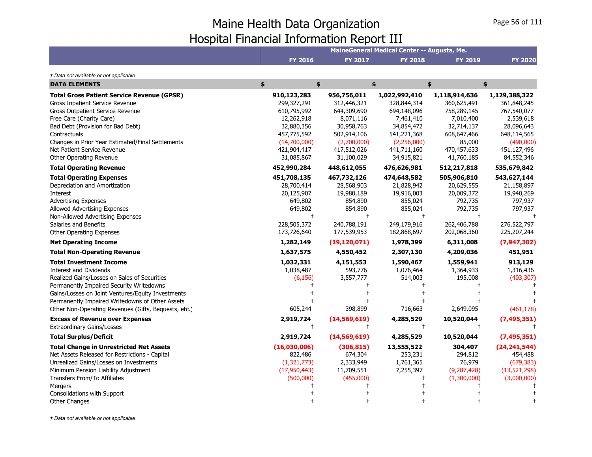|                                                                                                                                                                                                                                                                                                                                                                                                                                                                                                                                                                                                                                          |                                                                                                                                                                                  |                                                                                                                                                                                          | MaineGeneral Medical Center -- Augusta, Me.                                                                                                                                         |                                                                                                                                                                         |                                                                                                                                                                             |
|------------------------------------------------------------------------------------------------------------------------------------------------------------------------------------------------------------------------------------------------------------------------------------------------------------------------------------------------------------------------------------------------------------------------------------------------------------------------------------------------------------------------------------------------------------------------------------------------------------------------------------------|----------------------------------------------------------------------------------------------------------------------------------------------------------------------------------|------------------------------------------------------------------------------------------------------------------------------------------------------------------------------------------|-------------------------------------------------------------------------------------------------------------------------------------------------------------------------------------|-------------------------------------------------------------------------------------------------------------------------------------------------------------------------|-----------------------------------------------------------------------------------------------------------------------------------------------------------------------------|
|                                                                                                                                                                                                                                                                                                                                                                                                                                                                                                                                                                                                                                          | <b>FY 2016</b>                                                                                                                                                                   | <b>FY 2017</b>                                                                                                                                                                           | <b>FY 2018</b>                                                                                                                                                                      | <b>FY 2019</b>                                                                                                                                                          | <b>FY 2020</b>                                                                                                                                                              |
| † Data not available or not applicable                                                                                                                                                                                                                                                                                                                                                                                                                                                                                                                                                                                                   |                                                                                                                                                                                  |                                                                                                                                                                                          |                                                                                                                                                                                     |                                                                                                                                                                         |                                                                                                                                                                             |
| <b>DATA ELEMENTS</b>                                                                                                                                                                                                                                                                                                                                                                                                                                                                                                                                                                                                                     | \$<br>\$                                                                                                                                                                         |                                                                                                                                                                                          | \$                                                                                                                                                                                  | \$                                                                                                                                                                      | \$                                                                                                                                                                          |
| <b>Total Gross Patient Service Revenue (GPSR)</b><br><b>Gross Inpatient Service Revenue</b><br><b>Gross Outpatient Service Revenue</b><br>Free Care (Charity Care)<br>Bad Debt (Provision for Bad Debt)<br>Contractuals<br>Changes in Prior Year Estimated/Final Settlements<br>Net Patient Service Revenue                                                                                                                                                                                                                                                                                                                              | 910,123,283<br>299,327,291<br>610,795,992<br>12,262,918<br>32,880,356<br>457,775,592<br>(14,700,000)<br>421,904,417                                                              | 956,756,011<br>312,446,321<br>644,309,690<br>8,071,116<br>30,958,763<br>502,914,106<br>(2,700,000)<br>417,512,026                                                                        | 1,022,992,410<br>328,844,314<br>694,148,096<br>7,461,410<br>34,854,472<br>541,221,368<br>(2,256,000)<br>441,711,160                                                                 | 1,118,914,636<br>360,625,491<br>758,289,145<br>7,010,400<br>32,714,137<br>608,647,466<br>85,000<br>470,457,633                                                          | 1,129,388,322<br>361,848,245<br>767,540,077<br>2,539,618<br>28,096,643<br>648,114,565<br>(490,000)<br>451,127,496                                                           |
| Other Operating Revenue<br><b>Total Operating Revenue</b>                                                                                                                                                                                                                                                                                                                                                                                                                                                                                                                                                                                | 31,085,867<br>452,990,284                                                                                                                                                        | 31,100,029<br>448,612,055                                                                                                                                                                | 34,915,821<br>476,626,981                                                                                                                                                           | 41,760,185<br>512,217,818                                                                                                                                               | 84,552,346<br>535,679,842                                                                                                                                                   |
| <b>Total Operating Expenses</b><br>Depreciation and Amortization<br>Interest<br><b>Advertising Expenses</b><br>Allowed Advertising Expenses<br>Non-Allowed Advertising Expenses<br>Salaries and Benefits<br>Other Operating Expenses<br><b>Net Operating Income</b><br><b>Total Non-Operating Revenue</b><br><b>Total Investment Income</b><br><b>Interest and Dividends</b><br>Realized Gains/Losses on Sales of Securities<br>Permanently Impaired Security Writedowns<br>Gains/Losses on Joint Ventures/Equity Investments<br>Permanently Impaired Writedowns of Other Assets<br>Other Non-Operating Revenues (Gifts, Bequests, etc.) | 451,708,135<br>28,700,414<br>20,125,907<br>649,802<br>649,802<br>$^{+}$<br>228,505,372<br>173,726,640<br>1,282,149<br>1,637,575<br>1,032,331<br>1,038,487<br>(6, 156)<br>605,244 | 467,732,126<br>28,568,903<br>19,980,189<br>854,890<br>854,890<br>$\ddagger$<br>240,788,191<br>177,539,953<br>(19, 120, 071)<br>4,550,452<br>4,151,553<br>593,776<br>3,557,777<br>398,899 | 474,648,582<br>21,828,942<br>19,916,003<br>855,024<br>855,024<br>$\ddagger$<br>249,179,916<br>182,868,697<br>1,978,399<br>2,307,130<br>1,590,467<br>1,076,464<br>514,003<br>716,663 | 505,906,810<br>20,629,555<br>20,009,372<br>792,735<br>792,735<br>262,406,788<br>202,068,360<br>6,311,008<br>4,209,036<br>1,559,941<br>1,364,933<br>195,008<br>2,649,095 | 543,627,144<br>21,158,897<br>19,940,269<br>797,937<br>797,937<br>276,522,797<br>225,207,244<br>(7, 947, 302)<br>451,951<br>913,129<br>1,316,436<br>(403, 307)<br>(461, 178) |
| <b>Excess of Revenue over Expenses</b>                                                                                                                                                                                                                                                                                                                                                                                                                                                                                                                                                                                                   | 2,919,724                                                                                                                                                                        | (14, 569, 619)                                                                                                                                                                           | 4,285,529                                                                                                                                                                           | 10,520,044                                                                                                                                                              | (7, 495, 351)                                                                                                                                                               |
| <b>Extraordinary Gains/Losses</b>                                                                                                                                                                                                                                                                                                                                                                                                                                                                                                                                                                                                        | $\ddagger$                                                                                                                                                                       | $^{+}$                                                                                                                                                                                   | $+$                                                                                                                                                                                 |                                                                                                                                                                         |                                                                                                                                                                             |
| <b>Total Surplus/Deficit</b>                                                                                                                                                                                                                                                                                                                                                                                                                                                                                                                                                                                                             | 2,919,724                                                                                                                                                                        | (14, 569, 619)                                                                                                                                                                           | 4,285,529                                                                                                                                                                           | 10,520,044                                                                                                                                                              | (7, 495, 351)                                                                                                                                                               |
| <b>Total Change in Unrestricted Net Assets</b><br>Net Assets Released for Restrictions - Capital<br>Unrealized Gains/Losses on Investments<br>Minimum Pension Liability Adjustment<br>Transfers From/To Affiliates<br>Mergers<br>Consolidations with Support                                                                                                                                                                                                                                                                                                                                                                             | (16,030,006)<br>822,486<br>(1, 321, 773)<br>(17,950,443)<br>(500,000)                                                                                                            | (306, 815)<br>674,304<br>2,333,949<br>11,709,551<br>(455,000)                                                                                                                            | 13,555,522<br>253,231<br>1,761,365<br>7,255,397<br>$^+$                                                                                                                             | 304,407<br>294,812<br>76,979<br>(9, 287, 428)<br>(1,300,000)                                                                                                            | (24, 241, 544)<br>454,488<br>(679, 383)<br>(13,521,298)<br>(3,000,000)                                                                                                      |
| <b>Other Changes</b>                                                                                                                                                                                                                                                                                                                                                                                                                                                                                                                                                                                                                     |                                                                                                                                                                                  |                                                                                                                                                                                          |                                                                                                                                                                                     |                                                                                                                                                                         |                                                                                                                                                                             |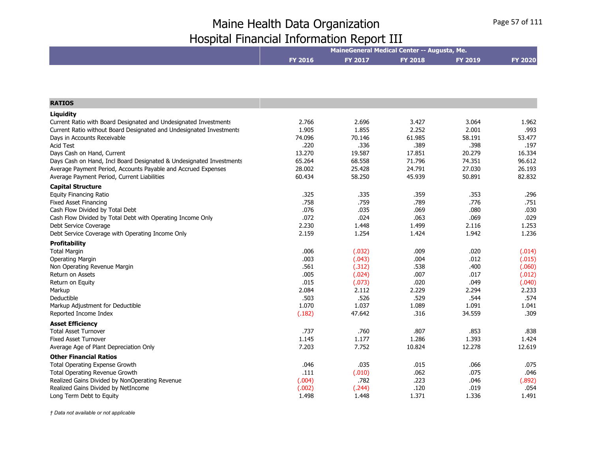|                                                                     | MaineGeneral Medical Center -- Augusta, Me. |                |                |                |                |  |
|---------------------------------------------------------------------|---------------------------------------------|----------------|----------------|----------------|----------------|--|
|                                                                     | <b>FY 2016</b>                              | <b>FY 2017</b> | <b>FY 2018</b> | <b>FY 2019</b> | <b>FY 2020</b> |  |
|                                                                     |                                             |                |                |                |                |  |
|                                                                     |                                             |                |                |                |                |  |
|                                                                     |                                             |                |                |                |                |  |
| <b>RATIOS</b>                                                       |                                             |                |                |                |                |  |
| <b>Liquidity</b>                                                    |                                             |                |                |                |                |  |
| Current Ratio with Board Designated and Undesignated Investments    | 2.766                                       | 2.696          | 3.427          | 3.064          | 1.962          |  |
| Current Ratio without Board Designated and Undesignated Investments | 1.905                                       | 1.855          | 2.252          | 2.001          | .993           |  |
| Days in Accounts Receivable                                         | 74.096                                      | 70.146         | 61.985         | 58.191         | 53.477         |  |
| <b>Acid Test</b>                                                    | .220                                        | .336           | .389           | .398           | .197           |  |
| Days Cash on Hand, Current                                          | 13.270                                      | 19.587         | 17.851         | 20.279         | 16.334         |  |
| Days Cash on Hand, Incl Board Designated & Undesignated Investments | 65.264                                      | 68.558         | 71.796         | 74.351         | 96.612         |  |
| Average Payment Period, Accounts Payable and Accrued Expenses       | 28.002                                      | 25.428         | 24.791         | 27.030         | 26.193         |  |
| Average Payment Period, Current Liabilities                         | 60.434                                      | 58.250         | 45.939         | 50.891         | 82.832         |  |
| <b>Capital Structure</b>                                            |                                             |                |                |                |                |  |
| <b>Equity Financing Ratio</b>                                       | .325                                        | .335           | .359           | .353           | .296           |  |
| <b>Fixed Asset Financing</b>                                        | .758                                        | .759           | .789           | .776           | .751           |  |
| Cash Flow Divided by Total Debt                                     | .076                                        | .035           | .069           | .080           | .030           |  |
| Cash Flow Divided by Total Debt with Operating Income Only          | .072                                        | .024           | .063           | .069           | .029           |  |
| Debt Service Coverage                                               | 2.230                                       | 1.448          | 1.499          | 2.116          | 1.253          |  |
| Debt Service Coverage with Operating Income Only                    | 2.159                                       | 1.254          | 1.424          | 1.942          | 1.236          |  |
| <b>Profitability</b>                                                |                                             |                |                |                |                |  |
| <b>Total Margin</b>                                                 | .006                                        | (.032)         | .009           | .020           | (.014)         |  |
| Operating Margin                                                    | .003                                        | (.043)         | .004           | .012           | (.015)         |  |
| Non Operating Revenue Margin                                        | .561                                        | (.312)         | .538           | .400           | (.060)         |  |
| Return on Assets                                                    | .005                                        | (.024)         | .007           | .017           | (.012)         |  |
| Return on Equity                                                    | .015                                        | (.073)         | .020           | .049           | (.040)         |  |
| Markup                                                              | 2.084                                       | 2.112          | 2.229          | 2.294          | 2.233          |  |
| Deductible                                                          | .503                                        | .526           | .529           | .544           | .574           |  |
| Markup Adjustment for Deductible                                    | 1.070                                       | 1.037          | 1.089          | 1.091          | 1.041          |  |
| Reported Income Index                                               | (.182)                                      | 47.642         | .316           | 34.559         | .309           |  |
| <b>Asset Efficiency</b>                                             |                                             |                |                |                |                |  |
| <b>Total Asset Turnover</b>                                         | .737                                        | .760           | .807           | .853           | .838           |  |
| <b>Fixed Asset Turnover</b>                                         | 1.145                                       | 1.177          | 1.286          | 1.393          | 1.424          |  |
| Average Age of Plant Depreciation Only                              | 7.203                                       | 7.752          | 10.824         | 12.278         | 12.619         |  |
| <b>Other Financial Ratios</b>                                       |                                             |                |                |                |                |  |
| <b>Total Operating Expense Growth</b>                               | .046                                        | .035           | .015           | .066           | .075           |  |
| Total Operating Revenue Growth                                      | .111                                        | (.010)         | .062           | .075           | .046           |  |
| Realized Gains Divided by NonOperating Revenue                      | (.004)                                      | .782           | .223           | .046           | (.892)         |  |
| Realized Gains Divided by NetIncome                                 | (.002)                                      | (.244)         | .120           | .019           | .054           |  |
| Long Term Debt to Equity                                            | 1.498                                       | 1.448          | 1.371          | 1.336          | 1.491          |  |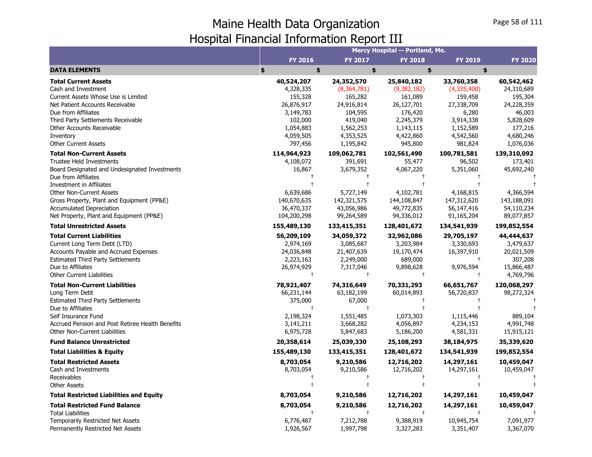|                                                  |                |                | Mercy Hospital -- Portland, Me. |                |                |
|--------------------------------------------------|----------------|----------------|---------------------------------|----------------|----------------|
|                                                  | <b>FY 2016</b> | <b>FY 2017</b> | <b>FY 2018</b>                  | <b>FY 2019</b> | <b>FY 2020</b> |
| <b>DATA ELEMENTS</b>                             | \$<br>\$       | \$             |                                 | \$<br>\$       |                |
| <b>Total Current Assets</b>                      | 40,524,207     | 24,352,570     | 25,840,182                      | 33,760,358     | 60,542,462     |
| Cash and Investment                              | 4,328,335      | (8,364,781)    | (9,382,182)                     | (4,335,400)    | 24,310,689     |
| Current Assets Whose Use is Limited              | 155,328        | 165,282        | 161,089                         | 159,458        | 195,304        |
| Net Patient Accounts Receivable                  | 26,876,917     | 24,916,814     | 26,127,701                      | 27,338,709     | 24,228,359     |
| Due from Affiliates                              | 3,149,783      | 104,595        | 176,420                         | 6,280          | 46,003         |
| Third Party Settlements Receivable               | 102,000        | 419,040        | 2,245,379                       | 3,914,338      | 5,828,609      |
| <b>Other Accounts Receivable</b>                 | 1,054,883      | 1,562,253      | 1,143,115                       | 1,152,589      | 177,216        |
| Inventory                                        | 4,059,505      | 4,353,525      | 4,422,860                       | 4,542,560      | 4,680,246      |
| <b>Other Current Assets</b>                      | 797,456        | 1,195,842      | 945,800                         | 981,824        | 1,076,036      |
| <b>Total Non-Current Assets</b>                  | 114,964,923    | 109,062,781    | 102,561,490                     | 100,781,581    | 139,310,092    |
| Trustee Held Investments                         | 4,108,072      | 391,691        | 55,477                          | 96,502         | 173,401        |
| Board Designated and Undesignated Investments    | 16,867         | 3,679,352      | 4,067,220                       | 5,351,060      | 45,692,240     |
| Due from Affiliates                              |                |                |                                 |                |                |
| Investment in Affiliates                         |                |                |                                 |                |                |
| <b>Other Non-Current Assets</b>                  | 6,639,686      | 5,727,149      | 4,102,781                       | 4,168,815      | 4,366,594      |
| Gross Property, Plant and Equipment (PP&E)       | 140,670,635    | 142,321,575    | 144,108,847                     | 147,312,620    | 143,188,091    |
| <b>Accumulated Depreciation</b>                  | 36,470,337     | 43,056,986     | 49,772,835                      | 56,147,416     | 54,110,234     |
| Net Property, Plant and Equipment (PP&E)         | 104,200,298    | 99,264,589     | 94,336,012                      | 91,165,204     | 89,077,857     |
| <b>Total Unrestricted Assets</b>                 | 155,489,130    | 133,415,351    | 128,401,672                     | 134,541,939    | 199,852,554    |
| <b>Total Current Liabilities</b>                 | 56,209,109     | 34,059,372     | 32,962,086                      | 29,705,197     | 44,444,637     |
| Current Long Term Debt (LTD)                     | 2,974,169      | 3,085,687      | 3,203,984                       | 3,330,693      | 3,479,637      |
| Accounts Payable and Accrued Expenses            | 24,036,848     | 21,407,639     | 19,170,474                      | 16,397,910     | 20,021,509     |
| <b>Estimated Third Party Settlements</b>         | 2,223,163      | 2,249,000      | 689,000                         |                | 307,208        |
| Due to Affiliates                                | 26,974,929     | 7,317,046      | 9,898,628                       | 9,976,594      | 15,866,487     |
| <b>Other Current Liabilities</b>                 |                | $\pm$          | $\ddagger$                      | t              | 4,769,796      |
| <b>Total Non-Current Liabilities</b>             | 78,921,407     | 74,316,649     | 70,331,293                      | 66,651,767     | 120,068,297    |
| Long Term Debt                                   | 66,231,144     | 63,182,199     | 60,014,893                      | 56,720,837     | 98,272,324     |
| <b>Estimated Third Party Settlements</b>         | 375,000        | 67,000         |                                 |                |                |
| Due to Affiliates                                | $\ddagger$     | $\ddagger$     | $\ddagger$                      |                |                |
| Self Insurance Fund                              | 2,198,324      | 1,551,485      | 1,073,303                       | 1,115,446      | 889,104        |
| Accrued Pension and Post Retiree Health Benefits | 3,141,211      | 3,668,282      | 4,056,897                       | 4,234,153      | 4,991,748      |
| <b>Other Non-Current Liabilities</b>             | 6,975,728      | 5,847,683      | 5,186,200                       | 4,581,331      | 15,915,121     |
| <b>Fund Balance Unrestricted</b>                 | 20,358,614     | 25,039,330     | 25,108,293                      | 38,184,975     | 35,339,620     |
| <b>Total Liabilities &amp; Equity</b>            | 155,489,130    | 133,415,351    | 128,401,672                     | 134,541,939    | 199,852,554    |
| <b>Total Restricted Assets</b>                   | 8,703,054      | 9,210,586      | 12,716,202                      | 14,297,161     | 10,459,047     |
| Cash and Investments                             | 8,703,054      | 9,210,586      | 12,716,202                      | 14,297,161     | 10,459,047     |
| Receivables                                      |                | $^{\dagger}$   | $\pm$                           |                |                |
| <b>Other Assets</b>                              |                |                |                                 |                |                |
| <b>Total Restricted Liabilities and Equity</b>   | 8,703,054      | 9,210,586      | 12,716,202                      | 14,297,161     | 10,459,047     |
| <b>Total Restricted Fund Balance</b>             | 8,703,054      | 9,210,586      | 12,716,202                      | 14,297,161     | 10,459,047     |
| <b>Total Liabilities</b>                         |                |                |                                 |                |                |
| Temporarily Restricted Net Assets                | 6,776,487      | 7,212,788      | 9,388,919                       | 10,945,754     | 7,091,977      |
| Permanently Restricted Net Assets                | 1,926,567      | 1,997,798      | 3,327,283                       | 3,351,407      | 3,367,070      |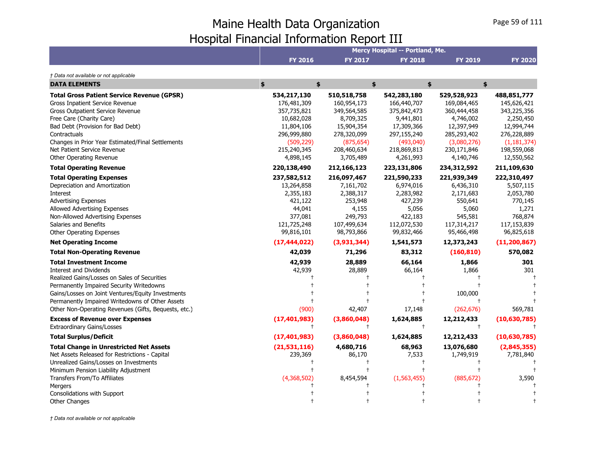|                                                      |                |                | <b>Mercy Hospital -- Portland, Me.</b> |                |                |
|------------------------------------------------------|----------------|----------------|----------------------------------------|----------------|----------------|
|                                                      | <b>FY 2016</b> | <b>FY 2017</b> | <b>FY 2018</b>                         | <b>FY 2019</b> | <b>FY 2020</b> |
| † Data not available or not applicable               |                |                |                                        |                |                |
| <b>DATA ELEMENTS</b>                                 | \$<br>\$       |                | \$                                     | \$             | \$             |
| <b>Total Gross Patient Service Revenue (GPSR)</b>    | 534,217,130    | 510,518,758    | 542,283,180                            | 529,528,923    | 488,851,777    |
| Gross Inpatient Service Revenue                      | 176,481,309    | 160,954,173    | 166,440,707                            | 169,084,465    | 145,626,421    |
| <b>Gross Outpatient Service Revenue</b>              | 357,735,821    | 349,564,585    | 375,842,473                            | 360,444,458    | 343,225,356    |
| Free Care (Charity Care)                             | 10,682,028     | 8,709,325      | 9,441,801                              | 4,746,002      | 2,250,450      |
| Bad Debt (Provision for Bad Debt)                    | 11,804,106     | 15,904,354     | 17,309,366                             | 12,397,949     | 12,994,744     |
| Contractuals                                         | 296,999,880    | 278,320,099    | 297,155,240                            | 285,293,402    | 276,228,889    |
| Changes in Prior Year Estimated/Final Settlements    | (509, 229)     | (875, 654)     | (493,040)                              | (3,080,276)    | (1, 181, 374)  |
| Net Patient Service Revenue                          | 215,240,345    | 208,460,634    | 218,869,813                            | 230,171,846    | 198,559,068    |
| Other Operating Revenue                              | 4,898,145      | 3,705,489      | 4,261,993                              | 4,140,746      | 12,550,562     |
| <b>Total Operating Revenue</b>                       | 220,138,490    | 212,166,123    | 223,131,806                            | 234,312,592    | 211,109,630    |
| <b>Total Operating Expenses</b>                      | 237,582,512    | 216,097,467    | 221,590,233                            | 221,939,349    | 222,310,497    |
| Depreciation and Amortization                        | 13,264,858     | 7,161,702      | 6,974,016                              | 6,436,310      | 5,507,115      |
| Interest                                             | 2,355,183      | 2,388,317      | 2,283,982                              | 2,171,683      | 2,053,780      |
| <b>Advertising Expenses</b>                          | 421,122        | 253,948        | 427,239                                | 550,641        | 770,145        |
| Allowed Advertising Expenses                         | 44,041         | 4,155          | 5,056                                  | 5,060          | 1,271          |
| Non-Allowed Advertising Expenses                     | 377,081        | 249,793        | 422,183                                | 545,581        | 768,874        |
| Salaries and Benefits                                | 121,725,248    | 107,499,634    | 112,072,530                            | 117,314,217    | 117,153,839    |
| <b>Other Operating Expenses</b>                      | 99,816,101     | 98,793,866     | 99,832,466                             | 95,466,498     | 96,825,618     |
| <b>Net Operating Income</b>                          | (17, 444, 022) | (3,931,344)    | 1,541,573                              | 12,373,243     | (11, 200, 867) |
| <b>Total Non-Operating Revenue</b>                   | 42,039         | 71,296         | 83,312                                 | (160, 810)     | 570,082        |
| <b>Total Investment Income</b>                       | 42,939         | 28,889         | 66,164                                 | 1,866          | 301            |
| <b>Interest and Dividends</b>                        | 42,939         | 28,889         | 66,164                                 | 1,866          | 301            |
| Realized Gains/Losses on Sales of Securities         |                |                |                                        |                |                |
| Permanently Impaired Security Writedowns             |                |                |                                        |                |                |
| Gains/Losses on Joint Ventures/Equity Investments    |                |                |                                        | 100,000        |                |
| Permanently Impaired Writedowns of Other Assets      |                |                |                                        |                |                |
| Other Non-Operating Revenues (Gifts, Bequests, etc.) | (900)          | 42,407         | 17,148                                 | (262, 676)     | 569,781        |
| <b>Excess of Revenue over Expenses</b>               | (17, 401, 983) | (3,860,048)    | 1,624,885                              | 12,212,433     | (10,630,785)   |
| <b>Extraordinary Gains/Losses</b>                    |                | $^+$           | $^{+}$                                 | $\ddagger$     |                |
| <b>Total Surplus/Deficit</b>                         | (17, 401, 983) | (3,860,048)    | 1,624,885                              | 12,212,433     | (10,630,785)   |
| <b>Total Change in Unrestricted Net Assets</b>       | (21,531,116)   | 4,680,716      | 68,963                                 | 13,076,680     | (2,845,355)    |
| Net Assets Released for Restrictions - Capital       | 239,369        | 86,170         | 7,533                                  | 1,749,919      | 7,781,840      |
| Unrealized Gains/Losses on Investments               |                |                | $\pm$                                  |                |                |
| Minimum Pension Liability Adjustment                 |                |                |                                        |                |                |
| Transfers From/To Affiliates                         | (4,368,502)    | 8,454,594      | (1,563,455)                            | (885, 672)     | 3,590          |
| Mergers                                              |                |                |                                        |                |                |
| Consolidations with Support                          |                |                |                                        |                |                |
| <b>Other Changes</b>                                 |                |                |                                        |                |                |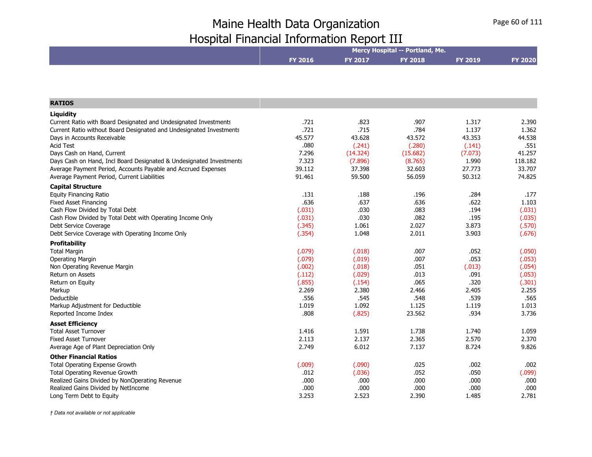|                                                                           |                  |                  | Mercy Hospital -- Portland, Me. |                |                  |
|---------------------------------------------------------------------------|------------------|------------------|---------------------------------|----------------|------------------|
|                                                                           | <b>FY 2016</b>   | <b>FY 2017</b>   | <b>FY 2018</b>                  | <b>FY 2019</b> | <b>FY 2020</b>   |
|                                                                           |                  |                  |                                 |                |                  |
|                                                                           |                  |                  |                                 |                |                  |
| <b>RATIOS</b>                                                             |                  |                  |                                 |                |                  |
| Liguidity                                                                 |                  |                  |                                 |                |                  |
| Current Ratio with Board Designated and Undesignated Investments          | .721             | .823             | .907                            | 1.317          | 2.390            |
| Current Ratio without Board Designated and Undesignated Investments       | .721             | .715             | .784                            | 1.137          | 1.362            |
| Days in Accounts Receivable                                               | 45.577           | 43.628           | 43.572                          | 43.353         | 44.538           |
| <b>Acid Test</b>                                                          | .080             | (.241)           | (.280)                          | (.141)         | .551             |
| Days Cash on Hand, Current                                                | 7.296            | (14.324)         | (15.682)                        | (7.073)        | 41.257           |
| Days Cash on Hand, Incl Board Designated & Undesignated Investments       | 7.323            | (7.896)          | (8.765)                         | 1.990          | 118.182          |
| Average Payment Period, Accounts Payable and Accrued Expenses             | 39.112           | 37.398           | 32.603                          | 27.773         | 33.707           |
| Average Payment Period, Current Liabilities                               | 91.461           | 59.500           | 56.059                          | 50.312         | 74.825           |
| <b>Capital Structure</b>                                                  |                  |                  |                                 |                |                  |
| <b>Equity Financing Ratio</b>                                             | .131             | .188             | .196                            | .284           | .177             |
| <b>Fixed Asset Financing</b>                                              | .636             | .637             | .636                            | .622           | 1.103            |
| Cash Flow Divided by Total Debt                                           | (.031)           | .030             | .083                            | .194           | (.031)           |
| Cash Flow Divided by Total Debt with Operating Income Only                | (.031)           | .030<br>1.061    | .082<br>2.027                   | .195<br>3.873  | (.035)           |
| Debt Service Coverage<br>Debt Service Coverage with Operating Income Only | (.345)<br>(.354) | 1.048            | 2.011                           | 3.903          | (.570)<br>(.676) |
|                                                                           |                  |                  |                                 |                |                  |
| <b>Profitability</b>                                                      |                  |                  |                                 |                |                  |
| <b>Total Margin</b>                                                       | (.079)           | (.018)           | .007                            | .052<br>.053   | (.050)           |
| <b>Operating Margin</b>                                                   | (.079)           | (.019)<br>(.018) | .007<br>.051                    | (.013)         | (.053)           |
| Non Operating Revenue Margin<br>Return on Assets                          | (.002)<br>(.112) | (.029)           | .013                            | .091           | (.054)<br>(.053) |
| Return on Equity                                                          | (.855)           | (.154)           | .065                            | .320           | (.301)           |
| Markup                                                                    | 2.269            | 2.380            | 2.466                           | 2.405          | 2.255            |
| Deductible                                                                | .556             | .545             | .548                            | .539           | .565             |
| Markup Adjustment for Deductible                                          | 1.019            | 1.092            | 1.125                           | 1.119          | 1.013            |
| Reported Income Index                                                     | .808             | (.825)           | 23.562                          | .934           | 3.736            |
| <b>Asset Efficiency</b>                                                   |                  |                  |                                 |                |                  |
| <b>Total Asset Turnover</b>                                               | 1.416            | 1.591            | 1.738                           | 1.740          | 1.059            |
| <b>Fixed Asset Turnover</b>                                               | 2.113            | 2.137            | 2.365                           | 2.570          | 2.370            |
| Average Age of Plant Depreciation Only                                    | 2.749            | 6.012            | 7.137                           | 8.724          | 9.826            |
| <b>Other Financial Ratios</b>                                             |                  |                  |                                 |                |                  |
| <b>Total Operating Expense Growth</b>                                     | (.009)           | (.090)           | .025                            | .002           | .002             |
| Total Operating Revenue Growth                                            | .012             | (.036)           | .052                            | .050           | (.099)           |
| Realized Gains Divided by NonOperating Revenue                            | .000             | .000             | .000                            | .000           | .000             |
| Realized Gains Divided by NetIncome                                       | .000             | .000             | .000                            | .000           | .000             |
| Long Term Debt to Equity                                                  | 3.253            | 2.523            | 2.390                           | 1.485          | 2.781            |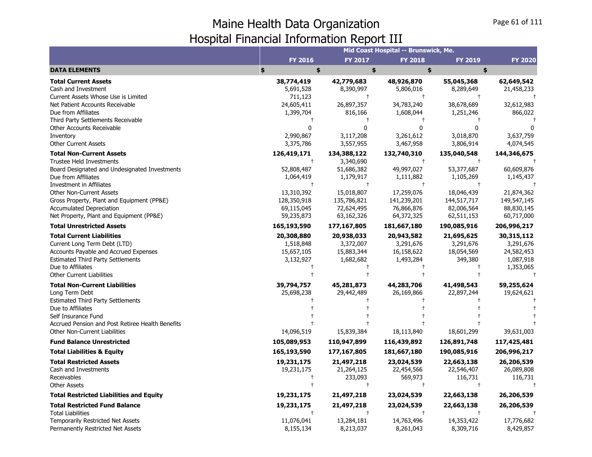|                                                                                                                                                                                                                                     |                                                        |                                                                  | Mid Coast Hospital -- Brunswick, Me.                             |                                                                |                                                                 |
|-------------------------------------------------------------------------------------------------------------------------------------------------------------------------------------------------------------------------------------|--------------------------------------------------------|------------------------------------------------------------------|------------------------------------------------------------------|----------------------------------------------------------------|-----------------------------------------------------------------|
|                                                                                                                                                                                                                                     | FY 2016                                                | <b>FY 2017</b>                                                   | <b>FY 2018</b>                                                   | FY 2019                                                        | <b>FY 2020</b>                                                  |
| <b>DATA ELEMENTS</b>                                                                                                                                                                                                                | \$<br>\$                                               | \$                                                               |                                                                  | \$<br>\$                                                       |                                                                 |
| <b>Total Current Assets</b><br>Cash and Investment<br>Current Assets Whose Use is Limited                                                                                                                                           | 38,774,419<br>5,691,528<br>711,123                     | 42,779,683<br>8,390,997<br>$\ddagger$                            | 48,926,870<br>5,806,016<br>$\ddagger$                            | 55,045,368<br>8,289,649                                        | 62,649,542<br>21,458,233                                        |
| Net Patient Accounts Receivable<br>Due from Affiliates<br>Third Party Settlements Receivable                                                                                                                                        | 24,605,411<br>1,399,704                                | 26,897,357<br>816,166<br>$\pm$                                   | 34,783,240<br>1,608,044                                          | 38,678,689<br>1,251,246                                        | 32,612,983<br>866,022                                           |
| Other Accounts Receivable<br>Inventory<br><b>Other Current Assets</b>                                                                                                                                                               | 0<br>2,990,867<br>3,375,786                            | $\Omega$<br>3,117,208<br>3,557,955                               | $\mathbf{0}$<br>3,261,612<br>3,467,958                           | <sup>0</sup><br>3,018,870<br>3,806,914                         | 3,637,759<br>4,074,545                                          |
| <b>Total Non-Current Assets</b><br><b>Trustee Held Investments</b>                                                                                                                                                                  | 126,419,171<br>$\ddagger$                              | 134,388,122<br>3,340,690                                         | 132,740,310<br>$\ddagger$                                        | 135,040,548<br>$\ddagger$                                      | 144,346,675                                                     |
| Board Designated and Undesignated Investments<br>Due from Affiliates<br><b>Investment in Affiliates</b>                                                                                                                             | 52,808,487<br>1,064,419<br>$\ddagger$                  | 51,686,382<br>1,179,917<br>$\ddagger$                            | 49,997,027<br>1,111,882<br>$\ddagger$                            | 53,377,687<br>1,105,269<br>$\ddagger$                          | 60,609,876<br>1,145,437                                         |
| <b>Other Non-Current Assets</b><br>Gross Property, Plant and Equipment (PP&E)<br><b>Accumulated Depreciation</b><br>Net Property, Plant and Equipment (PP&E)                                                                        | 13,310,392<br>128,350,918<br>69,115,045<br>59,235,873  | 15,018,807<br>135,786,821<br>72,624,495<br>63,162,326            | 17,259,076<br>141,239,201<br>76,866,876<br>64,372,325            | 18,046,439<br>144,517,717<br>82,006,564<br>62,511,153          | 21,874,362<br>149,547,145<br>88,830,145<br>60,717,000           |
| <b>Total Unrestricted Assets</b>                                                                                                                                                                                                    | 165,193,590                                            | 177,167,805                                                      | 181,667,180                                                      | 190,085,916                                                    | 206,996,217                                                     |
| <b>Total Current Liabilities</b><br>Current Long Term Debt (LTD)<br>Accounts Payable and Accrued Expenses<br><b>Estimated Third Party Settlements</b><br>Due to Affiliates<br><b>Other Current Liabilities</b>                      | 20,308,880<br>1,518,848<br>15,657,105<br>3,132,927     | 20,938,033<br>3,372,007<br>15,883,344<br>1,682,682<br>$\ddagger$ | 20,943,582<br>3,291,676<br>16,158,622<br>1,493,284<br>$\ddagger$ | 21,695,625<br>3,291,676<br>18,054,569<br>349,380<br>$\ddagger$ | 30,315,112<br>3,291,676<br>24,582,453<br>1,087,918<br>1,353,065 |
| <b>Total Non-Current Liabilities</b><br>Long Term Debt<br><b>Estimated Third Party Settlements</b><br>Due to Affiliates<br>Self Insurance Fund<br>Accrued Pension and Post Retiree Health Benefits<br>Other Non-Current Liabilities | 39,794,757<br>25,698,238<br>14,096,519                 | 45,281,873<br>29,442,489<br>15,839,384                           | 44,283,706<br>26,169,866<br>18,113,840                           | 41,498,543<br>22,897,244<br>18,601,299                         | 59,255,624<br>19,624,621<br>39,631,003                          |
| <b>Fund Balance Unrestricted</b>                                                                                                                                                                                                    | 105,089,953                                            | 110,947,899                                                      | 116,439,892                                                      | 126,891,748                                                    | 117,425,481                                                     |
| <b>Total Liabilities &amp; Equity</b>                                                                                                                                                                                               | 165,193,590                                            | 177,167,805                                                      | 181,667,180                                                      | 190,085,916                                                    | 206,996,217                                                     |
| <b>Total Restricted Assets</b><br>Cash and Investments<br>Receivables<br><b>Other Assets</b>                                                                                                                                        | 19,231,175<br>19,231,175<br>$\mathsf{t}$<br>$\ddagger$ | 21,497,218<br>21,264,125<br>233,093<br>$^\mathrm{+}$             | 23,024,539<br>22,454,566<br>569,973<br>$\ddagger$                | 22,663,138<br>22,546,407<br>116,731<br>$\ddagger$              | 26,206,539<br>26,089,808<br>116,731                             |
| <b>Total Restricted Liabilities and Equity</b>                                                                                                                                                                                      | 19,231,175                                             | 21,497,218                                                       | 23,024,539                                                       | 22,663,138                                                     | 26,206,539                                                      |
| <b>Total Restricted Fund Balance</b><br><b>Total Liabilities</b><br><b>Temporarily Restricted Net Assets</b>                                                                                                                        | 19,231,175<br>11,076,041                               | 21,497,218<br>$\ddagger$<br>13,284,181                           | 23,024,539<br>$\ddagger$<br>14,763,496                           | 22,663,138<br>$\ddagger$<br>14,353,422                         | 26,206,539<br>17,776,682                                        |
| Permanently Restricted Net Assets                                                                                                                                                                                                   | 8,155,134                                              | 8,213,037                                                        | 8,261,043                                                        | 8,309,716                                                      | 8,429,857                                                       |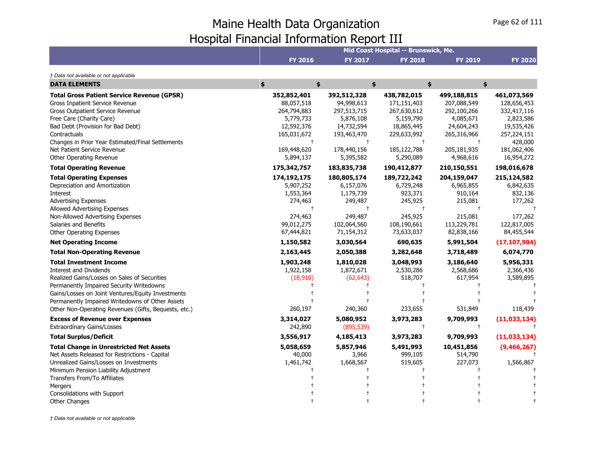|                                                      |                |             | Mid Coast Hospital -- Brunswick, Me. |                |                |
|------------------------------------------------------|----------------|-------------|--------------------------------------|----------------|----------------|
|                                                      | <b>FY 2016</b> | FY 2017     | <b>FY 2018</b>                       | <b>FY 2019</b> | <b>FY 2020</b> |
| † Data not available or not applicable               |                |             |                                      |                |                |
| <b>DATA ELEMENTS</b>                                 | \$<br>\$       |             | \$                                   | \$             | \$             |
| <b>Total Gross Patient Service Revenue (GPSR)</b>    | 352,852,401    | 392,512,328 | 438,782,015                          | 499,188,815    | 461,073,569    |
| Gross Inpatient Service Revenue                      | 88,057,518     | 94,998,613  | 171,151,403                          | 207,088,549    | 128,656,453    |
| Gross Outpatient Service Revenue                     | 264,794,883    | 297,513,715 | 267,630,612                          | 292,100,266    | 332,417,116    |
| Free Care (Charity Care)                             | 5,779,733      | 5,876,108   | 5,159,790                            | 4,085,671      | 2,823,586      |
| Bad Debt (Provision for Bad Debt)                    | 12,592,376     | 14,732,594  | 18,865,445                           | 24,604,243     | 19,535,426     |
| Contractuals                                         | 165,031,672    | 193,463,470 | 229,633,992                          | 265,316,966    | 257,224,151    |
| Changes in Prior Year Estimated/Final Settlements    | $^{+}$         | $\ddagger$  | $\ddagger$                           |                | 428,000        |
| Net Patient Service Revenue                          | 169,448,620    | 178,440,156 | 185, 122, 788                        | 205,181,935    | 181,062,406    |
| Other Operating Revenue                              | 5,894,137      | 5,395,582   | 5,290,089                            | 4,968,616      | 16,954,272     |
| <b>Total Operating Revenue</b>                       | 175,342,757    | 183,835,738 | 190,412,877                          | 210,150,551    | 198,016,678    |
| <b>Total Operating Expenses</b>                      | 174,192,175    | 180,805,174 | 189,722,242                          | 204,159,047    | 215,124,582    |
| Depreciation and Amortization                        | 5,907,252      | 6,157,076   | 6,729,248                            | 6,965,855      | 6,842,635      |
| <b>Interest</b>                                      | 1,553,364      | 1,179,739   | 923,371                              | 910,164        | 832,136        |
| <b>Advertising Expenses</b>                          | 274,463        | 249,487     | 245,925                              | 215,081        | 177,262        |
| Allowed Advertising Expenses                         | $\ddagger$     | $\ddagger$  | $\ddagger$                           |                |                |
| Non-Allowed Advertising Expenses                     | 274,463        | 249,487     | 245,925                              | 215,081        | 177,262        |
| Salaries and Benefits                                | 99,012,275     | 102,064,560 | 108,190,661                          | 113,229,781    | 122,817,005    |
| Other Operating Expenses                             | 67,444,821     | 71,154,312  | 73,633,037                           | 82,838,166     | 84,455,544     |
| <b>Net Operating Income</b>                          | 1,150,582      | 3,030,564   | 690,635                              | 5,991,504      | (17, 107, 904) |
| <b>Total Non-Operating Revenue</b>                   | 2,163,445      | 2,050,388   | 3,282,648                            | 3,718,489      | 6,074,770      |
| <b>Total Investment Income</b>                       | 1,903,248      | 1,810,028   | 3,048,993                            | 3,186,640      | 5,956,331      |
| Interest and Dividends                               | 1,922,158      | 1,872,671   | 2,530,286                            | 2,568,686      | 2,366,436      |
| Realized Gains/Losses on Sales of Securities         | (18,910)       | (62, 643)   | 518,707                              | 617,954        | 3,589,895      |
| Permanently Impaired Security Writedowns             |                |             |                                      |                |                |
| Gains/Losses on Joint Ventures/Equity Investments    |                |             |                                      |                |                |
| Permanently Impaired Writedowns of Other Assets      |                |             |                                      |                |                |
| Other Non-Operating Revenues (Gifts, Bequests, etc.) | 260,197        | 240,360     | 233,655                              | 531,849        | 118,439        |
| <b>Excess of Revenue over Expenses</b>               | 3,314,027      | 5,080,952   | 3,973,283                            | 9,709,993      | (11,033,134)   |
| <b>Extraordinary Gains/Losses</b>                    | 242,890        | (895, 539)  | $\ddagger$                           | $\ddagger$     |                |
| <b>Total Surplus/Deficit</b>                         | 3,556,917      | 4,185,413   | 3,973,283                            | 9,709,993      | (11,033,134)   |
| <b>Total Change in Unrestricted Net Assets</b>       | 5,058,659      | 5,857,946   | 5,491,993                            | 10,451,856     | (9,466,267)    |
| Net Assets Released for Restrictions - Capital       | 40,000         | 3,966       | 999,105                              | 514,790        |                |
| Unrealized Gains/Losses on Investments               | 1,461,742      | 1,668,567   | 519,605                              | 227,073        | 1,566,867      |
| Minimum Pension Liability Adjustment                 |                |             |                                      |                |                |
| Transfers From/To Affiliates                         |                |             |                                      |                |                |
| Mergers                                              |                |             |                                      |                |                |
| Consolidations with Support                          |                |             |                                      |                |                |
| Other Changes                                        |                |             |                                      |                |                |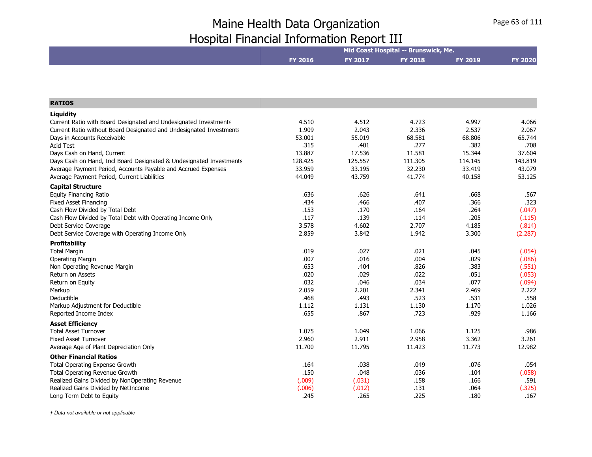|                                                                     | Mid Coast Hospital -- Brunswick, Me. |                |                |                |                |  |
|---------------------------------------------------------------------|--------------------------------------|----------------|----------------|----------------|----------------|--|
|                                                                     | <b>FY 2016</b>                       | <b>FY 2017</b> | <b>FY 2018</b> | <b>FY 2019</b> | <b>FY 2020</b> |  |
|                                                                     |                                      |                |                |                |                |  |
|                                                                     |                                      |                |                |                |                |  |
|                                                                     |                                      |                |                |                |                |  |
| <b>RATIOS</b>                                                       |                                      |                |                |                |                |  |
| Liquidity                                                           |                                      |                |                |                |                |  |
| Current Ratio with Board Designated and Undesignated Investments    | 4.510                                | 4.512          | 4.723          | 4.997          | 4.066          |  |
| Current Ratio without Board Designated and Undesignated Investments | 1.909                                | 2.043          | 2.336          | 2.537          | 2.067          |  |
| Days in Accounts Receivable                                         | 53.001                               | 55.019         | 68.581         | 68.806         | 65.744         |  |
| <b>Acid Test</b>                                                    | .315                                 | .401           | .277           | .382           | .708           |  |
| Days Cash on Hand, Current                                          | 13.887                               | 17.536         | 11.581         | 15.344         | 37.604         |  |
| Days Cash on Hand, Incl Board Designated & Undesignated Investments | 128.425                              | 125.557        | 111.305        | 114.145        | 143.819        |  |
| Average Payment Period, Accounts Payable and Accrued Expenses       | 33.959                               | 33.195         | 32.230         | 33.419         | 43.079         |  |
| Average Payment Period, Current Liabilities                         | 44.049                               | 43.759         | 41.774         | 40.158         | 53.125         |  |
| <b>Capital Structure</b>                                            |                                      |                |                |                |                |  |
| <b>Equity Financing Ratio</b>                                       | .636                                 | .626           | .641           | .668           | .567           |  |
| <b>Fixed Asset Financing</b>                                        | .434                                 | .466           | .407           | .366           | .323           |  |
| Cash Flow Divided by Total Debt                                     | .153                                 | .170           | .164           | .264           | (.047)         |  |
| Cash Flow Divided by Total Debt with Operating Income Only          | .117                                 | .139           | .114           | .205           | (.115)         |  |
| Debt Service Coverage                                               | 3.578                                | 4.602          | 2.707          | 4.185          | (.814)         |  |
| Debt Service Coverage with Operating Income Only                    | 2.859                                | 3.842          | 1.942          | 3.300          | (2.287)        |  |
| <b>Profitability</b>                                                |                                      |                |                |                |                |  |
| <b>Total Margin</b>                                                 | .019                                 | .027           | .021           | .045           | (.054)         |  |
| <b>Operating Margin</b>                                             | .007                                 | .016           | .004           | .029           | (.086)         |  |
| Non Operating Revenue Margin                                        | .653                                 | .404           | .826           | .383           | (.551)         |  |
| Return on Assets                                                    | .020                                 | .029           | .022           | .051           | (.053)         |  |
| Return on Equity                                                    | .032                                 | .046           | .034           | .077           | (.094)         |  |
| Markup                                                              | 2.059                                | 2.201          | 2.341          | 2.469          | 2.222          |  |
| Deductible                                                          | .468                                 | .493           | .523           | .531           | .558           |  |
| Markup Adjustment for Deductible                                    | 1.112                                | 1.131          | 1.130          | 1.170          | 1.026          |  |
| Reported Income Index                                               | .655                                 | .867           | .723           | .929           | 1.166          |  |
| <b>Asset Efficiency</b>                                             |                                      |                |                |                |                |  |
| <b>Total Asset Turnover</b>                                         | 1.075                                | 1.049          | 1.066          | 1.125          | .986           |  |
| <b>Fixed Asset Turnover</b>                                         | 2.960                                | 2.911          | 2.958          | 3.362          | 3.261          |  |
| Average Age of Plant Depreciation Only                              | 11.700                               | 11.795         | 11.423         | 11.773         | 12.982         |  |
| <b>Other Financial Ratios</b>                                       |                                      |                |                |                |                |  |
| Total Operating Expense Growth                                      | .164                                 | .038           | .049           | .076           | .054           |  |
| Total Operating Revenue Growth                                      | .150                                 | .048           | .036           | .104           | (.058)         |  |
| Realized Gains Divided by NonOperating Revenue                      | (.009)                               | (.031)         | .158           | .166           | .591           |  |
| Realized Gains Divided by NetIncome                                 | (.006)                               | (.012)         | .131           | .064           | (.325)         |  |
| Long Term Debt to Equity                                            | .245                                 | .265           | .225           | .180           | .167           |  |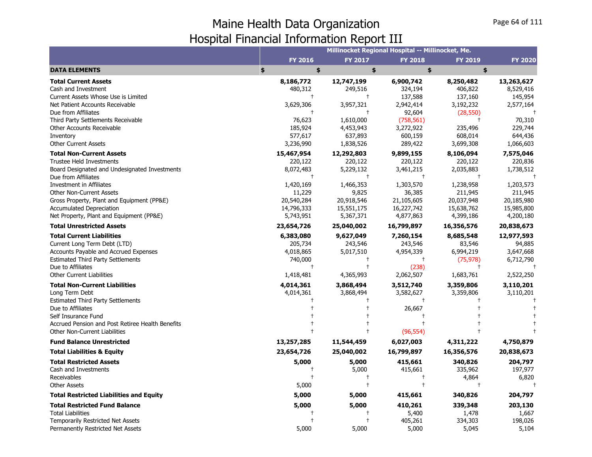|                                                  |                |                 | Millinocket Regional Hospital -- Millinocket, Me. |                |                |
|--------------------------------------------------|----------------|-----------------|---------------------------------------------------|----------------|----------------|
|                                                  | <b>FY 2016</b> | FY 2017         | <b>FY 2018</b>                                    | <b>FY 2019</b> | <b>FY 2020</b> |
| <b>DATA ELEMENTS</b>                             | \$<br>\$       | \$              | \$                                                | \$             |                |
| <b>Total Current Assets</b>                      | 8,186,772      | 12,747,199      | 6,900,742                                         | 8,250,482      | 13,263,627     |
| Cash and Investment                              | 480,312        | 249,516         | 324,194                                           | 406,822        | 8,529,416      |
| Current Assets Whose Use is Limited              | $\ddagger$     | $^{\dagger}$    | 137,588                                           | 137,160        | 145,954        |
| Net Patient Accounts Receivable                  | 3,629,306      | 3,957,321       | 2,942,414                                         | 3,192,232      | 2,577,164      |
| Due from Affiliates                              | $\ddagger$     | $\ddagger$      | 92,604                                            | (28, 550)      | $\ddagger$     |
| Third Party Settlements Receivable               | 76,623         | 1,610,000       | (758, 561)                                        | $\pm$          | 70,310         |
| Other Accounts Receivable                        | 185,924        | 4,453,943       | 3,272,922                                         | 235,496        | 229,744        |
| Inventory                                        | 577,617        | 637,893         | 600,159                                           | 608,014        | 644,436        |
| <b>Other Current Assets</b>                      | 3,236,990      | 1,838,526       | 289,422                                           | 3,699,308      | 1,066,603      |
| <b>Total Non-Current Assets</b>                  | 15,467,954     | 12,292,803      | 9,899,155                                         | 8,106,094      | 7,575,046      |
| <b>Trustee Held Investments</b>                  | 220,122        | 220,122         | 220,122                                           | 220,122        | 220,836        |
| Board Designated and Undesignated Investments    | 8,072,483      | 5,229,132       | 3,461,215                                         | 2,035,883      | 1,738,512      |
| Due from Affiliates                              |                | $\pm$           | $\pm$                                             |                |                |
| <b>Investment in Affiliates</b>                  | 1,420,169      | 1,466,353       | 1,303,570                                         | 1,238,958      | 1,203,573      |
| <b>Other Non-Current Assets</b>                  | 11,229         | 9,825           | 36,385                                            | 211,945        | 211,945        |
| Gross Property, Plant and Equipment (PP&E)       | 20,540,284     | 20,918,546      | 21,105,605                                        | 20,037,948     | 20,185,980     |
| <b>Accumulated Depreciation</b>                  | 14,796,333     | 15,551,175      | 16,227,742                                        | 15,638,762     | 15,985,800     |
| Net Property, Plant and Equipment (PP&E)         | 5,743,951      | 5,367,371       | 4,877,863                                         | 4,399,186      | 4,200,180      |
| <b>Total Unrestricted Assets</b>                 | 23,654,726     | 25,040,002      | 16,799,897                                        | 16,356,576     | 20,838,673     |
| <b>Total Current Liabilities</b>                 | 6,383,080      | 9,627,049       | 7,260,154                                         | 8,685,548      | 12,977,593     |
| Current Long Term Debt (LTD)                     | 205,734        | 243,546         | 243,546                                           | 83,546         | 94,885         |
| Accounts Payable and Accrued Expenses            | 4,018,865      | 5,017,510       | 4,954,339                                         | 6,994,219      | 3,647,668      |
| <b>Estimated Third Party Settlements</b>         | 740,000        |                 | $\ddagger$                                        | (75, 978)      | 6,712,790      |
| Due to Affiliates                                | $\ddagger$     | $\ddagger$      | (238)                                             | $^{+}$         |                |
| <b>Other Current Liabilities</b>                 | 1,418,481      | 4,365,993       | 2,062,507                                         | 1,683,761      | 2,522,250      |
| <b>Total Non-Current Liabilities</b>             | 4,014,361      | 3,868,494       | 3,512,740                                         | 3,359,806      | 3,110,201      |
| Long Term Debt                                   | 4,014,361      | 3,868,494       | 3,582,627                                         | 3,359,806      | 3,110,201      |
| <b>Estimated Third Party Settlements</b>         |                |                 |                                                   |                |                |
| Due to Affiliates                                |                |                 | 26,667                                            |                |                |
| Self Insurance Fund                              |                |                 |                                                   |                |                |
| Accrued Pension and Post Retiree Health Benefits |                |                 |                                                   |                |                |
| <b>Other Non-Current Liabilities</b>             |                |                 | (96, 554)                                         |                |                |
| <b>Fund Balance Unrestricted</b>                 | 13,257,285     | 11,544,459      | 6,027,003                                         | 4,311,222      | 4,750,879      |
| <b>Total Liabilities &amp; Equity</b>            | 23,654,726     | 25,040,002      | 16,799,897                                        | 16,356,576     | 20,838,673     |
| <b>Total Restricted Assets</b>                   | 5,000          | 5,000           | 415,661                                           | 340,826        | 204,797        |
| Cash and Investments                             | $^\mathrm{+}$  | 5,000           | 415,661                                           | 335,962        | 197,977        |
| Receivables                                      |                | $^{\mathrm{+}}$ | $\pm$                                             | 4,864          | 6,820          |
| <b>Other Assets</b>                              | 5,000          |                 | $\ddagger$                                        |                |                |
| <b>Total Restricted Liabilities and Equity</b>   | 5,000          | 5,000           | 415,661                                           | 340,826        | 204,797        |
| <b>Total Restricted Fund Balance</b>             | 5,000          | 5,000           | 410,261                                           | 339,348        | 203,130        |
| <b>Total Liabilities</b>                         |                |                 | 5,400                                             | 1,478          | 1,667          |
| Temporarily Restricted Net Assets                |                | $\ddagger$      | 405,261                                           | 334,303        | 198,026        |
| Permanently Restricted Net Assets                | 5,000          | 5,000           | 5,000                                             | 5,045          | 5,104          |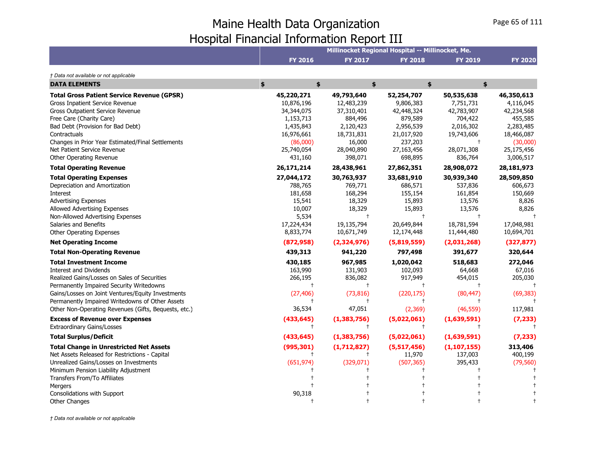|                                                                                                                                                                                                                                                                                                                                                                                                                                                                                                                                                                                                                                          |                                                                                                                                                                                         |                                                                                                                                                                                                           | Millinocket Regional Hospital -- Millinocket, Me.                                                                                                                                          |                                                                                                                                                                      |                                                                                                                                                                 |
|------------------------------------------------------------------------------------------------------------------------------------------------------------------------------------------------------------------------------------------------------------------------------------------------------------------------------------------------------------------------------------------------------------------------------------------------------------------------------------------------------------------------------------------------------------------------------------------------------------------------------------------|-----------------------------------------------------------------------------------------------------------------------------------------------------------------------------------------|-----------------------------------------------------------------------------------------------------------------------------------------------------------------------------------------------------------|--------------------------------------------------------------------------------------------------------------------------------------------------------------------------------------------|----------------------------------------------------------------------------------------------------------------------------------------------------------------------|-----------------------------------------------------------------------------------------------------------------------------------------------------------------|
|                                                                                                                                                                                                                                                                                                                                                                                                                                                                                                                                                                                                                                          | <b>FY 2016</b>                                                                                                                                                                          | <b>FY 2017</b>                                                                                                                                                                                            | <b>FY 2018</b>                                                                                                                                                                             | <b>FY 2019</b>                                                                                                                                                       | <b>FY 2020</b>                                                                                                                                                  |
| † Data not available or not applicable                                                                                                                                                                                                                                                                                                                                                                                                                                                                                                                                                                                                   |                                                                                                                                                                                         |                                                                                                                                                                                                           |                                                                                                                                                                                            |                                                                                                                                                                      |                                                                                                                                                                 |
| <b>DATA ELEMENTS</b>                                                                                                                                                                                                                                                                                                                                                                                                                                                                                                                                                                                                                     | \$<br>\$                                                                                                                                                                                | \$                                                                                                                                                                                                        |                                                                                                                                                                                            | \$<br>\$                                                                                                                                                             |                                                                                                                                                                 |
| <b>Total Gross Patient Service Revenue (GPSR)</b><br>Gross Inpatient Service Revenue<br><b>Gross Outpatient Service Revenue</b>                                                                                                                                                                                                                                                                                                                                                                                                                                                                                                          | 45,220,271<br>10,876,196<br>34,344,075                                                                                                                                                  | 49,793,640<br>12,483,239<br>37,310,401                                                                                                                                                                    | 52,254,707<br>9,806,383<br>42,448,324                                                                                                                                                      | 50,535,638<br>7,751,731<br>42,783,907                                                                                                                                | 46,350,613<br>4,116,045<br>42,234,568                                                                                                                           |
| Free Care (Charity Care)<br>Bad Debt (Provision for Bad Debt)<br>Contractuals                                                                                                                                                                                                                                                                                                                                                                                                                                                                                                                                                            | 1,153,713<br>1,435,843<br>16,976,661                                                                                                                                                    | 884,496<br>2,120,423<br>18,731,831                                                                                                                                                                        | 879,589<br>2,956,539<br>21,017,920                                                                                                                                                         | 704,422<br>2,016,302<br>19,743,606                                                                                                                                   | 455,585<br>2,283,485<br>18,466,087                                                                                                                              |
| Changes in Prior Year Estimated/Final Settlements<br>Net Patient Service Revenue<br>Other Operating Revenue                                                                                                                                                                                                                                                                                                                                                                                                                                                                                                                              | (86,000)<br>25,740,054<br>431,160                                                                                                                                                       | 16,000<br>28,040,890<br>398,071                                                                                                                                                                           | 237,203<br>27,163,456<br>698,895                                                                                                                                                           | 28,071,308<br>836,764                                                                                                                                                | (30,000)<br>25,175,456<br>3,006,517                                                                                                                             |
| <b>Total Operating Revenue</b>                                                                                                                                                                                                                                                                                                                                                                                                                                                                                                                                                                                                           | 26,171,214                                                                                                                                                                              | 28,438,961                                                                                                                                                                                                | 27,862,351                                                                                                                                                                                 | 28,908,072                                                                                                                                                           | 28,181,973                                                                                                                                                      |
| <b>Total Operating Expenses</b><br>Depreciation and Amortization<br>Interest<br><b>Advertising Expenses</b><br>Allowed Advertising Expenses<br>Non-Allowed Advertising Expenses<br>Salaries and Benefits<br><b>Other Operating Expenses</b><br><b>Net Operating Income</b><br><b>Total Non-Operating Revenue</b><br><b>Total Investment Income</b><br>Interest and Dividends<br>Realized Gains/Losses on Sales of Securities<br>Permanently Impaired Security Writedowns<br>Gains/Losses on Joint Ventures/Equity Investments<br>Permanently Impaired Writedowns of Other Assets<br>Other Non-Operating Revenues (Gifts, Bequests, etc.) | 27,044,172<br>788,765<br>181,658<br>15,541<br>10,007<br>5,534<br>17,224,434<br>8,833,774<br>(872, 958)<br>439,313<br>430,185<br>163,990<br>266,195<br>$\ddagger$<br>(27, 406)<br>36,534 | 30,763,937<br>769,771<br>168,294<br>18,329<br>18,329<br>$^{+}$<br>19,135,794<br>10,671,749<br>(2,324,976)<br>941,220<br>967,985<br>131,903<br>836,082<br>$\ddagger$<br>(73, 816)<br>$\mathbf +$<br>47,051 | 33,681,910<br>686,571<br>155,154<br>15,893<br>15,893<br>$\ddagger$<br>20,649,844<br>12,174,448<br>(5,819,559)<br>797,498<br>1,020,042<br>102,093<br>917,949<br>Ť.<br>(220, 175)<br>(2,369) | 30,939,340<br>537,836<br>161,854<br>13,576<br>13,576<br>18,781,594<br>11,444,480<br>(2,031,268)<br>391,677<br>518,683<br>64,668<br>454,015<br>(80, 447)<br>(46, 559) | 28,509,850<br>606,673<br>150,669<br>8,826<br>8,826<br>17,048,981<br>10,694,701<br>(327, 877)<br>320,644<br>272,046<br>67,016<br>205,030<br>(69, 383)<br>117,981 |
| <b>Excess of Revenue over Expenses</b><br><b>Extraordinary Gains/Losses</b>                                                                                                                                                                                                                                                                                                                                                                                                                                                                                                                                                              | (433, 645)<br>$^{\dagger}$                                                                                                                                                              | (1, 383, 756)<br>$\pm$                                                                                                                                                                                    | (5,022,061)<br>$\ddagger$                                                                                                                                                                  | (1,639,591)                                                                                                                                                          | (7, 233)                                                                                                                                                        |
| <b>Total Surplus/Deficit</b>                                                                                                                                                                                                                                                                                                                                                                                                                                                                                                                                                                                                             | (433, 645)                                                                                                                                                                              | (1, 383, 756)                                                                                                                                                                                             | (5,022,061)                                                                                                                                                                                | (1,639,591)                                                                                                                                                          | (7, 233)                                                                                                                                                        |
| <b>Total Change in Unrestricted Net Assets</b><br>Net Assets Released for Restrictions - Capital<br>Unrealized Gains/Losses on Investments<br>Minimum Pension Liability Adjustment<br>Transfers From/To Affiliates<br>Mergers                                                                                                                                                                                                                                                                                                                                                                                                            | (995, 301)<br>t<br>(651, 974)                                                                                                                                                           | (1,712,827)<br>(329, 071)                                                                                                                                                                                 | (5,517,456)<br>11,970<br>(507, 365)                                                                                                                                                        | (1, 107, 155)<br>137,003<br>395,433                                                                                                                                  | 313,406<br>400,199<br>(79, 560)                                                                                                                                 |
| Consolidations with Support<br><b>Other Changes</b>                                                                                                                                                                                                                                                                                                                                                                                                                                                                                                                                                                                      | 90,318                                                                                                                                                                                  |                                                                                                                                                                                                           |                                                                                                                                                                                            |                                                                                                                                                                      |                                                                                                                                                                 |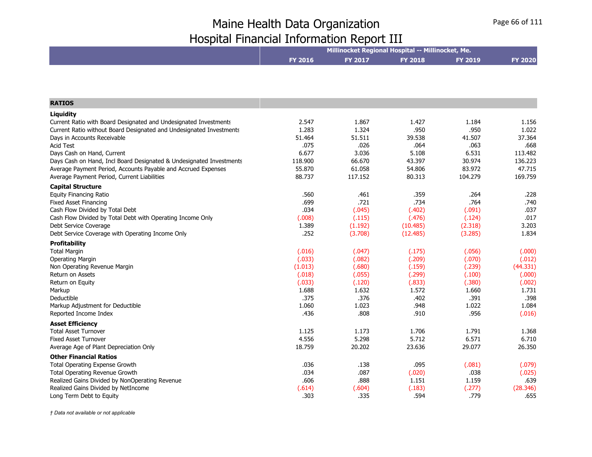|                                                                     | Millinocket Regional Hospital -- Millinocket, Me. |         |                |                |                |  |
|---------------------------------------------------------------------|---------------------------------------------------|---------|----------------|----------------|----------------|--|
|                                                                     | <b>FY 2016</b>                                    | FY 2017 | <b>FY 2018</b> | <b>FY 2019</b> | <b>FY 2020</b> |  |
|                                                                     |                                                   |         |                |                |                |  |
| <b>RATIOS</b>                                                       |                                                   |         |                |                |                |  |
| Liquidity                                                           |                                                   |         |                |                |                |  |
| Current Ratio with Board Designated and Undesignated Investments    | 2.547                                             | 1.867   | 1.427          | 1.184          | 1.156          |  |
| Current Ratio without Board Designated and Undesignated Investments | 1.283                                             | 1.324   | .950           | .950           | 1.022          |  |
| Days in Accounts Receivable                                         | 51.464                                            | 51.511  | 39.538         | 41.507         | 37.364         |  |
| <b>Acid Test</b>                                                    | .075                                              | .026    | .064           | .063           | .668           |  |
| Days Cash on Hand, Current                                          | 6.677                                             | 3.036   | 5.108          | 6.531          | 113.482        |  |
| Days Cash on Hand, Incl Board Designated & Undesignated Investments | 118.900                                           | 66.670  | 43.397         | 30.974         | 136.223        |  |
| Average Payment Period, Accounts Payable and Accrued Expenses       | 55.870                                            | 61.058  | 54.806         | 83.972         | 47.715         |  |
| Average Payment Period, Current Liabilities                         | 88.737                                            | 117.152 | 80.313         | 104.279        | 169.759        |  |
| <b>Capital Structure</b>                                            |                                                   |         |                |                |                |  |
| <b>Equity Financing Ratio</b>                                       | .560                                              | .461    | .359           | .264           | .228           |  |
| <b>Fixed Asset Financing</b>                                        | .699                                              | .721    | .734           | .764           | .740           |  |
| Cash Flow Divided by Total Debt                                     | .034                                              | (.045)  | (.402)         | (.091)         | .037           |  |
| Cash Flow Divided by Total Debt with Operating Income Only          | (.008)                                            | (.115)  | (.476)         | (.124)         | .017           |  |
| Debt Service Coverage                                               | 1.389                                             | (1.192) | (10.485)       | (2.318)        | 3.203          |  |
| Debt Service Coverage with Operating Income Only                    | .252                                              | (3.708) | (12.485)       | (3.285)        | 1.834          |  |
| Profitability                                                       |                                                   |         |                |                |                |  |
| <b>Total Margin</b>                                                 | (.016)                                            | (.047)  | (.175)         | (.056)         | (.000)         |  |
| <b>Operating Margin</b>                                             | (.033)                                            | (.082)  | (.209)         | (.070)         | (.012)         |  |
| Non Operating Revenue Margin                                        | (1.013)                                           | (.680)  | (.159)         | (.239)         | (44.331)       |  |
| Return on Assets                                                    | (.018)                                            | (.055)  | (.299)         | (.100)         | (.000)         |  |
| Return on Equity                                                    | (.033)                                            | (.120)  | (.833)         | (.380)         | (.002)         |  |
| Markup                                                              | 1.688                                             | 1.632   | 1.572          | 1.660          | 1.731          |  |
| Deductible                                                          | .375                                              | .376    | .402           | .391           | .398           |  |
| Markup Adjustment for Deductible                                    | 1.060                                             | 1.023   | .948           | 1.022          | 1.084          |  |
| Reported Income Index                                               | .436                                              | .808    | .910           | .956           | (.016)         |  |
| <b>Asset Efficiency</b>                                             |                                                   |         |                |                |                |  |
| <b>Total Asset Turnover</b>                                         | 1.125                                             | 1.173   | 1.706          | 1.791          | 1.368          |  |
| <b>Fixed Asset Turnover</b>                                         | 4.556                                             | 5.298   | 5.712          | 6.571          | 6.710          |  |
| Average Age of Plant Depreciation Only                              | 18.759                                            | 20.202  | 23.636         | 29.077         | 26.350         |  |
| <b>Other Financial Ratios</b>                                       |                                                   |         |                |                |                |  |
| Total Operating Expense Growth                                      | .036                                              | .138    | .095           | (.081)         | (.079)         |  |
| Total Operating Revenue Growth                                      | .034                                              | .087    | (.020)         | .038           | (.025)         |  |
| Realized Gains Divided by NonOperating Revenue                      | .606                                              | .888    | 1.151          | 1.159          | .639           |  |
| Realized Gains Divided by NetIncome                                 | (.614)                                            | (.604)  | (.183)         | (.277)         | (28.346)       |  |
| Long Term Debt to Equity                                            | .303                                              | .335    | .594           | .779           | .655           |  |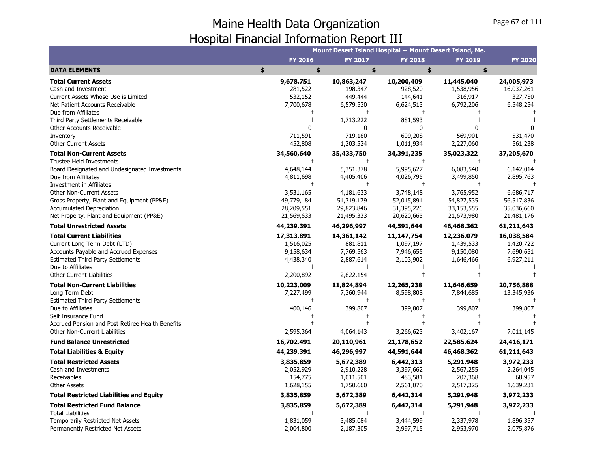|                                                  |                |                | Mount Desert Island Hospital -- Mount Desert Island, Me. |                |                |
|--------------------------------------------------|----------------|----------------|----------------------------------------------------------|----------------|----------------|
|                                                  | <b>FY 2016</b> | <b>FY 2017</b> | <b>FY 2018</b>                                           | <b>FY 2019</b> | <b>FY 2020</b> |
| <b>DATA ELEMENTS</b>                             | \$<br>\$       | \$             | \$                                                       | \$             |                |
| <b>Total Current Assets</b>                      | 9,678,751      | 10,863,247     | 10,200,409                                               | 11,445,040     | 24,005,973     |
| Cash and Investment                              | 281,522        | 198,347        | 928,520                                                  | 1,538,956      | 16,037,261     |
| Current Assets Whose Use is Limited              | 532,152        | 449,444        | 144,641                                                  | 316,917        | 327,750        |
| Net Patient Accounts Receivable                  | 7,700,678      | 6,579,530      | 6,624,513                                                | 6,792,206      | 6,548,254      |
| Due from Affiliates                              |                |                | $\pm$                                                    |                |                |
| Third Party Settlements Receivable               |                | 1,713,222      | 881,593                                                  |                |                |
| Other Accounts Receivable                        | 0              | $\Omega$       | 0                                                        |                |                |
| Inventory                                        | 711,591        | 719,180        | 609,208                                                  | 569,901        | 531,470        |
| <b>Other Current Assets</b>                      | 452,808        | 1,203,524      | 1,011,934                                                | 2,227,060      | 561,238        |
| <b>Total Non-Current Assets</b>                  | 34,560,640     | 35,433,750     | 34,391,235                                               | 35,023,322     | 37,205,670     |
| <b>Trustee Held Investments</b>                  | $\ddagger$     | $\ddagger$     | $\ddagger$                                               | $^{+}$         |                |
| Board Designated and Undesignated Investments    | 4,648,144      | 5,351,378      | 5,995,627                                                | 6,083,540      | 6,142,014      |
| Due from Affiliates                              | 4,811,698      | 4,405,406      | 4,026,795                                                | 3,499,850      | 2,895,763      |
| Investment in Affiliates                         | $\pm$          | $^+$           | $\pm$                                                    | $\ddagger$     |                |
| <b>Other Non-Current Assets</b>                  | 3,531,165      | 4,181,633      | 3,748,148                                                | 3,765,952      | 6,686,717      |
| Gross Property, Plant and Equipment (PP&E)       | 49,779,184     | 51,319,179     | 52,015,891                                               | 54,827,535     | 56,517,836     |
| <b>Accumulated Depreciation</b>                  | 28,209,551     | 29,823,846     | 31,395,226                                               | 33,153,555     | 35,036,660     |
| Net Property, Plant and Equipment (PP&E)         | 21,569,633     | 21,495,333     | 20,620,665                                               | 21,673,980     | 21,481,176     |
| <b>Total Unrestricted Assets</b>                 | 44,239,391     | 46,296,997     | 44,591,644                                               | 46,468,362     | 61,211,643     |
| <b>Total Current Liabilities</b>                 | 17,313,891     | 14,361,142     | 11, 147, 754                                             | 12,236,079     | 16,038,584     |
| Current Long Term Debt (LTD)                     | 1,516,025      | 881,811        | 1,097,197                                                | 1,439,533      | 1,420,722      |
| Accounts Payable and Accrued Expenses            | 9,158,634      | 7,769,563      | 7,946,655                                                | 9,150,080      | 7,690,651      |
| <b>Estimated Third Party Settlements</b>         | 4,438,340      | 2,887,614      | 2,103,902                                                | 1,646,466      | 6,927,211      |
| Due to Affiliates                                | $\ddagger$     | $\ddagger$     | $^{+}$                                                   |                |                |
| <b>Other Current Liabilities</b>                 | 2,200,892      | 2,822,154      | $\ddagger$                                               |                |                |
| <b>Total Non-Current Liabilities</b>             | 10,223,009     | 11,824,894     | 12,265,238                                               | 11,646,659     | 20,756,888     |
| Long Term Debt                                   | 7,227,499      | 7,360,944      | 8,598,808                                                | 7,844,685      | 13,345,936     |
| <b>Estimated Third Party Settlements</b>         | $^{+}$         | $\ddagger$     | $\ddagger$                                               | $\ddagger$     |                |
| Due to Affiliates                                | 400,146        | 399,807        | 399,807                                                  | 399,807        | 399,807        |
| Self Insurance Fund                              |                | $\ddagger$     | $\ddagger$                                               |                |                |
| Accrued Pension and Post Retiree Health Benefits |                | $\ddagger$     | $\ddagger$                                               | $\ddagger$     |                |
| Other Non-Current Liabilities                    | 2,595,364      | 4,064,143      | 3,266,623                                                | 3,402,167      | 7,011,145      |
| <b>Fund Balance Unrestricted</b>                 | 16,702,491     | 20,110,961     | 21,178,652                                               | 22,585,624     | 24,416,171     |
| <b>Total Liabilities &amp; Equity</b>            | 44,239,391     | 46,296,997     | 44,591,644                                               | 46,468,362     | 61,211,643     |
| <b>Total Restricted Assets</b>                   | 3,835,859      | 5,672,389      | 6,442,313                                                | 5,291,948      | 3,972,233      |
| Cash and Investments                             | 2,052,929      | 2,910,228      | 3,397,662                                                | 2,567,255      | 2,264,045      |
| Receivables                                      | 154,775        | 1,011,501      | 483,581                                                  | 207,368        | 68,957         |
| <b>Other Assets</b>                              | 1,628,155      | 1,750,660      | 2,561,070                                                | 2,517,325      | 1,639,231      |
| <b>Total Restricted Liabilities and Equity</b>   | 3,835,859      | 5,672,389      | 6,442,314                                                | 5,291,948      | 3,972,233      |
| <b>Total Restricted Fund Balance</b>             | 3,835,859      | 5,672,389      | 6,442,314                                                | 5,291,948      | 3,972,233      |
| <b>Total Liabilities</b>                         |                | $\ddagger$     | $\ddagger$                                               |                |                |
| <b>Temporarily Restricted Net Assets</b>         | 1,831,059      | 3,485,084      | 3,444,599                                                | 2,337,978      | 1,896,357      |
| Permanently Restricted Net Assets                | 2,004,800      | 2,187,305      | 2,997,715                                                | 2,953,970      | 2,075,876      |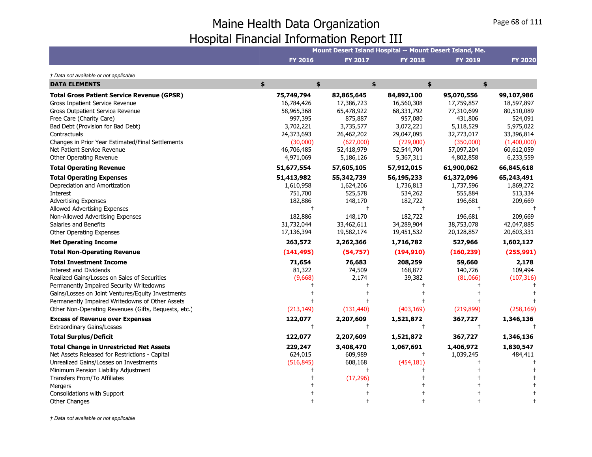|                                                                                                                                                                                                                                                                                                                             |                                                                                                                     |                                                                                                                      |                                                                                                                      | Mount Desert Island Hospital -- Mount Desert Island, Me.                                                             |                                                                                                                        |
|-----------------------------------------------------------------------------------------------------------------------------------------------------------------------------------------------------------------------------------------------------------------------------------------------------------------------------|---------------------------------------------------------------------------------------------------------------------|----------------------------------------------------------------------------------------------------------------------|----------------------------------------------------------------------------------------------------------------------|----------------------------------------------------------------------------------------------------------------------|------------------------------------------------------------------------------------------------------------------------|
|                                                                                                                                                                                                                                                                                                                             | <b>FY 2016</b>                                                                                                      | <b>FY 2017</b>                                                                                                       | <b>FY 2018</b>                                                                                                       | <b>FY 2019</b>                                                                                                       | <b>FY 2020</b>                                                                                                         |
| † Data not available or not applicable                                                                                                                                                                                                                                                                                      |                                                                                                                     |                                                                                                                      |                                                                                                                      |                                                                                                                      |                                                                                                                        |
| <b>DATA ELEMENTS</b>                                                                                                                                                                                                                                                                                                        | \$<br>\$                                                                                                            | \$                                                                                                                   |                                                                                                                      | \$<br>\$                                                                                                             |                                                                                                                        |
| <b>Total Gross Patient Service Revenue (GPSR)</b><br>Gross Inpatient Service Revenue<br>Gross Outpatient Service Revenue<br>Free Care (Charity Care)<br>Bad Debt (Provision for Bad Debt)<br>Contractuals<br>Changes in Prior Year Estimated/Final Settlements<br>Net Patient Service Revenue<br>Other Operating Revenue    | 75,749,794<br>16,784,426<br>58,965,368<br>997,395<br>3,702,221<br>24,373,693<br>(30,000)<br>46,706,485<br>4,971,069 | 82,865,645<br>17,386,723<br>65,478,922<br>875,887<br>3,735,577<br>26,462,202<br>(627,000)<br>52,418,979<br>5,186,126 | 84,892,100<br>16,560,308<br>68,331,792<br>957,080<br>3,072,221<br>29,047,095<br>(729,000)<br>52,544,704<br>5,367,311 | 95,070,556<br>17,759,857<br>77,310,699<br>431,806<br>5,118,529<br>32,773,017<br>(350,000)<br>57,097,204<br>4,802,858 | 99,107,986<br>18,597,897<br>80,510,089<br>524,091<br>5,975,022<br>33,396,814<br>(1,400,000)<br>60,612,059<br>6,233,559 |
| <b>Total Operating Revenue</b>                                                                                                                                                                                                                                                                                              | 51,677,554                                                                                                          | 57,605,105                                                                                                           | 57,912,015                                                                                                           | 61,900,062                                                                                                           | 66,845,618                                                                                                             |
| <b>Total Operating Expenses</b><br>Depreciation and Amortization<br>Interest<br><b>Advertising Expenses</b><br>Allowed Advertising Expenses<br>Non-Allowed Advertising Expenses<br>Salaries and Benefits<br><b>Other Operating Expenses</b>                                                                                 | 51,413,982<br>1,610,958<br>751,700<br>182,886<br>$\ddagger$<br>182,886<br>31,732,044<br>17,136,394                  | 55,342,739<br>1,624,206<br>525,578<br>148,170<br>$\ddagger$<br>148,170<br>33,462,611<br>19,582,174                   | 56,195,233<br>1,736,813<br>534,262<br>182,722<br>$\ddagger$<br>182,722<br>34,289,904<br>19,451,532                   | 61,372,096<br>1,737,596<br>555,884<br>196,681<br>$\ddagger$<br>196,681<br>38,753,078<br>20,128,857                   | 65,243,491<br>1,869,272<br>513,334<br>209,669<br>209,669<br>42,047,885<br>20,603,331                                   |
| <b>Net Operating Income</b>                                                                                                                                                                                                                                                                                                 | 263,572                                                                                                             | 2,262,366                                                                                                            | 1,716,782                                                                                                            | 527,966                                                                                                              | 1,602,127                                                                                                              |
| <b>Total Non-Operating Revenue</b>                                                                                                                                                                                                                                                                                          | (141, 495)                                                                                                          | (54,757)                                                                                                             | (194, 910)                                                                                                           | (160, 239)                                                                                                           | (255, 991)                                                                                                             |
| <b>Total Investment Income</b><br><b>Interest and Dividends</b><br>Realized Gains/Losses on Sales of Securities<br>Permanently Impaired Security Writedowns<br>Gains/Losses on Joint Ventures/Equity Investments<br>Permanently Impaired Writedowns of Other Assets<br>Other Non-Operating Revenues (Gifts, Bequests, etc.) | 71,654<br>81,322<br>(9,668)<br>(213, 149)                                                                           | 76,683<br>74,509<br>2,174<br>(131, 440)                                                                              | 208,259<br>168,877<br>39,382<br>(403, 169)                                                                           | 59,660<br>140,726<br>(81,066)<br>(219, 899)                                                                          | 2,178<br>109,494<br>(107, 316)<br>(258, 169)                                                                           |
| <b>Excess of Revenue over Expenses</b>                                                                                                                                                                                                                                                                                      | 122,077                                                                                                             | 2,207,609                                                                                                            | 1,521,872<br>$\ddagger$                                                                                              | 367,727<br>$\ddagger$                                                                                                | 1,346,136                                                                                                              |
| <b>Extraordinary Gains/Losses</b>                                                                                                                                                                                                                                                                                           | $\ddagger$                                                                                                          | $\ddagger$                                                                                                           |                                                                                                                      |                                                                                                                      |                                                                                                                        |
| <b>Total Surplus/Deficit</b><br><b>Total Change in Unrestricted Net Assets</b><br>Net Assets Released for Restrictions - Capital<br>Unrealized Gains/Losses on Investments<br>Minimum Pension Liability Adjustment<br>Transfers From/To Affiliates<br>Mergers                                                               | 122,077<br>229,247<br>624,015<br>(516, 845)                                                                         | 2,207,609<br>3,408,470<br>609,989<br>608,168<br>(17, 296)                                                            | 1,521,872<br>1,067,691<br>$\pm$<br>(454, 181)<br>Ť                                                                   | 367,727<br>1,406,972<br>1,039,245                                                                                    | 1,346,136<br>1,830,547<br>484,411                                                                                      |
| Consolidations with Support<br><b>Other Changes</b>                                                                                                                                                                                                                                                                         |                                                                                                                     |                                                                                                                      |                                                                                                                      |                                                                                                                      |                                                                                                                        |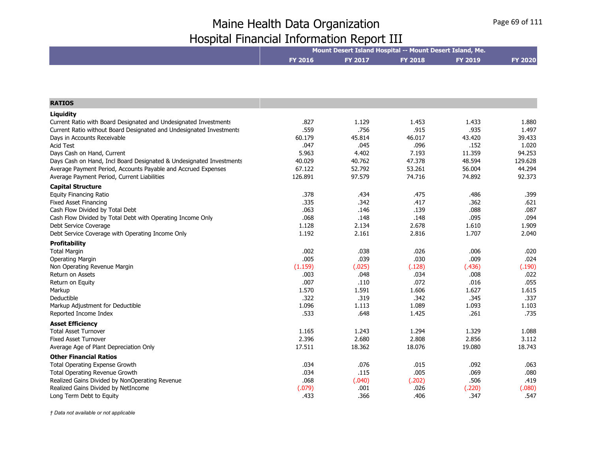|                | Mount Desert Island Hospital -- Mount Desert Island, Me. |                |                |                |  |  |  |
|----------------|----------------------------------------------------------|----------------|----------------|----------------|--|--|--|
| <b>FY 2016</b> | <b>FY 2017</b>                                           | <b>FY 2018</b> | <b>FY 2019</b> | <b>FY 2020</b> |  |  |  |
|                |                                                          |                |                |                |  |  |  |

| <b>RATIOS</b>                                                       |         |        |        |        |         |
|---------------------------------------------------------------------|---------|--------|--------|--------|---------|
| Liquidity                                                           |         |        |        |        |         |
| Current Ratio with Board Designated and Undesignated Investments    | .827    | 1.129  | 1.453  | 1.433  | 1.880   |
| Current Ratio without Board Designated and Undesignated Investments | .559    | .756   | .915   | .935   | 1.497   |
| Days in Accounts Receivable                                         | 60.179  | 45.814 | 46.017 | 43.420 | 39.433  |
| <b>Acid Test</b>                                                    | .047    | .045   | .096   | .152   | 1.020   |
| Days Cash on Hand, Current                                          | 5.963   | 4.402  | 7.193  | 11.359 | 94.253  |
| Days Cash on Hand, Incl Board Designated & Undesignated Investments | 40.029  | 40.762 | 47.378 | 48.594 | 129.628 |
| Average Payment Period, Accounts Payable and Accrued Expenses       | 67.122  | 52.792 | 53.261 | 56.004 | 44.294  |
| Average Payment Period, Current Liabilities                         | 126.891 | 97.579 | 74.716 | 74.892 | 92.373  |
| <b>Capital Structure</b>                                            |         |        |        |        |         |
| <b>Equity Financing Ratio</b>                                       | .378    | .434   | .475   | .486   | .399    |
| <b>Fixed Asset Financing</b>                                        | .335    | .342   | .417   | .362   | .621    |
| Cash Flow Divided by Total Debt                                     | .063    | .146   | .139   | .088   | .087    |
| Cash Flow Divided by Total Debt with Operating Income Only          | .068    | .148   | .148   | .095   | .094    |
| Debt Service Coverage                                               | 1.128   | 2.134  | 2.678  | 1.610  | 1.909   |
| Debt Service Coverage with Operating Income Only                    | 1.192   | 2.161  | 2.816  | 1.707  | 2.040   |
| Profitability                                                       |         |        |        |        |         |
| <b>Total Margin</b>                                                 | .002    | .038   | .026   | .006   | .020    |
| Operating Margin                                                    | .005    | .039   | .030   | .009   | .024    |
| Non Operating Revenue Margin                                        | (1.159) | (.025) | (.128) | (.436) | (.190)  |
| <b>Return on Assets</b>                                             | .003    | .048   | .034   | .008   | .022    |
| Return on Equity                                                    | .007    | .110   | .072   | .016   | .055    |
| Markup                                                              | 1.570   | 1.591  | 1.606  | 1.627  | 1.615   |
| Deductible                                                          | .322    | .319   | .342   | .345   | .337    |
| Markup Adjustment for Deductible                                    | 1.096   | 1.113  | 1.089  | 1.093  | 1.103   |
| Reported Income Index                                               | .533    | .648   | 1.425  | .261   | .735    |
| <b>Asset Efficiency</b>                                             |         |        |        |        |         |
| <b>Total Asset Turnover</b>                                         | 1.165   | 1.243  | 1.294  | 1.329  | 1.088   |
| <b>Fixed Asset Turnover</b>                                         | 2.396   | 2.680  | 2.808  | 2.856  | 3.112   |
| Average Age of Plant Depreciation Only                              | 17.511  | 18.362 | 18.076 | 19.080 | 18.743  |
| <b>Other Financial Ratios</b>                                       |         |        |        |        |         |
| Total Operating Expense Growth                                      | .034    | .076   | .015   | .092   | .063    |
| Total Operating Revenue Growth                                      | .034    | .115   | .005   | .069   | .080    |
| Realized Gains Divided by NonOperating Revenue                      | .068    | (.040) | (.202) | .506   | .419    |
| Realized Gains Divided by NetIncome                                 | (.079)  | .001   | .026   | (.220) | (.080)  |
| Long Term Debt to Equity                                            | .433    | .366   | .406   | .347   | .547    |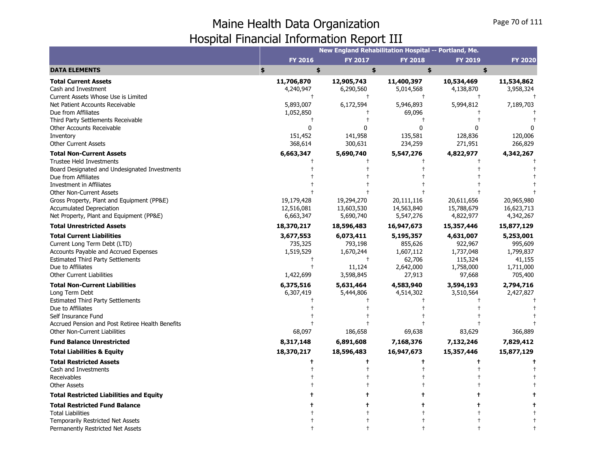|                                                                                   |                     | New England Rehabilitation Hospital -- Portland, Me. |                     |                     |                      |
|-----------------------------------------------------------------------------------|---------------------|------------------------------------------------------|---------------------|---------------------|----------------------|
|                                                                                   | <b>FY 2016</b>      | <b>FY 2017</b>                                       | <b>FY 2018</b>      | <b>FY 2019</b>      | <b>FY 2020</b>       |
| <b>DATA ELEMENTS</b>                                                              | \$<br>\$            | \$                                                   | \$                  | \$                  |                      |
| <b>Total Current Assets</b>                                                       | 11,706,870          | 12,905,743                                           | 11,400,397          | 10,534,469          | 11,534,862           |
| Cash and Investment                                                               | 4,240,947           | 6,290,560                                            | 5,014,568           | 4,138,870           | 3,958,324            |
| Current Assets Whose Use is Limited                                               | t                   |                                                      | $\pm$               |                     |                      |
| Net Patient Accounts Receivable                                                   | 5,893,007           | 6,172,594                                            | 5,946,893           | 5,994,812           | 7,189,703            |
| Due from Affiliates                                                               | 1,052,850           |                                                      | 69,096              |                     |                      |
| Third Party Settlements Receivable                                                |                     |                                                      |                     |                     |                      |
| Other Accounts Receivable                                                         | 0                   | n                                                    | 0                   | ŋ                   |                      |
| Inventory                                                                         | 151,452             | 141,958                                              | 135,581             | 128,836             | 120,006              |
| <b>Other Current Assets</b>                                                       | 368,614             | 300,631                                              | 234,259             | 271,951             | 266,829              |
| <b>Total Non-Current Assets</b>                                                   | 6,663,347           | 5,690,740                                            | 5,547,276           | 4,822,977           | 4,342,267            |
| <b>Trustee Held Investments</b>                                                   |                     |                                                      |                     |                     |                      |
| Board Designated and Undesignated Investments                                     |                     |                                                      |                     |                     |                      |
| Due from Affiliates                                                               |                     |                                                      |                     |                     |                      |
| Investment in Affiliates                                                          |                     |                                                      |                     |                     |                      |
| <b>Other Non-Current Assets</b>                                                   |                     |                                                      |                     |                     |                      |
| Gross Property, Plant and Equipment (PP&E)                                        | 19,179,428          | 19,294,270                                           | 20,111,116          | 20,611,656          | 20,965,980           |
| <b>Accumulated Depreciation</b>                                                   | 12,516,081          | 13,603,530                                           | 14,563,840          | 15,788,679          | 16,623,713           |
| Net Property, Plant and Equipment (PP&E)                                          | 6,663,347           | 5,690,740                                            | 5,547,276           | 4,822,977           | 4,342,267            |
| <b>Total Unrestricted Assets</b>                                                  | 18,370,217          | 18,596,483                                           | 16,947,673          | 15,357,446          | 15,877,129           |
| <b>Total Current Liabilities</b>                                                  | 3,677,553           | 6,073,411                                            | 5,195,357           | 4,631,007           | 5,253,001            |
| Current Long Term Debt (LTD)                                                      | 735,325             | 793,198                                              | 855,626             | 922,967             | 995,609              |
| Accounts Payable and Accrued Expenses                                             | 1,519,529           | 1,670,244                                            | 1,607,112           | 1,737,048           | 1,799,837            |
| <b>Estimated Third Party Settlements</b>                                          |                     | $^{+}$                                               | 62,706              | 115,324             | 41,155               |
| Due to Affiliates                                                                 |                     | 11,124                                               | 2,642,000           | 1,758,000           | 1,711,000            |
| <b>Other Current Liabilities</b>                                                  | 1,422,699           | 3,598,845                                            | 27,913              | 97,668              | 705,400              |
| <b>Total Non-Current Liabilities</b>                                              | 6,375,516           | 5,631,464                                            | 4,583,940           | 3,594,193           | 2,794,716            |
| Long Term Debt                                                                    | 6,307,419           | 5,444,806                                            | 4,514,302           | 3,510,564           | 2,427,827            |
| <b>Estimated Third Party Settlements</b>                                          |                     |                                                      |                     |                     |                      |
| Due to Affiliates                                                                 |                     |                                                      |                     |                     |                      |
| Self Insurance Fund                                                               |                     |                                                      |                     |                     |                      |
| Accrued Pension and Post Retiree Health Benefits<br>Other Non-Current Liabilities |                     |                                                      |                     |                     |                      |
| <b>Fund Balance Unrestricted</b>                                                  | 68,097<br>8,317,148 | 186,658<br>6,891,608                                 | 69,638<br>7,168,376 | 83,629<br>7,132,246 | 366,889<br>7,829,412 |
|                                                                                   |                     |                                                      |                     |                     |                      |
| <b>Total Liabilities &amp; Equity</b>                                             | 18,370,217          | 18,596,483                                           | 16,947,673          | 15,357,446          | 15,877,129           |
| <b>Total Restricted Assets</b>                                                    |                     |                                                      |                     |                     |                      |
| Cash and Investments                                                              |                     |                                                      |                     |                     |                      |
| Receivables                                                                       |                     |                                                      |                     |                     |                      |
| <b>Other Assets</b>                                                               |                     |                                                      |                     |                     |                      |
| <b>Total Restricted Liabilities and Equity</b>                                    |                     |                                                      |                     |                     |                      |
| <b>Total Restricted Fund Balance</b>                                              |                     |                                                      |                     |                     |                      |
| <b>Total Liabilities</b>                                                          |                     |                                                      |                     |                     |                      |
| <b>Temporarily Restricted Net Assets</b>                                          |                     |                                                      |                     |                     |                      |
| Permanently Restricted Net Assets                                                 |                     |                                                      |                     |                     |                      |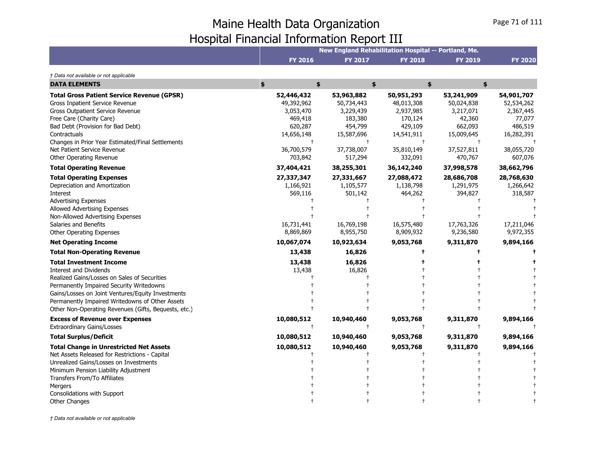|                                                                                                                                                                                                                                                                                                                                                                                                                                                                                                                                                                                                                                                                            | New England Rehabilitation Hospital -- Portland, Me.                                                                    |                                                                                                                         |                                                                                                        |                                                                                          |                                                                                          |  |  |  |
|----------------------------------------------------------------------------------------------------------------------------------------------------------------------------------------------------------------------------------------------------------------------------------------------------------------------------------------------------------------------------------------------------------------------------------------------------------------------------------------------------------------------------------------------------------------------------------------------------------------------------------------------------------------------------|-------------------------------------------------------------------------------------------------------------------------|-------------------------------------------------------------------------------------------------------------------------|--------------------------------------------------------------------------------------------------------|------------------------------------------------------------------------------------------|------------------------------------------------------------------------------------------|--|--|--|
|                                                                                                                                                                                                                                                                                                                                                                                                                                                                                                                                                                                                                                                                            | FY 2016                                                                                                                 | <b>FY 2017</b>                                                                                                          | <b>FY 2018</b>                                                                                         | <b>FY 2019</b>                                                                           | <b>FY 2020</b>                                                                           |  |  |  |
| † Data not available or not applicable                                                                                                                                                                                                                                                                                                                                                                                                                                                                                                                                                                                                                                     |                                                                                                                         |                                                                                                                         |                                                                                                        |                                                                                          |                                                                                          |  |  |  |
| <b>DATA ELEMENTS</b>                                                                                                                                                                                                                                                                                                                                                                                                                                                                                                                                                                                                                                                       | \$<br>\$                                                                                                                |                                                                                                                         | \$                                                                                                     | \$<br>\$                                                                                 |                                                                                          |  |  |  |
| <b>Total Gross Patient Service Revenue (GPSR)</b><br>Gross Inpatient Service Revenue<br>Gross Outpatient Service Revenue<br>Free Care (Charity Care)<br>Bad Debt (Provision for Bad Debt)<br>Contractuals<br>Changes in Prior Year Estimated/Final Settlements<br>Net Patient Service Revenue                                                                                                                                                                                                                                                                                                                                                                              | 52,446,432<br>49,392,962<br>3,053,470<br>469,418<br>620,287<br>14,656,148<br>$^{+}$<br>36,700,579                       | 53,963,882<br>50,734,443<br>3,229,439<br>183,380<br>454,799<br>15,587,696<br>$\overline{1}$<br>37,738,007               | 50,951,293<br>48,013,308<br>2,937,985<br>170,124<br>429,109<br>14,541,911<br>35,810,149                | 53,241,909<br>50,024,838<br>3,217,071<br>42,360<br>662,093<br>15,009,645<br>37,527,811   | 54,901,707<br>52,534,262<br>2,367,445<br>77,077<br>486,519<br>16,282,391<br>38,055,720   |  |  |  |
| Other Operating Revenue                                                                                                                                                                                                                                                                                                                                                                                                                                                                                                                                                                                                                                                    | 703,842                                                                                                                 | 517,294                                                                                                                 | 332,091                                                                                                | 470,767                                                                                  | 607,076                                                                                  |  |  |  |
| <b>Total Operating Revenue</b><br><b>Total Operating Expenses</b><br>Depreciation and Amortization<br>Interest<br><b>Advertising Expenses</b><br>Allowed Advertising Expenses<br>Non-Allowed Advertising Expenses<br>Salaries and Benefits<br>Other Operating Expenses<br><b>Net Operating Income</b><br><b>Total Non-Operating Revenue</b><br><b>Total Investment Income</b><br><b>Interest and Dividends</b><br>Realized Gains/Losses on Sales of Securities<br>Permanently Impaired Security Writedowns<br>Gains/Losses on Joint Ventures/Equity Investments<br>Permanently Impaired Writedowns of Other Assets<br>Other Non-Operating Revenues (Gifts, Bequests, etc.) | 37,404,421<br>27,337,347<br>1,166,921<br>569,116<br>16,731,441<br>8,869,869<br>10,067,074<br>13,438<br>13,438<br>13,438 | 38,255,301<br>27,331,667<br>1,105,577<br>501,142<br>16,769,198<br>8,955,750<br>10,923,634<br>16,826<br>16,826<br>16,826 | 36,142,240<br>27,088,472<br>1,138,798<br>464,262<br>16,575,480<br>8,909,932<br>9,053,768<br>$\ddagger$ | 37,998,578<br>28,686,708<br>1,291,975<br>394,827<br>17,763,326<br>9,236,580<br>9,311,870 | 38,662,796<br>28,768,630<br>1,266,642<br>318,587<br>17,211,046<br>9,972,355<br>9,894,166 |  |  |  |
| <b>Excess of Revenue over Expenses</b><br><b>Extraordinary Gains/Losses</b>                                                                                                                                                                                                                                                                                                                                                                                                                                                                                                                                                                                                | 10,080,512<br>$\ddagger$                                                                                                | 10,940,460                                                                                                              | 9,053,768                                                                                              | 9,311,870                                                                                | 9,894,166                                                                                |  |  |  |
| <b>Total Surplus/Deficit</b>                                                                                                                                                                                                                                                                                                                                                                                                                                                                                                                                                                                                                                               | 10,080,512                                                                                                              | 10,940,460                                                                                                              | 9,053,768                                                                                              | 9,311,870                                                                                | 9,894,166                                                                                |  |  |  |
| <b>Total Change in Unrestricted Net Assets</b><br>Net Assets Released for Restrictions - Capital<br>Unrealized Gains/Losses on Investments<br>Minimum Pension Liability Adjustment<br>Transfers From/To Affiliates<br><b>Mergers</b><br>Consolidations with Support                                                                                                                                                                                                                                                                                                                                                                                                        | 10,080,512                                                                                                              | 10,940,460                                                                                                              | 9,053,768                                                                                              | 9,311,870                                                                                | 9,894,166                                                                                |  |  |  |
| Other Changes                                                                                                                                                                                                                                                                                                                                                                                                                                                                                                                                                                                                                                                              |                                                                                                                         |                                                                                                                         |                                                                                                        |                                                                                          |                                                                                          |  |  |  |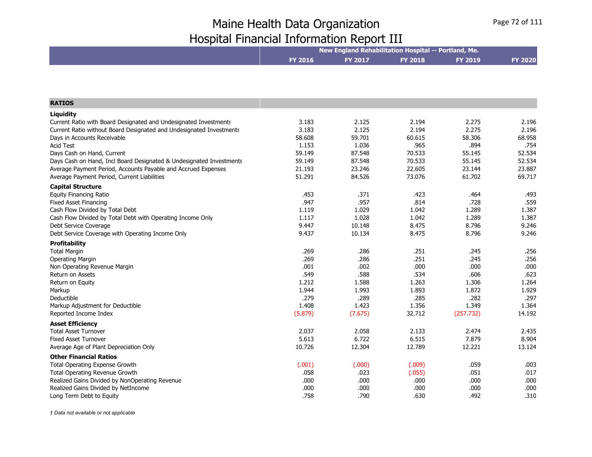|                                                                                                                                      | New England Rehabilitation Hospital -- Portland, Me. |                  |                |                |                |
|--------------------------------------------------------------------------------------------------------------------------------------|------------------------------------------------------|------------------|----------------|----------------|----------------|
|                                                                                                                                      | <b>FY 2016</b>                                       | FY 2017          | <b>FY 2018</b> | <b>FY 2019</b> | <b>FY 2020</b> |
|                                                                                                                                      |                                                      |                  |                |                |                |
|                                                                                                                                      |                                                      |                  |                |                |                |
|                                                                                                                                      |                                                      |                  |                |                |                |
|                                                                                                                                      |                                                      |                  |                |                |                |
| <b>RATIOS</b>                                                                                                                        |                                                      |                  |                |                |                |
| Liquidity                                                                                                                            |                                                      |                  |                |                |                |
| Current Ratio with Board Designated and Undesignated Investments                                                                     | 3.183                                                | 2.125            | 2.194          | 2.275          | 2.196          |
| Current Ratio without Board Designated and Undesignated Investments                                                                  | 3.183                                                | 2.125            | 2.194          | 2.275          | 2.196          |
| Days in Accounts Receivable                                                                                                          | 58.608                                               | 59.701           | 60.615         | 58.306         | 68.958         |
| <b>Acid Test</b><br>Days Cash on Hand, Current                                                                                       | 1.153<br>59.149                                      | 1.036<br>87.548  | .965<br>70.533 | .894<br>55.145 | .754<br>52.534 |
|                                                                                                                                      | 59.149                                               | 87.548           | 70.533         | 55.145         | 52.534         |
| Days Cash on Hand, Incl Board Designated & Undesignated Investments<br>Average Payment Period, Accounts Payable and Accrued Expenses | 21.193                                               | 23.246           | 22.605         | 23.144         | 23.887         |
| Average Payment Period, Current Liabilities                                                                                          | 51.291                                               | 84.526           | 73.076         | 61.702         | 69.717         |
|                                                                                                                                      |                                                      |                  |                |                |                |
| <b>Capital Structure</b>                                                                                                             |                                                      |                  |                |                |                |
| <b>Equity Financing Ratio</b>                                                                                                        | .453                                                 | .371             | .423           | .464           | .493           |
| <b>Fixed Asset Financing</b>                                                                                                         | .947                                                 | .957             | .814           | .728           | .559           |
| Cash Flow Divided by Total Debt                                                                                                      | 1.119                                                | 1.029            | 1.042          | 1.289          | 1.387          |
| Cash Flow Divided by Total Debt with Operating Income Only                                                                           | 1.117                                                | 1.028            | 1.042<br>8.475 | 1.289<br>8.796 | 1.387<br>9.246 |
| Debt Service Coverage                                                                                                                | 9.447<br>9.437                                       | 10.148<br>10.134 | 8.475          | 8.796          | 9.246          |
| Debt Service Coverage with Operating Income Only                                                                                     |                                                      |                  |                |                |                |
| Profitability                                                                                                                        |                                                      |                  |                |                |                |
| <b>Total Margin</b>                                                                                                                  | .269                                                 | .286             | .251           | .245           | .256           |
| <b>Operating Margin</b>                                                                                                              | .269                                                 | .286             | .251           | .245           | .256           |
| Non Operating Revenue Margin                                                                                                         | .001                                                 | .002             | .000           | .000           | .000           |
| Return on Assets                                                                                                                     | .549                                                 | .588             | .534           | .606           | .623           |
| Return on Equity                                                                                                                     | 1.212<br>1.944                                       | 1.588<br>1.993   | 1.263<br>1.893 | 1.306<br>1.872 | 1.264<br>1.929 |
| Markup<br>Deductible                                                                                                                 | .279                                                 | .289             | .285           | .282           | .297           |
| Markup Adjustment for Deductible                                                                                                     | 1.408                                                | 1.423            | 1.356          | 1.349          | 1.364          |
| Reported Income Index                                                                                                                | (5.879)                                              | (7.675)          | 32.712         | (257.732)      | 14.192         |
|                                                                                                                                      |                                                      |                  |                |                |                |
| <b>Asset Efficiency</b>                                                                                                              |                                                      |                  |                |                |                |
| <b>Total Asset Turnover</b>                                                                                                          | 2.037                                                | 2.058            | 2.133          | 2.474          | 2.435          |
| <b>Fixed Asset Turnover</b>                                                                                                          | 5.613                                                | 6.722            | 6.515          | 7.879          | 8.904          |
| Average Age of Plant Depreciation Only                                                                                               | 10.726                                               | 12.304           | 12.789         | 12.221         | 13.124         |
| <b>Other Financial Ratios</b>                                                                                                        |                                                      |                  |                |                |                |
| Total Operating Expense Growth                                                                                                       | (.001)                                               | (.000)           | (.009)         | .059           | .003           |
| Total Operating Revenue Growth                                                                                                       | .058                                                 | .023             | (.055)         | .051           | .017           |
| Realized Gains Divided by NonOperating Revenue                                                                                       | .000                                                 | .000             | .000           | .000           | .000           |
| Realized Gains Divided by NetIncome                                                                                                  | .000                                                 | .000             | .000           | .000           | .000           |
| Long Term Debt to Equity                                                                                                             | .758                                                 | .790             | .630           | .492           | .310           |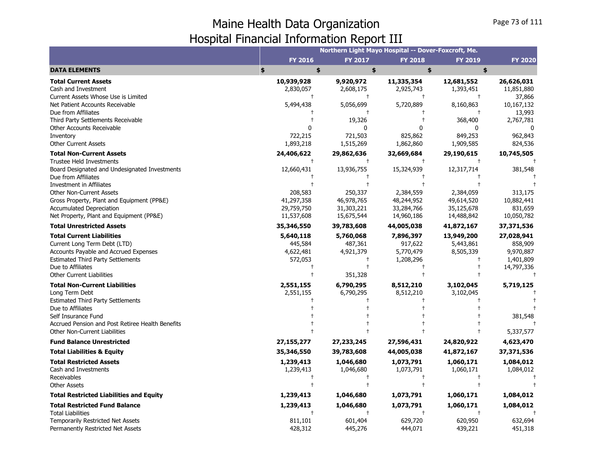|                                                                                                                                                                                                                       |                                                   | Northern Light Mayo Hospital -- Dover-Foxcroft, Me. |                                                     |                                                     |                                                               |
|-----------------------------------------------------------------------------------------------------------------------------------------------------------------------------------------------------------------------|---------------------------------------------------|-----------------------------------------------------|-----------------------------------------------------|-----------------------------------------------------|---------------------------------------------------------------|
|                                                                                                                                                                                                                       | <b>FY 2016</b>                                    | <b>FY 2017</b>                                      | <b>FY 2018</b>                                      | <b>FY 2019</b>                                      | <b>FY 2020</b>                                                |
| <b>DATA ELEMENTS</b>                                                                                                                                                                                                  | \$<br>\$                                          | \$                                                  | \$                                                  | \$                                                  |                                                               |
| <b>Total Current Assets</b><br>Cash and Investment<br>Current Assets Whose Use is Limited                                                                                                                             | 10,939,928<br>2,830,057                           | 9,920,972<br>2,608,175<br>$\pm$                     | 11,335,354<br>2,925,743                             | 12,681,552<br>1,393,451                             | 26,626,031<br>11,851,880<br>37,866                            |
| Net Patient Accounts Receivable<br>Due from Affiliates                                                                                                                                                                | 5,494,438                                         | 5,056,699                                           | 5,720,889                                           | 8,160,863                                           | 10,167,132<br>13,993                                          |
| Third Party Settlements Receivable<br><b>Other Accounts Receivable</b><br>Inventory                                                                                                                                   | 722,215                                           | 19,326<br>0<br>721,503                              | ŋ<br>825,862                                        | 368,400<br>849,253                                  | 2,767,781<br>962,843                                          |
| <b>Other Current Assets</b>                                                                                                                                                                                           | 1,893,218                                         | 1,515,269                                           | 1,862,860                                           | 1,909,585                                           | 824,536                                                       |
| <b>Total Non-Current Assets</b><br>Trustee Held Investments                                                                                                                                                           | 24,406,622                                        | 29,862,636                                          | 32,669,684                                          | 29,190,615                                          | 10,745,505                                                    |
| Board Designated and Undesignated Investments<br>Due from Affiliates                                                                                                                                                  | 12,660,431                                        | 13,936,755                                          | 15,324,939                                          | 12,317,714                                          | 381,548                                                       |
| Investment in Affiliates<br><b>Other Non-Current Assets</b><br>Gross Property, Plant and Equipment (PP&E)<br>Accumulated Depreciation<br>Net Property, Plant and Equipment (PP&E)                                     | 208,583<br>41,297,358<br>29,759,750<br>11,537,608 | 250,337<br>46,978,765<br>31,303,221<br>15,675,544   | 2,384,559<br>48,244,952<br>33,284,766<br>14,960,186 | 2,384,059<br>49,614,520<br>35,125,678<br>14,488,842 | 313,175<br>10,882,441<br>831,659<br>10,050,782                |
| <b>Total Unrestricted Assets</b>                                                                                                                                                                                      | 35,346,550                                        | 39,783,608                                          | 44,005,038                                          | 41,872,167                                          | 37,371,536                                                    |
| <b>Total Current Liabilities</b><br>Current Long Term Debt (LTD)<br><b>Accounts Payable and Accrued Expenses</b><br><b>Estimated Third Party Settlements</b><br>Due to Affiliates<br><b>Other Current Liabilities</b> | 5,640,118<br>445,584<br>4,622,481<br>572,053      | 5,760,068<br>487,361<br>4,921,379<br>351,328        | 7,896,397<br>917,622<br>5,770,479<br>1,208,296      | 13,949,200<br>5,443,861<br>8,505,339                | 27,028,941<br>858,909<br>9,970,887<br>1,401,809<br>14,797,336 |
| <b>Total Non-Current Liabilities</b><br>Long Term Debt<br><b>Estimated Third Party Settlements</b>                                                                                                                    | 2,551,155<br>2,551,155                            | 6,790,295<br>6,790,295                              | 8,512,210<br>8,512,210                              | 3,102,045<br>3,102,045                              | 5,719,125                                                     |
| Due to Affiliates<br>Self Insurance Fund<br>Accrued Pension and Post Retiree Health Benefits                                                                                                                          |                                                   |                                                     |                                                     |                                                     | 381,548                                                       |
| Other Non-Current Liabilities                                                                                                                                                                                         |                                                   |                                                     |                                                     |                                                     | 5,337,577                                                     |
| <b>Fund Balance Unrestricted</b><br><b>Total Liabilities &amp; Equity</b>                                                                                                                                             | 27, 155, 277<br>35,346,550                        | 27, 233, 245<br>39,783,608                          | 27,596,431<br>44,005,038                            | 24,820,922<br>41,872,167                            | 4,623,470<br>37,371,536                                       |
| <b>Total Restricted Assets</b><br>Cash and Investments<br>Receivables<br><b>Other Assets</b>                                                                                                                          | 1,239,413<br>1,239,413                            | 1,046,680<br>1,046,680                              | 1,073,791<br>1,073,791                              | 1,060,171<br>1,060,171                              | 1,084,012<br>1,084,012                                        |
| <b>Total Restricted Liabilities and Equity</b>                                                                                                                                                                        | 1,239,413                                         | 1,046,680                                           | 1,073,791                                           | 1,060,171                                           | 1,084,012                                                     |
| <b>Total Restricted Fund Balance</b><br><b>Total Liabilities</b><br>Temporarily Restricted Net Assets                                                                                                                 | 1,239,413<br>811,101                              | 1,046,680<br>601,404                                | 1,073,791<br>629,720                                | 1,060,171<br>620,950                                | 1,084,012<br>632,694                                          |
| Permanently Restricted Net Assets                                                                                                                                                                                     | 428,312                                           | 445,276                                             | 444,071                                             | 439,221                                             | 451,318                                                       |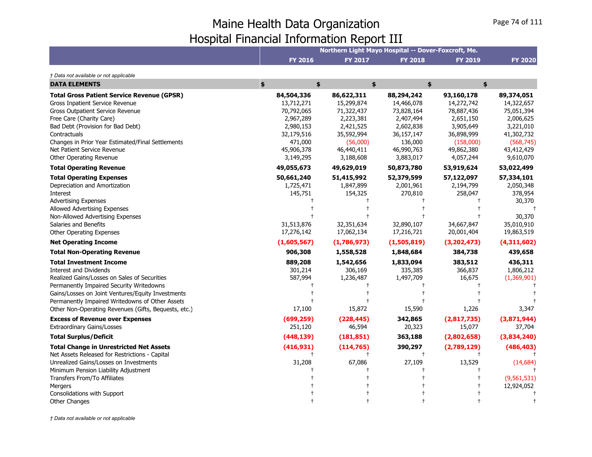|                                                                                                                                                                                                                                                                                                                             |                                                                                                                      |                                                                                                                       | Northern Light Mayo Hospital -- Dover-Foxcroft, Me.                                                                  |                                                                                                                        |                                                                                                                         |
|-----------------------------------------------------------------------------------------------------------------------------------------------------------------------------------------------------------------------------------------------------------------------------------------------------------------------------|----------------------------------------------------------------------------------------------------------------------|-----------------------------------------------------------------------------------------------------------------------|----------------------------------------------------------------------------------------------------------------------|------------------------------------------------------------------------------------------------------------------------|-------------------------------------------------------------------------------------------------------------------------|
|                                                                                                                                                                                                                                                                                                                             | <b>FY 2016</b>                                                                                                       | <b>FY 2017</b>                                                                                                        | <b>FY 2018</b>                                                                                                       | <b>FY 2019</b>                                                                                                         | <b>FY 2020</b>                                                                                                          |
| † Data not available or not applicable                                                                                                                                                                                                                                                                                      |                                                                                                                      |                                                                                                                       |                                                                                                                      |                                                                                                                        |                                                                                                                         |
| <b>DATA ELEMENTS</b>                                                                                                                                                                                                                                                                                                        | \$<br>\$                                                                                                             |                                                                                                                       | \$                                                                                                                   | \$<br>\$                                                                                                               |                                                                                                                         |
| <b>Total Gross Patient Service Revenue (GPSR)</b><br>Gross Inpatient Service Revenue<br>Gross Outpatient Service Revenue<br>Free Care (Charity Care)<br>Bad Debt (Provision for Bad Debt)<br>Contractuals<br>Changes in Prior Year Estimated/Final Settlements<br>Net Patient Service Revenue<br>Other Operating Revenue    | 84,504,336<br>13,712,271<br>70,792,065<br>2,967,289<br>2,980,153<br>32,179,516<br>471,000<br>45,906,378<br>3,149,295 | 86,622,311<br>15,299,874<br>71,322,437<br>2,223,381<br>2,421,525<br>35,592,994<br>(56,000)<br>46,440,411<br>3,188,608 | 88,294,242<br>14,466,078<br>73,828,164<br>2,407,494<br>2,602,838<br>36,157,147<br>136,000<br>46,990,763<br>3,883,017 | 93,160,178<br>14,272,742<br>78,887,436<br>2,651,150<br>3,905,649<br>36,898,999<br>(158,000)<br>49,862,380<br>4,057,244 | 89,374,051<br>14,322,657<br>75,051,394<br>2,006,625<br>3,221,010<br>41,302,732<br>(568, 745)<br>43,412,429<br>9,610,070 |
| <b>Total Operating Revenue</b>                                                                                                                                                                                                                                                                                              | 49,055,673                                                                                                           | 49,629,019                                                                                                            | 50,873,780                                                                                                           | 53,919,624                                                                                                             | 53,022,499                                                                                                              |
| <b>Total Operating Expenses</b><br>Depreciation and Amortization<br>Interest<br><b>Advertising Expenses</b><br>Allowed Advertising Expenses<br>Non-Allowed Advertising Expenses<br>Salaries and Benefits<br>Other Operating Expenses                                                                                        | 50,661,240<br>1,725,471<br>145,751<br>31,513,876<br>17,276,142                                                       | 51,415,992<br>1,847,899<br>154,325<br>32,351,634<br>17,062,134                                                        | 52,379,599<br>2,001,961<br>270,810<br>32,890,107<br>17,216,721                                                       | 57,122,097<br>2,194,799<br>258,047<br>34,667,847<br>20,001,404                                                         | 57,334,101<br>2,050,348<br>378,954<br>30,370<br>30,370<br>35,010,910<br>19,863,519                                      |
| <b>Net Operating Income</b>                                                                                                                                                                                                                                                                                                 | (1,605,567)                                                                                                          | (1,786,973)                                                                                                           | (1,505,819)                                                                                                          | (3, 202, 473)                                                                                                          | (4,311,602)                                                                                                             |
| <b>Total Non-Operating Revenue</b>                                                                                                                                                                                                                                                                                          | 906,308                                                                                                              | 1,558,528                                                                                                             | 1,848,684                                                                                                            | 384,738                                                                                                                | 439,658                                                                                                                 |
| <b>Total Investment Income</b><br><b>Interest and Dividends</b><br>Realized Gains/Losses on Sales of Securities<br>Permanently Impaired Security Writedowns<br>Gains/Losses on Joint Ventures/Equity Investments<br>Permanently Impaired Writedowns of Other Assets<br>Other Non-Operating Revenues (Gifts, Bequests, etc.) | 889,208<br>301,214<br>587,994<br>17,100                                                                              | 1,542,656<br>306,169<br>1,236,487<br>15,872                                                                           | 1,833,094<br>335,385<br>1,497,709<br>15,590                                                                          | 383,512<br>366,837<br>16,675<br>1,226                                                                                  | 436,311<br>1,806,212<br>(1,369,901)<br>3,347                                                                            |
| <b>Excess of Revenue over Expenses</b>                                                                                                                                                                                                                                                                                      | (699, 259)                                                                                                           | (228, 445)                                                                                                            | 342,865                                                                                                              | (2,817,735)                                                                                                            | (3,871,944)                                                                                                             |
| <b>Extraordinary Gains/Losses</b>                                                                                                                                                                                                                                                                                           | 251,120                                                                                                              | 46,594                                                                                                                | 20,323                                                                                                               | 15,077                                                                                                                 | 37,704                                                                                                                  |
| <b>Total Surplus/Deficit</b>                                                                                                                                                                                                                                                                                                | (448, 139)                                                                                                           | (181, 851)                                                                                                            | 363,188                                                                                                              | (2,802,658)                                                                                                            | (3,834,240)                                                                                                             |
| <b>Total Change in Unrestricted Net Assets</b><br>Net Assets Released for Restrictions - Capital<br>Unrealized Gains/Losses on Investments<br>Minimum Pension Liability Adjustment<br>Transfers From/To Affiliates<br>Mergers<br>Consolidations with Support                                                                | (416, 931)<br>31,208                                                                                                 | (114, 765)<br>67,086                                                                                                  | 390,297<br>27,109                                                                                                    | (2,789,129)<br>13,529                                                                                                  | (486, 403)<br>(14, 684)<br>(9, 561, 531)<br>12,924,052                                                                  |
| <b>Other Changes</b>                                                                                                                                                                                                                                                                                                        |                                                                                                                      |                                                                                                                       |                                                                                                                      |                                                                                                                        |                                                                                                                         |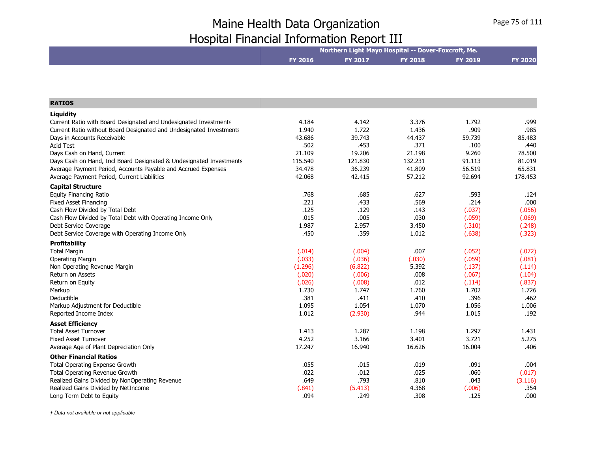|                | Northern Light Mayo Hospital -- Dover-Foxcroft, Me. |                |                |                |
|----------------|-----------------------------------------------------|----------------|----------------|----------------|
| <b>FY 2016</b> | <b>FY 2017</b>                                      | <b>FY 2018</b> | <b>FY 2019</b> | <b>FY 2020</b> |
|                |                                                     |                |                |                |

| <b>RATIOS</b>                                                                                                                        |                |                |                |                |                |
|--------------------------------------------------------------------------------------------------------------------------------------|----------------|----------------|----------------|----------------|----------------|
|                                                                                                                                      |                |                |                |                |                |
| Liquidity                                                                                                                            |                |                |                |                |                |
| Current Ratio with Board Designated and Undesignated Investments                                                                     | 4.184          | 4.142          | 3.376          | 1.792          | .999           |
| Current Ratio without Board Designated and Undesignated Investments                                                                  | 1.940          | 1.722          | 1.436          | .909           | .985           |
| Days in Accounts Receivable<br><b>Acid Test</b>                                                                                      | 43.686         | 39.743         | 44.437         | 59.739<br>.100 | 85.483         |
|                                                                                                                                      | .502<br>21.109 | .453<br>19.206 | .371<br>21.198 | 9.260          | .440<br>78.500 |
| Days Cash on Hand, Current                                                                                                           | 115.540        | 121.830        | 132.231        | 91.113         | 81.019         |
| Days Cash on Hand, Incl Board Designated & Undesignated Investments<br>Average Payment Period, Accounts Payable and Accrued Expenses | 34.478         | 36.239         | 41.809         | 56.519         | 65.831         |
| Average Payment Period, Current Liabilities                                                                                          | 42.068         | 42.415         | 57.212         | 92.694         | 178.453        |
|                                                                                                                                      |                |                |                |                |                |
| <b>Capital Structure</b>                                                                                                             |                |                |                |                |                |
| <b>Equity Financing Ratio</b>                                                                                                        | .768           | .685           | .627           | .593           | .124           |
| <b>Fixed Asset Financing</b>                                                                                                         | .221           | .433           | .569           | .214           | .000           |
| Cash Flow Divided by Total Debt                                                                                                      | .125           | .129           | .143           | (.037)         | (.056)         |
| Cash Flow Divided by Total Debt with Operating Income Only                                                                           | .015           | .005           | .030           | (.059)         | (.069)         |
| Debt Service Coverage                                                                                                                | 1.987<br>.450  | 2.957<br>.359  | 3.450          | (.310)         | (.248)         |
| Debt Service Coverage with Operating Income Only                                                                                     |                |                | 1.012          | (.638)         | (.323)         |
| <b>Profitability</b>                                                                                                                 |                |                |                |                |                |
| <b>Total Margin</b>                                                                                                                  | (.014)         | (.004)         | .007           | (.052)         | (.072)         |
| <b>Operating Margin</b>                                                                                                              | (.033)         | (.036)         | (.030)         | (.059)         | (.081)         |
| Non Operating Revenue Margin                                                                                                         | (1.296)        | (6.822)        | 5.392          | (.137)         | (.114)         |
| Return on Assets                                                                                                                     | (.020)         | (.006)         | .008           | (.067)         | (.104)         |
| Return on Equity                                                                                                                     | (.026)         | (.008)         | .012           | (.114)         | (.837)         |
| Markup                                                                                                                               | 1.730          | 1.747          | 1.760          | 1.702          | 1.726          |
| Deductible                                                                                                                           | .381           | .411           | .410           | .396           | .462           |
| Markup Adjustment for Deductible                                                                                                     | 1.095          | 1.054          | 1.070          | 1.056          | 1.006          |
| Reported Income Index                                                                                                                | 1.012          | (2.930)        | .944           | 1.015          | .192           |
| <b>Asset Efficiency</b>                                                                                                              |                |                |                |                |                |
| <b>Total Asset Turnover</b>                                                                                                          | 1.413          | 1.287          | 1.198          | 1.297          | 1.431          |
| <b>Fixed Asset Turnover</b>                                                                                                          | 4.252          | 3.166          | 3.401          | 3.721          | 5.275          |
| Average Age of Plant Depreciation Only                                                                                               | 17.247         | 16.940         | 16.626         | 16.004         | .406           |
| <b>Other Financial Ratios</b>                                                                                                        |                |                |                |                |                |
| <b>Total Operating Expense Growth</b>                                                                                                | .055           | .015           | .019           | .091           | .004           |
| Total Operating Revenue Growth                                                                                                       | .022           | .012           | .025           | .060           | (.017)         |
| Realized Gains Divided by NonOperating Revenue                                                                                       | .649           | .793           | .810           | .043           | (3.116)        |
| Realized Gains Divided by NetIncome                                                                                                  | (.841)         | (5.413)        | 4.368          | (.006)         | .354           |
| Long Term Debt to Equity                                                                                                             | .094           | .249           | .308           | .125           | .000           |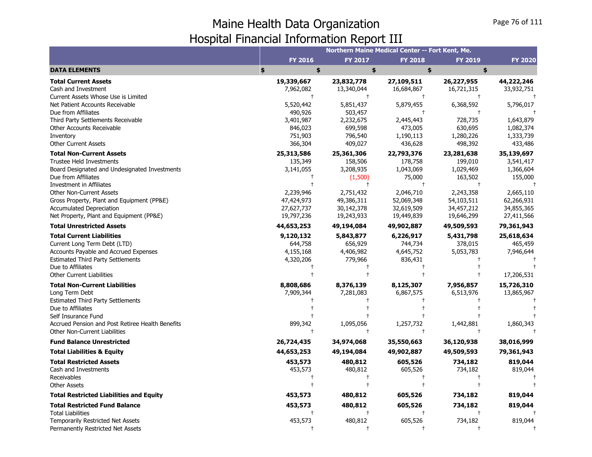|                                                             |                         | Northern Maine Medical Center -- Fort Kent, Me. |                          |                          |                          |
|-------------------------------------------------------------|-------------------------|-------------------------------------------------|--------------------------|--------------------------|--------------------------|
|                                                             | <b>FY 2016</b>          | <b>FY 2017</b>                                  | <b>FY 2018</b>           | <b>FY 2019</b>           | <b>FY 2020</b>           |
| <b>DATA ELEMENTS</b>                                        | \$<br>\$                | \$                                              | \$                       | \$                       |                          |
| <b>Total Current Assets</b><br>Cash and Investment          | 19,339,667<br>7,962,082 | 23,832,778<br>13,340,044                        | 27,109,511<br>16,684,867 | 26,227,955<br>16,721,315 | 44,222,246<br>33,932,751 |
| Current Assets Whose Use is Limited                         | $\mathsf{t}$            | $\ddagger$                                      | $\ddagger$               | $^{+}$                   |                          |
| Net Patient Accounts Receivable                             | 5,520,442               | 5,851,437                                       | 5,879,455                | 6,368,592                | 5,796,017                |
| Due from Affiliates                                         | 490,926                 | 503,457                                         | $\ddagger$               | $\ddagger$               |                          |
| Third Party Settlements Receivable                          | 3,401,987               | 2,232,675                                       | 2,445,443                | 728,735                  | 1,643,879                |
| Other Accounts Receivable                                   | 846,023                 | 699,598                                         | 473,005                  | 630,695                  | 1,082,374                |
| Inventory                                                   | 751,903                 | 796,540                                         | 1,190,113                | 1,280,226                | 1,333,739                |
| <b>Other Current Assets</b>                                 | 366,304                 | 409,027                                         | 436,628                  | 498,392                  | 433,486                  |
| <b>Total Non-Current Assets</b>                             | 25,313,586              | 25,361,306                                      | 22,793,376               | 23,281,638               | 35,139,697               |
| <b>Trustee Held Investments</b>                             | 135,349                 | 158,506                                         | 178,758                  | 199,010                  | 3,541,417                |
| Board Designated and Undesignated Investments               | 3,141,055               | 3,208,935                                       | 1,043,069                | 1,029,469                | 1,366,604                |
| Due from Affiliates                                         |                         | (1,500)                                         | 75,000<br>$+$            | 163,502<br>$\ddagger$    | 155,000                  |
| Investment in Affiliates<br><b>Other Non-Current Assets</b> | 2,239,946               | $\ddagger$<br>2,751,432                         | 2,046,710                | 2,243,358                | 2,665,110                |
| Gross Property, Plant and Equipment (PP&E)                  | 47,424,973              | 49,386,311                                      | 52,069,348               | 54,103,511               | 62,266,931               |
| <b>Accumulated Depreciation</b>                             | 27,627,737              | 30,142,378                                      |                          | 34,457,212               | 34,855,365               |
| Net Property, Plant and Equipment (PP&E)                    | 19,797,236              | 19,243,933                                      | 32,619,509<br>19,449,839 | 19,646,299               | 27,411,566               |
| <b>Total Unrestricted Assets</b>                            | 44,653,253              | 49,194,084                                      | 49,902,887               | 49,509,593               | 79,361,943               |
| <b>Total Current Liabilities</b>                            |                         |                                                 |                          |                          | 25,618,634               |
| Current Long Term Debt (LTD)                                | 9,120,132<br>644,758    | 5,843,877<br>656,929                            | 6,226,917<br>744,734     | 5,431,798<br>378,015     | 465,459                  |
| Accounts Payable and Accrued Expenses                       | 4,155,168               | 4,406,982                                       | 4,645,752                | 5,053,783                | 7,946,644                |
| <b>Estimated Third Party Settlements</b>                    | 4,320,206               | 779,966                                         | 836,431                  |                          |                          |
| Due to Affiliates                                           |                         |                                                 | $^{+}$                   |                          |                          |
| <b>Other Current Liabilities</b>                            |                         |                                                 |                          |                          | 17,206,531               |
| <b>Total Non-Current Liabilities</b>                        | 8,808,686               | 8,376,139                                       | 8,125,307                | 7,956,857                | 15,726,310               |
| Long Term Debt                                              | 7,909,344               | 7,281,083                                       | 6,867,575                | 6,513,976                | 13,865,967               |
| <b>Estimated Third Party Settlements</b>                    |                         |                                                 |                          |                          |                          |
| Due to Affiliates                                           |                         |                                                 |                          |                          |                          |
| Self Insurance Fund                                         |                         |                                                 |                          |                          |                          |
| Accrued Pension and Post Retiree Health Benefits            | 899,342                 | 1,095,056                                       | 1,257,732                | 1,442,881                | 1,860,343                |
| <b>Other Non-Current Liabilities</b>                        |                         | $\ddagger$                                      | $\ddagger$               | $^+$                     |                          |
| <b>Fund Balance Unrestricted</b>                            | 26,724,435              | 34,974,068                                      | 35,550,663               | 36,120,938               | 38,016,999               |
| <b>Total Liabilities &amp; Equity</b>                       | 44,653,253              | 49,194,084                                      | 49,902,887               | 49,509,593               | 79,361,943               |
| <b>Total Restricted Assets</b>                              | 453,573                 | 480,812                                         | 605,526                  | 734,182                  | 819,044                  |
| Cash and Investments                                        | 453,573                 | 480,812                                         | 605,526                  | 734,182                  | 819,044                  |
| Receivables                                                 |                         |                                                 |                          |                          |                          |
| <b>Other Assets</b>                                         |                         |                                                 |                          |                          |                          |
| <b>Total Restricted Liabilities and Equity</b>              | 453,573                 | 480,812                                         | 605,526                  | 734,182                  | 819,044                  |
| <b>Total Restricted Fund Balance</b>                        | 453,573                 | 480,812                                         | 605,526                  | 734,182                  | 819,044                  |
| <b>Total Liabilities</b>                                    |                         | $\ddagger$                                      | $\overline{1}$           |                          |                          |
| Temporarily Restricted Net Assets                           | 453,573                 | 480,812                                         | 605,526                  | 734,182                  | 819,044                  |
| Permanently Restricted Net Assets                           | $\ddagger$              | $\ddagger$                                      | $\overline{1}$           | $\ddagger$               |                          |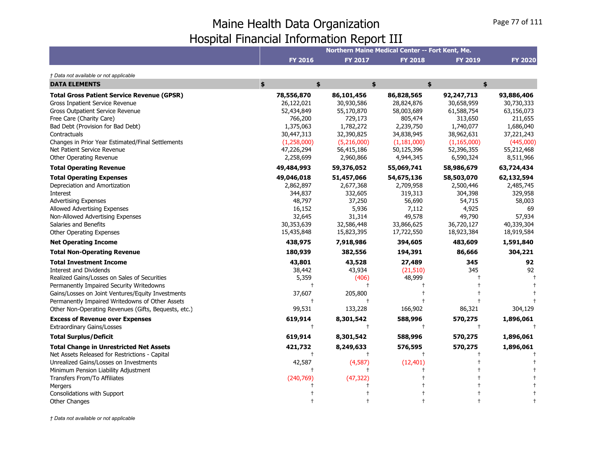|                                                      |             |                | Northern Maine Medical Center -- Fort Kent, Me. |                |                |
|------------------------------------------------------|-------------|----------------|-------------------------------------------------|----------------|----------------|
|                                                      | FY 2016     | <b>FY 2017</b> | <b>FY 2018</b>                                  | <b>FY 2019</b> | <b>FY 2020</b> |
| † Data not available or not applicable               |             |                |                                                 |                |                |
| <b>DATA ELEMENTS</b>                                 | \$<br>\$    | \$             | \$                                              | \$             |                |
| <b>Total Gross Patient Service Revenue (GPSR)</b>    | 78,556,870  | 86,101,456     | 86,828,565                                      | 92,247,713     | 93,886,406     |
| Gross Inpatient Service Revenue                      | 26,122,021  | 30,930,586     | 28,824,876                                      | 30,658,959     | 30,730,333     |
| Gross Outpatient Service Revenue                     | 52,434,849  | 55,170,870     | 58,003,689                                      | 61,588,754     | 63,156,073     |
| Free Care (Charity Care)                             | 766,200     | 729,173        | 805,474                                         | 313,650        | 211,655        |
| Bad Debt (Provision for Bad Debt)                    | 1,375,063   | 1,782,272      | 2,239,750                                       | 1,740,077      | 1,686,040      |
| Contractuals                                         | 30,447,313  | 32,390,825     | 34,838,945                                      | 38,962,631     | 37,221,243     |
| Changes in Prior Year Estimated/Final Settlements    | (1,258,000) | (5,216,000)    | (1, 181, 000)                                   | (1, 165, 000)  | (445,000)      |
| Net Patient Service Revenue                          | 47,226,294  | 56,415,186     | 50,125,396                                      | 52,396,355     | 55,212,468     |
| Other Operating Revenue                              | 2,258,699   | 2,960,866      | 4,944,345                                       | 6,590,324      | 8,511,966      |
| <b>Total Operating Revenue</b>                       | 49,484,993  | 59,376,052     | 55,069,741                                      | 58,986,679     | 63,724,434     |
| <b>Total Operating Expenses</b>                      | 49,046,018  | 51,457,066     | 54,675,136                                      | 58,503,070     | 62,132,594     |
| Depreciation and Amortization                        | 2,862,897   | 2,677,368      | 2,709,958                                       | 2,500,446      | 2,485,745      |
| Interest                                             | 344,837     | 332,605        | 319,313                                         | 304,398        | 329,958        |
| <b>Advertising Expenses</b>                          | 48,797      | 37,250         | 56,690                                          | 54,715         | 58,003         |
| Allowed Advertising Expenses                         | 16,152      | 5,936          | 7,112                                           | 4,925          | 69             |
| Non-Allowed Advertising Expenses                     | 32,645      | 31,314         | 49,578                                          | 49,790         | 57,934         |
| Salaries and Benefits                                | 30,353,639  | 32,586,448     | 33,866,625                                      | 36,720,127     | 40,339,304     |
| <b>Other Operating Expenses</b>                      | 15,435,848  | 15,823,395     | 17,722,550                                      | 18,923,384     | 18,919,584     |
| <b>Net Operating Income</b>                          | 438,975     | 7,918,986      | 394,605                                         | 483,609        | 1,591,840      |
| <b>Total Non-Operating Revenue</b>                   | 180,939     | 382,556        | 194,391                                         | 86,666         | 304,221        |
| <b>Total Investment Income</b>                       | 43,801      | 43,528         | 27,489                                          | 345            | 92             |
| <b>Interest and Dividends</b>                        | 38,442      | 43,934         | (21, 510)                                       | 345            | 92             |
| Realized Gains/Losses on Sales of Securities         | 5,359       | (406)          | 48,999                                          |                |                |
| Permanently Impaired Security Writedowns             | $\ddagger$  | $\ddagger$     |                                                 |                |                |
| Gains/Losses on Joint Ventures/Equity Investments    | 37,607      | 205,800        |                                                 |                |                |
| Permanently Impaired Writedowns of Other Assets      | $\ddagger$  | $\ddagger$     |                                                 |                |                |
| Other Non-Operating Revenues (Gifts, Bequests, etc.) | 99,531      | 133,228        | 166,902                                         | 86,321         | 304,129        |
| <b>Excess of Revenue over Expenses</b>               | 619,914     | 8,301,542      | 588,996                                         | 570,275        | 1,896,061      |
| <b>Extraordinary Gains/Losses</b>                    | $\ddagger$  | $\ddagger$     | $\ddagger$                                      | $\ddagger$     |                |
| <b>Total Surplus/Deficit</b>                         | 619,914     | 8,301,542      | 588,996                                         | 570,275        | 1,896,061      |
| <b>Total Change in Unrestricted Net Assets</b>       | 421,732     | 8,249,633      | 576,595                                         | 570,275        | 1,896,061      |
| Net Assets Released for Restrictions - Capital       | $\ddagger$  |                |                                                 |                |                |
| Unrealized Gains/Losses on Investments               | 42,587      | (4,587)        | (12, 401)                                       |                |                |
| Minimum Pension Liability Adjustment                 | $\ddagger$  |                |                                                 |                |                |
| Transfers From/To Affiliates                         | (240, 769)  | (47, 322)      |                                                 |                |                |
| Mergers                                              |             |                |                                                 |                |                |
| Consolidations with Support                          |             |                |                                                 |                |                |
| <b>Other Changes</b>                                 |             |                |                                                 |                |                |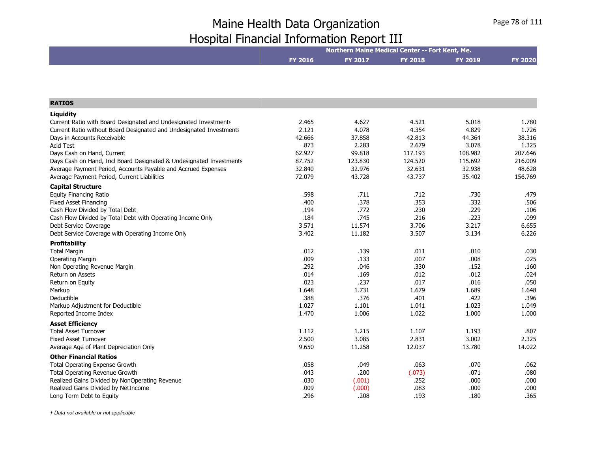|                                                                     | Northern Maine Medical Center -- Fort Kent, Me. |         |                |                |                |  |
|---------------------------------------------------------------------|-------------------------------------------------|---------|----------------|----------------|----------------|--|
|                                                                     | <b>FY 2016</b>                                  | FY 2017 | <b>FY 2018</b> | <b>FY 2019</b> | <b>FY 2020</b> |  |
|                                                                     |                                                 |         |                |                |                |  |
|                                                                     |                                                 |         |                |                |                |  |
| <b>RATIOS</b>                                                       |                                                 |         |                |                |                |  |
| Liquidity                                                           |                                                 |         |                |                |                |  |
| Current Ratio with Board Designated and Undesignated Investments    | 2.465                                           | 4.627   | 4.521          | 5.018          | 1.780          |  |
| Current Ratio without Board Designated and Undesignated Investments | 2.121                                           | 4.078   | 4.354          | 4.829          | 1.726          |  |
| Days in Accounts Receivable                                         | 42.666                                          | 37.858  | 42.813         | 44.364         | 38.316         |  |
| <b>Acid Test</b>                                                    | .873                                            | 2.283   | 2.679          | 3.078          | 1.325          |  |
| Days Cash on Hand, Current                                          | 62.927                                          | 99.818  | 117.193        | 108.982        | 207.646        |  |
| Days Cash on Hand, Incl Board Designated & Undesignated Investments | 87.752                                          | 123.830 | 124.520        | 115.692        | 216.009        |  |
| Average Payment Period, Accounts Payable and Accrued Expenses       | 32.840                                          | 32.976  | 32.631         | 32.938         | 48.628         |  |
| Average Payment Period, Current Liabilities                         | 72.079                                          | 43.728  | 43.737         | 35.402         | 156.769        |  |
| <b>Capital Structure</b>                                            |                                                 |         |                |                |                |  |
| <b>Equity Financing Ratio</b>                                       | .598                                            | .711    | .712           | .730           | .479           |  |
| <b>Fixed Asset Financing</b>                                        | .400                                            | .378    | .353           | .332           | .506           |  |
| Cash Flow Divided by Total Debt                                     | .194                                            | .772    | .230           | .229           | .106           |  |
| Cash Flow Divided by Total Debt with Operating Income Only          | .184                                            | .745    | .216           | .223           | .099           |  |
| Debt Service Coverage                                               | 3.571                                           | 11.574  | 3.706          | 3.217          | 6.655          |  |
| Debt Service Coverage with Operating Income Only                    | 3.402                                           | 11.182  | 3.507          | 3.134          | 6.226          |  |
| Profitability                                                       |                                                 |         |                |                |                |  |
| <b>Total Margin</b>                                                 | .012                                            | .139    | .011           | .010           | .030           |  |
| <b>Operating Margin</b>                                             | .009                                            | .133    | .007           | .008           | .025           |  |
| Non Operating Revenue Margin                                        | .292                                            | .046    | .330           | .152           | .160           |  |
| Return on Assets                                                    | .014                                            | .169    | .012           | .012           | .024           |  |
| Return on Equity                                                    | .023                                            | .237    | .017           | .016           | .050           |  |
| Markup                                                              | 1.648                                           | 1.731   | 1.679          | 1.689          | 1.648          |  |
| Deductible                                                          | .388                                            | .376    | .401           | .422           | .396           |  |
| Markup Adjustment for Deductible                                    | 1.027                                           | 1.101   | 1.041          | 1.023          | 1.049          |  |
| Reported Income Index                                               | 1.470                                           | 1.006   | 1.022          | 1.000          | 1.000          |  |
| <b>Asset Efficiency</b>                                             |                                                 |         |                |                |                |  |
| <b>Total Asset Turnover</b>                                         | 1.112                                           | 1.215   | 1.107          | 1.193          | .807           |  |
| <b>Fixed Asset Turnover</b>                                         | 2.500                                           | 3.085   | 2.831          | 3.002          | 2.325          |  |
| Average Age of Plant Depreciation Only                              | 9.650                                           | 11.258  | 12.037         | 13.780         | 14.022         |  |
| <b>Other Financial Ratios</b>                                       |                                                 |         |                |                |                |  |
| <b>Total Operating Expense Growth</b>                               | .058                                            | .049    | .063           | .070           | .062           |  |
| Total Operating Revenue Growth                                      | .043                                            | .200    | (.073)         | .071           | .080           |  |
| Realized Gains Divided by NonOperating Revenue                      | .030                                            | (.001)  | .252           | .000           | .000           |  |
| Realized Gains Divided by NetIncome                                 | .009                                            | (.000)  | .083           | .000           | .000           |  |
| Long Term Debt to Equity                                            | .296                                            | .208    | .193           | .180           | .365           |  |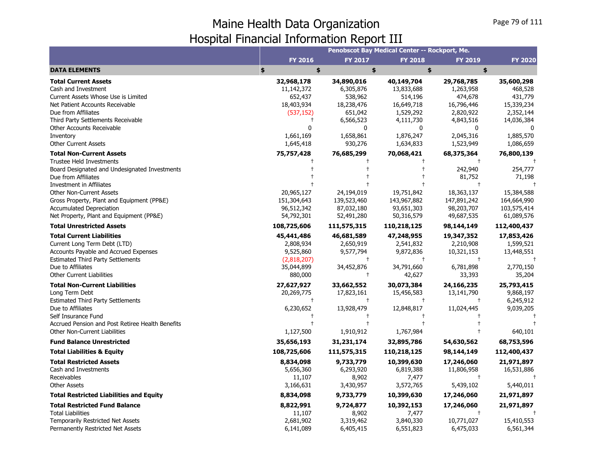|                                                                                   |                            |                          | Penobscot Bay Medical Center -- Rockport, Me. |                      |                           |
|-----------------------------------------------------------------------------------|----------------------------|--------------------------|-----------------------------------------------|----------------------|---------------------------|
|                                                                                   | <b>FY 2016</b>             | <b>FY 2017</b>           | <b>FY 2018</b>                                | <b>FY 2019</b>       | <b>FY 2020</b>            |
| <b>DATA ELEMENTS</b>                                                              | \$<br>\$                   | \$                       | \$                                            | \$                   |                           |
| <b>Total Current Assets</b>                                                       | 32,968,178                 | 34,890,016               | 40,149,704                                    | 29,768,785           | 35,600,298                |
| Cash and Investment                                                               | 11,142,372                 | 6,305,876                | 13,833,688                                    | 1,263,958            | 468,528                   |
| Current Assets Whose Use is Limited                                               | 652,437                    | 538,962                  | 514,196                                       | 474,678              | 431,779                   |
| Net Patient Accounts Receivable                                                   | 18,403,934                 | 18,238,476               | 16,649,718                                    | 16,796,446           | 15,339,234                |
| Due from Affiliates                                                               | (537, 152)                 | 651,042                  | 1,529,292                                     | 2,820,922            | 2,352,144                 |
| Third Party Settlements Receivable                                                | $^{+}$                     | 6,566,523                | 4,111,730                                     | 4,843,516            | 14,036,384                |
| <b>Other Accounts Receivable</b>                                                  | 0                          | 0                        | 0                                             | $\mathbf{0}$         | 0                         |
| Inventory                                                                         | 1,661,169                  | 1,658,861                | 1,876,247                                     | 2,045,316            | 1,885,570                 |
| <b>Other Current Assets</b>                                                       | 1,645,418                  | 930,276                  | 1,634,833                                     | 1,523,949            | 1,086,659                 |
| <b>Total Non-Current Assets</b>                                                   | 75,757,428                 | 76,685,299               | 70,068,421                                    | 68,375,364           | 76,800,139                |
| <b>Trustee Held Investments</b>                                                   |                            |                          |                                               | $^{+}$               |                           |
| Board Designated and Undesignated Investments                                     |                            |                          |                                               | 242,940              | 254,777                   |
| Due from Affiliates                                                               |                            |                          |                                               | 81,752<br>$\ddagger$ | 71,198                    |
| Investment in Affiliates<br><b>Other Non-Current Assets</b>                       | 20,965,127                 | 24,194,019               | 19,751,842                                    | 18,363,137           | 15,384,588                |
| Gross Property, Plant and Equipment (PP&E)                                        | 151,304,643                | 139,523,460              | 143,967,882                                   | 147,891,242          | 164,664,990               |
| <b>Accumulated Depreciation</b>                                                   |                            | 87,032,180               | 93,651,303                                    | 98,203,707           |                           |
| Net Property, Plant and Equipment (PP&E)                                          | 96,512,342<br>54,792,301   | 52,491,280               | 50,316,579                                    | 49,687,535           | 103,575,414<br>61,089,576 |
| <b>Total Unrestricted Assets</b>                                                  | 108,725,606                | 111,575,315              | 110,218,125                                   | 98,144,149           | 112,400,437               |
|                                                                                   |                            |                          |                                               |                      |                           |
| <b>Total Current Liabilities</b>                                                  | 45,441,486                 | 46,681,589               | 47,248,955                                    | 19,347,352           | 17,853,426                |
| Current Long Term Debt (LTD)                                                      | 2,808,934                  | 2,650,919                | 2,541,832                                     | 2,210,908            | 1,599,521                 |
| Accounts Payable and Accrued Expenses<br><b>Estimated Third Party Settlements</b> | 9,525,860<br>(2,818,207)   | 9,577,794<br>$\ddagger$  | 9,872,836<br>$\ddagger$                       | 10,321,153           | 13,448,551                |
| Due to Affiliates                                                                 | 35,044,899                 | 34,452,876               | 34,791,660                                    | 6,781,898            | 2,770,150                 |
| <b>Other Current Liabilities</b>                                                  | 880,000                    | $\ddagger$               | 42,627                                        | 33,393               | 35,204                    |
|                                                                                   |                            |                          |                                               |                      |                           |
| <b>Total Non-Current Liabilities</b>                                              | 27,627,927                 | 33,662,552<br>17,823,161 | 30,073,384                                    | 24,166,235           | 25,793,415<br>9,868,197   |
| Long Term Debt<br><b>Estimated Third Party Settlements</b>                        | 20,269,775<br>$^{\dagger}$ | $\ddagger$               | 15,456,583<br>$\ddagger$                      | 13,141,790           | 6,245,912                 |
| Due to Affiliates                                                                 | 6,230,652                  | 13,928,479               | 12,848,817                                    | 11,024,445           | 9,039,205                 |
| Self Insurance Fund                                                               | $^{\dagger}$               | $^{+}$                   | $\ddagger$                                    |                      |                           |
| Accrued Pension and Post Retiree Health Benefits                                  | $\ddagger$                 | $\ddagger$               | $\ddagger$                                    |                      |                           |
| <b>Other Non-Current Liabilities</b>                                              | 1,127,500                  | 1,910,912                | 1,767,984                                     | $\ddagger$           | 640,101                   |
| <b>Fund Balance Unrestricted</b>                                                  | 35,656,193                 | 31,231,174               | 32,895,786                                    | 54,630,562           | 68,753,596                |
| <b>Total Liabilities &amp; Equity</b>                                             | 108,725,606                | 111,575,315              | 110,218,125                                   | 98,144,149           | 112,400,437               |
| <b>Total Restricted Assets</b>                                                    | 8,834,098                  | 9,733,779                | 10,399,630                                    | 17,246,060           | 21,971,897                |
| Cash and Investments                                                              | 5,656,360                  | 6,293,920                | 6,819,388                                     | 11,806,958           | 16,531,886                |
| Receivables                                                                       | 11,107                     | 8,902                    | 7,477                                         | $\ddagger$           |                           |
| <b>Other Assets</b>                                                               | 3,166,631                  | 3,430,957                | 3,572,765                                     | 5,439,102            | 5,440,011                 |
| <b>Total Restricted Liabilities and Equity</b>                                    | 8,834,098                  | 9,733,779                | 10,399,630                                    | 17,246,060           | 21,971,897                |
| <b>Total Restricted Fund Balance</b>                                              | 8,822,991                  | 9,724,877                | 10,392,153                                    | 17,246,060           | 21,971,897                |
| <b>Total Liabilities</b>                                                          | 11,107                     | 8,902                    | 7,477                                         |                      |                           |
| Temporarily Restricted Net Assets                                                 | 2,681,902                  | 3,319,462                | 3,840,330                                     | 10,771,027           | 15,410,553                |
| Permanently Restricted Net Assets                                                 | 6,141,089                  | 6,405,415                | 6,551,823                                     | 6,475,033            | 6,561,344                 |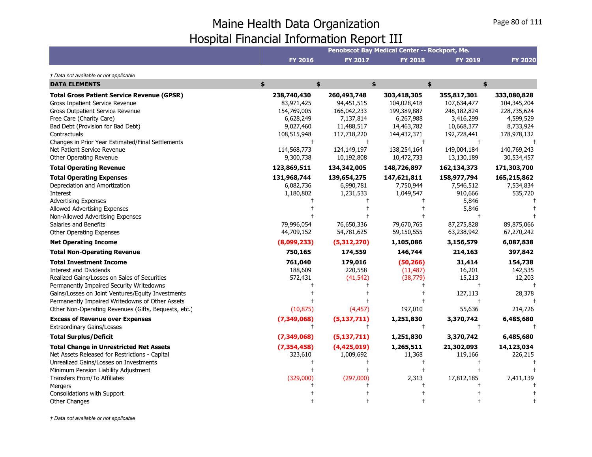|                                                                                                                                                                                                                                                                                                                                                                                                                                                                                                                                                                                                                                          |                                                                                                                                           |                                                                                                                                            | Penobscot Bay Medical Center -- Rockport, Me.                                                                                               |                                                                                                                                                              |                                                                                                                                              |
|------------------------------------------------------------------------------------------------------------------------------------------------------------------------------------------------------------------------------------------------------------------------------------------------------------------------------------------------------------------------------------------------------------------------------------------------------------------------------------------------------------------------------------------------------------------------------------------------------------------------------------------|-------------------------------------------------------------------------------------------------------------------------------------------|--------------------------------------------------------------------------------------------------------------------------------------------|---------------------------------------------------------------------------------------------------------------------------------------------|--------------------------------------------------------------------------------------------------------------------------------------------------------------|----------------------------------------------------------------------------------------------------------------------------------------------|
|                                                                                                                                                                                                                                                                                                                                                                                                                                                                                                                                                                                                                                          | <b>FY 2016</b>                                                                                                                            | <b>FY 2017</b>                                                                                                                             | <b>FY 2018</b>                                                                                                                              | <b>FY 2019</b>                                                                                                                                               | <b>FY 2020</b>                                                                                                                               |
| † Data not available or not applicable                                                                                                                                                                                                                                                                                                                                                                                                                                                                                                                                                                                                   |                                                                                                                                           |                                                                                                                                            |                                                                                                                                             |                                                                                                                                                              |                                                                                                                                              |
| <b>DATA ELEMENTS</b>                                                                                                                                                                                                                                                                                                                                                                                                                                                                                                                                                                                                                     | \$<br>\$                                                                                                                                  |                                                                                                                                            | \$                                                                                                                                          | \$<br>\$                                                                                                                                                     |                                                                                                                                              |
| <b>Total Gross Patient Service Revenue (GPSR)</b><br>Gross Inpatient Service Revenue<br>Gross Outpatient Service Revenue<br>Free Care (Charity Care)<br>Bad Debt (Provision for Bad Debt)<br>Contractuals<br>Changes in Prior Year Estimated/Final Settlements<br>Net Patient Service Revenue<br>Other Operating Revenue                                                                                                                                                                                                                                                                                                                 | 238,740,430<br>83,971,425<br>154,769,005<br>6,628,249<br>9,027,460<br>108,515,948<br>114,568,773<br>9,300,738                             | 260,493,748<br>94,451,515<br>166,042,233<br>7,137,814<br>11,488,517<br>117,718,220<br>124,149,197<br>10,192,808                            | 303,418,305<br>104,028,418<br>199,389,887<br>6,267,988<br>14,463,782<br>144,432,371<br>138,254,164<br>10,472,733                            | 355,817,301<br>107,634,477<br>248,182,824<br>3,416,299<br>10,668,377<br>192,728,441<br>149,004,184<br>13,130,189                                             | 333,080,828<br>104,345,204<br>228,735,624<br>4,599,529<br>8,733,924<br>178,978,132<br>140,769,243<br>30,534,457                              |
| <b>Total Operating Revenue</b>                                                                                                                                                                                                                                                                                                                                                                                                                                                                                                                                                                                                           | 123,869,511                                                                                                                               | 134,342,005                                                                                                                                | 148,726,897                                                                                                                                 | 162,134,373                                                                                                                                                  | 171,303,700                                                                                                                                  |
| <b>Total Operating Expenses</b><br>Depreciation and Amortization<br><b>Interest</b><br><b>Advertising Expenses</b><br>Allowed Advertising Expenses<br>Non-Allowed Advertising Expenses<br>Salaries and Benefits<br>Other Operating Expenses<br><b>Net Operating Income</b><br><b>Total Non-Operating Revenue</b><br><b>Total Investment Income</b><br>Interest and Dividends<br>Realized Gains/Losses on Sales of Securities<br>Permanently Impaired Security Writedowns<br>Gains/Losses on Joint Ventures/Equity Investments<br>Permanently Impaired Writedowns of Other Assets<br>Other Non-Operating Revenues (Gifts, Bequests, etc.) | 131,968,744<br>6,082,736<br>1,180,802<br>79,996,054<br>44,709,152<br>(8,099,233)<br>750,165<br>761,040<br>188,609<br>572,431<br>(10, 875) | 139,654,275<br>6,990,781<br>1,231,533<br>76,650,336<br>54,781,625<br>(5,312,270)<br>174,559<br>179,016<br>220,558<br>(41, 542)<br>(4, 457) | 147,621,811<br>7,750,944<br>1,049,547<br>79,670,765<br>59,150,555<br>1,105,086<br>146,744<br>(50, 266)<br>(11, 487)<br>(38, 779)<br>197,010 | 158,977,794<br>7,546,512<br>910,666<br>5,846<br>5,846<br>87,275,828<br>63,238,942<br>3,156,579<br>214,163<br>31,414<br>16,201<br>15,213<br>127,113<br>55,636 | 165,215,862<br>7,534,834<br>535,720<br>89,875,066<br>67,270,242<br>6,087,838<br>397,842<br>154,738<br>142,535<br>12,203<br>28,378<br>214,726 |
| <b>Excess of Revenue over Expenses</b>                                                                                                                                                                                                                                                                                                                                                                                                                                                                                                                                                                                                   | (7, 349, 068)                                                                                                                             | (5, 137, 711)                                                                                                                              | 1,251,830                                                                                                                                   | 3,370,742                                                                                                                                                    | 6,485,680                                                                                                                                    |
| <b>Extraordinary Gains/Losses</b>                                                                                                                                                                                                                                                                                                                                                                                                                                                                                                                                                                                                        | $\ddagger$                                                                                                                                |                                                                                                                                            | $\ddagger$                                                                                                                                  | $\ddagger$                                                                                                                                                   |                                                                                                                                              |
| <b>Total Surplus/Deficit</b>                                                                                                                                                                                                                                                                                                                                                                                                                                                                                                                                                                                                             | (7, 349, 068)                                                                                                                             | (5, 137, 711)                                                                                                                              | 1,251,830                                                                                                                                   | 3,370,742                                                                                                                                                    | 6,485,680                                                                                                                                    |
| <b>Total Change in Unrestricted Net Assets</b><br>Net Assets Released for Restrictions - Capital<br>Unrealized Gains/Losses on Investments<br>Minimum Pension Liability Adjustment<br>Transfers From/To Affiliates<br>Mergers<br>Consolidations with Support                                                                                                                                                                                                                                                                                                                                                                             | (7, 354, 458)<br>323,610<br>(329,000)                                                                                                     | (4,425,019)<br>1,009,692<br>(297,000)                                                                                                      | 1,265,511<br>11,368<br>2,313                                                                                                                | 21,302,093<br>119,166<br>17,812,185                                                                                                                          | 14,123,034<br>226,215<br>7,411,139                                                                                                           |
| <b>Other Changes</b>                                                                                                                                                                                                                                                                                                                                                                                                                                                                                                                                                                                                                     |                                                                                                                                           |                                                                                                                                            |                                                                                                                                             |                                                                                                                                                              |                                                                                                                                              |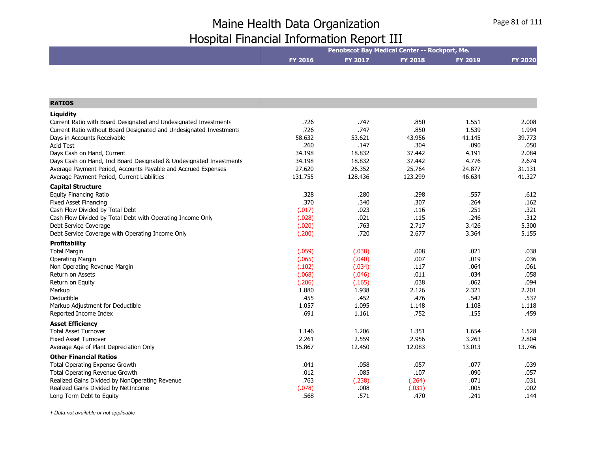| <b>FY 2019</b><br><b>FY 2016</b><br><b>FY 2017</b><br><b>FY 2018</b><br><b>FY 2020</b><br><b>RATIOS</b><br>Liquidity<br>.726<br>Current Ratio with Board Designated and Undesignated Investments<br>.747<br>.850<br>1.551<br>2.008<br>.726<br>.747<br>.850<br>1.539<br>1.994<br>Current Ratio without Board Designated and Undesignated Investments<br>58.632<br>53.621<br>43.956<br>41.145<br>39.773<br>Days in Accounts Receivable<br><b>Acid Test</b><br>.260<br>.304<br>.090<br>.050<br>.147<br>18.832<br>Days Cash on Hand, Current<br>34.198<br>37.442<br>4.191<br>2.084<br>4.776<br>34.198<br>18.832<br>2.674<br>Days Cash on Hand, Incl Board Designated & Undesignated Investments<br>37.442<br>27.620<br>26.352<br>25.764<br>24.877<br>31.131<br>Average Payment Period, Accounts Payable and Accrued Expenses<br>131.755<br>123.299<br>128.436<br>46.634<br>41.327<br>Average Payment Period, Current Liabilities<br><b>Capital Structure</b><br>.328<br>.280<br>.298<br>.557<br>.612<br><b>Equity Financing Ratio</b><br>.370<br>.340<br>.307<br>.264<br><b>Fixed Asset Financing</b><br>.162<br>.251<br>Cash Flow Divided by Total Debt<br>(.017)<br>.023<br>.116<br>.321<br>.246<br>(.028)<br>.021<br>.115<br>.312<br>Cash Flow Divided by Total Debt with Operating Income Only<br>.763<br>3.426<br>Debt Service Coverage<br>(.020)<br>2.717<br>5.300<br>.720<br>3.364<br>(.200)<br>2.677<br>5.155<br>Debt Service Coverage with Operating Income Only<br><b>Profitability</b><br>(.059)<br>.008<br>.021<br>.038<br><b>Total Margin</b><br>(.038)<br>.019<br><b>Operating Margin</b><br>(.065)<br>(.040)<br>.007<br>.036<br>.064<br>.061<br>Non Operating Revenue Margin<br>(.102)<br>(.034)<br>.117<br><b>Return on Assets</b><br>.011<br>.034<br>.058<br>(.068)<br>(.046)<br>.038<br>.062<br>.094<br>(.206)<br>(.165)<br>Return on Equity<br>2.321<br>Markup<br>1.880<br>1.938<br>2.126<br>2.201<br>.476<br>.542<br>.455<br>.452<br>.537<br>Deductible<br>1.057<br>1.095<br>1.108<br>1.118<br>Markup Adjustment for Deductible<br>1.148<br>.691<br>.155<br>1.161<br>.752<br>.459<br>Reported Income Index<br><b>Asset Efficiency</b><br><b>Total Asset Turnover</b><br>1.206<br>1.351<br>1.654<br>1.528<br>1.146<br>2.956<br><b>Fixed Asset Turnover</b><br>2.261<br>2.559<br>3.263<br>2.804<br>15.867<br>12.450<br>12.083<br>13.013<br>13.746<br>Average Age of Plant Depreciation Only<br><b>Other Financial Ratios</b><br>Total Operating Expense Growth<br>.041<br>.057<br>.077<br>.039<br>.058<br>.085<br>.012<br>.107<br>.090<br>.057<br>Total Operating Revenue Growth<br>.763<br>.071<br>Realized Gains Divided by NonOperating Revenue<br>(.238)<br>(.264)<br>.031<br>Realized Gains Divided by NetIncome<br>(.078)<br>.008<br>(.031)<br>.005<br>.002 |                          | Penobscot Bay Medical Center -- Rockport, Me. |      |      |      |      |  |
|---------------------------------------------------------------------------------------------------------------------------------------------------------------------------------------------------------------------------------------------------------------------------------------------------------------------------------------------------------------------------------------------------------------------------------------------------------------------------------------------------------------------------------------------------------------------------------------------------------------------------------------------------------------------------------------------------------------------------------------------------------------------------------------------------------------------------------------------------------------------------------------------------------------------------------------------------------------------------------------------------------------------------------------------------------------------------------------------------------------------------------------------------------------------------------------------------------------------------------------------------------------------------------------------------------------------------------------------------------------------------------------------------------------------------------------------------------------------------------------------------------------------------------------------------------------------------------------------------------------------------------------------------------------------------------------------------------------------------------------------------------------------------------------------------------------------------------------------------------------------------------------------------------------------------------------------------------------------------------------------------------------------------------------------------------------------------------------------------------------------------------------------------------------------------------------------------------------------------------------------------------------------------------------------------------------------------------------------------------------------------------------------------------------------------------------------------------------------------------------------------------------------------------------------------------------------------------------------------------------------------------------------------------------------------------------------------------------------------------------------------------------------------------|--------------------------|-----------------------------------------------|------|------|------|------|--|
|                                                                                                                                                                                                                                                                                                                                                                                                                                                                                                                                                                                                                                                                                                                                                                                                                                                                                                                                                                                                                                                                                                                                                                                                                                                                                                                                                                                                                                                                                                                                                                                                                                                                                                                                                                                                                                                                                                                                                                                                                                                                                                                                                                                                                                                                                                                                                                                                                                                                                                                                                                                                                                                                                                                                                                                 |                          |                                               |      |      |      |      |  |
|                                                                                                                                                                                                                                                                                                                                                                                                                                                                                                                                                                                                                                                                                                                                                                                                                                                                                                                                                                                                                                                                                                                                                                                                                                                                                                                                                                                                                                                                                                                                                                                                                                                                                                                                                                                                                                                                                                                                                                                                                                                                                                                                                                                                                                                                                                                                                                                                                                                                                                                                                                                                                                                                                                                                                                                 |                          |                                               |      |      |      |      |  |
|                                                                                                                                                                                                                                                                                                                                                                                                                                                                                                                                                                                                                                                                                                                                                                                                                                                                                                                                                                                                                                                                                                                                                                                                                                                                                                                                                                                                                                                                                                                                                                                                                                                                                                                                                                                                                                                                                                                                                                                                                                                                                                                                                                                                                                                                                                                                                                                                                                                                                                                                                                                                                                                                                                                                                                                 |                          |                                               |      |      |      |      |  |
|                                                                                                                                                                                                                                                                                                                                                                                                                                                                                                                                                                                                                                                                                                                                                                                                                                                                                                                                                                                                                                                                                                                                                                                                                                                                                                                                                                                                                                                                                                                                                                                                                                                                                                                                                                                                                                                                                                                                                                                                                                                                                                                                                                                                                                                                                                                                                                                                                                                                                                                                                                                                                                                                                                                                                                                 |                          |                                               |      |      |      |      |  |
|                                                                                                                                                                                                                                                                                                                                                                                                                                                                                                                                                                                                                                                                                                                                                                                                                                                                                                                                                                                                                                                                                                                                                                                                                                                                                                                                                                                                                                                                                                                                                                                                                                                                                                                                                                                                                                                                                                                                                                                                                                                                                                                                                                                                                                                                                                                                                                                                                                                                                                                                                                                                                                                                                                                                                                                 |                          |                                               |      |      |      |      |  |
|                                                                                                                                                                                                                                                                                                                                                                                                                                                                                                                                                                                                                                                                                                                                                                                                                                                                                                                                                                                                                                                                                                                                                                                                                                                                                                                                                                                                                                                                                                                                                                                                                                                                                                                                                                                                                                                                                                                                                                                                                                                                                                                                                                                                                                                                                                                                                                                                                                                                                                                                                                                                                                                                                                                                                                                 |                          |                                               |      |      |      |      |  |
|                                                                                                                                                                                                                                                                                                                                                                                                                                                                                                                                                                                                                                                                                                                                                                                                                                                                                                                                                                                                                                                                                                                                                                                                                                                                                                                                                                                                                                                                                                                                                                                                                                                                                                                                                                                                                                                                                                                                                                                                                                                                                                                                                                                                                                                                                                                                                                                                                                                                                                                                                                                                                                                                                                                                                                                 |                          |                                               |      |      |      |      |  |
|                                                                                                                                                                                                                                                                                                                                                                                                                                                                                                                                                                                                                                                                                                                                                                                                                                                                                                                                                                                                                                                                                                                                                                                                                                                                                                                                                                                                                                                                                                                                                                                                                                                                                                                                                                                                                                                                                                                                                                                                                                                                                                                                                                                                                                                                                                                                                                                                                                                                                                                                                                                                                                                                                                                                                                                 |                          |                                               |      |      |      |      |  |
|                                                                                                                                                                                                                                                                                                                                                                                                                                                                                                                                                                                                                                                                                                                                                                                                                                                                                                                                                                                                                                                                                                                                                                                                                                                                                                                                                                                                                                                                                                                                                                                                                                                                                                                                                                                                                                                                                                                                                                                                                                                                                                                                                                                                                                                                                                                                                                                                                                                                                                                                                                                                                                                                                                                                                                                 |                          |                                               |      |      |      |      |  |
|                                                                                                                                                                                                                                                                                                                                                                                                                                                                                                                                                                                                                                                                                                                                                                                                                                                                                                                                                                                                                                                                                                                                                                                                                                                                                                                                                                                                                                                                                                                                                                                                                                                                                                                                                                                                                                                                                                                                                                                                                                                                                                                                                                                                                                                                                                                                                                                                                                                                                                                                                                                                                                                                                                                                                                                 |                          |                                               |      |      |      |      |  |
|                                                                                                                                                                                                                                                                                                                                                                                                                                                                                                                                                                                                                                                                                                                                                                                                                                                                                                                                                                                                                                                                                                                                                                                                                                                                                                                                                                                                                                                                                                                                                                                                                                                                                                                                                                                                                                                                                                                                                                                                                                                                                                                                                                                                                                                                                                                                                                                                                                                                                                                                                                                                                                                                                                                                                                                 |                          |                                               |      |      |      |      |  |
|                                                                                                                                                                                                                                                                                                                                                                                                                                                                                                                                                                                                                                                                                                                                                                                                                                                                                                                                                                                                                                                                                                                                                                                                                                                                                                                                                                                                                                                                                                                                                                                                                                                                                                                                                                                                                                                                                                                                                                                                                                                                                                                                                                                                                                                                                                                                                                                                                                                                                                                                                                                                                                                                                                                                                                                 |                          |                                               |      |      |      |      |  |
|                                                                                                                                                                                                                                                                                                                                                                                                                                                                                                                                                                                                                                                                                                                                                                                                                                                                                                                                                                                                                                                                                                                                                                                                                                                                                                                                                                                                                                                                                                                                                                                                                                                                                                                                                                                                                                                                                                                                                                                                                                                                                                                                                                                                                                                                                                                                                                                                                                                                                                                                                                                                                                                                                                                                                                                 |                          |                                               |      |      |      |      |  |
|                                                                                                                                                                                                                                                                                                                                                                                                                                                                                                                                                                                                                                                                                                                                                                                                                                                                                                                                                                                                                                                                                                                                                                                                                                                                                                                                                                                                                                                                                                                                                                                                                                                                                                                                                                                                                                                                                                                                                                                                                                                                                                                                                                                                                                                                                                                                                                                                                                                                                                                                                                                                                                                                                                                                                                                 |                          |                                               |      |      |      |      |  |
|                                                                                                                                                                                                                                                                                                                                                                                                                                                                                                                                                                                                                                                                                                                                                                                                                                                                                                                                                                                                                                                                                                                                                                                                                                                                                                                                                                                                                                                                                                                                                                                                                                                                                                                                                                                                                                                                                                                                                                                                                                                                                                                                                                                                                                                                                                                                                                                                                                                                                                                                                                                                                                                                                                                                                                                 |                          |                                               |      |      |      |      |  |
|                                                                                                                                                                                                                                                                                                                                                                                                                                                                                                                                                                                                                                                                                                                                                                                                                                                                                                                                                                                                                                                                                                                                                                                                                                                                                                                                                                                                                                                                                                                                                                                                                                                                                                                                                                                                                                                                                                                                                                                                                                                                                                                                                                                                                                                                                                                                                                                                                                                                                                                                                                                                                                                                                                                                                                                 |                          |                                               |      |      |      |      |  |
|                                                                                                                                                                                                                                                                                                                                                                                                                                                                                                                                                                                                                                                                                                                                                                                                                                                                                                                                                                                                                                                                                                                                                                                                                                                                                                                                                                                                                                                                                                                                                                                                                                                                                                                                                                                                                                                                                                                                                                                                                                                                                                                                                                                                                                                                                                                                                                                                                                                                                                                                                                                                                                                                                                                                                                                 |                          |                                               |      |      |      |      |  |
|                                                                                                                                                                                                                                                                                                                                                                                                                                                                                                                                                                                                                                                                                                                                                                                                                                                                                                                                                                                                                                                                                                                                                                                                                                                                                                                                                                                                                                                                                                                                                                                                                                                                                                                                                                                                                                                                                                                                                                                                                                                                                                                                                                                                                                                                                                                                                                                                                                                                                                                                                                                                                                                                                                                                                                                 |                          |                                               |      |      |      |      |  |
|                                                                                                                                                                                                                                                                                                                                                                                                                                                                                                                                                                                                                                                                                                                                                                                                                                                                                                                                                                                                                                                                                                                                                                                                                                                                                                                                                                                                                                                                                                                                                                                                                                                                                                                                                                                                                                                                                                                                                                                                                                                                                                                                                                                                                                                                                                                                                                                                                                                                                                                                                                                                                                                                                                                                                                                 |                          |                                               |      |      |      |      |  |
|                                                                                                                                                                                                                                                                                                                                                                                                                                                                                                                                                                                                                                                                                                                                                                                                                                                                                                                                                                                                                                                                                                                                                                                                                                                                                                                                                                                                                                                                                                                                                                                                                                                                                                                                                                                                                                                                                                                                                                                                                                                                                                                                                                                                                                                                                                                                                                                                                                                                                                                                                                                                                                                                                                                                                                                 |                          |                                               |      |      |      |      |  |
|                                                                                                                                                                                                                                                                                                                                                                                                                                                                                                                                                                                                                                                                                                                                                                                                                                                                                                                                                                                                                                                                                                                                                                                                                                                                                                                                                                                                                                                                                                                                                                                                                                                                                                                                                                                                                                                                                                                                                                                                                                                                                                                                                                                                                                                                                                                                                                                                                                                                                                                                                                                                                                                                                                                                                                                 |                          |                                               |      |      |      |      |  |
|                                                                                                                                                                                                                                                                                                                                                                                                                                                                                                                                                                                                                                                                                                                                                                                                                                                                                                                                                                                                                                                                                                                                                                                                                                                                                                                                                                                                                                                                                                                                                                                                                                                                                                                                                                                                                                                                                                                                                                                                                                                                                                                                                                                                                                                                                                                                                                                                                                                                                                                                                                                                                                                                                                                                                                                 |                          |                                               |      |      |      |      |  |
|                                                                                                                                                                                                                                                                                                                                                                                                                                                                                                                                                                                                                                                                                                                                                                                                                                                                                                                                                                                                                                                                                                                                                                                                                                                                                                                                                                                                                                                                                                                                                                                                                                                                                                                                                                                                                                                                                                                                                                                                                                                                                                                                                                                                                                                                                                                                                                                                                                                                                                                                                                                                                                                                                                                                                                                 |                          |                                               |      |      |      |      |  |
|                                                                                                                                                                                                                                                                                                                                                                                                                                                                                                                                                                                                                                                                                                                                                                                                                                                                                                                                                                                                                                                                                                                                                                                                                                                                                                                                                                                                                                                                                                                                                                                                                                                                                                                                                                                                                                                                                                                                                                                                                                                                                                                                                                                                                                                                                                                                                                                                                                                                                                                                                                                                                                                                                                                                                                                 |                          |                                               |      |      |      |      |  |
|                                                                                                                                                                                                                                                                                                                                                                                                                                                                                                                                                                                                                                                                                                                                                                                                                                                                                                                                                                                                                                                                                                                                                                                                                                                                                                                                                                                                                                                                                                                                                                                                                                                                                                                                                                                                                                                                                                                                                                                                                                                                                                                                                                                                                                                                                                                                                                                                                                                                                                                                                                                                                                                                                                                                                                                 |                          |                                               |      |      |      |      |  |
|                                                                                                                                                                                                                                                                                                                                                                                                                                                                                                                                                                                                                                                                                                                                                                                                                                                                                                                                                                                                                                                                                                                                                                                                                                                                                                                                                                                                                                                                                                                                                                                                                                                                                                                                                                                                                                                                                                                                                                                                                                                                                                                                                                                                                                                                                                                                                                                                                                                                                                                                                                                                                                                                                                                                                                                 |                          |                                               |      |      |      |      |  |
|                                                                                                                                                                                                                                                                                                                                                                                                                                                                                                                                                                                                                                                                                                                                                                                                                                                                                                                                                                                                                                                                                                                                                                                                                                                                                                                                                                                                                                                                                                                                                                                                                                                                                                                                                                                                                                                                                                                                                                                                                                                                                                                                                                                                                                                                                                                                                                                                                                                                                                                                                                                                                                                                                                                                                                                 |                          |                                               |      |      |      |      |  |
|                                                                                                                                                                                                                                                                                                                                                                                                                                                                                                                                                                                                                                                                                                                                                                                                                                                                                                                                                                                                                                                                                                                                                                                                                                                                                                                                                                                                                                                                                                                                                                                                                                                                                                                                                                                                                                                                                                                                                                                                                                                                                                                                                                                                                                                                                                                                                                                                                                                                                                                                                                                                                                                                                                                                                                                 |                          |                                               |      |      |      |      |  |
|                                                                                                                                                                                                                                                                                                                                                                                                                                                                                                                                                                                                                                                                                                                                                                                                                                                                                                                                                                                                                                                                                                                                                                                                                                                                                                                                                                                                                                                                                                                                                                                                                                                                                                                                                                                                                                                                                                                                                                                                                                                                                                                                                                                                                                                                                                                                                                                                                                                                                                                                                                                                                                                                                                                                                                                 |                          |                                               |      |      |      |      |  |
|                                                                                                                                                                                                                                                                                                                                                                                                                                                                                                                                                                                                                                                                                                                                                                                                                                                                                                                                                                                                                                                                                                                                                                                                                                                                                                                                                                                                                                                                                                                                                                                                                                                                                                                                                                                                                                                                                                                                                                                                                                                                                                                                                                                                                                                                                                                                                                                                                                                                                                                                                                                                                                                                                                                                                                                 |                          |                                               |      |      |      |      |  |
|                                                                                                                                                                                                                                                                                                                                                                                                                                                                                                                                                                                                                                                                                                                                                                                                                                                                                                                                                                                                                                                                                                                                                                                                                                                                                                                                                                                                                                                                                                                                                                                                                                                                                                                                                                                                                                                                                                                                                                                                                                                                                                                                                                                                                                                                                                                                                                                                                                                                                                                                                                                                                                                                                                                                                                                 |                          |                                               |      |      |      |      |  |
|                                                                                                                                                                                                                                                                                                                                                                                                                                                                                                                                                                                                                                                                                                                                                                                                                                                                                                                                                                                                                                                                                                                                                                                                                                                                                                                                                                                                                                                                                                                                                                                                                                                                                                                                                                                                                                                                                                                                                                                                                                                                                                                                                                                                                                                                                                                                                                                                                                                                                                                                                                                                                                                                                                                                                                                 |                          |                                               |      |      |      |      |  |
|                                                                                                                                                                                                                                                                                                                                                                                                                                                                                                                                                                                                                                                                                                                                                                                                                                                                                                                                                                                                                                                                                                                                                                                                                                                                                                                                                                                                                                                                                                                                                                                                                                                                                                                                                                                                                                                                                                                                                                                                                                                                                                                                                                                                                                                                                                                                                                                                                                                                                                                                                                                                                                                                                                                                                                                 |                          |                                               |      |      |      |      |  |
|                                                                                                                                                                                                                                                                                                                                                                                                                                                                                                                                                                                                                                                                                                                                                                                                                                                                                                                                                                                                                                                                                                                                                                                                                                                                                                                                                                                                                                                                                                                                                                                                                                                                                                                                                                                                                                                                                                                                                                                                                                                                                                                                                                                                                                                                                                                                                                                                                                                                                                                                                                                                                                                                                                                                                                                 |                          |                                               |      |      |      |      |  |
|                                                                                                                                                                                                                                                                                                                                                                                                                                                                                                                                                                                                                                                                                                                                                                                                                                                                                                                                                                                                                                                                                                                                                                                                                                                                                                                                                                                                                                                                                                                                                                                                                                                                                                                                                                                                                                                                                                                                                                                                                                                                                                                                                                                                                                                                                                                                                                                                                                                                                                                                                                                                                                                                                                                                                                                 |                          |                                               |      |      |      |      |  |
|                                                                                                                                                                                                                                                                                                                                                                                                                                                                                                                                                                                                                                                                                                                                                                                                                                                                                                                                                                                                                                                                                                                                                                                                                                                                                                                                                                                                                                                                                                                                                                                                                                                                                                                                                                                                                                                                                                                                                                                                                                                                                                                                                                                                                                                                                                                                                                                                                                                                                                                                                                                                                                                                                                                                                                                 |                          |                                               |      |      |      |      |  |
|                                                                                                                                                                                                                                                                                                                                                                                                                                                                                                                                                                                                                                                                                                                                                                                                                                                                                                                                                                                                                                                                                                                                                                                                                                                                                                                                                                                                                                                                                                                                                                                                                                                                                                                                                                                                                                                                                                                                                                                                                                                                                                                                                                                                                                                                                                                                                                                                                                                                                                                                                                                                                                                                                                                                                                                 |                          |                                               |      |      |      |      |  |
|                                                                                                                                                                                                                                                                                                                                                                                                                                                                                                                                                                                                                                                                                                                                                                                                                                                                                                                                                                                                                                                                                                                                                                                                                                                                                                                                                                                                                                                                                                                                                                                                                                                                                                                                                                                                                                                                                                                                                                                                                                                                                                                                                                                                                                                                                                                                                                                                                                                                                                                                                                                                                                                                                                                                                                                 |                          |                                               |      |      |      |      |  |
|                                                                                                                                                                                                                                                                                                                                                                                                                                                                                                                                                                                                                                                                                                                                                                                                                                                                                                                                                                                                                                                                                                                                                                                                                                                                                                                                                                                                                                                                                                                                                                                                                                                                                                                                                                                                                                                                                                                                                                                                                                                                                                                                                                                                                                                                                                                                                                                                                                                                                                                                                                                                                                                                                                                                                                                 |                          |                                               |      |      |      |      |  |
|                                                                                                                                                                                                                                                                                                                                                                                                                                                                                                                                                                                                                                                                                                                                                                                                                                                                                                                                                                                                                                                                                                                                                                                                                                                                                                                                                                                                                                                                                                                                                                                                                                                                                                                                                                                                                                                                                                                                                                                                                                                                                                                                                                                                                                                                                                                                                                                                                                                                                                                                                                                                                                                                                                                                                                                 | Long Term Debt to Equity | .568                                          | .571 | .470 | .241 | .144 |  |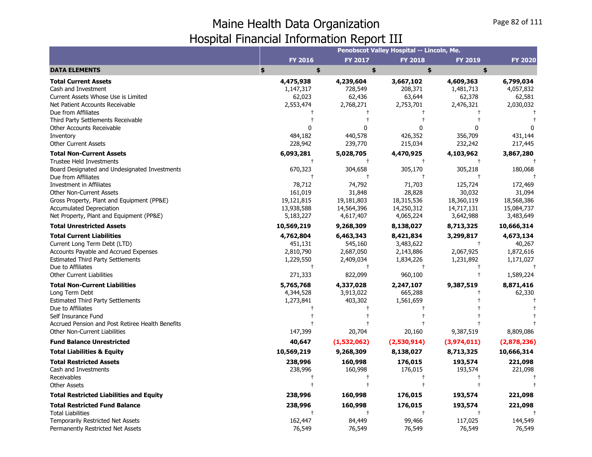|                                                                                                                                                                                                                                                                                                                                               |                                                                                    |                                                                                   | Penobscot Valley Hospital -- Lincoln, Me.                                         |                                                                                    |                                                                                    |
|-----------------------------------------------------------------------------------------------------------------------------------------------------------------------------------------------------------------------------------------------------------------------------------------------------------------------------------------------|------------------------------------------------------------------------------------|-----------------------------------------------------------------------------------|-----------------------------------------------------------------------------------|------------------------------------------------------------------------------------|------------------------------------------------------------------------------------|
|                                                                                                                                                                                                                                                                                                                                               | <b>FY 2016</b>                                                                     | <b>FY 2017</b>                                                                    | <b>FY 2018</b>                                                                    | <b>FY 2019</b>                                                                     | <b>FY 2020</b>                                                                     |
| <b>DATA ELEMENTS</b>                                                                                                                                                                                                                                                                                                                          | \$<br>\$                                                                           | \$                                                                                | \$                                                                                | \$                                                                                 |                                                                                    |
| <b>Total Current Assets</b><br>Cash and Investment<br>Current Assets Whose Use is Limited<br>Net Patient Accounts Receivable                                                                                                                                                                                                                  | 4,475,938<br>1,147,317<br>62,023<br>2,553,474                                      | 4,239,604<br>728,549<br>62,436<br>2,768,271                                       | 3,667,102<br>208,371<br>63,644<br>2,753,701                                       | 4,609,363<br>1,481,713<br>62,378<br>2,476,321                                      | 6,799,034<br>4,057,832<br>62,581<br>2,030,032                                      |
| Due from Affiliates<br>Third Party Settlements Receivable<br>Other Accounts Receivable<br>Inventory<br><b>Other Current Assets</b>                                                                                                                                                                                                            | 484,182<br>228,942                                                                 | $\Omega$<br>440,578<br>239,770                                                    | ŋ<br>426,352<br>215,034                                                           | U<br>356,709<br>232,242                                                            | 431,144<br>217,445                                                                 |
| <b>Total Non-Current Assets</b><br><b>Trustee Held Investments</b><br>Board Designated and Undesignated Investments<br>Due from Affiliates<br><b>Investment in Affiliates</b><br><b>Other Non-Current Assets</b><br>Gross Property, Plant and Equipment (PP&E)<br><b>Accumulated Depreciation</b><br>Net Property, Plant and Equipment (PP&E) | 6,093,281<br>670,323<br>78,712<br>161,019<br>19,121,815<br>13,938,588<br>5,183,227 | 5,028,705<br>304,658<br>74,792<br>31,848<br>19,181,803<br>14,564,396<br>4,617,407 | 4,470,925<br>305,170<br>71,703<br>28,828<br>18,315,536<br>14,250,312<br>4,065,224 | 4,103,962<br>305,218<br>125,724<br>30,032<br>18,360,119<br>14,717,131<br>3,642,988 | 3,867,280<br>180,068<br>172,469<br>31,094<br>18,568,386<br>15,084,737<br>3,483,649 |
| <b>Total Unrestricted Assets</b>                                                                                                                                                                                                                                                                                                              | 10,569,219                                                                         | 9,268,309                                                                         | 8,138,027                                                                         | 8,713,325                                                                          | 10,666,314                                                                         |
| <b>Total Current Liabilities</b><br>Current Long Term Debt (LTD)<br><b>Accounts Payable and Accrued Expenses</b><br><b>Estimated Third Party Settlements</b><br>Due to Affiliates<br><b>Other Current Liabilities</b>                                                                                                                         | 4,762,804<br>451,131<br>2,810,790<br>1,229,550<br>$\ddagger$<br>271,333            | 6,463,343<br>545,160<br>2,687,050<br>2,409,034<br>$\ddagger$<br>822,099           | 8,421,834<br>3,483,622<br>2,143,886<br>1,834,226<br>$^{\dagger}$<br>960,100       | 3,299,817<br>$\overline{1}$<br>2,067,925<br>1,231,892<br>$\pm$                     | 4,673,134<br>40,267<br>1,872,616<br>1,171,027<br>1,589,224                         |
| <b>Total Non-Current Liabilities</b><br>Long Term Debt<br><b>Estimated Third Party Settlements</b><br>Due to Affiliates<br>Self Insurance Fund<br>Accrued Pension and Post Retiree Health Benefits<br><b>Other Non-Current Liabilities</b>                                                                                                    | 5,765,768<br>4,344,528<br>1,273,841<br>147,399                                     | 4,337,028<br>3,913,022<br>403,302<br>20,704                                       | 2,247,107<br>665,288<br>1,561,659<br>20,160                                       | 9,387,519<br>9,387,519                                                             | 8,871,416<br>62,330<br>8,809,086                                                   |
| <b>Fund Balance Unrestricted</b>                                                                                                                                                                                                                                                                                                              | 40,647                                                                             | (1,532,062)                                                                       | (2,530,914)                                                                       | (3,974,011)                                                                        | (2,878,236)                                                                        |
| <b>Total Liabilities &amp; Equity</b>                                                                                                                                                                                                                                                                                                         | 10,569,219                                                                         | 9,268,309                                                                         | 8,138,027                                                                         | 8,713,325                                                                          | 10,666,314                                                                         |
| <b>Total Restricted Assets</b><br>Cash and Investments<br>Receivables<br><b>Other Assets</b>                                                                                                                                                                                                                                                  | 238,996<br>238,996                                                                 | 160,998<br>160,998                                                                | 176,015<br>176,015                                                                | 193,574<br>193,574                                                                 | 221,098<br>221,098                                                                 |
| <b>Total Restricted Liabilities and Equity</b>                                                                                                                                                                                                                                                                                                | 238,996                                                                            | 160,998                                                                           | 176,015                                                                           | 193,574                                                                            | 221,098                                                                            |
| <b>Total Restricted Fund Balance</b><br><b>Total Liabilities</b><br>Temporarily Restricted Net Assets<br>Permanently Restricted Net Assets                                                                                                                                                                                                    | 238,996<br>162,447<br>76,549                                                       | 160,998<br>84,449<br>76,549                                                       | 176,015<br>99,466<br>76,549                                                       | 193,574<br>117,025<br>76,549                                                       | 221,098<br>144,549<br>76,549                                                       |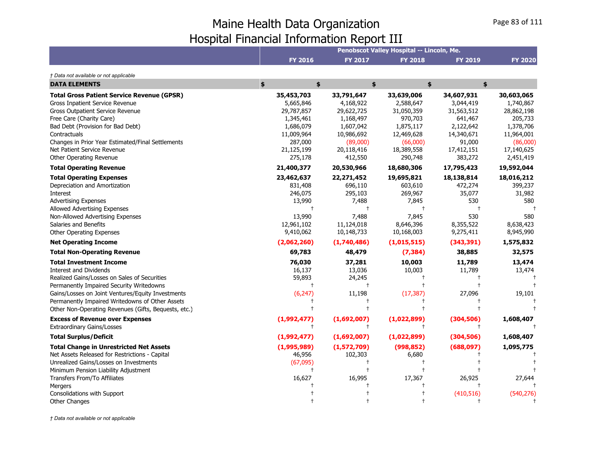|                                                                                                                                                                                                                                                                                                                                                                                                                                                                                                                                                                                                                                          |                                                                                                                                                                       |                                                                                                                                                                     | Penobscot Valley Hospital -- Lincoln, Me.                                                                                                                 |                                                                                                                                              |                                                                                                                              |
|------------------------------------------------------------------------------------------------------------------------------------------------------------------------------------------------------------------------------------------------------------------------------------------------------------------------------------------------------------------------------------------------------------------------------------------------------------------------------------------------------------------------------------------------------------------------------------------------------------------------------------------|-----------------------------------------------------------------------------------------------------------------------------------------------------------------------|---------------------------------------------------------------------------------------------------------------------------------------------------------------------|-----------------------------------------------------------------------------------------------------------------------------------------------------------|----------------------------------------------------------------------------------------------------------------------------------------------|------------------------------------------------------------------------------------------------------------------------------|
|                                                                                                                                                                                                                                                                                                                                                                                                                                                                                                                                                                                                                                          | <b>FY 2016</b>                                                                                                                                                        | <b>FY 2017</b>                                                                                                                                                      | <b>FY 2018</b>                                                                                                                                            | <b>FY 2019</b>                                                                                                                               | <b>FY 2020</b>                                                                                                               |
| † Data not available or not applicable                                                                                                                                                                                                                                                                                                                                                                                                                                                                                                                                                                                                   |                                                                                                                                                                       |                                                                                                                                                                     |                                                                                                                                                           |                                                                                                                                              |                                                                                                                              |
| <b>DATA ELEMENTS</b>                                                                                                                                                                                                                                                                                                                                                                                                                                                                                                                                                                                                                     | \$<br>\$                                                                                                                                                              | \$                                                                                                                                                                  |                                                                                                                                                           | \$<br>\$                                                                                                                                     |                                                                                                                              |
| <b>Total Gross Patient Service Revenue (GPSR)</b><br>Gross Inpatient Service Revenue<br>Gross Outpatient Service Revenue<br>Free Care (Charity Care)<br>Bad Debt (Provision for Bad Debt)<br>Contractuals<br>Changes in Prior Year Estimated/Final Settlements<br>Net Patient Service Revenue<br>Other Operating Revenue                                                                                                                                                                                                                                                                                                                 | 35,453,703<br>5,665,846<br>29,787,857<br>1,345,461<br>1,686,079<br>11,009,964<br>287,000<br>21,125,199<br>275,178                                                     | 33,791,647<br>4,168,922<br>29,622,725<br>1,168,497<br>1,607,042<br>10,986,692<br>(89,000)<br>20,118,416<br>412,550                                                  | 33,639,006<br>2,588,647<br>31,050,359<br>970,703<br>1,875,117<br>12,469,628<br>(66,000)<br>18,389,558<br>290,748                                          | 34,607,931<br>3,044,419<br>31,563,512<br>641,467<br>2,122,642<br>14,340,671<br>91,000<br>17,412,151<br>383,272                               | 30,603,065<br>1,740,867<br>28,862,198<br>205,733<br>1,378,706<br>11,964,001<br>(86,000)<br>17,140,625<br>2,451,419           |
| <b>Total Operating Revenue</b>                                                                                                                                                                                                                                                                                                                                                                                                                                                                                                                                                                                                           | 21,400,377                                                                                                                                                            | 20,530,966                                                                                                                                                          | 18,680,306                                                                                                                                                | 17,795,423                                                                                                                                   | 19,592,044                                                                                                                   |
| <b>Total Operating Expenses</b><br>Depreciation and Amortization<br>Interest<br><b>Advertising Expenses</b><br>Allowed Advertising Expenses<br>Non-Allowed Advertising Expenses<br>Salaries and Benefits<br>Other Operating Expenses<br><b>Net Operating Income</b><br><b>Total Non-Operating Revenue</b><br><b>Total Investment Income</b><br><b>Interest and Dividends</b><br>Realized Gains/Losses on Sales of Securities<br>Permanently Impaired Security Writedowns<br>Gains/Losses on Joint Ventures/Equity Investments<br>Permanently Impaired Writedowns of Other Assets<br>Other Non-Operating Revenues (Gifts, Bequests, etc.) | 23,462,637<br>831,408<br>246,075<br>13,990<br>$^{+}$<br>13,990<br>12,961,102<br>9,410,062<br>(2,062,260)<br>69,783<br>76,030<br>16,137<br>59,893<br>$\pm$<br>(6, 247) | 22,271,452<br>696,110<br>295,103<br>7,488<br>$^{+}$<br>7,488<br>11,124,018<br>10,148,733<br>(1,740,486)<br>48,479<br>37,281<br>13,036<br>24,245<br>$^{+}$<br>11,198 | 19,695,821<br>603,610<br>269,967<br>7,845<br>$\mathsf{t}$<br>7,845<br>8,646,396<br>10,168,003<br>(1,015,515)<br>(7, 384)<br>10,003<br>10,003<br>(17, 387) | 18,138,814<br>472,274<br>35,077<br>530<br>$\mathbf +$<br>530<br>8,355,522<br>9,275,411<br>(343, 391)<br>38,885<br>11,789<br>11,789<br>27,096 | 18,016,212<br>399,237<br>31,982<br>580<br>580<br>8,638,423<br>8,945,990<br>1,575,832<br>32,575<br>13,474<br>13,474<br>19,101 |
| <b>Excess of Revenue over Expenses</b><br><b>Extraordinary Gains/Losses</b>                                                                                                                                                                                                                                                                                                                                                                                                                                                                                                                                                              | (1,992,477)                                                                                                                                                           | (1,692,007)<br>$\ddagger$                                                                                                                                           | (1,022,899)<br>$\ddagger$                                                                                                                                 | (304, 506)<br>$\ddagger$                                                                                                                     | 1,608,407                                                                                                                    |
| <b>Total Surplus/Deficit</b>                                                                                                                                                                                                                                                                                                                                                                                                                                                                                                                                                                                                             | (1,992,477)                                                                                                                                                           | (1,692,007)                                                                                                                                                         | (1,022,899)                                                                                                                                               | (304, 506)                                                                                                                                   | 1,608,407                                                                                                                    |
| <b>Total Change in Unrestricted Net Assets</b><br>Net Assets Released for Restrictions - Capital<br>Unrealized Gains/Losses on Investments<br>Minimum Pension Liability Adjustment<br>Transfers From/To Affiliates<br>Mergers<br>Consolidations with Support                                                                                                                                                                                                                                                                                                                                                                             | (1,995,989)<br>46,956<br>(67,095)<br>$\pm$<br>16,627                                                                                                                  | (1,572,709)<br>102,303<br>$\pm$<br>$\ddagger$<br>16,995                                                                                                             | (998, 852)<br>6,680<br>17,367                                                                                                                             | (688, 097)<br>26,925<br>(410, 516)                                                                                                           | 1,095,775<br>27,644<br>(540, 276)                                                                                            |
| <b>Other Changes</b>                                                                                                                                                                                                                                                                                                                                                                                                                                                                                                                                                                                                                     |                                                                                                                                                                       |                                                                                                                                                                     |                                                                                                                                                           |                                                                                                                                              |                                                                                                                              |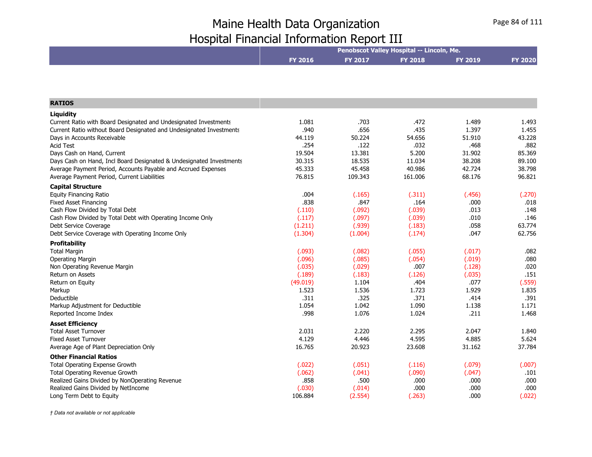|                                                                     | Penobscot Valley Hospital -- Lincoln, Me. |                |                |                |                |  |
|---------------------------------------------------------------------|-------------------------------------------|----------------|----------------|----------------|----------------|--|
|                                                                     | <b>FY 2016</b>                            | <b>FY 2017</b> | <b>FY 2018</b> | <b>FY 2019</b> | <b>FY 2020</b> |  |
|                                                                     |                                           |                |                |                |                |  |
| <b>RATIOS</b>                                                       |                                           |                |                |                |                |  |
| Liquidity                                                           |                                           |                |                |                |                |  |
| Current Ratio with Board Designated and Undesignated Investments    | 1.081                                     | .703           | .472           | 1.489          | 1.493          |  |
| Current Ratio without Board Designated and Undesignated Investments | .940                                      | .656           | .435           | 1.397          | 1.455          |  |
| Days in Accounts Receivable                                         | 44.119                                    | 50.224         | 54.656         | 51.910         | 43.228         |  |
| <b>Acid Test</b>                                                    | .254                                      | .122           | .032           | .468           | .882           |  |
| Days Cash on Hand, Current                                          | 19.504                                    | 13.381         | 5.200          | 31.902         | 85.369         |  |
| Days Cash on Hand, Incl Board Designated & Undesignated Investments | 30.315                                    | 18.535         | 11.034         | 38.208         | 89.100         |  |
| Average Payment Period, Accounts Payable and Accrued Expenses       | 45.333                                    | 45.458         | 40.986         | 42.724         | 38.798         |  |
| Average Payment Period, Current Liabilities                         | 76.815                                    | 109.343        | 161.006        | 68.176         | 96.821         |  |
| <b>Capital Structure</b>                                            |                                           |                |                |                |                |  |
| <b>Equity Financing Ratio</b>                                       | .004                                      | (.165)         | (.311)         | (.456)         | (.270)         |  |
| <b>Fixed Asset Financing</b>                                        | .838                                      | .847           | .164           | .000           | .018           |  |
| Cash Flow Divided by Total Debt                                     | (.110)                                    | (.092)         | (.039)         | .013           | .148           |  |
| Cash Flow Divided by Total Debt with Operating Income Only          | (.117)                                    | (.097)         | (.039)         | .010           | .146           |  |
| Debt Service Coverage                                               | (1.211)                                   | (.939)         | (.183)         | .058           | 63.774         |  |
| Debt Service Coverage with Operating Income Only                    | (1.304)                                   | (1.004)        | (.174)         | .047           | 62.756         |  |
| <b>Profitability</b>                                                |                                           |                |                |                |                |  |
| <b>Total Margin</b>                                                 | (.093)                                    | (.082)         | (.055)         | (.017)         | .082           |  |
| <b>Operating Margin</b>                                             | (.096)                                    | (.085)         | (.054)         | (.019)         | .080           |  |
| Non Operating Revenue Margin                                        | (.035)                                    | (.029)         | .007           | (.128)         | .020           |  |
| Return on Assets                                                    | (.189)                                    | (.183)         | (.126)         | (.035)         | .151           |  |
| Return on Equity                                                    | (49.019)                                  | 1.104          | .404           | .077           | (.559)         |  |
| Markup                                                              | 1.523                                     | 1.536          | 1.723          | 1.929          | 1.835          |  |
| Deductible                                                          | .311                                      | .325           | .371           | .414           | .391           |  |
| Markup Adjustment for Deductible                                    | 1.054                                     | 1.042          | 1.090          | 1.138          | 1.171          |  |
| Reported Income Index                                               | .998                                      | 1.076          | 1.024          | .211           | 1.468          |  |
| <b>Asset Efficiency</b>                                             |                                           |                |                |                |                |  |
| <b>Total Asset Turnover</b>                                         | 2.031                                     | 2.220          | 2.295          | 2.047          | 1.840          |  |
| <b>Fixed Asset Turnover</b>                                         | 4.129                                     | 4.446          | 4.595          | 4.885          | 5.624          |  |
| Average Age of Plant Depreciation Only                              | 16.765                                    | 20.923         | 23.608         | 31.162         | 37.784         |  |
| <b>Other Financial Ratios</b>                                       |                                           |                |                |                |                |  |
| <b>Total Operating Expense Growth</b>                               | (.022)                                    | (.051)         | (.116)         | (.079)         | (.007)         |  |
| Total Operating Revenue Growth                                      | (.062)                                    | (.041)         | (.090)         | (.047)         | .101           |  |
| Realized Gains Divided by NonOperating Revenue                      | .858                                      | .500           | .000           | .000           | .000           |  |
| Realized Gains Divided by NetIncome                                 | (.030)                                    | (.014)         | .000           | .000           | .000           |  |
| Long Term Debt to Equity                                            | 106.884                                   | (2.554)        | (.263)         | .000           | (.022)         |  |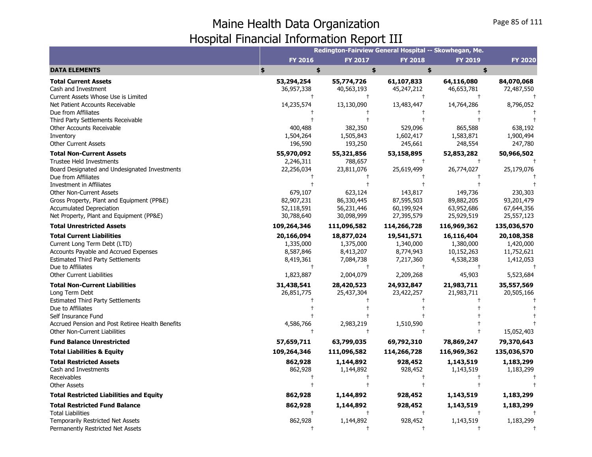|                                                                         |                       |                       |                       | Redington-Fairview General Hospital -- Skowhegan, Me. |                       |
|-------------------------------------------------------------------------|-----------------------|-----------------------|-----------------------|-------------------------------------------------------|-----------------------|
|                                                                         | <b>FY 2016</b>        | <b>FY 2017</b>        | <b>FY 2018</b>        | <b>FY 2019</b>                                        | <b>FY 2020</b>        |
| <b>DATA ELEMENTS</b>                                                    | \$<br>\$              | \$                    |                       | \$<br>\$                                              |                       |
| <b>Total Current Assets</b>                                             | 53,294,254            | 55,774,726            | 61,107,833            | 64,116,080                                            | 84,070,068            |
| Cash and Investment                                                     | 36,957,338            | 40,563,193            | 45,247,212            | 46,653,781                                            | 72,487,550            |
| Current Assets Whose Use is Limited                                     |                       | $\ddagger$            | $\pm$                 | $^+$                                                  |                       |
| Net Patient Accounts Receivable                                         | 14,235,574            | 13,130,090            | 13,483,447            | 14,764,286                                            | 8,796,052             |
| Due from Affiliates                                                     |                       |                       |                       |                                                       |                       |
| Third Party Settlements Receivable                                      |                       |                       |                       |                                                       |                       |
| Other Accounts Receivable                                               | 400,488               | 382,350               | 529,096               | 865,588                                               | 638,192               |
| Inventory                                                               | 1,504,264             | 1,505,843             | 1,602,417             | 1,583,871                                             | 1,900,494             |
| <b>Other Current Assets</b><br><b>Total Non-Current Assets</b>          | 196,590<br>55,970,092 | 193,250               | 245,661<br>53,158,895 | 248,554<br>52,853,282                                 | 247,780<br>50,966,502 |
| <b>Trustee Held Investments</b>                                         | 2,246,311             | 55,321,856<br>788,657 | $\ddagger$            |                                                       |                       |
| Board Designated and Undesignated Investments                           | 22,256,034            | 23,811,076            | 25,619,499            | 26,774,027                                            | 25,179,076            |
| Due from Affiliates                                                     |                       |                       |                       |                                                       |                       |
| <b>Investment in Affiliates</b>                                         |                       |                       |                       |                                                       |                       |
| <b>Other Non-Current Assets</b>                                         | 679,107               | 623,124               | 143,817               | 149,736                                               | 230,303               |
| Gross Property, Plant and Equipment (PP&E)                              | 82,907,231            | 86,330,445            | 87,595,503            | 89,882,205                                            | 93,201,479            |
| <b>Accumulated Depreciation</b>                                         | 52,118,591            | 56,231,446            | 60,199,924            | 63,952,686                                            | 67,644,356            |
| Net Property, Plant and Equipment (PP&E)                                | 30,788,640            | 30,098,999            | 27,395,579            | 25,929,519                                            | 25,557,123            |
| <b>Total Unrestricted Assets</b>                                        | 109,264,346           | 111,096,582           | 114,266,728           | 116,969,362                                           | 135,036,570           |
| <b>Total Current Liabilities</b>                                        | 20,166,094            | 18,877,024            | 19,541,571            | 16,116,404                                            | 20,108,358            |
| Current Long Term Debt (LTD)                                            | 1,335,000             | 1,375,000             | 1,340,000             | 1,380,000                                             | 1,420,000             |
| Accounts Payable and Accrued Expenses                                   | 8,587,846             | 8,413,207             | 8,774,943             | 10,152,263                                            | 11,752,621            |
| <b>Estimated Third Party Settlements</b>                                | 8,419,361             | 7,084,738             | 7,217,360             | 4,538,238                                             | 1,412,053             |
| Due to Affiliates                                                       | $\ddagger$            | $\ddagger$            | $\ddagger$            | $\ddagger$                                            |                       |
| <b>Other Current Liabilities</b>                                        | 1,823,887             | 2,004,079             | 2,209,268             | 45,903                                                | 5,523,684             |
| <b>Total Non-Current Liabilities</b>                                    | 31,438,541            | 28,420,523            | 24,932,847            | 21,983,711                                            | 35,557,569            |
| Long Term Debt                                                          | 26,851,775            | 25,437,304            | 23,422,257            | 21,983,711                                            | 20,505,166            |
| <b>Estimated Third Party Settlements</b>                                |                       |                       |                       |                                                       |                       |
| Due to Affiliates                                                       |                       |                       |                       |                                                       |                       |
| Self Insurance Fund<br>Accrued Pension and Post Retiree Health Benefits | 4,586,766             | 2,983,219             | 1,510,590             |                                                       |                       |
| Other Non-Current Liabilities                                           |                       | $\ddagger$            | $\ddagger$            |                                                       | 15,052,403            |
| <b>Fund Balance Unrestricted</b>                                        | 57,659,711            | 63,799,035            | 69,792,310            | 78,869,247                                            | 79,370,643            |
| <b>Total Liabilities &amp; Equity</b>                                   | 109,264,346           | 111,096,582           | 114,266,728           | 116,969,362                                           | 135,036,570           |
| <b>Total Restricted Assets</b>                                          | 862,928               | 1,144,892             | 928,452               | 1,143,519                                             | 1,183,299             |
| Cash and Investments                                                    | 862,928               | 1,144,892             | 928,452               | 1,143,519                                             | 1,183,299             |
| Receivables                                                             |                       | $\ddagger$            | $\ddagger$            |                                                       |                       |
| <b>Other Assets</b>                                                     |                       |                       | $\ddagger$            |                                                       |                       |
| <b>Total Restricted Liabilities and Equity</b>                          | 862,928               | 1,144,892             | 928,452               | 1,143,519                                             | 1,183,299             |
| <b>Total Restricted Fund Balance</b>                                    | 862,928               | 1,144,892             | 928,452               | 1,143,519                                             | 1,183,299             |
| <b>Total Liabilities</b>                                                |                       | $\ddagger$            | $\ddagger$            | $\ddagger$                                            |                       |
| <b>Temporarily Restricted Net Assets</b>                                | 862,928               | 1,144,892             | 928,452               | 1,143,519                                             | 1,183,299             |
| Permanently Restricted Net Assets                                       | $\ddagger$            | $\ddagger$            | $\ddagger$            | $\ddagger$                                            |                       |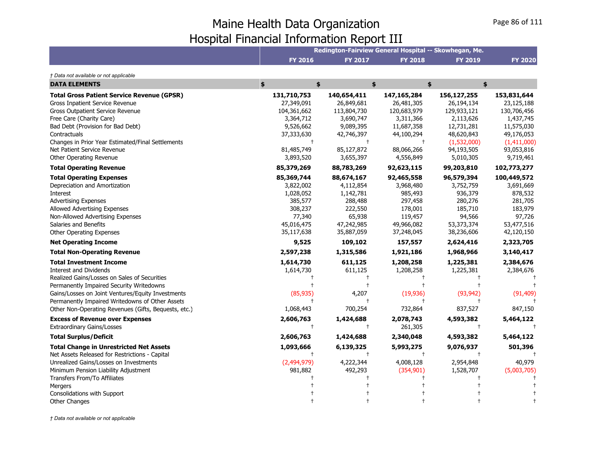|                                                      | Redington-Fairview General Hospital -- Skowhegan, Me. |                |                |                |                |  |
|------------------------------------------------------|-------------------------------------------------------|----------------|----------------|----------------|----------------|--|
|                                                      | <b>FY 2016</b>                                        | <b>FY 2017</b> | <b>FY 2018</b> | <b>FY 2019</b> | <b>FY 2020</b> |  |
| † Data not available or not applicable               |                                                       |                |                |                |                |  |
| <b>DATA ELEMENTS</b>                                 | \$<br>\$                                              |                | \$             | \$<br>\$       |                |  |
| <b>Total Gross Patient Service Revenue (GPSR)</b>    | 131,710,753                                           | 140,654,411    | 147, 165, 284  | 156,127,255    | 153,831,644    |  |
| Gross Inpatient Service Revenue                      | 27,349,091                                            | 26,849,681     | 26,481,305     | 26,194,134     | 23,125,188     |  |
| Gross Outpatient Service Revenue                     | 104,361,662                                           | 113,804,730    | 120,683,979    | 129,933,121    | 130,706,456    |  |
| Free Care (Charity Care)                             | 3,364,712                                             | 3,690,747      | 3,311,366      | 2,113,626      | 1,437,745      |  |
| Bad Debt (Provision for Bad Debt)                    | 9,526,662                                             | 9,089,395      | 11,687,358     | 12,731,281     | 11,575,030     |  |
| Contractuals                                         | 37,333,630                                            | 42,746,397     | 44,100,294     | 48,620,843     | 49,176,053     |  |
| Changes in Prior Year Estimated/Final Settlements    | $\mathsf{t}$                                          | $\ddagger$     | $\pm$          | (1,532,000)    | (1,411,000)    |  |
| Net Patient Service Revenue                          | 81,485,749                                            | 85,127,872     | 88,066,266     | 94,193,505     | 93,053,816     |  |
| Other Operating Revenue                              | 3,893,520                                             | 3,655,397      | 4,556,849      | 5,010,305      | 9,719,461      |  |
| <b>Total Operating Revenue</b>                       | 85,379,269                                            | 88,783,269     | 92,623,115     | 99,203,810     | 102,773,277    |  |
| <b>Total Operating Expenses</b>                      | 85,369,744                                            | 88,674,167     | 92,465,558     | 96,579,394     | 100,449,572    |  |
| Depreciation and Amortization                        | 3,822,002                                             | 4,112,854      | 3,968,480      | 3,752,759      | 3,691,669      |  |
| Interest                                             | 1,028,052                                             | 1,142,781      | 985,493        | 936,379        | 878,532        |  |
| <b>Advertising Expenses</b>                          | 385,577                                               | 288,488        | 297,458        | 280,276        | 281,705        |  |
| Allowed Advertising Expenses                         | 308,237                                               | 222,550        | 178,001        | 185,710        | 183,979        |  |
| Non-Allowed Advertising Expenses                     | 77,340                                                | 65,938         | 119,457        | 94,566         | 97,726         |  |
| Salaries and Benefits                                | 45,016,475                                            | 47,242,985     | 49,966,082     | 53,373,374     | 53,477,516     |  |
| Other Operating Expenses                             | 35,117,638                                            | 35,887,059     | 37,248,045     | 38,236,606     | 42,120,150     |  |
| <b>Net Operating Income</b>                          | 9,525                                                 | 109,102        | 157,557        | 2,624,416      | 2,323,705      |  |
| <b>Total Non-Operating Revenue</b>                   | 2,597,238                                             | 1,315,586      | 1,921,186      | 1,968,966      | 3,140,417      |  |
| <b>Total Investment Income</b>                       | 1,614,730                                             | 611,125        | 1,208,258      | 1,225,381      | 2,384,676      |  |
| <b>Interest and Dividends</b>                        | 1,614,730                                             | 611,125        | 1,208,258      | 1,225,381      | 2,384,676      |  |
| Realized Gains/Losses on Sales of Securities         |                                                       |                |                |                |                |  |
| Permanently Impaired Security Writedowns             |                                                       |                |                |                |                |  |
| Gains/Losses on Joint Ventures/Equity Investments    | (85, 935)                                             | 4,207          | (19,936)       | (93, 942)      | (91, 409)      |  |
| Permanently Impaired Writedowns of Other Assets      |                                                       |                |                |                |                |  |
| Other Non-Operating Revenues (Gifts, Bequests, etc.) | 1,068,443                                             | 700,254        | 732,864        | 837,527        | 847,150        |  |
| <b>Excess of Revenue over Expenses</b>               | 2,606,763                                             | 1,424,688      | 2,078,743      | 4,593,382      | 5,464,122      |  |
| <b>Extraordinary Gains/Losses</b>                    | $\ddagger$                                            | $\ddagger$     | 261,305        | $\ddagger$     |                |  |
| <b>Total Surplus/Deficit</b>                         | 2,606,763                                             | 1,424,688      | 2,340,048      | 4,593,382      | 5,464,122      |  |
| <b>Total Change in Unrestricted Net Assets</b>       | 1,093,666                                             | 6,139,325      | 5,993,275      | 9,076,937      | 501,396        |  |
| Net Assets Released for Restrictions - Capital       |                                                       |                |                |                |                |  |
| Unrealized Gains/Losses on Investments               | (2,494,979)                                           | 4,222,344      | 4,008,128      | 2,954,848      | 40,979         |  |
| Minimum Pension Liability Adjustment                 | 981,882                                               | 492,293        | (354, 901)     | 1,528,707      | (5,003,705)    |  |
| Transfers From/To Affiliates                         |                                                       |                |                |                |                |  |
| Mergers                                              |                                                       |                |                |                |                |  |
| Consolidations with Support                          |                                                       |                |                |                |                |  |
| <b>Other Changes</b>                                 |                                                       |                |                |                |                |  |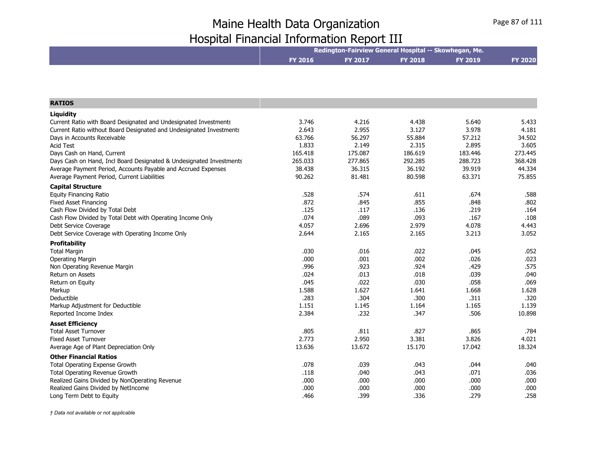|                                                                     |                | Redington-Fairview General Hospital -- Skowhegan, Me. |                |                |                |
|---------------------------------------------------------------------|----------------|-------------------------------------------------------|----------------|----------------|----------------|
|                                                                     | <b>FY 2016</b> | <b>FY 2017</b>                                        | <b>FY 2018</b> | <b>FY 2019</b> | <b>FY 2020</b> |
|                                                                     |                |                                                       |                |                |                |
| <b>RATIOS</b>                                                       |                |                                                       |                |                |                |
| Liquidity                                                           |                |                                                       |                |                |                |
| Current Ratio with Board Designated and Undesignated Investments    | 3.746          | 4.216                                                 | 4.438          | 5.640          | 5.433          |
| Current Ratio without Board Designated and Undesignated Investments | 2.643          | 2.955                                                 | 3.127          | 3.978          | 4.181          |
| Days in Accounts Receivable                                         | 63.766         | 56.297                                                | 55.884         | 57.212         | 34.502         |
| <b>Acid Test</b>                                                    | 1.833          | 2.149                                                 | 2.315          | 2.895          | 3.605          |
| Days Cash on Hand, Current                                          | 165.418        | 175.087                                               | 186.619        | 183.446        | 273.445        |
| Days Cash on Hand, Incl Board Designated & Undesignated Investments | 265.033        | 277.865                                               | 292.285        | 288.723        | 368.428        |
| Average Payment Period, Accounts Payable and Accrued Expenses       | 38.438         | 36.315                                                | 36.192         | 39.919         | 44.334         |
| Average Payment Period, Current Liabilities                         | 90.262         | 81.481                                                | 80.598         | 63.371         | 75.855         |
| <b>Capital Structure</b>                                            |                |                                                       |                |                |                |
| <b>Equity Financing Ratio</b>                                       | .528           | .574                                                  | .611           | .674           | .588           |
| <b>Fixed Asset Financing</b>                                        | .872           | .845                                                  | .855           | .848           | .802           |
| Cash Flow Divided by Total Debt                                     | .125           | .117                                                  | .136           | .219           | .164           |
| Cash Flow Divided by Total Debt with Operating Income Only          | .074           | .089                                                  | .093           | .167           | .108           |
| Debt Service Coverage                                               | 4.057          | 2.696                                                 | 2.979          | 4.078          | 4.443          |
| Debt Service Coverage with Operating Income Only                    | 2.644          | 2.165                                                 | 2.165          | 3.213          | 3.052          |
| <b>Profitability</b>                                                |                |                                                       |                |                |                |
| <b>Total Margin</b>                                                 | .030           | .016                                                  | .022           | .045           | .052           |
| <b>Operating Margin</b>                                             | .000           | .001                                                  | .002           | .026           | .023           |
| Non Operating Revenue Margin                                        | .996           | .923                                                  | .924           | .429           | .575           |
| Return on Assets                                                    | .024           | .013                                                  | .018           | .039           | .040           |
| Return on Equity                                                    | .045           | .022                                                  | .030           | .058           | .069           |
| Markup                                                              | 1.588          | 1.627                                                 | 1.641          | 1.668          | 1.628          |
| Deductible                                                          | .283           | .304                                                  | .300           | .311           | .320           |
| Markup Adjustment for Deductible                                    | 1.151          | 1.145                                                 | 1.164          | 1.165          | 1.139          |
| Reported Income Index                                               | 2.384          | .232                                                  | .347           | .506           | 10.898         |
| <b>Asset Efficiency</b>                                             |                |                                                       |                |                |                |
| <b>Total Asset Turnover</b>                                         | .805           | .811                                                  | .827           | .865           | .784           |
| <b>Fixed Asset Turnover</b>                                         | 2.773          | 2.950                                                 | 3.381          | 3.826          | 4.021          |
| Average Age of Plant Depreciation Only                              | 13.636         | 13.672                                                | 15.170         | 17.042         | 18.324         |
| <b>Other Financial Ratios</b>                                       |                |                                                       |                |                |                |
| Total Operating Expense Growth                                      | .078           | .039                                                  | .043           | .044           | .040           |
| <b>Total Operating Revenue Growth</b>                               | .118           | .040                                                  | .043           | .071           | .036           |
| Realized Gains Divided by NonOperating Revenue                      | .000           | .000                                                  | .000           | .000           | .000           |
| Realized Gains Divided by NetIncome                                 | .000           | .000                                                  | .000           | .000           | .000           |
| Long Term Debt to Equity                                            | .466           | .399                                                  | .336           | .279           | .258           |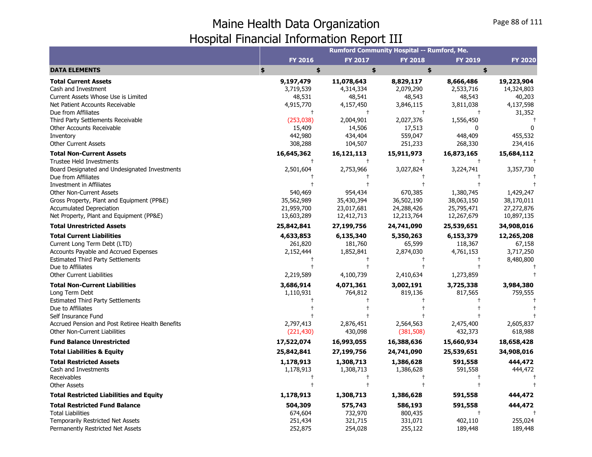|                                                  |            |            | Rumford Community Hospital -- Rumford, Me. |                |                |
|--------------------------------------------------|------------|------------|--------------------------------------------|----------------|----------------|
|                                                  | FY 2016    | FY 2017    | <b>FY 2018</b>                             | <b>FY 2019</b> | <b>FY 2020</b> |
| <b>DATA ELEMENTS</b>                             | \$<br>\$   | \$         | \$                                         | \$             |                |
| <b>Total Current Assets</b>                      | 9,197,479  | 11,078,643 | 8,829,117                                  | 8,666,486      | 19,223,904     |
| Cash and Investment                              | 3,719,539  | 4,314,334  | 2,079,290                                  | 2,533,716      | 14,324,803     |
| Current Assets Whose Use is Limited              | 48,531     | 48,541     | 48,543                                     | 48,543         | 40,203         |
| Net Patient Accounts Receivable                  | 4,915,770  | 4,157,450  | 3,846,115                                  | 3,811,038      | 4,137,598      |
| Due from Affiliates                              | $\ddagger$ | $\ddagger$ | $\ddagger$                                 | $^{+}$         | 31,352         |
| Third Party Settlements Receivable               | (253,038)  | 2,004,901  | 2,027,376                                  | 1,556,450      |                |
| Other Accounts Receivable                        | 15,409     | 14,506     | 17,513                                     | ŋ              |                |
| Inventory                                        | 442,980    | 434,404    | 559,047                                    | 448,409        | 455,532        |
| <b>Other Current Assets</b>                      | 308,288    | 104,507    | 251,233                                    | 268,330        | 234,416        |
| <b>Total Non-Current Assets</b>                  | 16,645,362 | 16,121,113 | 15,911,973                                 | 16,873,165     | 15,684,112     |
| <b>Trustee Held Investments</b>                  |            |            |                                            |                |                |
| Board Designated and Undesignated Investments    | 2,501,604  | 2,753,966  | 3,027,824                                  | 3,224,741      | 3,357,730      |
| Due from Affiliates                              |            |            |                                            |                |                |
| <b>Investment in Affiliates</b>                  |            |            |                                            |                |                |
| <b>Other Non-Current Assets</b>                  | 540,469    | 954,434    | 670,385                                    | 1,380,745      | 1,429,247      |
| Gross Property, Plant and Equipment (PP&E)       | 35,562,989 | 35,430,394 | 36,502,190                                 | 38,063,150     | 38,170,011     |
| <b>Accumulated Depreciation</b>                  | 21,959,700 | 23,017,681 | 24,288,426                                 | 25,795,471     | 27,272,876     |
| Net Property, Plant and Equipment (PP&E)         | 13,603,289 | 12,412,713 | 12,213,764                                 | 12,267,679     | 10,897,135     |
| <b>Total Unrestricted Assets</b>                 | 25,842,841 | 27,199,756 | 24,741,090                                 | 25,539,651     | 34,908,016     |
| <b>Total Current Liabilities</b>                 | 4,633,853  | 6,135,340  | 5,350,263                                  | 6,153,379      | 12,265,208     |
| Current Long Term Debt (LTD)                     | 261,820    | 181,760    | 65,599                                     | 118,367        | 67,158         |
| Accounts Payable and Accrued Expenses            | 2,152,444  | 1,852,841  | 2,874,030                                  | 4,761,153      | 3,717,250      |
| <b>Estimated Third Party Settlements</b>         |            |            |                                            |                | 8,480,800      |
| Due to Affiliates                                |            |            | $\overline{1}$                             |                |                |
| <b>Other Current Liabilities</b>                 | 2,219,589  | 4,100,739  | 2,410,634                                  | 1,273,859      |                |
| <b>Total Non-Current Liabilities</b>             | 3,686,914  | 4,071,361  | 3,002,191                                  | 3,725,338      | 3,984,380      |
| Long Term Debt                                   | 1,110,931  | 764,812    | 819,136                                    | 817,565        | 759,555        |
| <b>Estimated Third Party Settlements</b>         |            |            |                                            |                |                |
| Due to Affiliates                                |            |            |                                            |                |                |
| Self Insurance Fund                              |            |            |                                            |                |                |
| Accrued Pension and Post Retiree Health Benefits | 2,797,413  | 2,876,451  | 2,564,563                                  | 2,475,400      | 2,605,837      |
| <b>Other Non-Current Liabilities</b>             | (221, 430) | 430,098    | (381, 508)                                 | 432,373        | 618,988        |
| <b>Fund Balance Unrestricted</b>                 | 17,522,074 | 16,993,055 | 16,388,636                                 | 15,660,934     | 18,658,428     |
| <b>Total Liabilities &amp; Equity</b>            | 25,842,841 | 27,199,756 | 24,741,090                                 | 25,539,651     | 34,908,016     |
| <b>Total Restricted Assets</b>                   | 1,178,913  | 1,308,713  | 1,386,628                                  | 591,558        | 444,472        |
| Cash and Investments                             | 1,178,913  | 1,308,713  | 1,386,628                                  | 591,558        | 444,472        |
| Receivables                                      |            |            |                                            |                |                |
| <b>Other Assets</b>                              |            |            |                                            |                |                |
| <b>Total Restricted Liabilities and Equity</b>   | 1,178,913  | 1,308,713  | 1,386,628                                  | 591,558        | 444,472        |
| <b>Total Restricted Fund Balance</b>             | 504,309    | 575,743    | 586,193                                    | 591,558        | 444,472        |
| <b>Total Liabilities</b>                         | 674,604    | 732,970    | 800,435                                    |                |                |
| Temporarily Restricted Net Assets                | 251,434    | 321,715    | 331,071                                    | 402,110        | 255,024        |
| Permanently Restricted Net Assets                | 252,875    | 254,028    | 255,122                                    | 189,448        | 189,448        |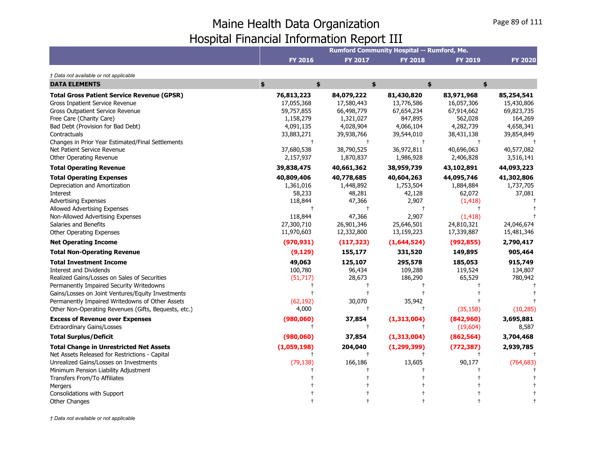|                                                                                                                                                                                                                                                                                                                                                                                                                                                                                                                                                                                                                                          |                                                                                                                                                                       |                                                                                                                                                                     | Rumford Community Hospital -- Rumford, Me.                                                                                                                    |                                                                                                                                                             |                                                                                                                                     |
|------------------------------------------------------------------------------------------------------------------------------------------------------------------------------------------------------------------------------------------------------------------------------------------------------------------------------------------------------------------------------------------------------------------------------------------------------------------------------------------------------------------------------------------------------------------------------------------------------------------------------------------|-----------------------------------------------------------------------------------------------------------------------------------------------------------------------|---------------------------------------------------------------------------------------------------------------------------------------------------------------------|---------------------------------------------------------------------------------------------------------------------------------------------------------------|-------------------------------------------------------------------------------------------------------------------------------------------------------------|-------------------------------------------------------------------------------------------------------------------------------------|
|                                                                                                                                                                                                                                                                                                                                                                                                                                                                                                                                                                                                                                          | <b>FY 2016</b>                                                                                                                                                        | <b>FY 2017</b>                                                                                                                                                      | <b>FY 2018</b>                                                                                                                                                | <b>FY 2019</b>                                                                                                                                              | <b>FY 2020</b>                                                                                                                      |
| † Data not available or not applicable                                                                                                                                                                                                                                                                                                                                                                                                                                                                                                                                                                                                   |                                                                                                                                                                       |                                                                                                                                                                     |                                                                                                                                                               |                                                                                                                                                             |                                                                                                                                     |
| <b>DATA ELEMENTS</b>                                                                                                                                                                                                                                                                                                                                                                                                                                                                                                                                                                                                                     | \$<br>\$                                                                                                                                                              | \$                                                                                                                                                                  |                                                                                                                                                               | \$<br>\$                                                                                                                                                    |                                                                                                                                     |
| <b>Total Gross Patient Service Revenue (GPSR)</b><br>Gross Inpatient Service Revenue<br><b>Gross Outpatient Service Revenue</b><br>Free Care (Charity Care)<br>Bad Debt (Provision for Bad Debt)<br>Contractuals<br>Changes in Prior Year Estimated/Final Settlements<br>Net Patient Service Revenue                                                                                                                                                                                                                                                                                                                                     | 76,813,223<br>17,055,368<br>59,757,855<br>1,158,279<br>4,091,135<br>33,883,271<br>$\ddagger$<br>37,680,538                                                            | 84,079,222<br>17,580,443<br>66,498,779<br>1,321,027<br>4,028,904<br>39,938,766<br>$\ddagger$<br>38,790,525                                                          | 81,430,820<br>13,776,586<br>67,654,234<br>847,895<br>4,066,104<br>39,544,010<br>36,972,811                                                                    | 83,971,968<br>16,057,306<br>67,914,662<br>562,028<br>4,282,739<br>38,431,138<br>40,696,063                                                                  | 85,254,541<br>15,430,806<br>69,823,735<br>164,269<br>4,658,341<br>39,854,849<br>40,577,082                                          |
| Other Operating Revenue<br><b>Total Operating Revenue</b>                                                                                                                                                                                                                                                                                                                                                                                                                                                                                                                                                                                | 2,157,937<br>39,838,475                                                                                                                                               | 1,870,837<br>40,661,362                                                                                                                                             | 1,986,928<br>38,959,739                                                                                                                                       | 2,406,828<br>43,102,891                                                                                                                                     | 3,516,141<br>44,093,223                                                                                                             |
| <b>Total Operating Expenses</b><br>Depreciation and Amortization<br>Interest<br><b>Advertising Expenses</b><br>Allowed Advertising Expenses<br>Non-Allowed Advertising Expenses<br>Salaries and Benefits<br><b>Other Operating Expenses</b><br><b>Net Operating Income</b><br><b>Total Non-Operating Revenue</b><br><b>Total Investment Income</b><br>Interest and Dividends<br>Realized Gains/Losses on Sales of Securities<br>Permanently Impaired Security Writedowns<br>Gains/Losses on Joint Ventures/Equity Investments<br>Permanently Impaired Writedowns of Other Assets<br>Other Non-Operating Revenues (Gifts, Bequests, etc.) | 40,809,406<br>1,361,016<br>58,233<br>118,844<br>118,844<br>27,300,710<br>11,970,603<br>(970, 931)<br>(9, 129)<br>49,063<br>100,780<br>(51, 717)<br>(62, 192)<br>4,000 | 40,778,685<br>1,448,892<br>48,281<br>47,366<br>47,366<br>26,901,346<br>12,332,800<br>(117, 323)<br>155,177<br>125,107<br>96,434<br>28,673<br>30,070<br>$^{\dagger}$ | 40,604,263<br>1,753,504<br>42,128<br>2,907<br>2,907<br>25,646,501<br>13,159,223<br>(1,644,524)<br>331,520<br>295,578<br>109,288<br>186,290<br>35,942<br>$\pm$ | 44,095,746<br>1,884,884<br>62,072<br>(1, 418)<br>(1, 418)<br>24,810,321<br>17,339,887<br>(992, 855)<br>149,895<br>185,053<br>119,524<br>65,529<br>(35, 158) | 41,302,806<br>1,737,705<br>37,081<br>24,046,674<br>15,481,346<br>2,790,417<br>905,464<br>915,749<br>134,807<br>780,942<br>(10, 285) |
| <b>Excess of Revenue over Expenses</b>                                                                                                                                                                                                                                                                                                                                                                                                                                                                                                                                                                                                   | (980,060)                                                                                                                                                             | 37,854                                                                                                                                                              | (1, 313, 004)                                                                                                                                                 | (842,960)                                                                                                                                                   | 3,695,881                                                                                                                           |
| <b>Extraordinary Gains/Losses</b>                                                                                                                                                                                                                                                                                                                                                                                                                                                                                                                                                                                                        |                                                                                                                                                                       | $\pm$                                                                                                                                                               |                                                                                                                                                               | (19,604)                                                                                                                                                    | 8,587                                                                                                                               |
| <b>Total Surplus/Deficit</b>                                                                                                                                                                                                                                                                                                                                                                                                                                                                                                                                                                                                             | (980,060)                                                                                                                                                             | 37,854                                                                                                                                                              | (1,313,004)                                                                                                                                                   | (862, 564)                                                                                                                                                  | 3,704,468                                                                                                                           |
| <b>Total Change in Unrestricted Net Assets</b><br>Net Assets Released for Restrictions - Capital<br>Unrealized Gains/Losses on Investments<br>Minimum Pension Liability Adjustment<br>Transfers From/To Affiliates<br>Mergers                                                                                                                                                                                                                                                                                                                                                                                                            | (1,059,198)<br>(79, 138)                                                                                                                                              | 204,040<br>166,186                                                                                                                                                  | (1, 299, 399)<br>13,605                                                                                                                                       | (772, 387)<br>90,177                                                                                                                                        | 2,939,785<br>(764, 683)                                                                                                             |
| Consolidations with Support<br><b>Other Changes</b>                                                                                                                                                                                                                                                                                                                                                                                                                                                                                                                                                                                      |                                                                                                                                                                       |                                                                                                                                                                     |                                                                                                                                                               |                                                                                                                                                             |                                                                                                                                     |
|                                                                                                                                                                                                                                                                                                                                                                                                                                                                                                                                                                                                                                          |                                                                                                                                                                       |                                                                                                                                                                     |                                                                                                                                                               |                                                                                                                                                             |                                                                                                                                     |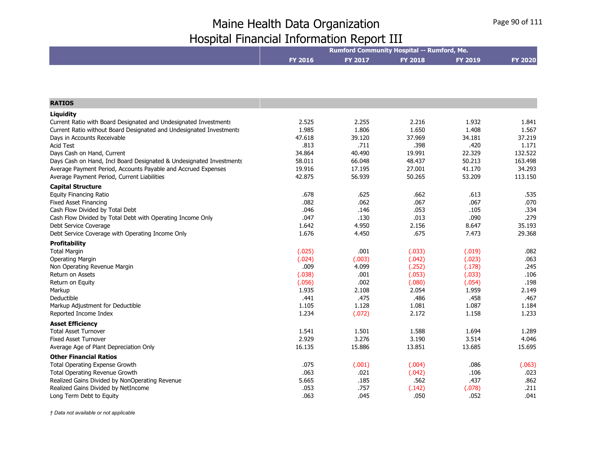|                                                                     | Rumford Community Hospital -- Rumford, Me. |              |                |                |                |  |
|---------------------------------------------------------------------|--------------------------------------------|--------------|----------------|----------------|----------------|--|
|                                                                     | <b>FY 2016</b>                             | FY 2017      | <b>FY 2018</b> | <b>FY 2019</b> | <b>FY 2020</b> |  |
|                                                                     |                                            |              |                |                |                |  |
|                                                                     |                                            |              |                |                |                |  |
|                                                                     |                                            |              |                |                |                |  |
| <b>RATIOS</b>                                                       |                                            |              |                |                |                |  |
| Liquidity                                                           |                                            |              |                |                |                |  |
| Current Ratio with Board Designated and Undesignated Investments    | 2.525                                      | 2.255        | 2.216          | 1.932          | 1.841          |  |
| Current Ratio without Board Designated and Undesignated Investments | 1.985                                      | 1.806        | 1.650          | 1.408          | 1.567          |  |
| Days in Accounts Receivable                                         | 47.618                                     | 39.120       | 37.969         | 34.181         | 37.219         |  |
| <b>Acid Test</b>                                                    | .813                                       | .711         | .398           | .420           | 1.171          |  |
| Days Cash on Hand, Current                                          | 34.864                                     | 40.490       | 19.991         | 22.329         | 132.522        |  |
| Days Cash on Hand, Incl Board Designated & Undesignated Investments | 58.011                                     | 66.048       | 48.437         | 50.213         | 163.498        |  |
| Average Payment Period, Accounts Payable and Accrued Expenses       | 19.916                                     | 17.195       | 27.001         | 41.170         | 34.293         |  |
| Average Payment Period, Current Liabilities                         | 42.875                                     | 56.939       | 50.265         | 53.209         | 113.150        |  |
| <b>Capital Structure</b>                                            |                                            |              |                |                |                |  |
| <b>Equity Financing Ratio</b>                                       | .678                                       | .625         | .662           | .613           | .535           |  |
| <b>Fixed Asset Financing</b>                                        | .082                                       | .062         | .067           | .067           | .070           |  |
| Cash Flow Divided by Total Debt                                     | .046                                       | .146         | .053           | .105           | .334           |  |
| Cash Flow Divided by Total Debt with Operating Income Only          | .047                                       | .130         | .013           | .090           | .279           |  |
| Debt Service Coverage                                               | 1.642                                      | 4.950        | 2.156          | 8.647          | 35.193         |  |
| Debt Service Coverage with Operating Income Only                    | 1.676                                      | 4.450        | .675           | 7.473          | 29.368         |  |
| <b>Profitability</b>                                                |                                            |              |                |                |                |  |
| <b>Total Margin</b>                                                 | (.025)                                     | .001         | (.033)         | (.019)         | .082           |  |
| <b>Operating Margin</b>                                             | (.024)                                     | (.003)       | (.042)         | (.023)         | .063           |  |
| Non Operating Revenue Margin                                        | .009                                       | 4.099        | (.252)         | (.178)         | .245           |  |
| Return on Assets                                                    | (.038)                                     | .001         | (.053)         | (.033)         | .106           |  |
| Return on Equity                                                    | (.056)                                     | .002         | (.080)         | (.054)         | .198           |  |
| Markup                                                              | 1.935                                      | 2.108        | 2.054          | 1.959          | 2.149          |  |
| Deductible                                                          | .441                                       | .475         | .486           | .458           | .467           |  |
| Markup Adjustment for Deductible                                    | 1.105                                      | 1.128        | 1.081          | 1.087          | 1.184          |  |
| Reported Income Index                                               | 1.234                                      | (.072)       | 2.172          | 1.158          | 1.233          |  |
| <b>Asset Efficiency</b>                                             |                                            |              |                |                |                |  |
| <b>Total Asset Turnover</b>                                         | 1.541                                      | 1.501        | 1.588          | 1.694          | 1.289          |  |
| <b>Fixed Asset Turnover</b>                                         | 2.929                                      | 3.276        | 3.190          | 3.514          | 4.046          |  |
| Average Age of Plant Depreciation Only                              | 16.135                                     | 15.886       | 13.851         | 13.685         | 15.695         |  |
| <b>Other Financial Ratios</b>                                       |                                            |              |                |                |                |  |
| Total Operating Expense Growth                                      | .075                                       | (.001)       | (.004)         | .086           | (.063)         |  |
| Total Operating Revenue Growth                                      | .063                                       | .021         | (.042)         | .106           | .023           |  |
| Realized Gains Divided by NonOperating Revenue                      | 5.665                                      | .185         | .562           | .437           | .862           |  |
| Realized Gains Divided by NetIncome                                 | .053<br>.063                               | .757<br>.045 | (.142)<br>.050 | (.078)<br>.052 | .211<br>.041   |  |
| Long Term Debt to Equity                                            |                                            |              |                |                |                |  |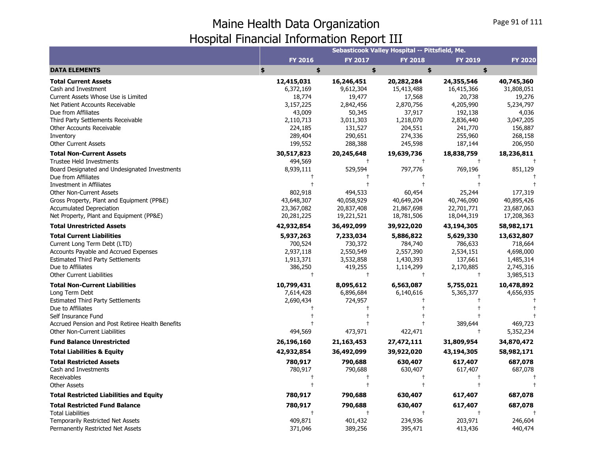|                                                  |            |                | Sebasticook Valley Hospital -- Pittsfield, Me. |                |                |
|--------------------------------------------------|------------|----------------|------------------------------------------------|----------------|----------------|
|                                                  | FY 2016    | <b>FY 2017</b> | <b>FY 2018</b>                                 | <b>FY 2019</b> | <b>FY 2020</b> |
| <b>DATA ELEMENTS</b>                             | \$<br>\$   | \$             | \$                                             | \$             |                |
| <b>Total Current Assets</b>                      | 12,415,031 | 16,246,451     | 20,282,284                                     | 24,355,546     | 40,745,360     |
| Cash and Investment                              | 6,372,169  | 9,612,304      | 15,413,488                                     | 16,415,366     | 31,808,051     |
| Current Assets Whose Use is Limited              | 18,774     | 19,477         | 17,568                                         | 20,738         | 19,276         |
| Net Patient Accounts Receivable                  | 3,157,225  | 2,842,456      | 2,870,756                                      | 4,205,990      | 5,234,797      |
| Due from Affiliates                              | 43,009     | 50,345         | 37,917                                         | 192,138        | 4,036          |
| Third Party Settlements Receivable               | 2,110,713  | 3,011,303      | 1,218,070                                      | 2,836,440      | 3,047,205      |
| Other Accounts Receivable                        | 224,185    | 131,527        | 204,551                                        | 241,770        | 156,887        |
| Inventory                                        | 289,404    | 290,651        | 274,336                                        | 255,960        | 268,158        |
| <b>Other Current Assets</b>                      | 199,552    | 288,388        | 245,598                                        | 187,144        | 206,950        |
| <b>Total Non-Current Assets</b>                  | 30,517,823 | 20,245,648     | 19,639,736                                     | 18,838,759     | 18,236,811     |
| <b>Trustee Held Investments</b>                  | 494,569    | $^{+}$         | $\ddagger$                                     | $\ddagger$     |                |
| Board Designated and Undesignated Investments    | 8,939,111  | 529,594        | 797,776                                        | 769,196        | 851,129        |
| Due from Affiliates                              |            |                |                                                |                |                |
| <b>Investment in Affiliates</b>                  |            |                |                                                |                |                |
| <b>Other Non-Current Assets</b>                  | 802,918    | 494,533        | 60,454                                         | 25,244         | 177,319        |
| Gross Property, Plant and Equipment (PP&E)       | 43,648,307 | 40,058,929     | 40,649,204                                     | 40,746,090     | 40,895,426     |
| <b>Accumulated Depreciation</b>                  | 23,367,082 | 20,837,408     | 21,867,698                                     | 22,701,771     | 23,687,063     |
| Net Property, Plant and Equipment (PP&E)         | 20,281,225 | 19,221,521     | 18,781,506                                     | 18,044,319     | 17,208,363     |
| <b>Total Unrestricted Assets</b>                 | 42,932,854 | 36,492,099     | 39,922,020                                     | 43,194,305     | 58,982,171     |
| <b>Total Current Liabilities</b>                 | 5,937,263  | 7,233,034      | 5,886,822                                      | 5,629,330      | 13,632,807     |
| Current Long Term Debt (LTD)                     | 700,524    | 730,372        | 784,740                                        | 786,633        | 718,664        |
| Accounts Payable and Accrued Expenses            | 2,937,118  | 2,550,549      | 2,557,390                                      | 2,534,151      | 4,698,000      |
| <b>Estimated Third Party Settlements</b>         | 1,913,371  | 3,532,858      | 1,430,393                                      | 137,661        | 1,485,314      |
| Due to Affiliates                                | 386,250    | 419,255        | 1,114,299                                      | 2,170,885      | 2,745,316      |
| <b>Other Current Liabilities</b>                 | $\ddagger$ | $^{+}$         | $\ddagger$                                     | $\ddagger$     | 3,985,513      |
| <b>Total Non-Current Liabilities</b>             | 10,799,431 | 8,095,612      | 6,563,087                                      | 5,755,021      | 10,478,892     |
| Long Term Debt                                   | 7,614,428  | 6,896,684      | 6,140,616                                      | 5,365,377      | 4,656,935      |
| <b>Estimated Third Party Settlements</b>         | 2,690,434  | 724,957        |                                                |                |                |
| Due to Affiliates                                |            | t              |                                                |                |                |
| Self Insurance Fund                              |            |                |                                                |                |                |
| Accrued Pension and Post Retiree Health Benefits |            |                | $\ddagger$                                     | 389,644        | 469,723        |
| <b>Other Non-Current Liabilities</b>             | 494,569    | 473,971        | 422,471                                        |                | 5,352,234      |
| <b>Fund Balance Unrestricted</b>                 | 26,196,160 | 21,163,453     | 27,472,111                                     | 31,809,954     | 34,870,472     |
| <b>Total Liabilities &amp; Equity</b>            | 42,932,854 | 36,492,099     | 39,922,020                                     | 43,194,305     | 58,982,171     |
| <b>Total Restricted Assets</b>                   | 780,917    | 790,688        | 630,407                                        | 617,407        | 687,078        |
| Cash and Investments                             | 780,917    | 790,688        | 630,407                                        | 617,407        | 687,078        |
| Receivables                                      |            |                |                                                |                |                |
| Other Assets                                     |            |                | $\ddagger$                                     |                |                |
| <b>Total Restricted Liabilities and Equity</b>   | 780,917    | 790,688        | 630,407                                        | 617,407        | 687,078        |
| <b>Total Restricted Fund Balance</b>             | 780,917    | 790,688        | 630,407                                        | 617,407        | 687,078        |
| <b>Total Liabilities</b>                         |            | $^{+}$         | $\ddagger$                                     |                |                |
| Temporarily Restricted Net Assets                | 409,871    | 401,432        | 234,936                                        | 203,971        | 246,604        |
| Permanently Restricted Net Assets                | 371,046    | 389,256        | 395,471                                        | 413,436        | 440,474        |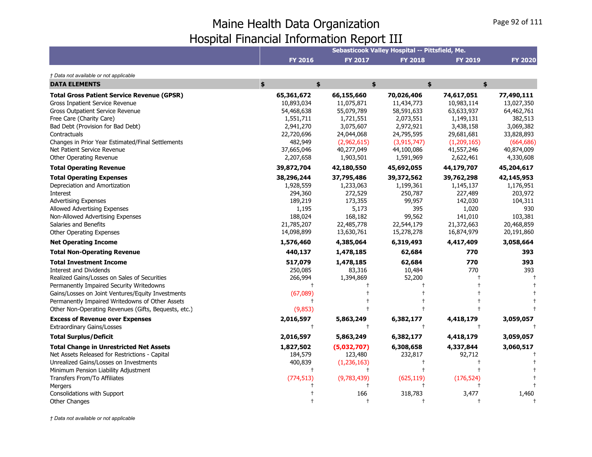|                                                                                                                                                                                                                                                                                                                                                                                                                                                                                                                                                                                                                                          |                                                                                                                                                                                                |                                                                                                                                                             | Sebasticook Valley Hospital -- Pittsfield, Me.                                                                                                 |                                                                                                                                 |                                                                                                                               |
|------------------------------------------------------------------------------------------------------------------------------------------------------------------------------------------------------------------------------------------------------------------------------------------------------------------------------------------------------------------------------------------------------------------------------------------------------------------------------------------------------------------------------------------------------------------------------------------------------------------------------------------|------------------------------------------------------------------------------------------------------------------------------------------------------------------------------------------------|-------------------------------------------------------------------------------------------------------------------------------------------------------------|------------------------------------------------------------------------------------------------------------------------------------------------|---------------------------------------------------------------------------------------------------------------------------------|-------------------------------------------------------------------------------------------------------------------------------|
|                                                                                                                                                                                                                                                                                                                                                                                                                                                                                                                                                                                                                                          | <b>FY 2016</b>                                                                                                                                                                                 | <b>FY 2017</b>                                                                                                                                              | <b>FY 2018</b>                                                                                                                                 | <b>FY 2019</b>                                                                                                                  | <b>FY 2020</b>                                                                                                                |
| † Data not available or not applicable                                                                                                                                                                                                                                                                                                                                                                                                                                                                                                                                                                                                   |                                                                                                                                                                                                |                                                                                                                                                             |                                                                                                                                                |                                                                                                                                 |                                                                                                                               |
| <b>DATA ELEMENTS</b>                                                                                                                                                                                                                                                                                                                                                                                                                                                                                                                                                                                                                     | \$<br>\$                                                                                                                                                                                       |                                                                                                                                                             | \$                                                                                                                                             | \$<br>\$                                                                                                                        |                                                                                                                               |
| <b>Total Gross Patient Service Revenue (GPSR)</b><br>Gross Inpatient Service Revenue<br>Gross Outpatient Service Revenue<br>Free Care (Charity Care)<br>Bad Debt (Provision for Bad Debt)<br>Contractuals<br>Changes in Prior Year Estimated/Final Settlements<br>Net Patient Service Revenue                                                                                                                                                                                                                                                                                                                                            | 65,361,672<br>10,893,034<br>54,468,638<br>1,551,711<br>2,941,270<br>22,720,696<br>482,949<br>37,665,046                                                                                        | 66,155,660<br>11,075,871<br>55,079,789<br>1,721,551<br>3,075,607<br>24,044,068<br>(2,962,615)<br>40,277,049                                                 | 70,026,406<br>11,434,773<br>58,591,633<br>2,073,551<br>2,972,921<br>24,795,595<br>(3,915,747)<br>44,100,086                                    | 74,617,051<br>10,983,114<br>63,633,937<br>1,149,131<br>3,438,158<br>29,681,681<br>(1,209,165)<br>41,557,246                     | 77,490,111<br>13,027,350<br>64,462,761<br>382,513<br>3,069,382<br>33,828,893<br>(664, 686)<br>40,874,009                      |
| Other Operating Revenue<br><b>Total Operating Revenue</b>                                                                                                                                                                                                                                                                                                                                                                                                                                                                                                                                                                                | 2,207,658<br>39,872,704                                                                                                                                                                        | 1,903,501<br>42,180,550                                                                                                                                     | 1,591,969<br>45,692,055                                                                                                                        | 2,622,461<br>44,179,707                                                                                                         | 4,330,608<br>45,204,617                                                                                                       |
| <b>Total Operating Expenses</b><br>Depreciation and Amortization<br>Interest<br><b>Advertising Expenses</b><br>Allowed Advertising Expenses<br>Non-Allowed Advertising Expenses<br>Salaries and Benefits<br>Other Operating Expenses<br><b>Net Operating Income</b><br><b>Total Non-Operating Revenue</b><br><b>Total Investment Income</b><br><b>Interest and Dividends</b><br>Realized Gains/Losses on Sales of Securities<br>Permanently Impaired Security Writedowns<br>Gains/Losses on Joint Ventures/Equity Investments<br>Permanently Impaired Writedowns of Other Assets<br>Other Non-Operating Revenues (Gifts, Bequests, etc.) | 38,296,244<br>1,928,559<br>294,360<br>189,219<br>1,195<br>188,024<br>21,785,207<br>14,098,899<br>1,576,460<br>440,137<br>517,079<br>250,085<br>266,994<br>$\mathsf{t}$<br>(67,089)<br>(9, 853) | 37,795,486<br>1,233,063<br>272,529<br>173,355<br>5,173<br>168,182<br>22,485,778<br>13,630,761<br>4,385,064<br>1,478,185<br>1,478,185<br>83,316<br>1,394,869 | 39,372,562<br>1,199,361<br>250,787<br>99,957<br>395<br>99,562<br>22,544,179<br>15,278,278<br>6,319,493<br>62,684<br>62,684<br>10,484<br>52,200 | 39,762,298<br>1,145,137<br>227,489<br>142,030<br>1,020<br>141,010<br>21,372,663<br>16,874,979<br>4,417,409<br>770<br>770<br>770 | 42,145,953<br>1,176,951<br>203,972<br>104,311<br>930<br>103,381<br>20,468,859<br>20,191,860<br>3,058,664<br>393<br>393<br>393 |
| <b>Excess of Revenue over Expenses</b><br><b>Extraordinary Gains/Losses</b>                                                                                                                                                                                                                                                                                                                                                                                                                                                                                                                                                              | 2,016,597<br>$^{+}$                                                                                                                                                                            | 5,863,249<br>$\ddagger$                                                                                                                                     | 6,382,177<br>$\ddagger$                                                                                                                        | 4,418,179<br>$\ddagger$                                                                                                         | 3,059,057                                                                                                                     |
| <b>Total Surplus/Deficit</b>                                                                                                                                                                                                                                                                                                                                                                                                                                                                                                                                                                                                             | 2,016,597                                                                                                                                                                                      | 5,863,249                                                                                                                                                   | 6,382,177                                                                                                                                      | 4,418,179                                                                                                                       | 3,059,057                                                                                                                     |
| <b>Total Change in Unrestricted Net Assets</b><br>Net Assets Released for Restrictions - Capital<br>Unrealized Gains/Losses on Investments<br>Minimum Pension Liability Adjustment<br>Transfers From/To Affiliates<br>Mergers<br>Consolidations with Support                                                                                                                                                                                                                                                                                                                                                                             | 1,827,502<br>184,579<br>400,839<br>$\ddagger$<br>(774, 513)                                                                                                                                    | (5,032,707)<br>123,480<br>(1, 236, 163)<br>$^{+}$<br>(9,783,439)<br>166                                                                                     | 6,308,658<br>232,817<br>(625, 119)<br>318,783                                                                                                  | 4,337,844<br>92,712<br>(176, 524)<br>3,477                                                                                      | 3,060,517<br>1,460                                                                                                            |
| <b>Other Changes</b>                                                                                                                                                                                                                                                                                                                                                                                                                                                                                                                                                                                                                     |                                                                                                                                                                                                |                                                                                                                                                             |                                                                                                                                                |                                                                                                                                 |                                                                                                                               |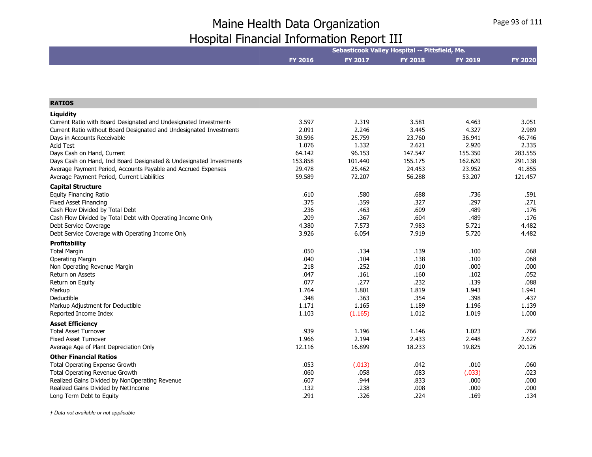|                                                                     | Sebasticook Valley Hospital -- Pittsfield, Me. |         |                |                |                |  |
|---------------------------------------------------------------------|------------------------------------------------|---------|----------------|----------------|----------------|--|
|                                                                     | <b>FY 2016</b>                                 | FY 2017 | <b>FY 2018</b> | <b>FY 2019</b> | <b>FY 2020</b> |  |
|                                                                     |                                                |         |                |                |                |  |
|                                                                     |                                                |         |                |                |                |  |
| <b>RATIOS</b>                                                       |                                                |         |                |                |                |  |
| <b>Liquidity</b>                                                    |                                                |         |                |                |                |  |
| Current Ratio with Board Designated and Undesignated Investments    | 3.597                                          | 2.319   | 3.581          | 4.463          | 3.051          |  |
| Current Ratio without Board Designated and Undesignated Investments | 2.091                                          | 2.246   | 3.445          | 4.327          | 2.989          |  |
| Days in Accounts Receivable                                         | 30.596                                         | 25.759  | 23.760         | 36.941         | 46.746         |  |
| <b>Acid Test</b>                                                    | 1.076                                          | 1.332   | 2.621          | 2.920          | 2.335          |  |
| Days Cash on Hand, Current                                          | 64.142                                         | 96.153  | 147.547        | 155.350        | 283.555        |  |
| Days Cash on Hand, Incl Board Designated & Undesignated Investments | 153.858                                        | 101.440 | 155.175        | 162.620        | 291.138        |  |
| Average Payment Period, Accounts Payable and Accrued Expenses       | 29.478                                         | 25.462  | 24.453         | 23.952         | 41.855         |  |
| Average Payment Period, Current Liabilities                         | 59.589                                         | 72.207  | 56.288         | 53.207         | 121.457        |  |
| <b>Capital Structure</b>                                            |                                                |         |                |                |                |  |
| Equity Financing Ratio                                              | .610                                           | .580    | .688           | .736           | .591           |  |
| <b>Fixed Asset Financing</b>                                        | .375                                           | .359    | .327           | .297           | .271           |  |
| Cash Flow Divided by Total Debt                                     | .236                                           | .463    | .609           | .489           | .176           |  |
| Cash Flow Divided by Total Debt with Operating Income Only          | .209                                           | .367    | .604           | .489           | .176           |  |
| Debt Service Coverage                                               | 4.380                                          | 7.573   | 7.983          | 5.721          | 4.482          |  |
| Debt Service Coverage with Operating Income Only                    | 3.926                                          | 6.054   | 7.919          | 5.720          | 4.482          |  |
| <b>Profitability</b>                                                |                                                |         |                |                |                |  |
| <b>Total Margin</b>                                                 | .050                                           | .134    | .139           | .100           | .068           |  |
| <b>Operating Margin</b>                                             | .040                                           | .104    | .138           | .100           | .068           |  |
| Non Operating Revenue Margin                                        | .218                                           | .252    | .010           | .000           | .000           |  |
| <b>Return on Assets</b>                                             | .047                                           | .161    | .160           | .102           | .052           |  |
| Return on Equity                                                    | .077                                           | .277    | .232           | .139           | .088           |  |
| Markup                                                              | 1.764                                          | 1.801   | 1.819          | 1.943          | 1.941          |  |
| Deductible                                                          | .348                                           | .363    | .354           | .398           | .437           |  |
| Markup Adjustment for Deductible                                    | 1.171                                          | 1.165   | 1.189          | 1.196          | 1.139          |  |
| Reported Income Index                                               | 1.103                                          | (1.165) | 1.012          | 1.019          | 1.000          |  |
| <b>Asset Efficiency</b>                                             |                                                |         |                |                |                |  |
| <b>Total Asset Turnover</b>                                         | .939                                           | 1.196   | 1.146          | 1.023          | .766           |  |
| <b>Fixed Asset Turnover</b>                                         | 1.966                                          | 2.194   | 2.433          | 2.448          | 2.627          |  |
| Average Age of Plant Depreciation Only                              | 12.116                                         | 16.899  | 18.233         | 19.825         | 20.126         |  |
| <b>Other Financial Ratios</b>                                       |                                                |         |                |                |                |  |
| Total Operating Expense Growth                                      | .053                                           | (.013)  | .042           | .010           | .060           |  |
| Total Operating Revenue Growth                                      | .060                                           | .058    | .083           | (.033)         | .023           |  |
| Realized Gains Divided by NonOperating Revenue                      | .607                                           | .944    | .833           | .000           | .000           |  |
| Realized Gains Divided by NetIncome                                 | .132                                           | .238    | .008           | .000           | .000           |  |
| Long Term Debt to Equity                                            | .291                                           | .326    | .224           | .169           | .134           |  |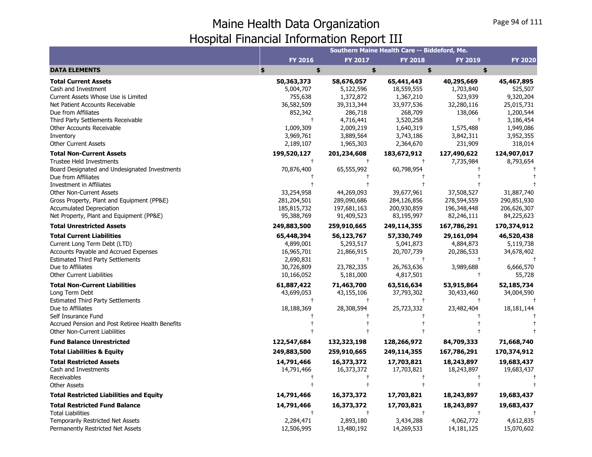|                                                  |                |             | Southern Maine Health Care -- Biddeford, Me. |                |                |
|--------------------------------------------------|----------------|-------------|----------------------------------------------|----------------|----------------|
|                                                  | <b>FY 2016</b> | FY 2017     | <b>FY 2018</b>                               | <b>FY 2019</b> | <b>FY 2020</b> |
| <b>DATA ELEMENTS</b>                             | \$<br>\$       | \$          | \$                                           | \$             |                |
| <b>Total Current Assets</b>                      | 50,363,373     | 58,676,057  | 65,441,443                                   | 40,295,669     | 45,467,895     |
| Cash and Investment                              | 5,004,707      | 5,122,596   | 18,559,555                                   | 1,703,840      | 525,507        |
| Current Assets Whose Use is Limited              | 755,638        | 1,372,872   | 1,367,210                                    | 523,939        | 9,320,204      |
| Net Patient Accounts Receivable                  | 36,582,509     | 39,313,344  | 33,977,536                                   | 32,280,116     | 25,015,731     |
| Due from Affiliates                              | 852,342        | 286,718     | 268,709                                      | 138,066        | 1,200,544      |
| Third Party Settlements Receivable               |                | 4,716,441   | 3,520,258                                    |                | 3,186,454      |
| Other Accounts Receivable                        | 1,009,309      | 2,009,219   | 1,640,319                                    | 1,575,488      | 1,949,086      |
| Inventory                                        | 3,969,761      | 3,889,564   | 3,743,186                                    | 3,842,311      | 3,952,355      |
| <b>Other Current Assets</b>                      | 2,189,107      | 1,965,303   | 2,364,670                                    | 231,909        | 318,014        |
| <b>Total Non-Current Assets</b>                  | 199,520,127    | 201,234,608 | 183,672,912                                  | 127,490,622    | 124,907,017    |
| <b>Trustee Held Investments</b>                  |                | $\pm$       | $\pm$                                        | 7,735,984      | 8,793,654      |
| Board Designated and Undesignated Investments    | 70,876,400     | 65,555,992  | 60,798,954                                   |                |                |
| Due from Affiliates                              |                |             |                                              |                |                |
| <b>Investment in Affiliates</b>                  |                |             |                                              |                |                |
| <b>Other Non-Current Assets</b>                  | 33,254,958     | 44,269,093  | 39,677,961                                   | 37,508,527     | 31,887,740     |
| Gross Property, Plant and Equipment (PP&E)       | 281,204,501    | 289,090,686 | 284,126,856                                  | 278,594,559    | 290,851,930    |
| <b>Accumulated Depreciation</b>                  | 185,815,732    | 197,681,163 | 200,930,859                                  | 196,348,448    | 206,626,307    |
| Net Property, Plant and Equipment (PP&E)         | 95,388,769     | 91,409,523  | 83,195,997                                   | 82,246,111     | 84,225,623     |
| <b>Total Unrestricted Assets</b>                 | 249,883,500    | 259,910,665 | 249,114,355                                  | 167,786,291    | 170,374,912    |
| <b>Total Current Liabilities</b>                 | 65,448,394     | 56,123,767  | 57,330,749                                   | 29,161,094     | 46,520,438     |
| Current Long Term Debt (LTD)                     | 4,899,001      | 5,293,517   | 5,041,873                                    | 4,884,873      | 5,119,738      |
| <b>Accounts Payable and Accrued Expenses</b>     | 16,965,701     | 21,866,915  | 20,707,739                                   | 20,286,533     | 34,678,402     |
| <b>Estimated Third Party Settlements</b>         | 2,690,831      |             |                                              |                |                |
| Due to Affiliates                                | 30,726,809     | 23,782,335  | 26,763,636                                   | 3,989,688      | 6,666,570      |
| <b>Other Current Liabilities</b>                 | 10,166,052     | 5,181,000   | 4,817,501                                    | $\ddagger$     | 55,728         |
| <b>Total Non-Current Liabilities</b>             | 61,887,422     | 71,463,700  | 63,516,634                                   | 53,915,864     | 52,185,734     |
| Long Term Debt                                   | 43,699,053     | 43,155,106  | 37,793,302                                   | 30,433,460     | 34,004,590     |
| <b>Estimated Third Party Settlements</b>         |                |             | $\ddagger$                                   |                |                |
| Due to Affiliates                                | 18,188,369     | 28,308,594  | 25,723,332                                   | 23,482,404     | 18, 181, 144   |
| Self Insurance Fund                              |                |             |                                              |                |                |
| Accrued Pension and Post Retiree Health Benefits |                |             |                                              |                |                |
| <b>Other Non-Current Liabilities</b>             |                |             |                                              |                |                |
| <b>Fund Balance Unrestricted</b>                 | 122,547,684    | 132,323,198 | 128,266,972                                  | 84,709,333     | 71,668,740     |
| <b>Total Liabilities &amp; Equity</b>            | 249,883,500    | 259,910,665 | 249,114,355                                  | 167,786,291    | 170,374,912    |
| <b>Total Restricted Assets</b>                   | 14,791,466     | 16,373,372  | 17,703,821                                   | 18,243,897     | 19,683,437     |
| Cash and Investments                             | 14,791,466     | 16,373,372  | 17,703,821                                   | 18,243,897     | 19,683,437     |
| Receivables                                      |                |             |                                              |                |                |
| <b>Other Assets</b>                              |                |             |                                              |                |                |
| <b>Total Restricted Liabilities and Equity</b>   | 14,791,466     | 16,373,372  | 17,703,821                                   | 18,243,897     | 19,683,437     |
| <b>Total Restricted Fund Balance</b>             | 14,791,466     | 16,373,372  | 17,703,821                                   | 18,243,897     | 19,683,437     |
| <b>Total Liabilities</b>                         |                |             | $\pm$                                        |                |                |
| Temporarily Restricted Net Assets                | 2,284,471      | 2,893,180   | 3,434,288                                    | 4,062,772      | 4,612,835      |
| Permanently Restricted Net Assets                | 12,506,995     | 13,480,192  | 14,269,533                                   | 14,181,125     | 15,070,602     |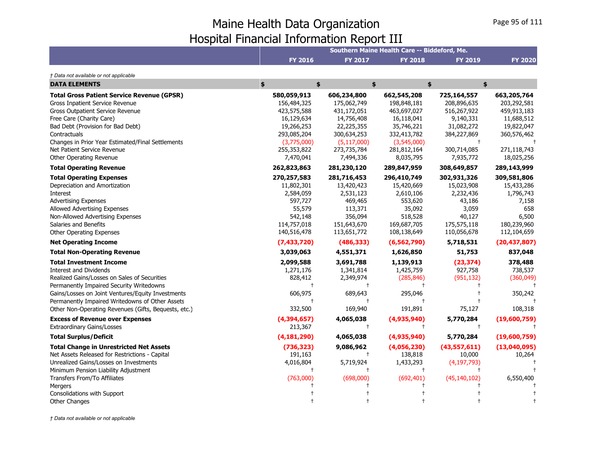|                                                      |                |                | Southern Maine Health Care -- Biddeford, Me. |                |                |
|------------------------------------------------------|----------------|----------------|----------------------------------------------|----------------|----------------|
|                                                      | <b>FY 2016</b> | <b>FY 2017</b> | <b>FY 2018</b>                               | <b>FY 2019</b> | <b>FY 2020</b> |
| † Data not available or not applicable               |                |                |                                              |                |                |
| <b>DATA ELEMENTS</b>                                 | \$<br>\$       |                | \$                                           | \$             | \$             |
| <b>Total Gross Patient Service Revenue (GPSR)</b>    | 580,059,913    | 606,234,800    | 662,545,208                                  | 725,164,557    | 663,205,764    |
| Gross Inpatient Service Revenue                      | 156,484,325    | 175,062,749    | 198,848,181                                  | 208,896,635    | 203,292,581    |
| <b>Gross Outpatient Service Revenue</b>              | 423,575,588    | 431,172,051    | 463,697,027                                  | 516,267,922    | 459,913,183    |
| Free Care (Charity Care)                             | 16,129,634     | 14,756,408     | 16,118,041                                   | 9,140,331      | 11,688,512     |
| Bad Debt (Provision for Bad Debt)                    | 19,266,253     | 22,225,355     | 35,746,221                                   | 31,082,272     | 19,822,047     |
| Contractuals                                         | 293,085,204    | 300,634,253    | 332,413,782                                  | 384,227,869    | 360,576,462    |
| Changes in Prior Year Estimated/Final Settlements    | (3,775,000)    | (5, 117, 000)  | (3,545,000)                                  | $\ddagger$     |                |
| Net Patient Service Revenue                          | 255,353,822    | 273,735,784    | 281,812,164                                  | 300,714,085    | 271,118,743    |
| Other Operating Revenue                              | 7,470,041      | 7,494,336      | 8,035,795                                    | 7,935,772      | 18,025,256     |
| <b>Total Operating Revenue</b>                       | 262,823,863    | 281,230,120    | 289,847,959                                  | 308,649,857    | 289,143,999    |
| <b>Total Operating Expenses</b>                      | 270,257,583    | 281,716,453    | 296,410,749                                  | 302,931,326    | 309,581,806    |
| Depreciation and Amortization                        | 11,802,301     | 13,420,423     | 15,420,669                                   | 15,023,908     | 15,433,286     |
| Interest                                             | 2,584,059      | 2,531,123      | 2,610,106                                    | 2,232,436      | 1,796,743      |
| <b>Advertising Expenses</b>                          | 597,727        | 469,465        | 553,620                                      | 43,186         | 7,158          |
| <b>Allowed Advertising Expenses</b>                  | 55,579         | 113,371        | 35,092                                       | 3,059          | 658            |
| Non-Allowed Advertising Expenses                     | 542,148        | 356,094        | 518,528                                      | 40,127         | 6,500          |
| Salaries and Benefits                                | 114,757,018    | 151,643,670    | 169,687,705                                  | 175,575,118    | 180,239,960    |
| <b>Other Operating Expenses</b>                      | 140,516,478    | 113,651,772    | 108,138,649                                  | 110,056,678    | 112,104,659    |
| <b>Net Operating Income</b>                          | (7,433,720)    | (486, 333)     | (6, 562, 790)                                | 5,718,531      | (20, 437, 807) |
| <b>Total Non-Operating Revenue</b>                   | 3,039,063      | 4,551,371      | 1,626,850                                    | 51,753         | 837,048        |
| <b>Total Investment Income</b>                       | 2,099,588      | 3,691,788      | 1,139,913                                    | (23, 374)      | 378,488        |
| <b>Interest and Dividends</b>                        | 1,271,176      | 1,341,814      | 1,425,759                                    | 927,758        | 738,537        |
| Realized Gains/Losses on Sales of Securities         | 828,412        | 2,349,974      | (285, 846)                                   | (951, 132)     | (360, 049)     |
| Permanently Impaired Security Writedowns             | $\ddagger$     | $^{+}$         | $\pm$                                        |                |                |
| Gains/Losses on Joint Ventures/Equity Investments    | 606,975        | 689,643        | 295,046                                      |                | 350,242        |
| Permanently Impaired Writedowns of Other Assets      | $\ddagger$     |                |                                              |                |                |
| Other Non-Operating Revenues (Gifts, Bequests, etc.) | 332,500        | 169,940        | 191,891                                      | 75,127         | 108,318        |
| <b>Excess of Revenue over Expenses</b>               | (4,394,657)    | 4,065,038      | (4,935,940)                                  | 5,770,284      | (19,600,759)   |
| <b>Extraordinary Gains/Losses</b>                    | 213,367        | $^{+}$         | $^{+}$                                       | $\ddagger$     |                |
| <b>Total Surplus/Deficit</b>                         | (4, 181, 290)  | 4,065,038      | (4,935,940)                                  | 5,770,284      | (19,600,759)   |
| <b>Total Change in Unrestricted Net Assets</b>       | (736, 323)     | 9,086,962      | (4,056,230)                                  | (43,557,611)   | (13,040,095)   |
| Net Assets Released for Restrictions - Capital       | 191,163        | $^{+}$         | 138,818                                      | 10,000         | 10,264         |
| Unrealized Gains/Losses on Investments               | 4,016,804      | 5,719,924      | 1,433,293                                    | (4, 197, 793)  |                |
| Minimum Pension Liability Adjustment                 | $\ddagger$     | $^{+}$         | $\ddagger$                                   |                |                |
| Transfers From/To Affiliates                         | (763,000)      | (698,000)      | (692, 401)                                   | (45, 140, 102) | 6,550,400      |
| Mergers                                              |                |                |                                              |                |                |
| Consolidations with Support                          |                |                |                                              |                |                |
| <b>Other Changes</b>                                 |                |                |                                              |                |                |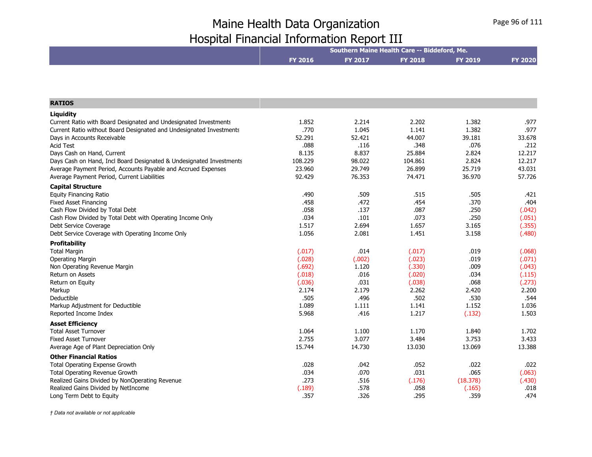|                                                                     |                |                | Southern Maine Health Care -- Biddeford, Me. |          |                |
|---------------------------------------------------------------------|----------------|----------------|----------------------------------------------|----------|----------------|
|                                                                     | <b>FY 2016</b> | <b>FY 2017</b> | <b>FY 2018</b>                               | FY 2019  | <b>FY 2020</b> |
|                                                                     |                |                |                                              |          |                |
|                                                                     |                |                |                                              |          |                |
| <b>RATIOS</b>                                                       |                |                |                                              |          |                |
| Liquidity                                                           |                |                |                                              |          |                |
| Current Ratio with Board Designated and Undesignated Investments    | 1.852          | 2.214          | 2.202                                        | 1.382    | .977           |
| Current Ratio without Board Designated and Undesignated Investments | .770           | 1.045          | 1.141                                        | 1.382    | .977           |
| Days in Accounts Receivable                                         | 52.291         | 52.421         | 44.007                                       | 39.181   | 33.678         |
| <b>Acid Test</b>                                                    | .088           | .116           | .348                                         | .076     | .212           |
| Days Cash on Hand, Current                                          | 8.135          | 8.837          | 25.884                                       | 2.824    | 12.217         |
| Days Cash on Hand, Incl Board Designated & Undesignated Investments | 108.229        | 98.022         | 104.861                                      | 2.824    | 12.217         |
| Average Payment Period, Accounts Payable and Accrued Expenses       | 23.960         | 29.749         | 26.899                                       | 25.719   | 43.031         |
| Average Payment Period, Current Liabilities                         | 92.429         | 76.353         | 74.471                                       | 36.970   | 57.726         |
| <b>Capital Structure</b>                                            |                |                |                                              |          |                |
| <b>Equity Financing Ratio</b>                                       | .490           | .509           | .515                                         | .505     | .421           |
| <b>Fixed Asset Financing</b>                                        | .458           | .472           | .454                                         | .370     | .404           |
| Cash Flow Divided by Total Debt                                     | .058           | .137           | .087                                         | .250     | (.042)         |
| Cash Flow Divided by Total Debt with Operating Income Only          | .034           | .101           | .073                                         | .250     | (.051)         |
| Debt Service Coverage                                               | 1.517          | 2.694          | 1.657                                        | 3.165    | (.355)         |
| Debt Service Coverage with Operating Income Only                    | 1.056          | 2.081          | 1.451                                        | 3.158    | (.480)         |
| Profitability                                                       |                |                |                                              |          |                |
| <b>Total Margin</b>                                                 | (.017)         | .014           | (.017)                                       | .019     | (.068)         |
| <b>Operating Margin</b>                                             | (.028)         | (.002)         | (.023)                                       | .019     | (.071)         |
| Non Operating Revenue Margin                                        | (.692)         | 1.120          | (.330)                                       | .009     | (.043)         |
| Return on Assets                                                    | (.018)         | .016           | (.020)                                       | .034     | (.115)         |
| Return on Equity                                                    | (.036)         | .031           | (.038)                                       | .068     | (.273)         |
| Markup                                                              | 2.174          | 2.179          | 2.262                                        | 2.420    | 2.200          |
| Deductible                                                          | .505           | .496           | .502                                         | .530     | .544           |
| Markup Adjustment for Deductible                                    | 1.089          | 1.111          | 1.141                                        | 1.152    | 1.036          |
| Reported Income Index                                               | 5.968          | .416           | 1.217                                        | (.132)   | 1.503          |
| <b>Asset Efficiency</b>                                             |                |                |                                              |          |                |
| <b>Total Asset Turnover</b>                                         | 1.064          | 1.100          | 1.170                                        | 1.840    | 1.702          |
| <b>Fixed Asset Turnover</b>                                         | 2.755          | 3.077          | 3.484                                        | 3.753    | 3.433          |
| Average Age of Plant Depreciation Only                              | 15.744         | 14.730         | 13.030                                       | 13.069   | 13.388         |
| <b>Other Financial Ratios</b>                                       |                |                |                                              |          |                |
| Total Operating Expense Growth                                      | .028           | .042           | .052                                         | .022     | .022           |
| <b>Total Operating Revenue Growth</b>                               | .034           | .070           | .031                                         | .065     | (.063)         |
| Realized Gains Divided by NonOperating Revenue                      | .273           | .516           | (.176)                                       | (18.378) | (.430)         |
| Realized Gains Divided by NetIncome                                 | (.189)         | .578           | .058                                         | (.165)   | .018           |
| Long Term Debt to Equity                                            | .357           | .326           | .295                                         | .359     | .474           |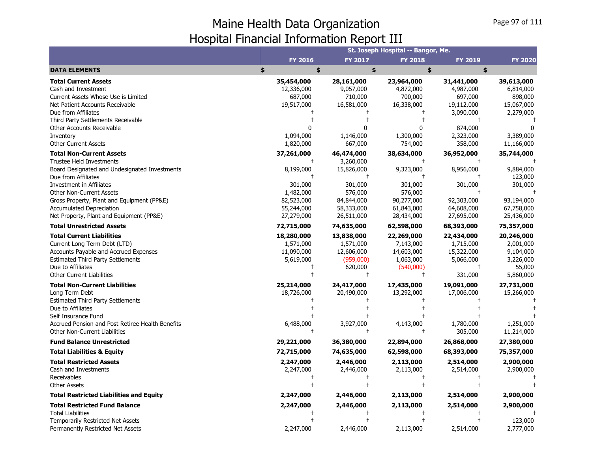|                                                                                                                                                                                                                                                                                                                                        |                                                                                                                       |                                                                                                       | St. Joseph Hospital -- Bangor, Me.                                                                                  |                                                                                                 |                                                                                         |
|----------------------------------------------------------------------------------------------------------------------------------------------------------------------------------------------------------------------------------------------------------------------------------------------------------------------------------------|-----------------------------------------------------------------------------------------------------------------------|-------------------------------------------------------------------------------------------------------|---------------------------------------------------------------------------------------------------------------------|-------------------------------------------------------------------------------------------------|-----------------------------------------------------------------------------------------|
|                                                                                                                                                                                                                                                                                                                                        | <b>FY 2016</b>                                                                                                        | <b>FY 2017</b>                                                                                        | <b>FY 2018</b>                                                                                                      | <b>FY 2019</b>                                                                                  | <b>FY 2020</b>                                                                          |
| <b>DATA ELEMENTS</b>                                                                                                                                                                                                                                                                                                                   | \$<br>\$                                                                                                              | \$                                                                                                    | \$                                                                                                                  | \$                                                                                              |                                                                                         |
| <b>Total Current Assets</b><br>Cash and Investment<br>Current Assets Whose Use is Limited<br>Net Patient Accounts Receivable<br>Due from Affiliates<br>Third Party Settlements Receivable<br><b>Other Accounts Receivable</b><br>Inventory                                                                                             | 35,454,000<br>12,336,000<br>687,000<br>19,517,000<br>1,094,000                                                        | 28,161,000<br>9,057,000<br>710,000<br>16,581,000<br>0<br>1,146,000                                    | 23,964,000<br>4,872,000<br>700,000<br>16,338,000<br>$\ddagger$<br>$\mathbf{0}$<br>1,300,000                         | 31,441,000<br>4,987,000<br>697,000<br>19,112,000<br>3,090,000<br>$^{+}$<br>874,000<br>2,323,000 | 39,613,000<br>6,814,000<br>898,000<br>15,067,000<br>2,279,000<br>3,389,000              |
| <b>Other Current Assets</b>                                                                                                                                                                                                                                                                                                            | 1,820,000                                                                                                             | 667,000                                                                                               | 754,000                                                                                                             | 358,000                                                                                         | 11,166,000                                                                              |
| <b>Total Non-Current Assets</b><br><b>Trustee Held Investments</b><br>Board Designated and Undesignated Investments<br>Due from Affiliates<br>Investment in Affiliates<br><b>Other Non-Current Assets</b><br>Gross Property, Plant and Equipment (PP&E)<br><b>Accumulated Depreciation</b><br>Net Property, Plant and Equipment (PP&E) | 37,261,000<br>$\ddagger$<br>8,199,000<br>$\ddagger$<br>301,000<br>1,482,000<br>82,523,000<br>55,244,000<br>27,279,000 | 46,474,000<br>3,260,000<br>15,826,000<br>301,000<br>576,000<br>84,844,000<br>58,333,000<br>26,511,000 | 38,634,000<br>$\ddagger$<br>9,323,000<br>$\ddagger$<br>301,000<br>576,000<br>90,277,000<br>61,843,000<br>28,434,000 | 36,952,000<br>8,956,000<br>301,000<br>$\ddagger$<br>92,303,000<br>64,608,000<br>27,695,000      | 35,744,000<br>9,884,000<br>123,000<br>301,000<br>93,194,000<br>67,758,000<br>25,436,000 |
| <b>Total Unrestricted Assets</b>                                                                                                                                                                                                                                                                                                       | 72,715,000                                                                                                            | 74,635,000                                                                                            | 62,598,000                                                                                                          | 68,393,000                                                                                      | 75,357,000                                                                              |
| <b>Total Current Liabilities</b><br>Current Long Term Debt (LTD)<br>Accounts Payable and Accrued Expenses<br><b>Estimated Third Party Settlements</b><br>Due to Affiliates<br><b>Other Current Liabilities</b>                                                                                                                         | 18,280,000<br>1,571,000<br>11,090,000<br>5,619,000<br>$\pm$                                                           | 13,838,000<br>1,571,000<br>12,606,000<br>(959,000)<br>620,000<br>$^{+}$                               | 22,269,000<br>7,143,000<br>14,603,000<br>1,063,000<br>(540,000)<br>$\ddagger$                                       | 22,434,000<br>1,715,000<br>15,322,000<br>5,066,000<br>$\ddagger$<br>331,000                     | 20,246,000<br>2,001,000<br>9,104,000<br>3,226,000<br>55,000<br>5,860,000                |
| <b>Total Non-Current Liabilities</b><br>Long Term Debt<br><b>Estimated Third Party Settlements</b><br>Due to Affiliates                                                                                                                                                                                                                | 25,214,000<br>18,726,000                                                                                              | 24,417,000<br>20,490,000                                                                              | 17,435,000<br>13,292,000                                                                                            | 19,091,000<br>17,006,000                                                                        | 27,731,000<br>15,266,000                                                                |
| Self Insurance Fund<br>Accrued Pension and Post Retiree Health Benefits<br><b>Other Non-Current Liabilities</b>                                                                                                                                                                                                                        | 6,488,000                                                                                                             | 3,927,000<br>$\ddagger$                                                                               | 4,143,000<br>$\ddagger$                                                                                             | 1,780,000<br>305,000                                                                            | 1,251,000<br>11,214,000                                                                 |
| <b>Fund Balance Unrestricted</b>                                                                                                                                                                                                                                                                                                       | 29,221,000                                                                                                            | 36,380,000                                                                                            | 22,894,000                                                                                                          | 26,868,000                                                                                      | 27,380,000                                                                              |
| <b>Total Liabilities &amp; Equity</b>                                                                                                                                                                                                                                                                                                  | 72,715,000                                                                                                            | 74,635,000                                                                                            | 62,598,000                                                                                                          | 68,393,000                                                                                      | 75,357,000                                                                              |
| <b>Total Restricted Assets</b><br>Cash and Investments<br>Receivables<br><b>Other Assets</b>                                                                                                                                                                                                                                           | 2,247,000<br>2,247,000                                                                                                | 2,446,000<br>2,446,000                                                                                | 2,113,000<br>2,113,000<br>$\ddagger$                                                                                | 2,514,000<br>2,514,000                                                                          | 2,900,000<br>2,900,000                                                                  |
| <b>Total Restricted Liabilities and Equity</b>                                                                                                                                                                                                                                                                                         | 2,247,000                                                                                                             | 2,446,000                                                                                             | 2,113,000                                                                                                           | 2,514,000                                                                                       | 2,900,000                                                                               |
| <b>Total Restricted Fund Balance</b><br><b>Total Liabilities</b><br>Temporarily Restricted Net Assets<br>Permanently Restricted Net Assets                                                                                                                                                                                             | 2,247,000<br>2,247,000                                                                                                | 2,446,000<br>2,446,000                                                                                | 2,113,000<br>2,113,000                                                                                              | 2,514,000<br>2,514,000                                                                          | 2,900,000<br>123,000<br>2,777,000                                                       |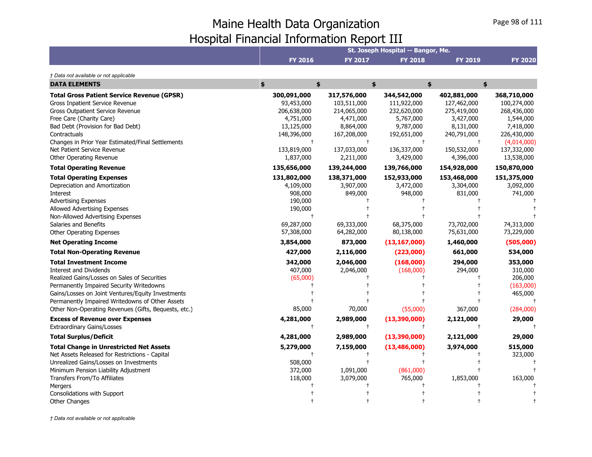|                                                                                                                                                                                                                                                                                                                             |                                                                                                                |                                                                                                                | St. Joseph Hospital -- Bangor, Me.                                                                             |                                                                                                                |                                                                                                                                |
|-----------------------------------------------------------------------------------------------------------------------------------------------------------------------------------------------------------------------------------------------------------------------------------------------------------------------------|----------------------------------------------------------------------------------------------------------------|----------------------------------------------------------------------------------------------------------------|----------------------------------------------------------------------------------------------------------------|----------------------------------------------------------------------------------------------------------------|--------------------------------------------------------------------------------------------------------------------------------|
|                                                                                                                                                                                                                                                                                                                             | <b>FY 2016</b>                                                                                                 | <b>FY 2017</b>                                                                                                 | <b>FY 2018</b>                                                                                                 | <b>FY 2019</b>                                                                                                 | <b>FY 2020</b>                                                                                                                 |
| † Data not available or not applicable                                                                                                                                                                                                                                                                                      |                                                                                                                |                                                                                                                |                                                                                                                |                                                                                                                |                                                                                                                                |
| <b>DATA ELEMENTS</b>                                                                                                                                                                                                                                                                                                        | \$<br>\$                                                                                                       |                                                                                                                | \$                                                                                                             | \$                                                                                                             | \$                                                                                                                             |
| <b>Total Gross Patient Service Revenue (GPSR)</b><br>Gross Inpatient Service Revenue<br>Gross Outpatient Service Revenue<br>Free Care (Charity Care)<br>Bad Debt (Provision for Bad Debt)<br>Contractuals<br>Changes in Prior Year Estimated/Final Settlements<br>Net Patient Service Revenue<br>Other Operating Revenue    | 300,091,000<br>93,453,000<br>206,638,000<br>4,751,000<br>13,125,000<br>148,396,000<br>133,819,000<br>1,837,000 | 317,576,000<br>103,511,000<br>214,065,000<br>4,471,000<br>8,864,000<br>167,208,000<br>137,033,000<br>2,211,000 | 344,542,000<br>111,922,000<br>232,620,000<br>5,767,000<br>9,787,000<br>192,651,000<br>136,337,000<br>3,429,000 | 402,881,000<br>127,462,000<br>275,419,000<br>3,427,000<br>8,131,000<br>240,791,000<br>150,532,000<br>4,396,000 | 368,710,000<br>100,274,000<br>268,436,000<br>1,544,000<br>7,418,000<br>226,430,000<br>(4,014,000)<br>137,332,000<br>13,538,000 |
| <b>Total Operating Revenue</b>                                                                                                                                                                                                                                                                                              | 135,656,000                                                                                                    | 139,244,000                                                                                                    | 139,766,000                                                                                                    | 154,928,000                                                                                                    | 150,870,000                                                                                                                    |
| <b>Total Operating Expenses</b><br>Depreciation and Amortization<br><b>Interest</b><br><b>Advertising Expenses</b><br>Allowed Advertising Expenses                                                                                                                                                                          | 131,802,000<br>4,109,000<br>908,000<br>190,000<br>190,000<br>$\ddagger$                                        | 138,371,000<br>3,907,000<br>849,000                                                                            | 152,933,000<br>3,472,000<br>948,000                                                                            | 153,468,000<br>3,304,000<br>831,000                                                                            | 151,375,000<br>3,092,000<br>741,000                                                                                            |
| Non-Allowed Advertising Expenses<br>Salaries and Benefits<br>Other Operating Expenses                                                                                                                                                                                                                                       | 69,287,000<br>57,308,000                                                                                       | 69,333,000<br>64,282,000                                                                                       | 68,375,000<br>80,138,000                                                                                       | 73,702,000<br>75,631,000                                                                                       | 74,313,000<br>73,229,000                                                                                                       |
| <b>Net Operating Income</b>                                                                                                                                                                                                                                                                                                 | 3,854,000                                                                                                      | 873,000                                                                                                        | (13, 167, 000)                                                                                                 | 1,460,000                                                                                                      | (505,000)                                                                                                                      |
| <b>Total Non-Operating Revenue</b>                                                                                                                                                                                                                                                                                          | 427,000                                                                                                        | 2,116,000                                                                                                      | (223,000)                                                                                                      | 661,000                                                                                                        | 534,000                                                                                                                        |
| <b>Total Investment Income</b><br><b>Interest and Dividends</b><br>Realized Gains/Losses on Sales of Securities<br>Permanently Impaired Security Writedowns<br>Gains/Losses on Joint Ventures/Equity Investments<br>Permanently Impaired Writedowns of Other Assets<br>Other Non-Operating Revenues (Gifts, Bequests, etc.) | 342,000<br>407,000<br>(65,000)<br>85,000                                                                       | 2,046,000<br>2,046,000<br>70,000                                                                               | (168,000)<br>(168,000)<br>(55,000)                                                                             | 294,000<br>294,000<br>367,000                                                                                  | 353,000<br>310,000<br>206,000<br>(163,000)<br>465,000<br>(284,000)                                                             |
| <b>Excess of Revenue over Expenses</b>                                                                                                                                                                                                                                                                                      | 4,281,000                                                                                                      | 2,989,000                                                                                                      | (13,390,000)                                                                                                   | 2,121,000                                                                                                      | 29,000                                                                                                                         |
| <b>Extraordinary Gains/Losses</b>                                                                                                                                                                                                                                                                                           | $^{+}$                                                                                                         | $\ddagger$                                                                                                     | $\ddagger$                                                                                                     |                                                                                                                |                                                                                                                                |
| <b>Total Surplus/Deficit</b>                                                                                                                                                                                                                                                                                                | 4,281,000                                                                                                      | 2,989,000                                                                                                      | (13, 390, 000)                                                                                                 | 2,121,000                                                                                                      | 29,000                                                                                                                         |
| <b>Total Change in Unrestricted Net Assets</b><br>Net Assets Released for Restrictions - Capital<br>Unrealized Gains/Losses on Investments<br>Minimum Pension Liability Adjustment<br>Transfers From/To Affiliates<br>Mergers<br>Consolidations with Support                                                                | 5,279,000<br>508,000<br>372,000<br>118,000                                                                     | 7,159,000<br>1,091,000<br>3,079,000                                                                            | (13, 486, 000)<br>(861,000)<br>765,000                                                                         | 3,974,000<br>1,853,000                                                                                         | 515,000<br>323,000<br>163,000                                                                                                  |
| <b>Other Changes</b>                                                                                                                                                                                                                                                                                                        |                                                                                                                |                                                                                                                |                                                                                                                |                                                                                                                |                                                                                                                                |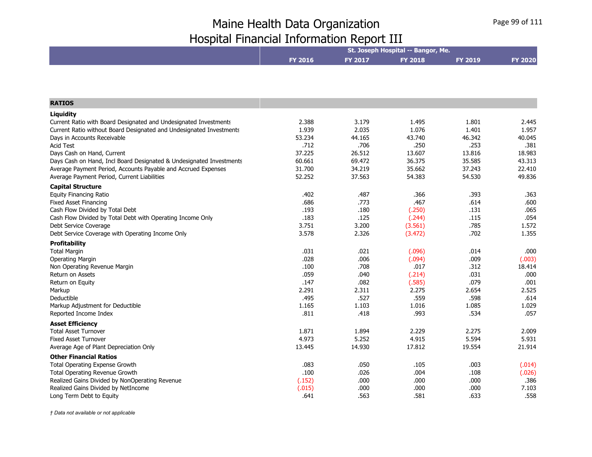|                                                                     |                |         | St. Joseph Hospital -- Bangor, Me. |                |                |
|---------------------------------------------------------------------|----------------|---------|------------------------------------|----------------|----------------|
|                                                                     | <b>FY 2016</b> | FY 2017 | <b>FY 2018</b>                     | <b>FY 2019</b> | <b>FY 2020</b> |
|                                                                     |                |         |                                    |                |                |
|                                                                     |                |         |                                    |                |                |
| <b>RATIOS</b>                                                       |                |         |                                    |                |                |
| Liquidity                                                           |                |         |                                    |                |                |
| Current Ratio with Board Designated and Undesignated Investments    | 2.388          | 3.179   | 1.495                              | 1.801          | 2.445          |
| Current Ratio without Board Designated and Undesignated Investments | 1.939          | 2.035   | 1.076                              | 1.401          | 1.957          |
| Days in Accounts Receivable                                         | 53.234         | 44.165  | 43.740                             | 46.342         | 40.045         |
| <b>Acid Test</b>                                                    | .712           | .706    | .250                               | .253           | .381           |
| Days Cash on Hand, Current                                          | 37.225         | 26.512  | 13.607                             | 13.816         | 18.983         |
| Days Cash on Hand, Incl Board Designated & Undesignated Investments | 60.661         | 69.472  | 36.375                             | 35.585         | 43.313         |
| Average Payment Period, Accounts Payable and Accrued Expenses       | 31.700         | 34.219  | 35.662                             | 37.243         | 22.410         |
| Average Payment Period, Current Liabilities                         | 52.252         | 37.563  | 54.383                             | 54.530         | 49.836         |
| <b>Capital Structure</b>                                            |                |         |                                    |                |                |
| <b>Equity Financing Ratio</b>                                       | .402           | .487    | .366                               | .393           | .363           |
| <b>Fixed Asset Financing</b>                                        | .686           | .773    | .467                               | .614           | .600           |
| Cash Flow Divided by Total Debt                                     | .193           | .180    | (.250)                             | .131           | .065           |
| Cash Flow Divided by Total Debt with Operating Income Only          | .183           | .125    | (.244)                             | .115           | .054           |
| Debt Service Coverage                                               | 3.751          | 3.200   | (3.561)                            | .785           | 1.572          |
| Debt Service Coverage with Operating Income Only                    | 3.578          | 2.326   | (3.472)                            | .702           | 1.355          |
| <b>Profitability</b>                                                |                |         |                                    |                |                |
| <b>Total Margin</b>                                                 | .031           | .021    | (.096)                             | .014           | .000           |
| <b>Operating Margin</b>                                             | .028           | .006    | (.094)                             | .009           | (.003)         |
| Non Operating Revenue Margin                                        | .100           | .708    | .017                               | .312           | 18.414         |
| Return on Assets                                                    | .059           | .040    | (.214)                             | .031           | .000           |
| Return on Equity                                                    | .147           | .082    | (.585)                             | .079           | .001           |
| Markup                                                              | 2.291          | 2.311   | 2.275                              | 2.654          | 2.525          |
| Deductible                                                          | .495           | .527    | .559                               | .598           | .614           |
| Markup Adjustment for Deductible                                    | 1.165          | 1.103   | 1.016                              | 1.085          | 1.029          |
| Reported Income Index                                               | .811           | .418    | .993                               | .534           | .057           |
| <b>Asset Efficiency</b>                                             |                |         |                                    |                |                |
| <b>Total Asset Turnover</b>                                         | 1.871          | 1.894   | 2.229                              | 2.275          | 2.009          |
| <b>Fixed Asset Turnover</b>                                         | 4.973          | 5.252   | 4.915                              | 5.594          | 5.931          |
| Average Age of Plant Depreciation Only                              | 13.445         | 14.930  | 17.812                             | 19.554         | 21.914         |
| <b>Other Financial Ratios</b>                                       |                |         |                                    |                |                |
| Total Operating Expense Growth                                      | .083           | .050    | .105                               | .003           | (.014)         |
| Total Operating Revenue Growth                                      | .100           | .026    | .004                               | .108           | (.026)         |
| Realized Gains Divided by NonOperating Revenue                      | (.152)         | .000    | .000                               | .000           | .386           |
| Realized Gains Divided by NetIncome                                 | (.015)         | .000    | .000                               | .000           | 7.103          |
| Long Term Debt to Equity                                            | .641           | .563    | .581                               | .633           | .558           |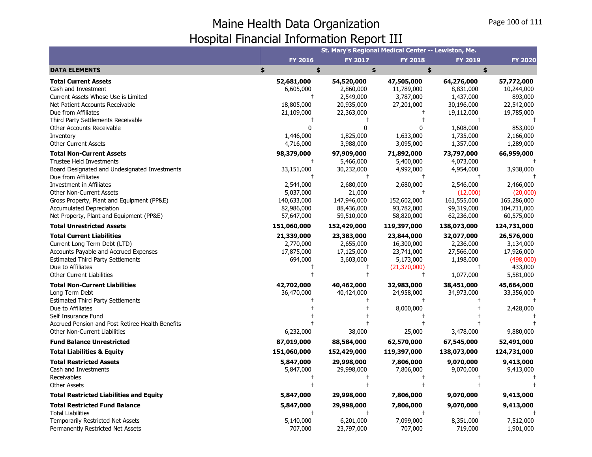|                                                                                                                                                                                                                                     |                                                                     | St. Mary's Regional Medical Center -- Lewiston, Me.                              |                                                                                     |                                                                          |                                                                            |
|-------------------------------------------------------------------------------------------------------------------------------------------------------------------------------------------------------------------------------------|---------------------------------------------------------------------|----------------------------------------------------------------------------------|-------------------------------------------------------------------------------------|--------------------------------------------------------------------------|----------------------------------------------------------------------------|
|                                                                                                                                                                                                                                     | FY 2016                                                             | <b>FY 2017</b>                                                                   | <b>FY 2018</b>                                                                      | FY 2019                                                                  | <b>FY 2020</b>                                                             |
| <b>DATA ELEMENTS</b>                                                                                                                                                                                                                | \$<br>\$                                                            | \$                                                                               |                                                                                     | \$<br>\$                                                                 |                                                                            |
| <b>Total Current Assets</b><br>Cash and Investment<br>Current Assets Whose Use is Limited                                                                                                                                           | 52,681,000<br>6,605,000<br>$\ddagger$                               | 54,520,000<br>2,860,000                                                          | 47,505,000<br>11,789,000                                                            | 64,276,000<br>8,831,000                                                  | 57,772,000<br>10,244,000                                                   |
| Net Patient Accounts Receivable<br>Due from Affiliates                                                                                                                                                                              | 18,805,000<br>21,109,000                                            | 2,549,000<br>20,935,000<br>22,363,000                                            | 3,787,000<br>27,201,000<br>Ť                                                        | 1,437,000<br>30,196,000<br>19,112,000                                    | 893,000<br>22,542,000<br>19,785,000                                        |
| Third Party Settlements Receivable<br>Other Accounts Receivable<br>Inventory                                                                                                                                                        | 0<br>1,446,000                                                      | $\mathbf{0}$<br>1,825,000                                                        | 0<br>1,633,000                                                                      | 1,608,000<br>1,735,000                                                   | 853,000<br>2,166,000                                                       |
| <b>Other Current Assets</b><br><b>Total Non-Current Assets</b>                                                                                                                                                                      | 4,716,000<br>98,379,000                                             | 3,988,000<br>97,909,000                                                          | 3,095,000<br>71,892,000                                                             | 1,357,000<br>73,797,000                                                  | 1,289,000<br>66,959,000                                                    |
| Trustee Held Investments<br>Board Designated and Undesignated Investments<br>Due from Affiliates                                                                                                                                    | $^{\dagger}$<br>33,151,000<br>$\mathsf{t}$                          | 5,466,000<br>30,232,000<br>$\ddagger$                                            | 5,400,000<br>4,992,000<br>$\ddagger$                                                | 4,073,000<br>4,954,000<br>$\ddagger$                                     | 3,938,000                                                                  |
| Investment in Affiliates<br><b>Other Non-Current Assets</b><br>Gross Property, Plant and Equipment (PP&E)<br><b>Accumulated Depreciation</b><br>Net Property, Plant and Equipment (PP&E)                                            | 2,544,000<br>5,037,000<br>140,633,000<br>82,986,000<br>57,647,000   | 2,680,000<br>21,000<br>147,946,000<br>88,436,000<br>59,510,000                   | 2,680,000<br>$^{+}$<br>152,602,000<br>93,782,000<br>58,820,000                      | 2,546,000<br>(12,000)<br>161,555,000<br>99,319,000<br>62,236,000         | 2,466,000<br>(20,000)<br>165,286,000<br>104,711,000<br>60,575,000          |
| <b>Total Unrestricted Assets</b>                                                                                                                                                                                                    | 151,060,000                                                         | 152,429,000                                                                      | 119,397,000                                                                         | 138,073,000                                                              | 124,731,000                                                                |
| <b>Total Current Liabilities</b><br>Current Long Term Debt (LTD)<br>Accounts Payable and Accrued Expenses<br><b>Estimated Third Party Settlements</b><br>Due to Affiliates<br><b>Other Current Liabilities</b>                      | 21,339,000<br>2,770,000<br>17,875,000<br>694,000<br>$^{\mathrm{+}}$ | 23,383,000<br>2,655,000<br>17,125,000<br>3,603,000<br>$^{\dagger}$<br>$\ddagger$ | 23,844,000<br>16,300,000<br>23,741,000<br>5,173,000<br>(21, 370, 000)<br>$\ddagger$ | 32,077,000<br>2,236,000<br>27,566,000<br>1,198,000<br>$\pm$<br>1,077,000 | 26,576,000<br>3,134,000<br>17,926,000<br>(498,000)<br>433,000<br>5,581,000 |
| <b>Total Non-Current Liabilities</b><br>Long Term Debt<br><b>Estimated Third Party Settlements</b><br>Due to Affiliates<br>Self Insurance Fund<br>Accrued Pension and Post Retiree Health Benefits<br>Other Non-Current Liabilities | 42,702,000<br>36,470,000<br>6,232,000                               | 40,462,000<br>40,424,000<br>38,000                                               | 32,983,000<br>24,958,000<br>$\ddagger$<br>8,000,000<br>25,000                       | 38,451,000<br>34,973,000<br>3,478,000                                    | 45,664,000<br>33,356,000<br>2,428,000<br>9,880,000                         |
| <b>Fund Balance Unrestricted</b>                                                                                                                                                                                                    | 87,019,000                                                          | 88,584,000                                                                       | 62,570,000                                                                          | 67,545,000                                                               | 52,491,000                                                                 |
| <b>Total Liabilities &amp; Equity</b>                                                                                                                                                                                               | 151,060,000                                                         | 152,429,000                                                                      | 119,397,000                                                                         | 138,073,000                                                              | 124,731,000                                                                |
| <b>Total Restricted Assets</b><br>Cash and Investments<br>Receivables<br>Other Assets                                                                                                                                               | 5,847,000<br>5,847,000                                              | 29,998,000<br>29,998,000                                                         | 7,806,000<br>7,806,000                                                              | 9,070,000<br>9,070,000                                                   | 9,413,000<br>9,413,000                                                     |
| <b>Total Restricted Liabilities and Equity</b>                                                                                                                                                                                      | 5,847,000                                                           | 29,998,000                                                                       | 7,806,000                                                                           | 9,070,000                                                                | 9,413,000                                                                  |
| <b>Total Restricted Fund Balance</b><br><b>Total Liabilities</b><br>Temporarily Restricted Net Assets                                                                                                                               | 5,847,000<br>5,140,000                                              | 29,998,000<br>$\ddagger$<br>6,201,000                                            | 7,806,000<br>$\ddagger$<br>7,099,000                                                | 9,070,000<br>$\ddagger$<br>8,351,000                                     | 9,413,000<br>7,512,000                                                     |
| Permanently Restricted Net Assets                                                                                                                                                                                                   | 707,000                                                             | 23,797,000                                                                       | 707,000                                                                             | 719,000                                                                  | 1,901,000                                                                  |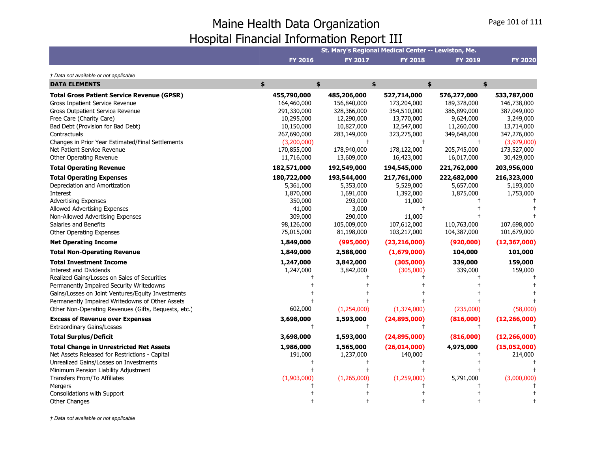| <b>FY 2016</b>                                                                                                                                        | <b>FY 2017</b>                                                                                                                                        |                                                                                                                   | <b>FY 2019</b>                                                                                                                     | <b>FY 2020</b>                                                                                                                                                                                 |
|-------------------------------------------------------------------------------------------------------------------------------------------------------|-------------------------------------------------------------------------------------------------------------------------------------------------------|-------------------------------------------------------------------------------------------------------------------|------------------------------------------------------------------------------------------------------------------------------------|------------------------------------------------------------------------------------------------------------------------------------------------------------------------------------------------|
|                                                                                                                                                       |                                                                                                                                                       |                                                                                                                   |                                                                                                                                    |                                                                                                                                                                                                |
| \$                                                                                                                                                    |                                                                                                                                                       | \$                                                                                                                | \$<br>\$                                                                                                                           |                                                                                                                                                                                                |
| 455,790,000<br>164,460,000<br>291,330,000<br>10,295,000<br>10,150,000<br>267,690,000<br>(3,200,000)<br>170,855,000<br>11,716,000                      | 485,206,000<br>156,840,000<br>328,366,000<br>12,290,000<br>10,827,000<br>283,149,000<br>178,940,000<br>13,609,000                                     | 527,714,000<br>173,204,000<br>354,510,000<br>13,770,000<br>12,547,000<br>323,275,000<br>178,122,000<br>16,423,000 | 576,277,000<br>189,378,000<br>386,899,000<br>9,624,000<br>11,260,000<br>349,648,000<br>$\overline{1}$<br>205,745,000<br>16,017,000 | 533,787,000<br>146,738,000<br>387,049,000<br>3,249,000<br>13,714,000<br>347,276,000<br>(3,979,000)<br>173,527,000<br>30,429,000                                                                |
|                                                                                                                                                       |                                                                                                                                                       |                                                                                                                   |                                                                                                                                    | 203,956,000                                                                                                                                                                                    |
| 180,722,000<br>5,361,000<br>1,870,000<br>350,000<br>41,000<br>309,000<br>98,126,000<br>75,015,000<br>1,849,000<br>1,849,000<br>1,247,000<br>1,247,000 | 193,544,000<br>5,353,000<br>1,691,000<br>293,000<br>3,000<br>290,000<br>105,009,000<br>81,198,000<br>(995,000)<br>2,588,000<br>3,842,000<br>3,842,000 | 217,761,000<br>5,529,000<br>1,392,000<br>11,000<br>11,000<br>107,612,000<br>103,217,000<br>(305,000)              | 222,682,000<br>5,657,000<br>1,875,000<br>110,763,000<br>104,387,000<br>(920,000)<br>104,000<br>339,000<br>339,000                  | 216,323,000<br>5,193,000<br>1,753,000<br>107,698,000<br>101,679,000<br>(12, 367, 000)<br>101,000<br>159,000<br>159,000<br>(58,000)                                                             |
|                                                                                                                                                       |                                                                                                                                                       |                                                                                                                   |                                                                                                                                    |                                                                                                                                                                                                |
| $^{+}$                                                                                                                                                |                                                                                                                                                       |                                                                                                                   | $^{+}$                                                                                                                             | (12, 266, 000)                                                                                                                                                                                 |
| 3,698,000                                                                                                                                             | 1,593,000                                                                                                                                             | (24,895,000)                                                                                                      | (816,000)                                                                                                                          | (12, 266, 000)                                                                                                                                                                                 |
| 1,986,000<br>191,000<br>(1,903,000)                                                                                                                   | 1,565,000<br>1,237,000<br>(1,265,000)                                                                                                                 | 140,000<br>(1,259,000)                                                                                            | 4,975,000<br>5,791,000                                                                                                             | (15,052,000)<br>214,000<br>(3,000,000)                                                                                                                                                         |
|                                                                                                                                                       | 182,571,000<br>602,000<br>3,698,000                                                                                                                   | \$<br>192,549,000<br>1,593,000                                                                                    | 194,545,000<br>(1, 254, 000)<br>(1,374,000)<br>$\ddagger$                                                                          | St. Mary's Regional Medical Center -- Lewiston, Me.<br><b>FY 2018</b><br>221,762,000<br>(23, 216, 000)<br>(1,679,000)<br>(305,000)<br>(235,000)<br>(24,895,000)<br>(816,000)<br>(26, 014, 000) |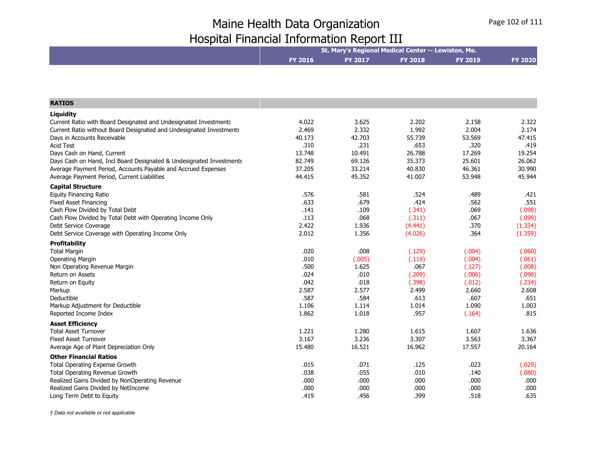|                                                                                         | St. Mary's Regional Medical Center -- Lewiston, Me. |              |                |                |                |
|-----------------------------------------------------------------------------------------|-----------------------------------------------------|--------------|----------------|----------------|----------------|
|                                                                                         | <b>FY 2016</b>                                      | FY 2017      | <b>FY 2018</b> | <b>FY 2019</b> | <b>FY 2020</b> |
|                                                                                         |                                                     |              |                |                |                |
|                                                                                         |                                                     |              |                |                |                |
|                                                                                         |                                                     |              |                |                |                |
| <b>RATIOS</b>                                                                           |                                                     |              |                |                |                |
| Liquidity                                                                               |                                                     |              |                |                |                |
| Current Ratio with Board Designated and Undesignated Investments                        | 4.022                                               | 3.625        | 2.202          | 2.158          | 2.322          |
| Current Ratio without Board Designated and Undesignated Investments                     | 2.469                                               | 2.332        | 1.992          | 2.004          | 2.174          |
| Days in Accounts Receivable                                                             | 40.173                                              | 42.703       | 55.739         | 53.569         | 47.415         |
| <b>Acid Test</b>                                                                        | .310                                                | .231         | .653           | .320           | .419           |
| Days Cash on Hand, Current                                                              | 13.748                                              | 10.491       | 26.788         | 17.269         | 19.254         |
| Days Cash on Hand, Incl Board Designated & Undesignated Investments                     | 82.749                                              | 69.126       | 35.373         | 25.601         | 26.062         |
| Average Payment Period, Accounts Payable and Accrued Expenses                           | 37.205                                              | 33.214       | 40.830         | 46.361         | 30.990         |
| Average Payment Period, Current Liabilities                                             | 44.415                                              | 45.352       | 41.007         | 53.948         | 45.944         |
| <b>Capital Structure</b>                                                                |                                                     |              |                |                |                |
| <b>Equity Financing Ratio</b>                                                           | .576                                                | .581         | .524           | .489           | .421           |
| <b>Fixed Asset Financing</b>                                                            | .633                                                | .679         | .424           | .562           | .551           |
| Cash Flow Divided by Total Debt                                                         | .141                                                | .109         | (.341)         | .069           | (.098)         |
| Cash Flow Divided by Total Debt with Operating Income Only                              | .113                                                | .068         | (.311)         | .067           | (.099)         |
| Debt Service Coverage                                                                   | 2.422                                               | 1.936        | (4.441)        | .370           | (1.334)        |
| Debt Service Coverage with Operating Income Only                                        | 2.012                                               | 1.356        | (4.026)        | .364           | (1.359)        |
| Profitability                                                                           |                                                     |              |                |                |                |
| <b>Total Margin</b>                                                                     | .020                                                | .008         | (.129)         | (.004)         | (.060)         |
| Operating Margin                                                                        | .010                                                | (.005)       | (.119)         | (.004)         | (.061)         |
| Non Operating Revenue Margin                                                            | .500                                                | 1.625        | .067           | (.127)         | (.008)         |
| Return on Assets                                                                        | .024                                                | .010         | (.209)         | (.006)         | (.098)         |
| Return on Equity                                                                        | .042                                                | .018         | (.398)         | (.012)         | (.234)         |
| Markup                                                                                  | 2.587                                               | 2.577        | 2.499          | 2.660          | 2.608          |
| Deductible                                                                              | .587                                                | .584         | .613           | .607           | .651           |
| Markup Adjustment for Deductible                                                        | 1.106                                               | 1.114        | 1.014          | 1.090          | 1.003          |
| Reported Income Index                                                                   | 1.862                                               | 1.018        | .957           | (.164)         | .815           |
| <b>Asset Efficiency</b>                                                                 |                                                     |              |                |                |                |
| <b>Total Asset Turnover</b>                                                             | 1.221                                               | 1.280        | 1.615          | 1.607          | 1.636          |
| <b>Fixed Asset Turnover</b>                                                             | 3.167                                               | 3.236        | 3.307          | 3.563          | 3.367          |
| Average Age of Plant Depreciation Only                                                  | 15.480                                              | 16.521       | 16.962         | 17.557         | 20.164         |
|                                                                                         |                                                     |              |                |                |                |
| <b>Other Financial Ratios</b>                                                           |                                                     |              |                |                |                |
| <b>Total Operating Expense Growth</b>                                                   | .015<br>.038                                        | .071<br>.055 | .125           | .023           | (.029)         |
| <b>Total Operating Revenue Growth</b><br>Realized Gains Divided by NonOperating Revenue | .000                                                | .000         | .010<br>.000   | .140<br>.000   | (.080)<br>.000 |
| Realized Gains Divided by NetIncome                                                     | .000                                                | .000         | .000           | .000           | .000           |
| Long Term Debt to Equity                                                                | .419                                                | .456         | .399           | .518           | .635           |
|                                                                                         |                                                     |              |                |                |                |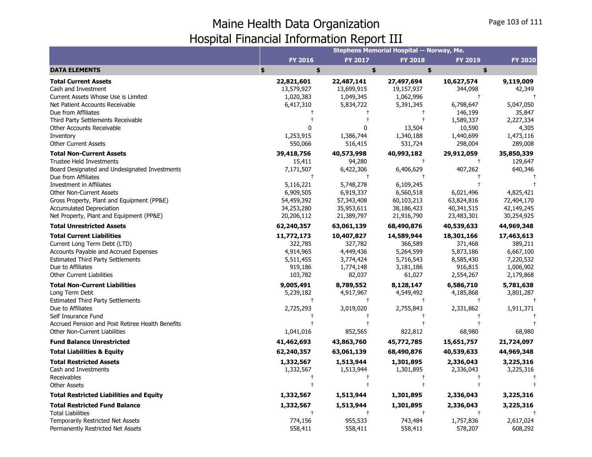|                                                               |                         |                     | Stephens Memorial Hospital -- Norway, Me. |                         |                         |
|---------------------------------------------------------------|-------------------------|---------------------|-------------------------------------------|-------------------------|-------------------------|
|                                                               | FY 2016                 | <b>FY 2017</b>      | <b>FY 2018</b>                            | <b>FY 2019</b>          | <b>FY 2020</b>          |
| <b>DATA ELEMENTS</b>                                          | \$<br>\$                | \$                  | \$                                        | \$                      |                         |
| <b>Total Current Assets</b>                                   | 22,821,601              | 22,487,141          | 27,497,694                                | 10,627,574              | 9,119,009               |
| Cash and Investment                                           | 13,579,927              | 13,699,915          | 19,157,937                                | 344,098                 | 42,349                  |
| Current Assets Whose Use is Limited                           | 1,020,383               | 1,049,345           | 1,062,996                                 |                         |                         |
| Net Patient Accounts Receivable                               | 6,417,310               | 5,834,722           | 5,391,345                                 | 6,798,647               | 5,047,050               |
| Due from Affiliates                                           |                         |                     | $\mathbf +$                               | 146,199                 | 35,847                  |
| Third Party Settlements Receivable                            |                         |                     | $\ddagger$                                | 1,589,337               | 2,227,334               |
| Other Accounts Receivable                                     |                         | U                   | 13,504                                    | 10,590                  | 4,305                   |
| Inventory                                                     | 1,253,915               | 1,386,744           | 1,340,188                                 | 1,440,699               | 1,473,116               |
| <b>Other Current Assets</b>                                   | 550,066                 | 516,415             | 531,724                                   | 298,004                 | 289,008                 |
| <b>Total Non-Current Assets</b>                               | 39,418,756              | 40,573,998          | 40,993,182                                | 29,912,059              | 35,850,339              |
| Trustee Held Investments                                      | 15,411                  | 94,280              | $\pm$                                     | $\mathbf +$             | 129,647                 |
| Board Designated and Undesignated Investments                 | 7,171,507               | 6,422,306           | 6,406,629                                 | 407,262                 | 640,346                 |
| Due from Affiliates                                           | $\ddagger$              | $^{+}$              | $\ddagger$                                |                         |                         |
| Investment in Affiliates                                      | 5,116,221               | 5,748,278           | 6,109,245                                 |                         |                         |
| <b>Other Non-Current Assets</b>                               | 6,909,505               | 6,919,337           | 6,560,518                                 | 6,021,496               | 4,825,421               |
| Gross Property, Plant and Equipment (PP&E)                    | 54,459,392              | 57,343,408          | 60,103,213                                | 63,824,816              | 72,404,170              |
| <b>Accumulated Depreciation</b>                               | 34,253,280              | 35,953,611          | 38,186,423                                | 40,341,515              | 42,149,245              |
| Net Property, Plant and Equipment (PP&E)                      | 20,206,112              | 21,389,797          | 21,916,790                                | 23,483,301              | 30,254,925              |
| <b>Total Unrestricted Assets</b>                              | 62,240,357              | 63,061,139          | 68,490,876                                | 40,539,633              | 44,969,348              |
| <b>Total Current Liabilities</b>                              | 11,772,173              | 10,407,827          | 14,589,944                                | 18,301,166              | 17,463,613              |
| Current Long Term Debt (LTD)                                  | 322,785                 | 327,782             | 366,589                                   | 371,468                 | 389,211                 |
| Accounts Payable and Accrued Expenses                         | 4,914,965               | 4,449,436           | 5,264,599                                 | 5,873,186               | 6,667,100               |
| <b>Estimated Third Party Settlements</b>                      | 5,511,455               | 3,774,424           | 5,716,543                                 | 8,585,430               | 7,220,532               |
| Due to Affiliates                                             | 919,186                 | 1,774,148           | 3,181,186                                 | 916,815                 | 1,006,902               |
| <b>Other Current Liabilities</b>                              | 103,782                 | 82,037              | 61,027                                    | 2,554,267               | 2,179,868               |
| <b>Total Non-Current Liabilities</b>                          | 9,005,491               | 8,789,552           | 8,128,147                                 | 6,586,710               | 5,781,638               |
| Long Term Debt                                                | 5,239,182               | 4,917,967           | 4,549,492                                 | 4,185,868<br>$\ddagger$ | 3,801,287<br>$\ddagger$ |
| <b>Estimated Third Party Settlements</b><br>Due to Affiliates | $\ddagger$<br>2,725,293 | $\ddagger$          | $\ddagger$<br>2,755,843                   |                         |                         |
| Self Insurance Fund                                           |                         | 3,019,020<br>$^{+}$ | $\ddagger$                                | 2,331,862               | 1,911,371               |
| Accrued Pension and Post Retiree Health Benefits              | $\ddagger$              | $\ddagger$          | $\ddagger$                                |                         |                         |
| Other Non-Current Liabilities                                 | 1,041,016               | 852,565             | 822,812                                   | 68,980                  | 68,980                  |
| <b>Fund Balance Unrestricted</b>                              | 41,462,693              | 43,863,760          | 45,772,785                                | 15,651,757              | 21,724,097              |
| <b>Total Liabilities &amp; Equity</b>                         | 62,240,357              | 63,061,139          | 68,490,876                                | 40,539,633              | 44,969,348              |
| <b>Total Restricted Assets</b>                                | 1,332,567               | 1,513,944           | 1,301,895                                 | 2,336,043               | 3,225,316               |
| Cash and Investments                                          | 1,332,567               | 1,513,944           | 1,301,895                                 | 2,336,043               | 3,225,316               |
| Receivables                                                   | $^{\mathrm{+}}$         | $\pm$               | $\pm$                                     |                         |                         |
| <b>Other Assets</b>                                           | $\ddagger$              | $\overline{1}$      | $\ddagger$                                |                         |                         |
| <b>Total Restricted Liabilities and Equity</b>                | 1,332,567               | 1,513,944           | 1,301,895                                 | 2,336,043               | 3,225,316               |
| <b>Total Restricted Fund Balance</b>                          | 1,332,567               | 1,513,944           | 1,301,895                                 | 2,336,043               | 3,225,316               |
| <b>Total Liabilities</b>                                      | $\ddagger$              | $\ddagger$          | $\ddagger$                                |                         |                         |
| Temporarily Restricted Net Assets                             | 774,156                 | 955,533             | 743,484                                   | 1,757,836               | 2,617,024               |
| Permanently Restricted Net Assets                             | 558,411                 | 558,411             | 558,411                                   | 578,207                 | 608,292                 |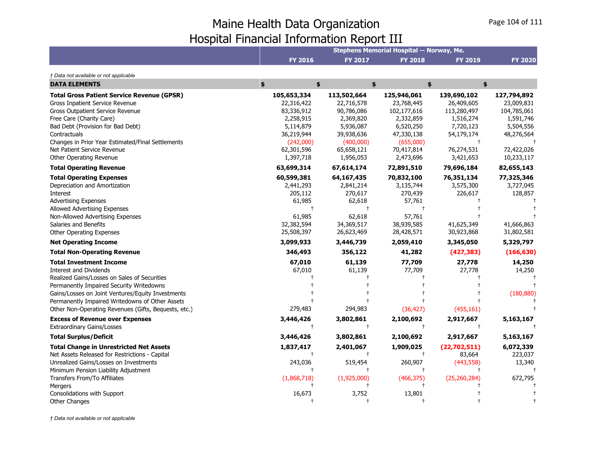|                                                      |                |                | Stephens Memorial Hospital -- Norway, Me. |                |                |
|------------------------------------------------------|----------------|----------------|-------------------------------------------|----------------|----------------|
|                                                      | <b>FY 2016</b> | <b>FY 2017</b> | <b>FY 2018</b>                            | <b>FY 2019</b> | <b>FY 2020</b> |
| † Data not available or not applicable               |                |                |                                           |                |                |
| <b>DATA ELEMENTS</b>                                 | \$<br>\$       |                | \$                                        | \$             | \$             |
| <b>Total Gross Patient Service Revenue (GPSR)</b>    | 105,653,334    | 113,502,664    | 125,946,061                               | 139,690,102    | 127,794,892    |
| Gross Inpatient Service Revenue                      | 22,316,422     | 22,716,578     | 23,768,445                                | 26,409,605     | 23,009,831     |
| <b>Gross Outpatient Service Revenue</b>              | 83,336,912     | 90,786,086     | 102,177,616                               | 113,280,497    | 104,785,061    |
| Free Care (Charity Care)                             | 2,258,915      | 2,369,820      | 2,332,859                                 | 1,516,274      | 1,591,746      |
| Bad Debt (Provision for Bad Debt)                    | 5,114,879      | 5,936,087      | 6,520,250                                 | 7,720,123      | 5,504,556      |
| Contractuals                                         | 36,219,944     | 39,938,636     | 47,330,138                                | 54,179,174     | 48,276,564     |
| Changes in Prior Year Estimated/Final Settlements    | (242,000)      | (400,000)      | (655,000)                                 |                |                |
| Net Patient Service Revenue                          | 62,301,596     | 65,658,121     | 70,417,814                                | 76,274,531     | 72,422,026     |
| Other Operating Revenue                              | 1,397,718      | 1,956,053      | 2,473,696                                 | 3,421,653      | 10,233,117     |
| <b>Total Operating Revenue</b>                       | 63,699,314     | 67,614,174     | 72,891,510                                | 79,696,184     | 82,655,143     |
| <b>Total Operating Expenses</b>                      | 60,599,381     | 64,167,435     | 70,832,100                                | 76,351,134     | 77,325,346     |
| Depreciation and Amortization                        | 2,441,293      | 2,841,214      | 3,135,744                                 | 3,575,300      | 3,727,045      |
| Interest                                             | 205,112        | 270,617        | 270,439                                   | 226,617        | 128,857        |
| <b>Advertising Expenses</b>                          | 61,985         | 62,618         | 57,761                                    |                |                |
| Allowed Advertising Expenses                         |                |                |                                           |                |                |
| Non-Allowed Advertising Expenses                     | 61,985         | 62,618         | 57,761                                    |                |                |
| Salaries and Benefits                                | 32,382,594     | 34,369,517     | 38,939,585                                | 41,625,349     | 41,666,863     |
| <b>Other Operating Expenses</b>                      | 25,508,397     | 26,623,469     | 28,428,571                                | 30,923,868     | 31,802,581     |
| <b>Net Operating Income</b>                          | 3,099,933      | 3,446,739      | 2,059,410                                 | 3,345,050      | 5,329,797      |
| <b>Total Non-Operating Revenue</b>                   | 346,493        | 356,122        | 41,282                                    | (427, 383)     | (166, 630)     |
| <b>Total Investment Income</b>                       | 67,010         | 61,139         | 77,709                                    | 27,778         | 14,250         |
| <b>Interest and Dividends</b>                        | 67,010         | 61,139         | 77,709                                    | 27,778         | 14,250         |
| Realized Gains/Losses on Sales of Securities         |                |                |                                           |                |                |
| Permanently Impaired Security Writedowns             |                |                |                                           |                |                |
| Gains/Losses on Joint Ventures/Equity Investments    |                |                |                                           |                | (180, 880)     |
| Permanently Impaired Writedowns of Other Assets      |                |                |                                           |                |                |
| Other Non-Operating Revenues (Gifts, Bequests, etc.) | 279,483        | 294,983        | (36, 427)                                 | (455, 161)     |                |
| <b>Excess of Revenue over Expenses</b>               | 3,446,426      | 3,802,861      | 2,100,692                                 | 2,917,667      | 5,163,167      |
| <b>Extraordinary Gains/Losses</b>                    | $^{+}$         | $\ddagger$     | $\ddagger$                                | $\ddagger$     |                |
| <b>Total Surplus/Deficit</b>                         | 3,446,426      | 3,802,861      | 2,100,692                                 | 2,917,667      | 5,163,167      |
| <b>Total Change in Unrestricted Net Assets</b>       | 1,837,417      | 2,401,067      | 1,909,025                                 | (22,702,511)   | 6,072,339      |
| Net Assets Released for Restrictions - Capital       |                |                | $\ddagger$                                | 83,664         | 223,037        |
| Unrealized Gains/Losses on Investments               | 243,036        | 519,454        | 260,907                                   | (443, 558)     | 13,340         |
| Minimum Pension Liability Adjustment                 |                |                | $\pm$                                     |                |                |
| Transfers From/To Affiliates                         | (1,868,718)    | (1,925,000)    | (466, 375)                                | (25, 260, 284) | 672,795        |
| Mergers                                              |                |                |                                           |                |                |
| Consolidations with Support                          | 16,673         | 3,752          | 13,801                                    |                |                |
| <b>Other Changes</b>                                 |                |                |                                           |                |                |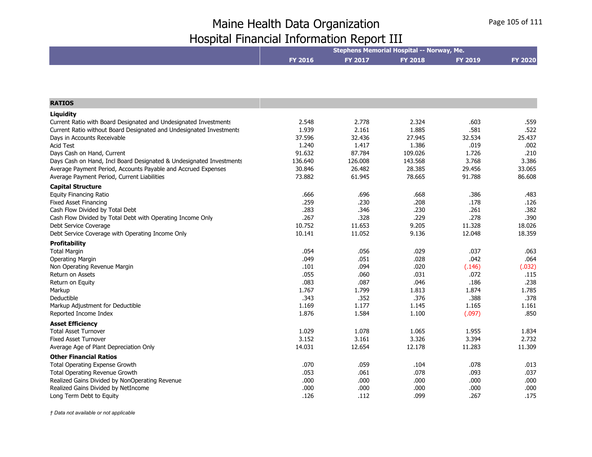|                                                                     |                |         | Stephens Memorial Hospital -- Norway, Me. |                |                |
|---------------------------------------------------------------------|----------------|---------|-------------------------------------------|----------------|----------------|
|                                                                     | <b>FY 2016</b> | FY 2017 | <b>FY 2018</b>                            | <b>FY 2019</b> | <b>FY 2020</b> |
|                                                                     |                |         |                                           |                |                |
|                                                                     |                |         |                                           |                |                |
| <b>RATIOS</b>                                                       |                |         |                                           |                |                |
| Liquidity                                                           |                |         |                                           |                |                |
| Current Ratio with Board Designated and Undesignated Investments    | 2.548          | 2.778   | 2.324                                     | .603           | .559           |
| Current Ratio without Board Designated and Undesignated Investments | 1.939          | 2.161   | 1.885                                     | .581           | .522           |
| Days in Accounts Receivable                                         | 37.596         | 32.436  | 27.945                                    | 32.534         | 25.437         |
| <b>Acid Test</b>                                                    | 1.240          | 1.417   | 1.386                                     | .019           | .002           |
| Days Cash on Hand, Current                                          | 91.632         | 87.784  | 109.026                                   | 1.726          | .210           |
| Days Cash on Hand, Incl Board Designated & Undesignated Investments | 136.640        | 126.008 | 143.568                                   | 3.768          | 3.386          |
| Average Payment Period, Accounts Payable and Accrued Expenses       | 30.846         | 26.482  | 28.385                                    | 29.456         | 33.065         |
| Average Payment Period, Current Liabilities                         | 73.882         | 61.945  | 78.665                                    | 91.788         | 86.608         |
| <b>Capital Structure</b>                                            |                |         |                                           |                |                |
| <b>Equity Financing Ratio</b>                                       | .666           | .696    | .668                                      | .386           | .483           |
| <b>Fixed Asset Financing</b>                                        | .259           | .230    | .208                                      | .178           | .126           |
| Cash Flow Divided by Total Debt                                     | .283           | .346    | .230                                      | .261           | .382           |
| Cash Flow Divided by Total Debt with Operating Income Only          | .267           | .328    | .229                                      | .278           | .390           |
| Debt Service Coverage                                               | 10.752         | 11.653  | 9.205                                     | 11.328         | 18.026         |
| Debt Service Coverage with Operating Income Only                    | 10.141         | 11.052  | 9.136                                     | 12.048         | 18.359         |
| <b>Profitability</b>                                                |                |         |                                           |                |                |
| <b>Total Margin</b>                                                 | .054           | .056    | .029                                      | .037           | .063           |
| <b>Operating Margin</b>                                             | .049           | .051    | .028                                      | .042           | .064           |
| Non Operating Revenue Margin                                        | .101           | .094    | .020                                      | (.146)         | (.032)         |
| Return on Assets                                                    | .055           | .060    | .031                                      | .072           | .115           |
| Return on Equity                                                    | .083           | .087    | .046                                      | .186           | .238           |
| Markup                                                              | 1.767          | 1.799   | 1.813                                     | 1.874          | 1.785          |
| Deductible                                                          | .343           | .352    | .376                                      | .388           | .378           |
| Markup Adjustment for Deductible                                    | 1.169          | 1.177   | 1.145                                     | 1.165          | 1.161          |
| Reported Income Index                                               | 1.876          | 1.584   | 1.100                                     | (.097)         | .850           |
| <b>Asset Efficiency</b>                                             |                |         |                                           |                |                |
| <b>Total Asset Turnover</b>                                         | 1.029          | 1.078   | 1.065                                     | 1.955          | 1.834          |
| <b>Fixed Asset Turnover</b>                                         | 3.152          | 3.161   | 3.326                                     | 3.394          | 2.732          |
| Average Age of Plant Depreciation Only                              | 14.031         | 12.654  | 12.178                                    | 11.283         | 11.309         |
| <b>Other Financial Ratios</b>                                       |                |         |                                           |                |                |
| <b>Total Operating Expense Growth</b>                               | .070           | .059    | .104                                      | .078           | .013           |
| Total Operating Revenue Growth                                      | .053           | .061    | .078                                      | .093           | .037           |
| Realized Gains Divided by NonOperating Revenue                      | .000           | .000    | .000                                      | .000           | .000           |
| Realized Gains Divided by NetIncome                                 | .000           | .000    | .000                                      | .000           | .000           |
| Long Term Debt to Equity                                            | .126           | .112    | .099                                      | .267           | .175           |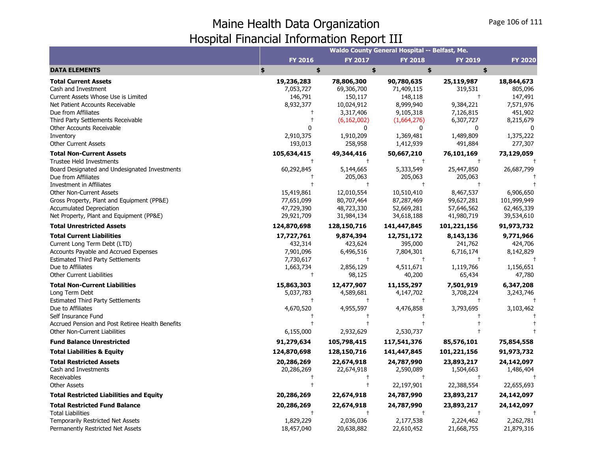**DATA ELEMENTS Total Current Assets**Cash and Investment

| dilli Dala Organization             |                |                                                      |                | $1.05C$ 100 01 111 |
|-------------------------------------|----------------|------------------------------------------------------|----------------|--------------------|
| <b>ncial Information Report III</b> |                |                                                      |                |                    |
|                                     |                | <b>Waldo County General Hospital -- Belfast, Me.</b> |                |                    |
| <b>FY 2016</b>                      | <b>FY 2017</b> | <b>FY 2018</b>                                       | <b>FY 2019</b> | <b>FY 2020</b>     |
| \$<br>\$                            |                | \$                                                   | \$             |                    |
| 19,236,283                          | 78,806,300     | 90,780,635                                           | 25,119,987     | 18,844,673         |
| 7,053,727                           | 69,306,700     | 71,409,115                                           | 319,531        | 805,096            |
| 146,791                             | 150,117        | 148,118                                              |                | 147,491            |
| 8,932,377                           | 10,024,912     | 8,999,940                                            | 9,384,221      | 7,571,976          |
|                                     | 3,317,406      | 9,105,318                                            | 7,126,815      | 451,902            |
|                                     | (6, 162, 002)  | (1,664,276)                                          | 6,307,727      | 8,215,679          |
| 0                                   |                |                                                      |                |                    |
| 2,910,375                           | 1,910,209      | 1,369,481                                            | 1,489,809      | 1,375,222          |
|                                     |                |                                                      |                |                    |

| Cash and Investment                              | 7,053,727   | 69,306,700    | 71,409,115  | 319,531     | 805,096     |
|--------------------------------------------------|-------------|---------------|-------------|-------------|-------------|
| Current Assets Whose Use is Limited              | 146,791     | 150,117       | 148,118     | $\pm$       | 147,491     |
| Net Patient Accounts Receivable                  | 8,932,377   | 10,024,912    | 8,999,940   | 9,384,221   | 7,571,976   |
| Due from Affiliates                              |             | 3,317,406     | 9,105,318   | 7,126,815   | 451,902     |
| Third Party Settlements Receivable               |             | (6, 162, 002) | (1,664,276) | 6,307,727   | 8,215,679   |
| Other Accounts Receivable                        |             | 0             | 0           | $\Omega$    |             |
| Inventory                                        | 2,910,375   | 1,910,209     | 1,369,481   | 1,489,809   | 1,375,222   |
| <b>Other Current Assets</b>                      | 193,013     | 258,958       | 1,412,939   | 491,884     | 277,307     |
| <b>Total Non-Current Assets</b>                  | 105,634,415 | 49,344,416    | 50,667,210  | 76,101,169  | 73,129,059  |
| <b>Trustee Held Investments</b>                  |             | $^{+}$        | $\pm$       |             |             |
| Board Designated and Undesignated Investments    | 60,292,845  | 5,144,665     | 5,333,549   | 25,447,850  | 26,687,799  |
| Due from Affiliates                              |             | 205,063       | 205,063     | 205,063     |             |
| Investment in Affiliates                         |             |               |             |             |             |
| <b>Other Non-Current Assets</b>                  | 15,419,861  | 12,010,554    | 10,510,410  | 8,467,537   | 6,906,650   |
| Gross Property, Plant and Equipment (PP&E)       | 77,651,099  | 80,707,464    | 87,287,469  | 99,627,281  | 101,999,949 |
| Accumulated Depreciation                         | 47,729,390  | 48,723,330    | 52,669,281  | 57,646,562  | 62,465,339  |
| Net Property, Plant and Equipment (PP&E)         | 29,921,709  | 31,984,134    | 34,618,188  | 41,980,719  | 39,534,610  |
| <b>Total Unrestricted Assets</b>                 | 124,870,698 | 128,150,716   | 141,447,845 | 101,221,156 | 91,973,732  |
| <b>Total Current Liabilities</b>                 | 17,727,761  | 9,874,394     | 12,751,172  | 8,143,136   | 9,771,966   |
| Current Long Term Debt (LTD)                     | 432,314     | 423,624       | 395,000     | 241,762     | 424,706     |
| Accounts Payable and Accrued Expenses            | 7,901,096   | 6,496,516     | 7,804,301   | 6,716,174   | 8,142,829   |
| <b>Estimated Third Party Settlements</b>         | 7,730,617   | $^{+}$        |             |             |             |
| Due to Affiliates                                | 1,663,734   | 2,856,129     | 4,511,671   | 1,119,766   | 1,156,651   |
| <b>Other Current Liabilities</b>                 |             | 98,125        | 40,200      | 65,434      | 47,780      |
| <b>Total Non-Current Liabilities</b>             | 15,863,303  | 12,477,907    | 11,155,297  | 7,501,919   | 6,347,208   |
| Long Term Debt                                   | 5,037,783   | 4,589,681     | 4,147,702   | 3,708,224   | 3,243,746   |
| <b>Estimated Third Party Settlements</b>         |             | $\ddagger$    | $\pm$       |             |             |
| Due to Affiliates                                | 4,670,520   | 4,955,597     | 4,476,858   | 3,793,695   | 3,103,462   |
| Self Insurance Fund                              |             |               |             |             |             |
| Accrued Pension and Post Retiree Health Benefits |             |               |             |             |             |
| Other Non-Current Liabilities                    | 6,155,000   | 2,932,629     | 2,530,737   |             |             |
| <b>Fund Balance Unrestricted</b>                 | 91,279,634  | 105,798,415   | 117,541,376 | 85,576,101  | 75,854,558  |
| <b>Total Liabilities &amp; Equity</b>            | 124,870,698 | 128,150,716   | 141,447,845 | 101,221,156 | 91,973,732  |
| <b>Total Restricted Assets</b>                   | 20,286,269  | 22,674,918    | 24,787,990  | 23,893,217  | 24,142,097  |
| Cash and Investments                             | 20,286,269  | 22,674,918    | 2,590,089   | 1,504,663   | 1,486,404   |
| Receivables                                      |             |               | $\ddagger$  | $\ddagger$  |             |
| <b>Other Assets</b>                              |             |               | 22,197,901  | 22,388,554  | 22,655,693  |
| <b>Total Restricted Liabilities and Equity</b>   | 20,286,269  | 22,674,918    | 24,787,990  | 23,893,217  | 24,142,097  |
| <b>Total Restricted Fund Balance</b>             | 20,286,269  | 22,674,918    | 24,787,990  | 23,893,217  | 24,142,097  |
| <b>Total Liabilities</b>                         |             |               |             |             |             |
| Temporarily Restricted Net Assets                | 1,829,229   | 2,036,036     | 2,177,538   | 2,224,462   | 2,262,781   |
| Permanently Restricted Net Assets                | 18,457,040  | 20,638,882    | 22,610,452  | 21,668,755  | 21,879,316  |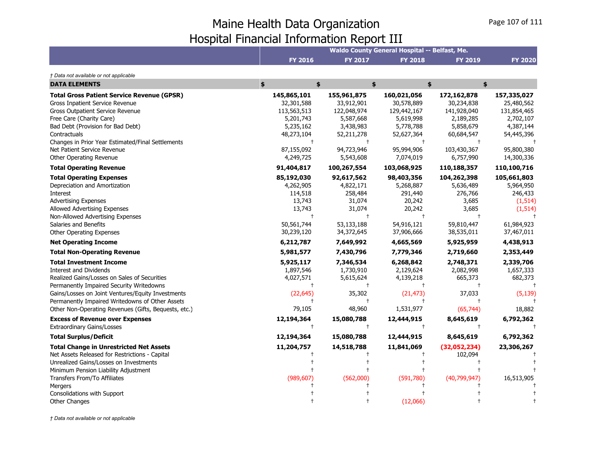|                                                      | Waldo County General Hospital -- Belfast, Me. |                |                |                |                |  |  |  |
|------------------------------------------------------|-----------------------------------------------|----------------|----------------|----------------|----------------|--|--|--|
|                                                      | <b>FY 2016</b>                                | <b>FY 2017</b> | <b>FY 2018</b> | <b>FY 2019</b> | <b>FY 2020</b> |  |  |  |
| † Data not available or not applicable               |                                               |                |                |                |                |  |  |  |
| <b>DATA ELEMENTS</b>                                 | \$<br>\$                                      |                | \$             | \$             | \$             |  |  |  |
| <b>Total Gross Patient Service Revenue (GPSR)</b>    | 145,865,101                                   | 155,961,875    | 160,021,056    | 172,162,878    | 157,335,027    |  |  |  |
| Gross Inpatient Service Revenue                      | 32,301,588                                    | 33,912,901     | 30,578,889     | 30,234,838     | 25,480,562     |  |  |  |
| Gross Outpatient Service Revenue                     | 113,563,513                                   | 122,048,974    | 129,442,167    | 141,928,040    | 131,854,465    |  |  |  |
| Free Care (Charity Care)                             | 5,201,743                                     | 5,587,668      | 5,619,998      | 2,189,285      | 2,702,107      |  |  |  |
| Bad Debt (Provision for Bad Debt)                    | 5,235,162                                     | 3,438,983      | 5,778,788      | 5,858,679      | 4,387,144      |  |  |  |
| Contractuals                                         | 48,273,104                                    | 52,211,278     | 52,627,364     | 60,684,547     | 54,445,396     |  |  |  |
| Changes in Prior Year Estimated/Final Settlements    | $\ddagger$                                    |                | $\pm$          |                |                |  |  |  |
| Net Patient Service Revenue                          | 87,155,092                                    | 94,723,946     | 95,994,906     | 103,430,367    | 95,800,380     |  |  |  |
| Other Operating Revenue                              | 4,249,725                                     | 5,543,608      | 7,074,019      | 6,757,990      | 14,300,336     |  |  |  |
| <b>Total Operating Revenue</b>                       | 91,404,817                                    | 100,267,554    | 103,068,925    | 110,188,357    | 110,100,716    |  |  |  |
| <b>Total Operating Expenses</b>                      | 85,192,030                                    | 92,617,562     | 98,403,356     | 104,262,398    | 105,661,803    |  |  |  |
| Depreciation and Amortization                        | 4,262,905                                     | 4,822,171      | 5,268,887      | 5,636,489      | 5,964,950      |  |  |  |
| Interest                                             | 114,518                                       | 258,484        | 291,440        | 276,766        | 246,433        |  |  |  |
| <b>Advertising Expenses</b>                          | 13,743                                        | 31,074         | 20,242         | 3,685          | (1, 514)       |  |  |  |
| Allowed Advertising Expenses                         | 13,743                                        | 31,074         | 20,242         | 3,685          | (1, 514)       |  |  |  |
| Non-Allowed Advertising Expenses                     |                                               | $\ddagger$     | $\ddagger$     |                |                |  |  |  |
| Salaries and Benefits                                | 50,561,744                                    | 53,133,188     | 54,916,121     | 59,810,447     | 61,984,923     |  |  |  |
| Other Operating Expenses                             | 30,239,120                                    | 34,372,645     | 37,906,666     | 38,535,011     | 37,467,011     |  |  |  |
| <b>Net Operating Income</b>                          | 6,212,787                                     | 7,649,992      | 4,665,569      | 5,925,959      | 4,438,913      |  |  |  |
| <b>Total Non-Operating Revenue</b>                   | 5,981,577                                     | 7,430,796      | 7,779,346      | 2,719,660      | 2,353,449      |  |  |  |
| <b>Total Investment Income</b>                       | 5,925,117                                     | 7,346,534      | 6,268,842      | 2,748,371      | 2,339,706      |  |  |  |
| <b>Interest and Dividends</b>                        | 1,897,546                                     | 1,730,910      | 2,129,624      | 2,082,998      | 1,657,333      |  |  |  |
| Realized Gains/Losses on Sales of Securities         | 4,027,571                                     | 5,615,624      | 4,139,218      | 665,373        | 682,373        |  |  |  |
| Permanently Impaired Security Writedowns             |                                               |                |                |                |                |  |  |  |
| Gains/Losses on Joint Ventures/Equity Investments    | (22, 645)                                     | 35,302         | (21, 473)      | 37,033         | (5, 139)       |  |  |  |
| Permanently Impaired Writedowns of Other Assets      |                                               | $\ddagger$     | $\pm$          |                |                |  |  |  |
| Other Non-Operating Revenues (Gifts, Bequests, etc.) | 79,105                                        | 48,960         | 1,531,977      | (65, 744)      | 18,882         |  |  |  |
| <b>Excess of Revenue over Expenses</b>               | 12,194,364                                    | 15,080,788     | 12,444,915     | 8,645,619      | 6,792,362      |  |  |  |
| <b>Extraordinary Gains/Losses</b>                    | $\ddagger$                                    | $\ddagger$     | $\ddagger$     | $^{+}$         |                |  |  |  |
| <b>Total Surplus/Deficit</b>                         | 12,194,364                                    | 15,080,788     | 12,444,915     | 8,645,619      | 6,792,362      |  |  |  |
| <b>Total Change in Unrestricted Net Assets</b>       | 11,204,757                                    | 14,518,788     | 11,841,069     | (32,052,234)   | 23,306,267     |  |  |  |
| Net Assets Released for Restrictions - Capital       |                                               |                |                | 102,094        |                |  |  |  |
| Unrealized Gains/Losses on Investments               |                                               |                |                |                |                |  |  |  |
| Minimum Pension Liability Adjustment                 |                                               |                |                |                |                |  |  |  |
| Transfers From/To Affiliates                         | (989, 607)                                    | (562,000)      | (591,780)      | (40, 799, 947) | 16,513,905     |  |  |  |
| Mergers                                              |                                               |                |                |                |                |  |  |  |
| Consolidations with Support                          |                                               |                |                |                |                |  |  |  |
| <b>Other Changes</b>                                 |                                               |                | (12,066)       |                |                |  |  |  |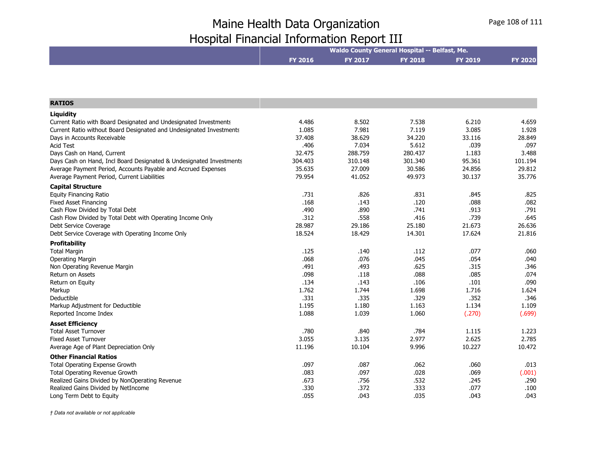|                                                                     | Waldo County General Hospital -- Belfast, Me. |         |                |                |                |  |  |
|---------------------------------------------------------------------|-----------------------------------------------|---------|----------------|----------------|----------------|--|--|
|                                                                     | <b>FY 2016</b>                                | FY 2017 | <b>FY 2018</b> | <b>FY 2019</b> | <b>FY 2020</b> |  |  |
|                                                                     |                                               |         |                |                |                |  |  |
|                                                                     |                                               |         |                |                |                |  |  |
| <b>RATIOS</b>                                                       |                                               |         |                |                |                |  |  |
| Liquidity                                                           |                                               |         |                |                |                |  |  |
| Current Ratio with Board Designated and Undesignated Investments    | 4.486                                         | 8.502   | 7.538          | 6.210          | 4.659          |  |  |
| Current Ratio without Board Designated and Undesignated Investments | 1.085                                         | 7.981   | 7.119          | 3.085          | 1.928          |  |  |
| Days in Accounts Receivable                                         | 37,408                                        | 38.629  | 34.220         | 33.116         | 28.849         |  |  |
| <b>Acid Test</b>                                                    | .406                                          | 7.034   | 5.612          | .039           | .097           |  |  |
| Days Cash on Hand, Current                                          | 32.475                                        | 288.759 | 280.437        | 1.183          | 3.488          |  |  |
| Days Cash on Hand, Incl Board Designated & Undesignated Investments | 304.403                                       | 310.148 | 301.340        | 95.361         | 101.194        |  |  |
| Average Payment Period, Accounts Payable and Accrued Expenses       | 35.635                                        | 27.009  | 30.586         | 24.856         | 29.812         |  |  |
| Average Payment Period, Current Liabilities                         | 79.954                                        | 41.052  | 49.973         | 30.137         | 35.776         |  |  |
| <b>Capital Structure</b>                                            |                                               |         |                |                |                |  |  |
| <b>Equity Financing Ratio</b>                                       | .731                                          | .826    | .831           | .845           | .825           |  |  |
| <b>Fixed Asset Financing</b>                                        | .168                                          | .143    | .120           | .088           | .082           |  |  |
| Cash Flow Divided by Total Debt                                     | .490                                          | .890    | .741           | .913           | .791           |  |  |
| Cash Flow Divided by Total Debt with Operating Income Only          | .312                                          | .558    | .416           | .739           | .645           |  |  |
| Debt Service Coverage                                               | 28.987                                        | 29.186  | 25.180         | 21.673         | 26.636         |  |  |
| Debt Service Coverage with Operating Income Only                    | 18.524                                        | 18.429  | 14.301         | 17.624         | 21.816         |  |  |
| <b>Profitability</b>                                                |                                               |         |                |                |                |  |  |
| <b>Total Margin</b>                                                 | .125                                          | .140    | .112           | .077           | .060           |  |  |
| Operating Margin                                                    | .068                                          | .076    | .045           | .054           | .040           |  |  |
| Non Operating Revenue Margin                                        | .491                                          | .493    | .625           | .315           | .346           |  |  |
| Return on Assets                                                    | .098                                          | .118    | .088           | .085           | .074           |  |  |
| Return on Equity                                                    | .134                                          | .143    | .106           | .101           | .090           |  |  |
| Markup                                                              | 1.762                                         | 1.744   | 1.698          | 1.716          | 1.624          |  |  |
| Deductible                                                          | .331                                          | .335    | .329           | .352           | .346           |  |  |
| Markup Adjustment for Deductible                                    | 1.195                                         | 1.180   | 1.163          | 1.134          | 1.109          |  |  |
| Reported Income Index                                               | 1.088                                         | 1.039   | 1.060          | (.270)         | (.699)         |  |  |
| <b>Asset Efficiency</b>                                             |                                               |         |                |                |                |  |  |
| <b>Total Asset Turnover</b>                                         | .780                                          | .840    | .784           | 1.115          | 1.223          |  |  |
| <b>Fixed Asset Turnover</b>                                         | 3.055                                         | 3.135   | 2.977          | 2.625          | 2.785          |  |  |
| Average Age of Plant Depreciation Only                              | 11.196                                        | 10.104  | 9.996          | 10.227         | 10.472         |  |  |
| <b>Other Financial Ratios</b>                                       |                                               |         |                |                |                |  |  |
| Total Operating Expense Growth                                      | .097                                          | .087    | .062           | .060           | .013           |  |  |
| <b>Total Operating Revenue Growth</b>                               | .083                                          | .097    | .028           | .069           | (.001)         |  |  |
| Realized Gains Divided by NonOperating Revenue                      | .673                                          | .756    | .532           | .245           | .290           |  |  |
| Realized Gains Divided by NetIncome                                 | .330                                          | .372    | .333           | .077           | .100           |  |  |
| Long Term Debt to Equity                                            | .055                                          | .043    | .035           | .043           | .043           |  |  |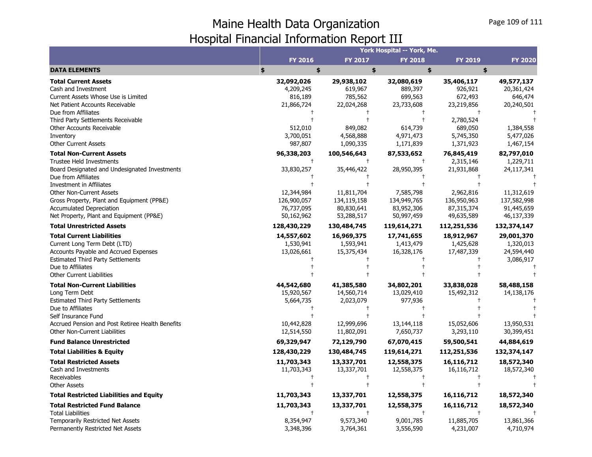## Maine Health Data Organization Hospital Financial Information Report III

|                                                  | York Hospital -- York, Me. |                      |                |                |                |
|--------------------------------------------------|----------------------------|----------------------|----------------|----------------|----------------|
|                                                  | <b>FY 2016</b>             | FY 2017              | <b>FY 2018</b> | <b>FY 2019</b> | <b>FY 2020</b> |
| <b>DATA ELEMENTS</b>                             | \$<br>\$                   | \$                   | \$             | \$             |                |
| <b>Total Current Assets</b>                      | 32,092,026                 | 29,938,102           | 32,080,619     | 35,406,117     | 49,577,137     |
| Cash and Investment                              | 4,209,245                  | 619,967              | 889,397        | 926,921        | 20,361,424     |
| Current Assets Whose Use is Limited              | 816,189                    | 785,562              | 699,563        | 672,493        | 646,474        |
| Net Patient Accounts Receivable                  | 21,866,724                 | 22,024,268           | 23,733,608     | 23,219,856     | 20,240,501     |
| Due from Affiliates                              |                            |                      | $^{\rm +}$     | $^{+}$         |                |
| Third Party Settlements Receivable               |                            |                      |                | 2,780,524      |                |
| Other Accounts Receivable                        | 512,010                    | 849,082              | 614,739        | 689,050        | 1,384,558      |
| Inventory                                        | 3,700,051                  | 4,568,888            | 4,971,473      | 5,745,350      | 5,477,026      |
| <b>Other Current Assets</b>                      | 987,807                    | 1,090,335            | 1,171,839      | 1,371,923      | 1,467,154      |
| <b>Total Non-Current Assets</b>                  | 96,338,203                 | 100,546,643          | 87,533,652     | 76,845,419     | 82,797,010     |
| <b>Trustee Held Investments</b>                  | $\ddagger$                 | $\pm$                | $\ddagger$     | 2,315,146      | 1,229,711      |
| Board Designated and Undesignated Investments    | 33,830,257                 | 35,446,422           | 28,950,395     | 21,931,868     | 24,117,341     |
| Due from Affiliates                              |                            |                      |                |                |                |
| Investment in Affiliates                         |                            |                      |                |                |                |
| <b>Other Non-Current Assets</b>                  | 12,344,984                 | 11,811,704           | 7,585,798      | 2,962,816      | 11,312,619     |
| Gross Property, Plant and Equipment (PP&E)       | 126,900,057                | 134,119,158          | 134,949,765    | 136,950,963    | 137,582,998    |
| <b>Accumulated Depreciation</b>                  | 76,737,095                 | 80,830,641           | 83,952,306     | 87,315,374     | 91,445,659     |
| Net Property, Plant and Equipment (PP&E)         | 50,162,962                 | 53,288,517           | 50,997,459     | 49,635,589     | 46,137,339     |
| <b>Total Unrestricted Assets</b>                 | 128,430,229                | 130,484,745          | 119,614,271    | 112,251,536    | 132,374,147    |
| <b>Total Current Liabilities</b>                 | 14,557,602                 | 16,969,375           | 17,741,655     | 18,912,967     | 29,001,370     |
| Current Long Term Debt (LTD)                     | 1,530,941                  | 1,593,941            | 1,413,479      | 1,425,628      | 1,320,013      |
| Accounts Payable and Accrued Expenses            | 13,026,661                 | 15,375,434           | 16,328,176     | 17,487,339     | 24,594,440     |
| <b>Estimated Third Party Settlements</b>         |                            |                      |                |                | 3,086,917      |
| Due to Affiliates                                |                            |                      |                |                |                |
| <b>Other Current Liabilities</b>                 |                            |                      |                |                |                |
| <b>Total Non-Current Liabilities</b>             | 44,542,680                 | 41,385,580           | 34,802,201     | 33,838,028     | 58,488,158     |
| Long Term Debt                                   | 15,920,567                 | 14,560,714           | 13,029,410     | 15,492,312     | 14,138,176     |
| <b>Estimated Third Party Settlements</b>         | 5,664,735                  | 2,023,079            | 977,936        |                |                |
| Due to Affiliates                                |                            |                      |                |                |                |
| Self Insurance Fund                              |                            |                      |                |                |                |
| Accrued Pension and Post Retiree Health Benefits | 10,442,828                 | 12,999,696           | 13,144,118     | 15,052,606     | 13,950,531     |
| Other Non-Current Liabilities                    | 12,514,550                 | 11,802,091           | 7,650,737      | 3,293,110      | 30,399,451     |
| <b>Fund Balance Unrestricted</b>                 | 69,329,947                 | 72,129,790           | 67,070,415     | 59,500,541     | 44,884,619     |
| <b>Total Liabilities &amp; Equity</b>            | 128,430,229                | 130,484,745          | 119,614,271    | 112,251,536    | 132,374,147    |
| <b>Total Restricted Assets</b>                   | 11,703,343                 | 13,337,701           | 12,558,375     | 16,116,712     | 18,572,340     |
| Cash and Investments                             | 11,703,343                 | 13,337,701           | 12,558,375     | 16,116,712     | 18,572,340     |
| Receivables                                      |                            | $\ddagger$           |                |                |                |
| <b>Other Assets</b>                              |                            | $\ddagger$           |                |                |                |
| <b>Total Restricted Liabilities and Equity</b>   | 11,703,343                 | 13,337,701           | 12,558,375     | 16,116,712     | 18,572,340     |
| <b>Total Restricted Fund Balance</b>             | 11,703,343                 | 13,337,701           | 12,558,375     | 16,116,712     | 18,572,340     |
| <b>Total Liabilities</b>                         |                            | $\ddot{\phantom{1}}$ | $\ddagger$     | $\ddagger$     |                |
| <b>Temporarily Restricted Net Assets</b>         | 8,354,947                  | 9,573,340            | 9,001,785      | 11,885,705     | 13,861,366     |
| Permanently Restricted Net Assets                | 3,348,396                  | 3,764,361            | 3,556,590      | 4,231,007      | 4,710,974      |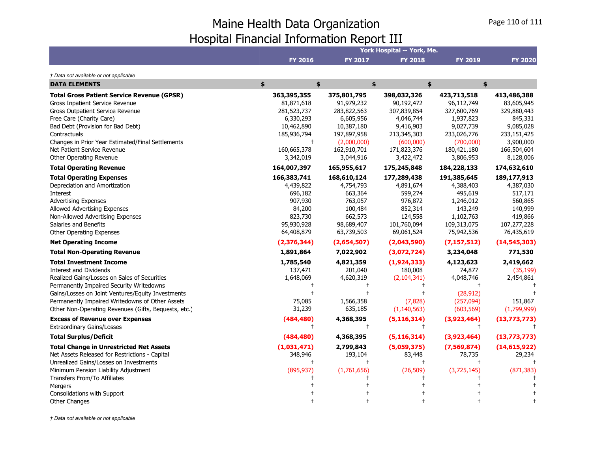## Maine Health Data Organization Hospital Financial Information Report III

|                                                      |                 | York Hospital -- York, Me. |                |                |                |  |
|------------------------------------------------------|-----------------|----------------------------|----------------|----------------|----------------|--|
|                                                      | <b>FY 2016</b>  | FY 2017                    | <b>FY 2018</b> | <b>FY 2019</b> | <b>FY 2020</b> |  |
| † Data not available or not applicable               |                 |                            |                |                |                |  |
| <b>DATA ELEMENTS</b>                                 | \$<br>\$        |                            | \$             | \$             | \$             |  |
| <b>Total Gross Patient Service Revenue (GPSR)</b>    | 363,395,355     | 375,801,795                | 398,032,326    | 423,713,518    | 413,486,388    |  |
| <b>Gross Inpatient Service Revenue</b>               | 81,871,618      | 91,979,232                 | 90,192,472     | 96,112,749     | 83,605,945     |  |
| <b>Gross Outpatient Service Revenue</b>              | 281,523,737     | 283,822,563                | 307,839,854    | 327,600,769    | 329,880,443    |  |
| Free Care (Charity Care)                             | 6,330,293       | 6,605,956                  | 4,046,744      | 1,937,823      | 845,331        |  |
| Bad Debt (Provision for Bad Debt)                    | 10,462,890      | 10,387,180                 | 9,416,903      | 9,027,739      | 9,085,028      |  |
| Contractuals                                         | 185,936,794     | 197,897,958                | 213,345,303    | 233,026,776    | 233,151,425    |  |
| Changes in Prior Year Estimated/Final Settlements    | $\ddagger$      | (2,000,000)                | (600,000)      | (700,000)      | 3,900,000      |  |
| Net Patient Service Revenue                          | 160,665,378     | 162,910,701                | 171,823,376    | 180,421,180    | 166,504,604    |  |
| Other Operating Revenue                              | 3,342,019       | 3,044,916                  | 3,422,472      | 3,806,953      | 8,128,006      |  |
| <b>Total Operating Revenue</b>                       | 164,007,397     | 165,955,617                | 175,245,848    | 184,228,133    | 174,632,610    |  |
| <b>Total Operating Expenses</b>                      | 166,383,741     | 168,610,124                | 177,289,438    | 191,385,645    | 189,177,913    |  |
| Depreciation and Amortization                        | 4,439,822       | 4,754,793                  | 4,891,674      | 4,388,403      | 4,387,030      |  |
| Interest                                             | 696,182         | 663,364                    | 599,274        | 495,619        | 517,171        |  |
| <b>Advertising Expenses</b>                          | 907,930         | 763,057                    | 976,872        | 1,246,012      | 560,865        |  |
| Allowed Advertising Expenses                         | 84,200          | 100,484                    | 852,314        | 143,249        | 140,999        |  |
| Non-Allowed Advertising Expenses                     | 823,730         | 662,573                    | 124,558        | 1,102,763      | 419,866        |  |
| Salaries and Benefits                                | 95,930,928      | 98,689,407                 | 101,760,094    | 109,313,075    | 107,277,228    |  |
| Other Operating Expenses                             | 64,408,879      | 63,739,503                 | 69,061,524     | 75,942,536     | 76,435,619     |  |
| <b>Net Operating Income</b>                          | (2, 376, 344)   | (2,654,507)                | (2,043,590)    | (7, 157, 512)  | (14, 545, 303) |  |
| <b>Total Non-Operating Revenue</b>                   | 1,891,864       | 7,022,902                  | (3,072,724)    | 3,234,048      | 771,530        |  |
| <b>Total Investment Income</b>                       | 1,785,540       | 4,821,359                  | (1,924,333)    | 4,123,623      | 2,419,662      |  |
| <b>Interest and Dividends</b>                        | 137,471         | 201,040                    | 180,008        | 74,877         | (35, 199)      |  |
| Realized Gains/Losses on Sales of Securities         | 1,648,069       | 4,620,319                  | (2, 104, 341)  | 4,048,746      | 2,454,861      |  |
| Permanently Impaired Security Writedowns             |                 |                            |                |                |                |  |
| Gains/Losses on Joint Ventures/Equity Investments    |                 |                            |                | (28, 912)      |                |  |
| Permanently Impaired Writedowns of Other Assets      | 75,085          | 1,566,358                  | (7, 828)       | (257,094)      | 151,867        |  |
| Other Non-Operating Revenues (Gifts, Bequests, etc.) | 31,239          | 635,185                    | (1, 140, 563)  | (603, 569)     | (1,799,999)    |  |
| <b>Excess of Revenue over Expenses</b>               | (484, 480)      | 4,368,395                  | (5, 116, 314)  | (3,923,464)    | (13, 773, 773) |  |
| <b>Extraordinary Gains/Losses</b>                    | $^{\dagger}$    | $\ddagger$                 | $\pm$          | $\ddagger$     |                |  |
| <b>Total Surplus/Deficit</b>                         | (484, 480)      | 4,368,395                  | (5, 116, 314)  | (3,923,464)    | (13, 773, 773) |  |
| <b>Total Change in Unrestricted Net Assets</b>       | (1,031,471)     | 2,799,843                  | (5,059,375)    | (7,569,874)    | (14, 615, 922) |  |
| Net Assets Released for Restrictions - Capital       | 348,946         | 193,104                    | 83,448         | 78,735         | 29,234         |  |
| Unrealized Gains/Losses on Investments               | $^{\mathrm{+}}$ |                            | $\pm$          |                |                |  |
| Minimum Pension Liability Adjustment                 | (895, 937)      | (1,761,656)                | (26, 509)      | (3,725,145)    | (871, 383)     |  |
| Transfers From/To Affiliates                         |                 |                            |                |                |                |  |
| Mergers                                              |                 |                            |                |                |                |  |
| Consolidations with Support                          |                 |                            |                |                |                |  |
| <b>Other Changes</b>                                 |                 |                            |                |                |                |  |